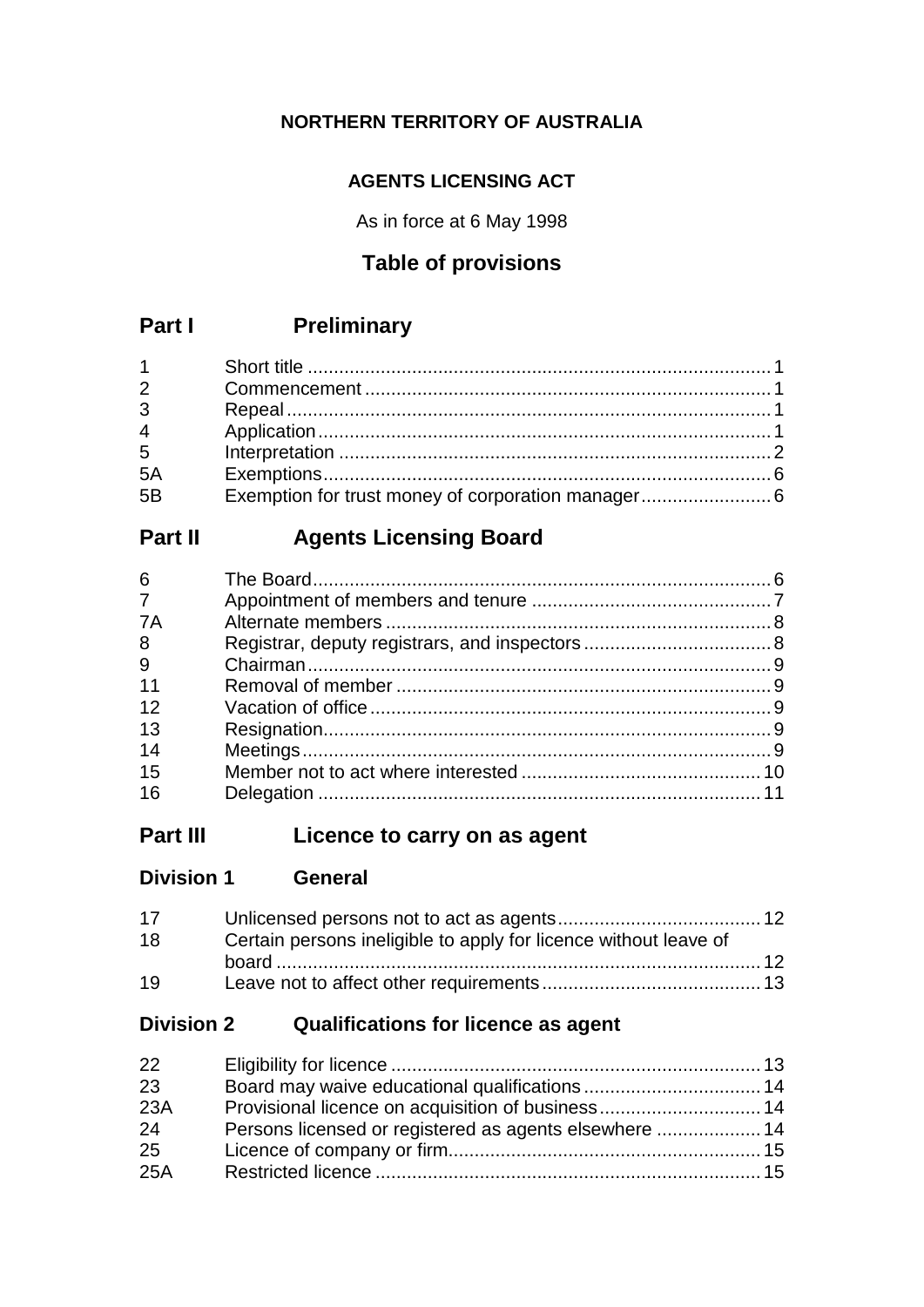## **NORTHERN TERRITORY OF AUSTRALIA**

### **AGENTS LICENSING ACT**

As in force at 6 May 1998

# **Table of provisions**

# **Part I Preliminary**

| $1 \quad \blacksquare$ |                                                    |  |
|------------------------|----------------------------------------------------|--|
| $2^{\sim}$             |                                                    |  |
| $\overline{3}$         |                                                    |  |
| $\overline{4}$         |                                                    |  |
| $5^{\circ}$            |                                                    |  |
| 5A                     |                                                    |  |
| 5B                     | Exemption for trust money of corporation manager 6 |  |

# **Part II Agents Licensing Board**

# **Part III Licence to carry on as agent**

| <b>Division 1</b> | <b>General</b> |
|-------------------|----------------|
|                   |                |

| 17 <sup>2</sup> |                                                                  |  |
|-----------------|------------------------------------------------------------------|--|
| 18              | Certain persons ineligible to apply for licence without leave of |  |
|                 |                                                                  |  |
| 19              |                                                                  |  |

# **Division 2 Qualifications for licence as agent**

| 22  |                                                        |  |
|-----|--------------------------------------------------------|--|
| 23  |                                                        |  |
| 23A |                                                        |  |
| 24  | Persons licensed or registered as agents elsewhere  14 |  |
| 25  |                                                        |  |
| 25A |                                                        |  |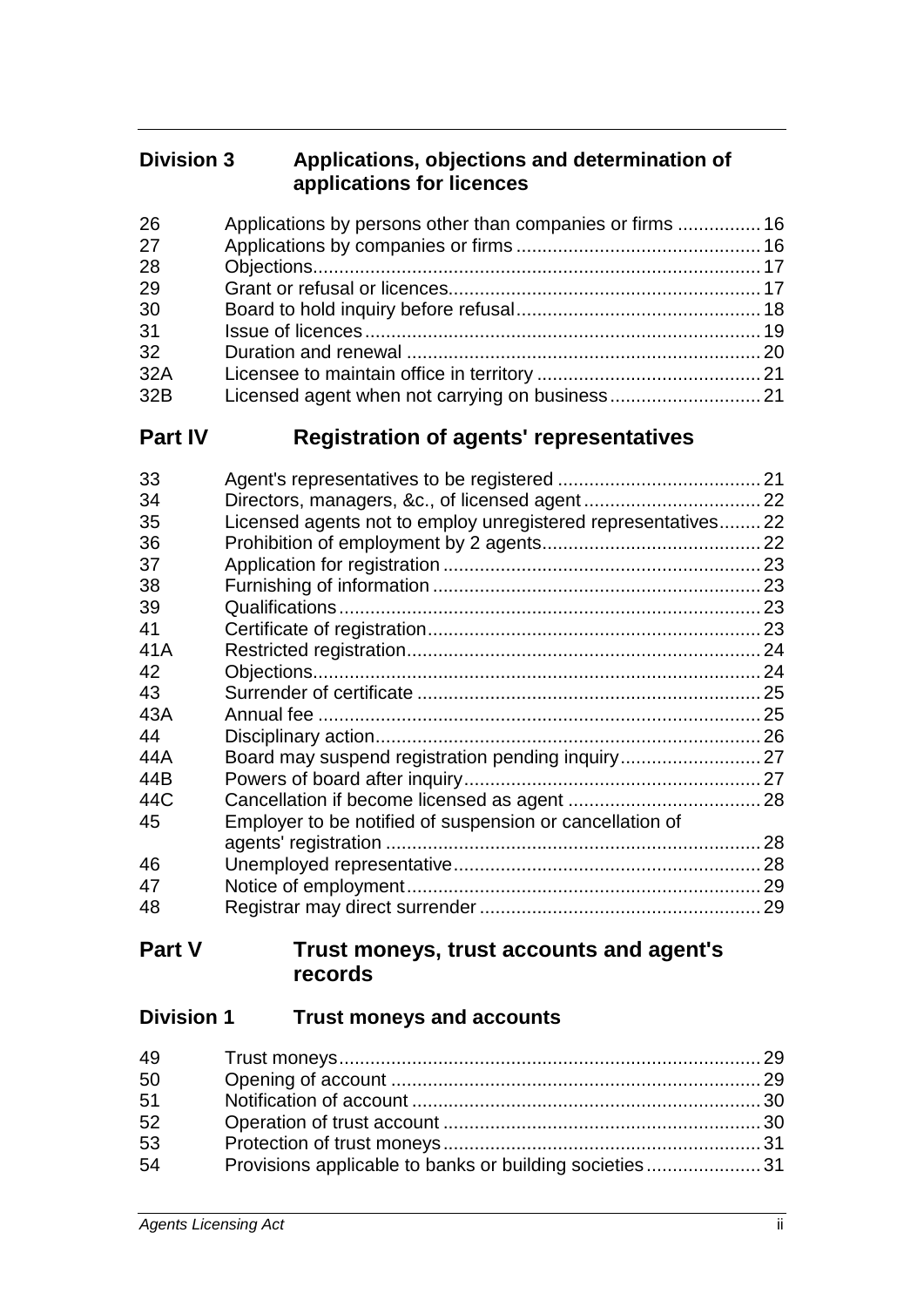### **Division 3 Applications, objections and determination of applications for licences**

| 26  |  |
|-----|--|
| 27  |  |
| 28  |  |
| 29  |  |
| 30  |  |
| 31  |  |
| 32  |  |
| 32A |  |
| 32B |  |

# **Part IV Registration of agents' representatives**

| 33<br>34 |                                                              |  |
|----------|--------------------------------------------------------------|--|
| 35       | Licensed agents not to employ unregistered representatives22 |  |
| 36       |                                                              |  |
| 37       |                                                              |  |
| 38       |                                                              |  |
| 39       |                                                              |  |
| 41       |                                                              |  |
| 41A      |                                                              |  |
| 42       |                                                              |  |
| 43       |                                                              |  |
| 43A      |                                                              |  |
| 44       |                                                              |  |
| 44A      |                                                              |  |
| 44B      |                                                              |  |
| 44C      |                                                              |  |
| 45       | Employer to be notified of suspension or cancellation of     |  |
|          |                                                              |  |
| 46       |                                                              |  |
| 47       |                                                              |  |
| 48       |                                                              |  |

## **Part V Trust moneys, trust accounts and agent's records**

# **Division 1 Trust moneys and accounts**

| 49 |                                                        |  |
|----|--------------------------------------------------------|--|
| 50 |                                                        |  |
| 51 |                                                        |  |
| 52 |                                                        |  |
| 53 |                                                        |  |
| 54 | Provisions applicable to banks or building societies31 |  |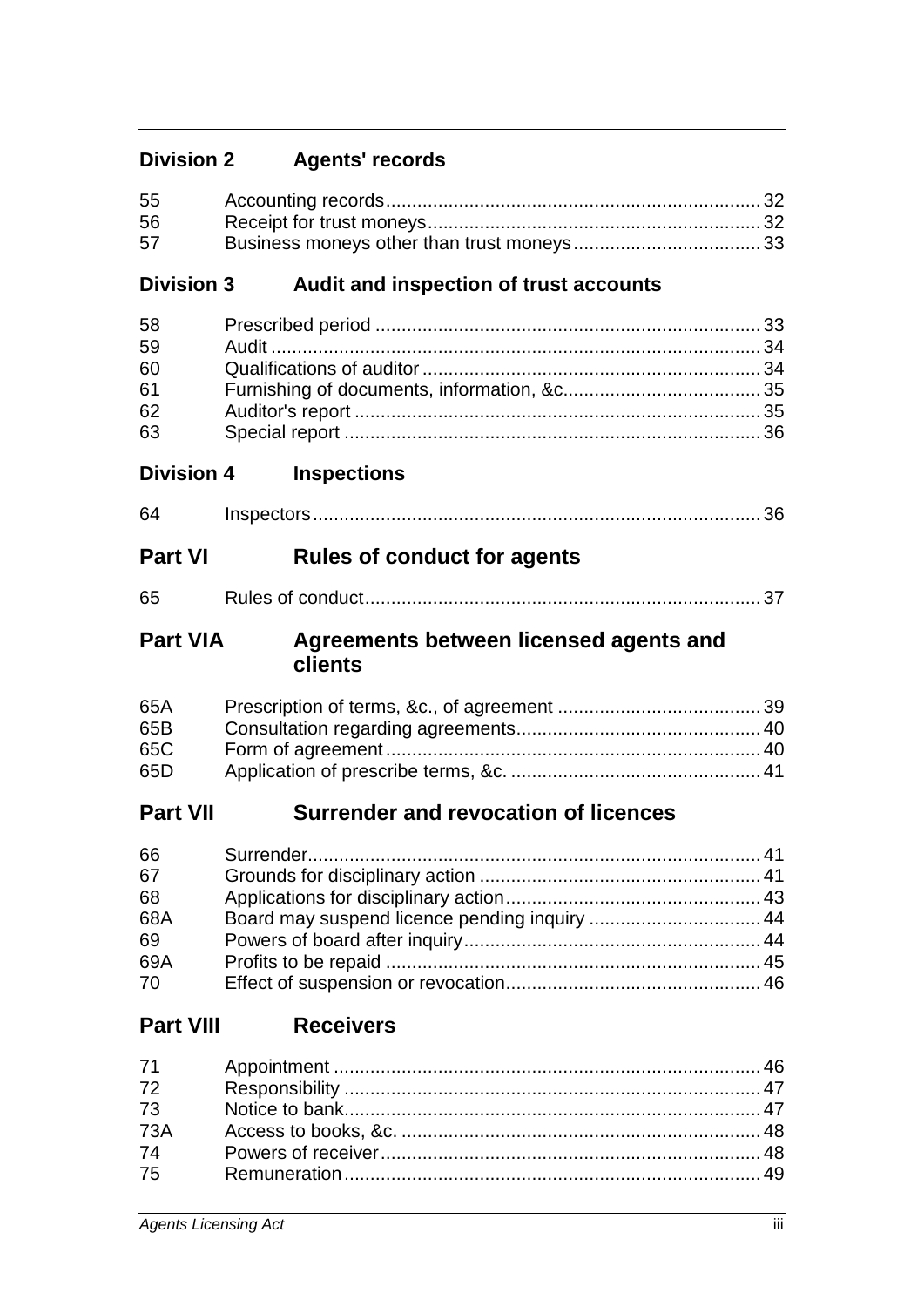# **Division 2 Agents' records**

| 55<br>56<br>57                           |                                                   |  |
|------------------------------------------|---------------------------------------------------|--|
| <b>Division 3</b>                        | Audit and inspection of trust accounts            |  |
| 58<br>59<br>60<br>61<br>62<br>63         |                                                   |  |
| <b>Division 4</b>                        | <b>Inspections</b>                                |  |
| 64                                       |                                                   |  |
| <b>Part VI</b>                           | <b>Rules of conduct for agents</b>                |  |
| 65                                       |                                                   |  |
| <b>Part VIA</b>                          | Agreements between licensed agents and<br>clients |  |
| 65A<br>65B<br>65C<br>65D                 |                                                   |  |
| <b>Part VII</b>                          | <b>Surrender and revocation of licences</b>       |  |
| 66<br>67<br>68<br>68A<br>69<br>69A<br>70 | Board may suspend licence pending inquiry  44     |  |
| <b>Part VIII</b>                         | <b>Receivers</b>                                  |  |
| 71<br>72<br>73<br><b>73A</b><br>74       |                                                   |  |

74 Powers of receiver......................................................................... 48

75 Remuneration................................................................................ 49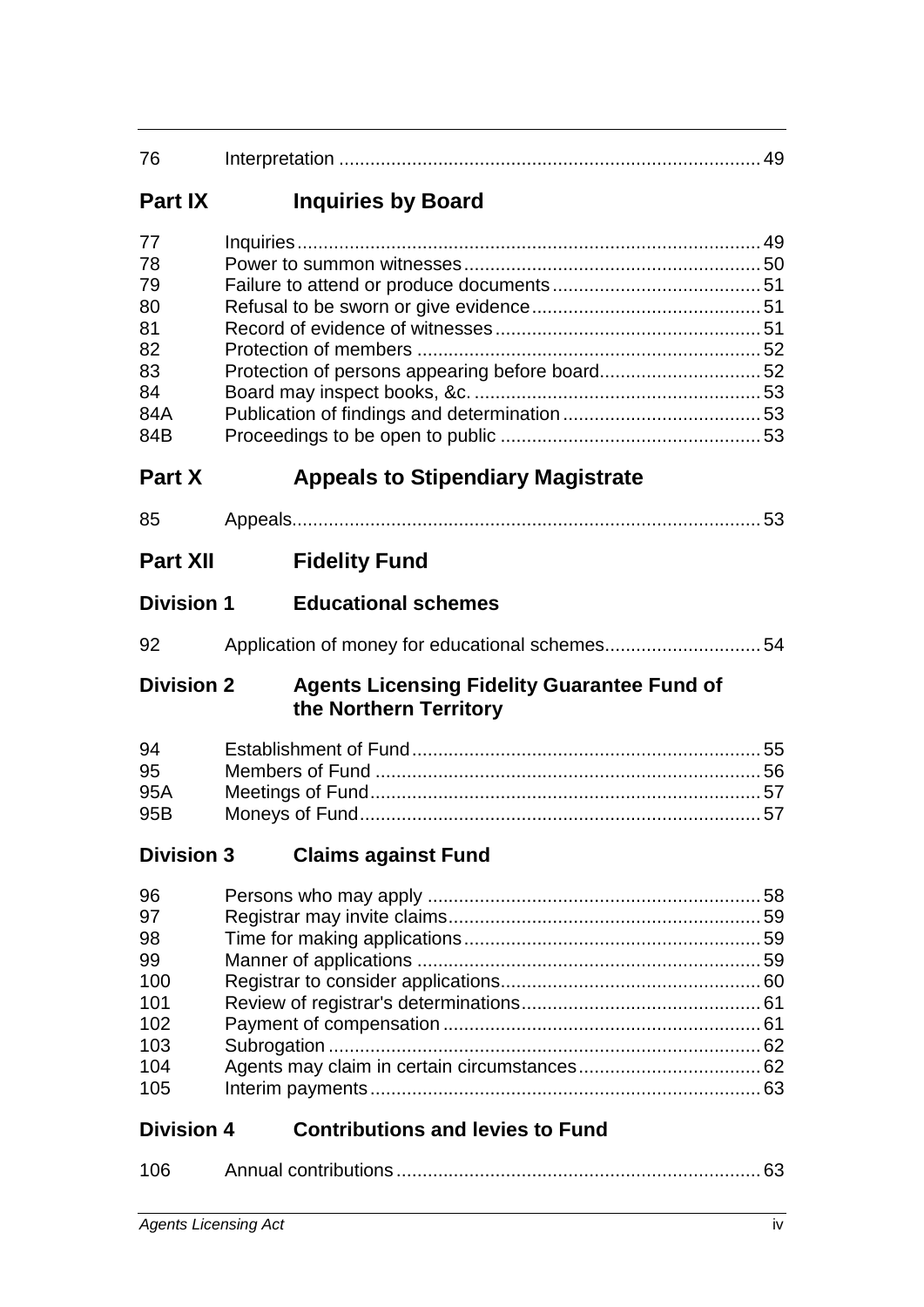| <b>Part IX</b> | <b>Inquiries by Board</b> |
|----------------|---------------------------|
|                |                           |

| 77  |  |
|-----|--|
| 78  |  |
| 79  |  |
| 80  |  |
| 81  |  |
| 82  |  |
| 83  |  |
| 84  |  |
| 84A |  |
| 84B |  |
|     |  |

# **Part X Appeals to Stipendiary Magistrate**

| $\sim$ |  |  |
|--------|--|--|
|--------|--|--|

# **Division 1 Educational schemes**

| 92 |  |
|----|--|
|    |  |

### **Division 2 Agents Licensing Fidelity Guarantee Fund of the Northern Territory**

| 94    |  |
|-------|--|
| 95    |  |
| 95A — |  |
| 95B   |  |

# **Division 3 Claims against Fund**

# **Division 4 Contributions and levies to Fund**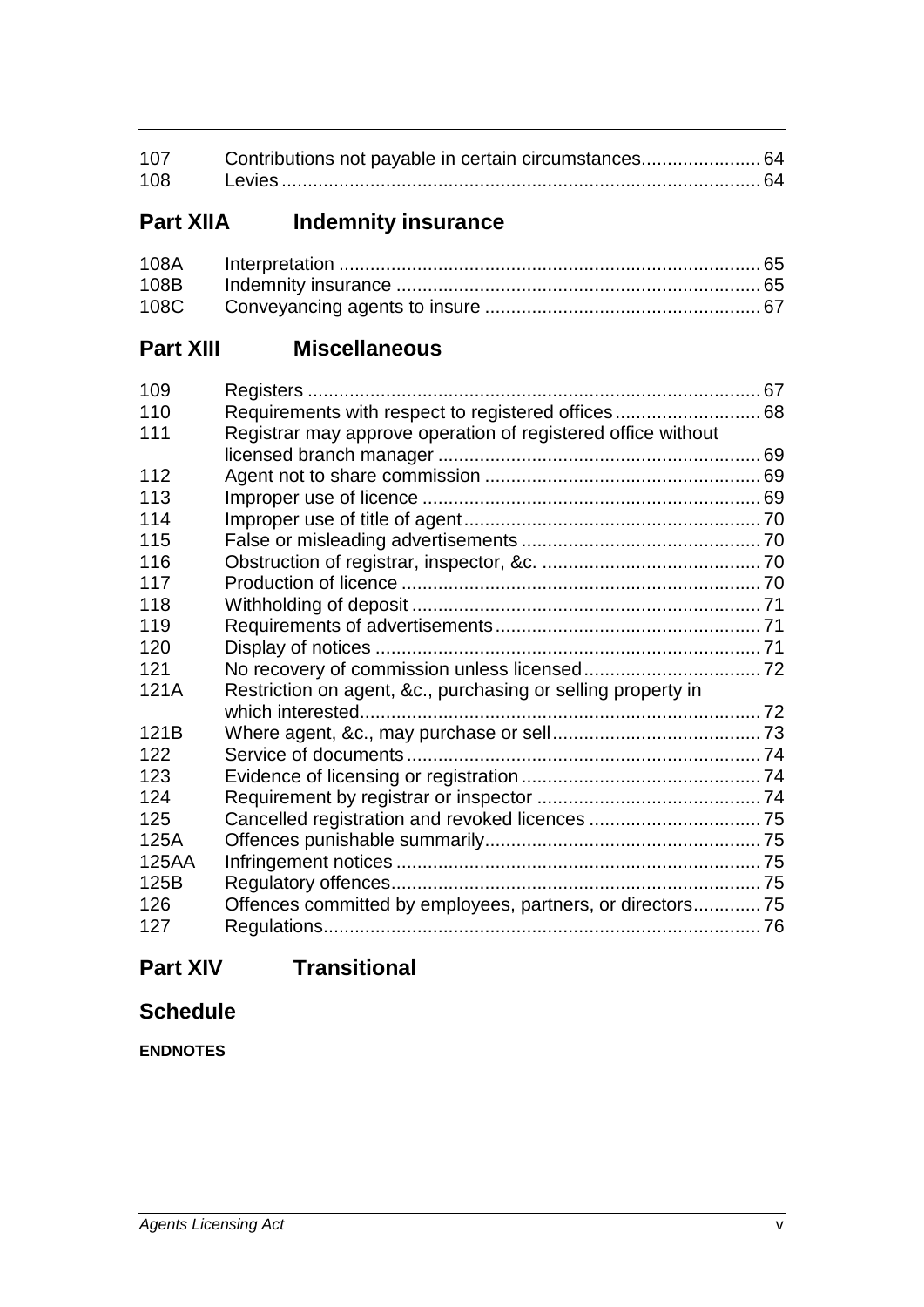| 107 | Contributions not payable in certain circumstances 64 |  |
|-----|-------------------------------------------------------|--|
| 108 |                                                       |  |

# **Part XIIA Indemnity insurance**

# **Part XIII Miscellaneous**

| 109   |                                                              |  |
|-------|--------------------------------------------------------------|--|
| 110   |                                                              |  |
| 111   | Registrar may approve operation of registered office without |  |
|       |                                                              |  |
| 112   |                                                              |  |
| 113   |                                                              |  |
| 114   |                                                              |  |
| 115   |                                                              |  |
| 116   |                                                              |  |
| 117   |                                                              |  |
| 118   |                                                              |  |
| 119   |                                                              |  |
| 120   |                                                              |  |
| 121   |                                                              |  |
| 121A  | Restriction on agent, &c., purchasing or selling property in |  |
|       |                                                              |  |
| 121B  |                                                              |  |
| 122   |                                                              |  |
| 123   |                                                              |  |
| 124   |                                                              |  |
| 125   |                                                              |  |
| 125A  |                                                              |  |
| 125AA |                                                              |  |
| 125B  |                                                              |  |
| 126   | Offences committed by employees, partners, or directors 75   |  |
| 127   |                                                              |  |

# **Part XIV Transitional**

# **Schedule**

**ENDNOTES**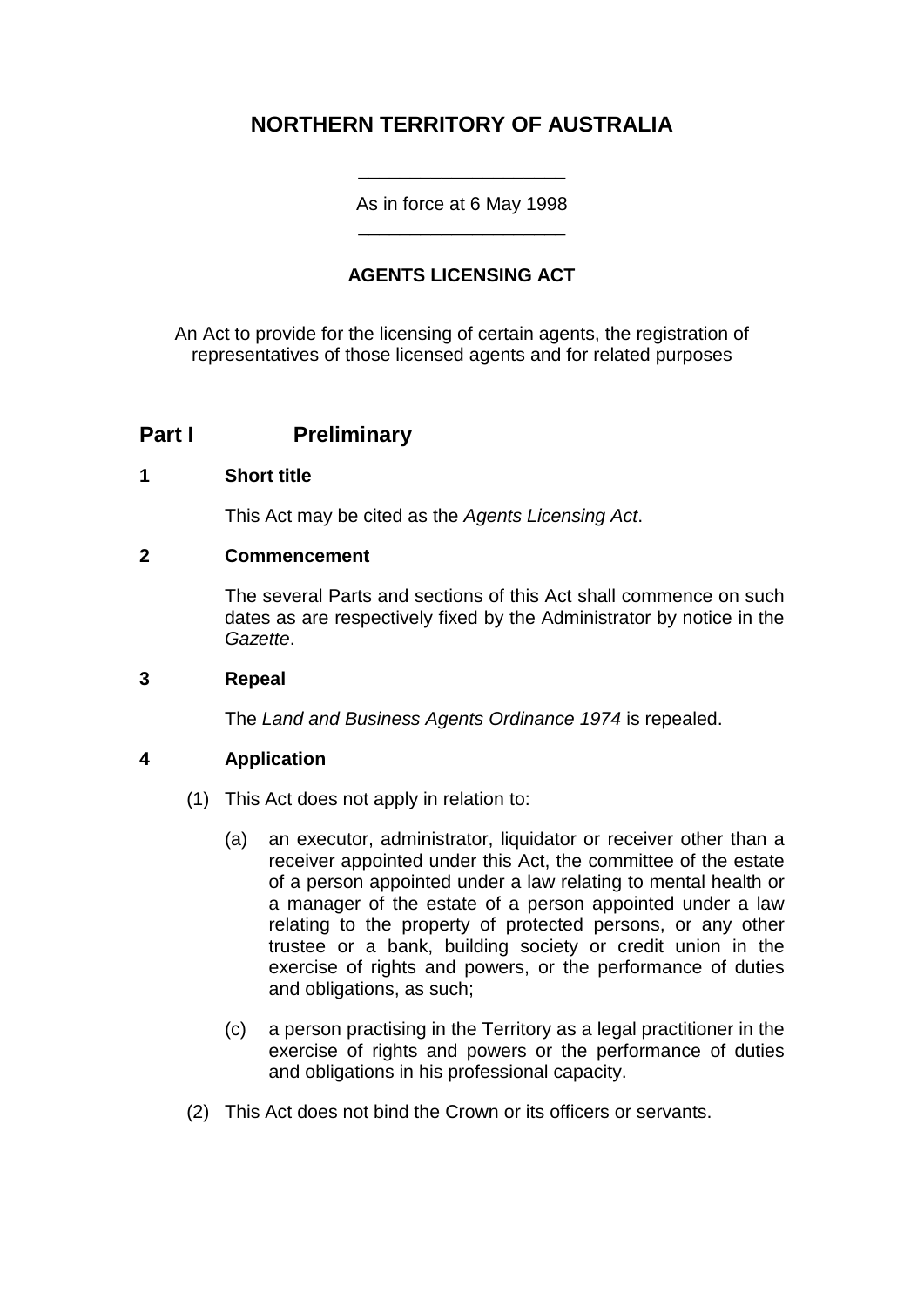# **NORTHERN TERRITORY OF AUSTRALIA**

As in force at 6 May 1998 \_\_\_\_\_\_\_\_\_\_\_\_\_\_\_\_\_\_\_\_

\_\_\_\_\_\_\_\_\_\_\_\_\_\_\_\_\_\_\_\_

### **AGENTS LICENSING ACT**

An Act to provide for the licensing of certain agents, the registration of representatives of those licensed agents and for related purposes

### **Part I Preliminary**

#### **1 Short title**

This Act may be cited as the *Agents Licensing Act*.

#### **2 Commencement**

The several Parts and sections of this Act shall commence on such dates as are respectively fixed by the Administrator by notice in the *Gazette*.

#### **3 Repeal**

The *Land and Business Agents Ordinance 1974* is repealed.

#### **4 Application**

- (1) This Act does not apply in relation to:
	- (a) an executor, administrator, liquidator or receiver other than a receiver appointed under this Act, the committee of the estate of a person appointed under a law relating to mental health or a manager of the estate of a person appointed under a law relating to the property of protected persons, or any other trustee or a bank, building society or credit union in the exercise of rights and powers, or the performance of duties and obligations, as such;
	- (c) a person practising in the Territory as a legal practitioner in the exercise of rights and powers or the performance of duties and obligations in his professional capacity.
- (2) This Act does not bind the Crown or its officers or servants.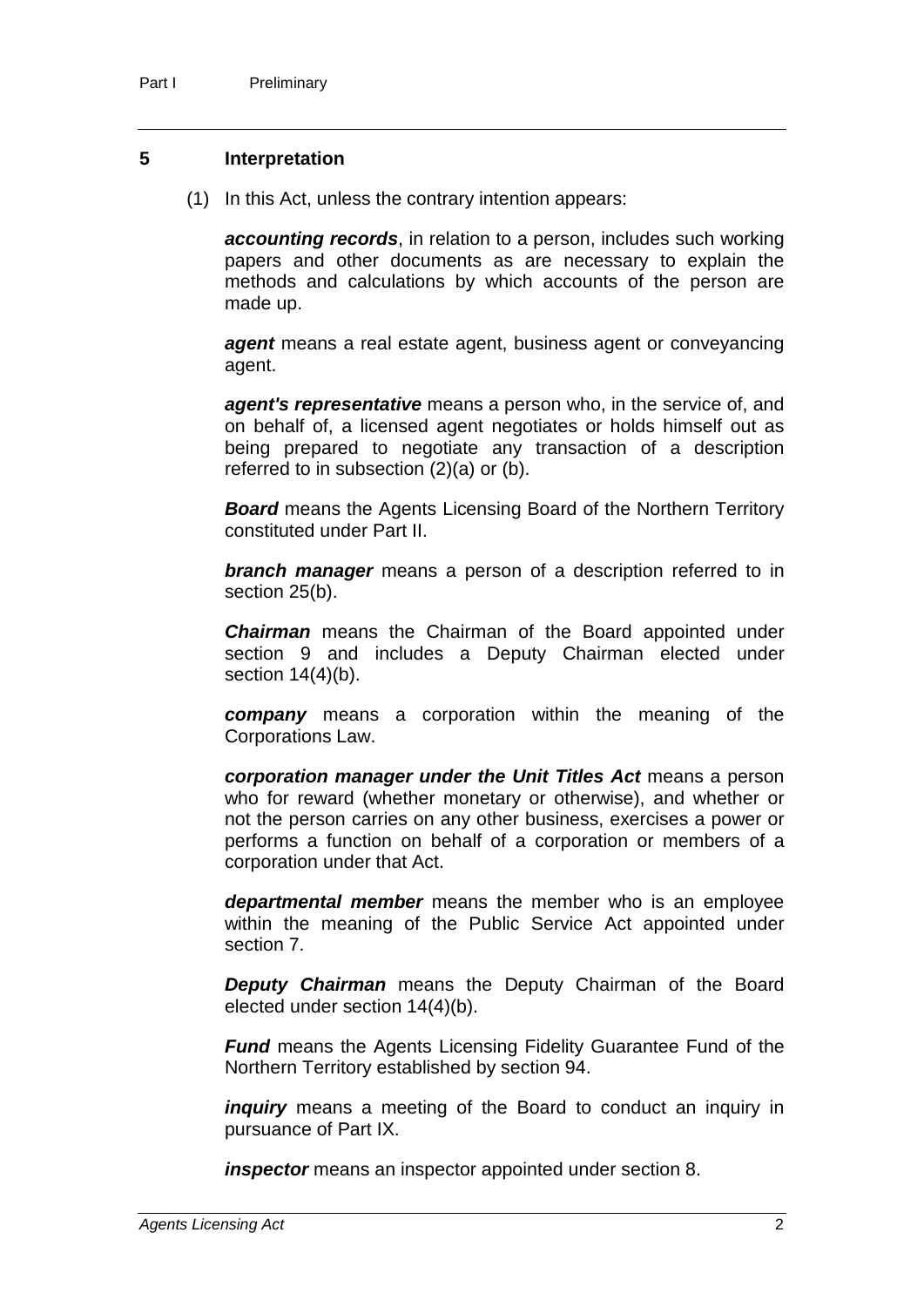#### **5 Interpretation**

(1) In this Act, unless the contrary intention appears:

*accounting records*, in relation to a person, includes such working papers and other documents as are necessary to explain the methods and calculations by which accounts of the person are made up.

*agent* means a real estate agent, business agent or conveyancing agent.

*agent's representative* means a person who, in the service of, and on behalf of, a licensed agent negotiates or holds himself out as being prepared to negotiate any transaction of a description referred to in subsection (2)(a) or (b).

*Board* means the Agents Licensing Board of the Northern Territory constituted under Part II.

*branch manager* means a person of a description referred to in section 25(b).

*Chairman* means the Chairman of the Board appointed under section 9 and includes a Deputy Chairman elected under section  $14(4)(b)$ .

*company* means a corporation within the meaning of the Corporations Law.

*corporation manager under the Unit Titles Act* means a person who for reward (whether monetary or otherwise), and whether or not the person carries on any other business, exercises a power or performs a function on behalf of a corporation or members of a corporation under that Act.

*departmental member* means the member who is an employee within the meaning of the Public Service Act appointed under section 7.

*Deputy Chairman* means the Deputy Chairman of the Board elected under section 14(4)(b).

*Fund* means the Agents Licensing Fidelity Guarantee Fund of the Northern Territory established by section 94.

*inquiry* means a meeting of the Board to conduct an inquiry in pursuance of Part IX.

*inspector* means an inspector appointed under section 8.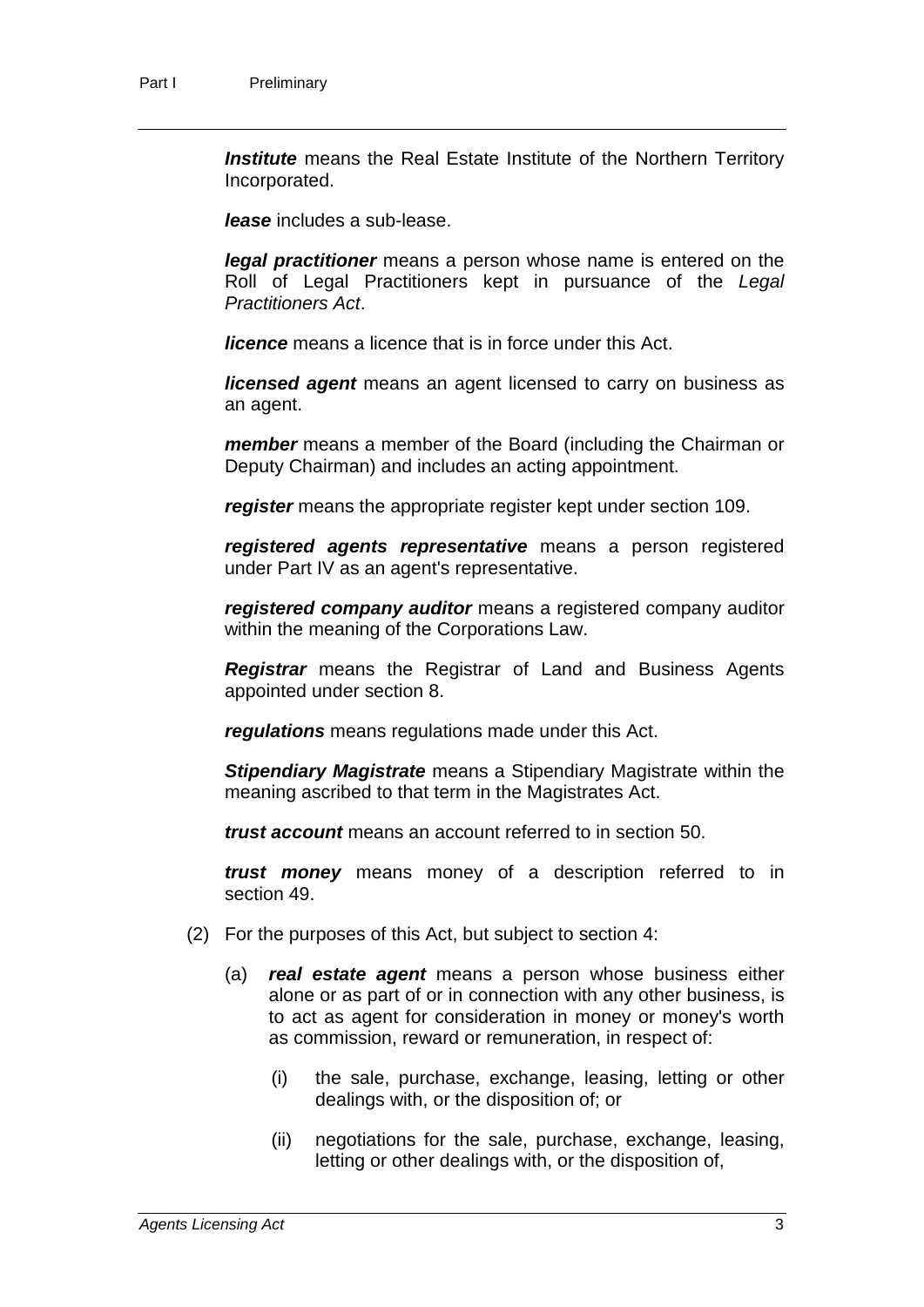**Institute** means the Real Estate Institute of the Northern Territory Incorporated.

*lease* includes a sub-lease.

*legal practitioner* means a person whose name is entered on the Roll of Legal Practitioners kept in pursuance of the *Legal Practitioners Act*.

*licence* means a licence that is in force under this Act.

*licensed agent* means an agent licensed to carry on business as an agent.

*member* means a member of the Board (including the Chairman or Deputy Chairman) and includes an acting appointment.

*register* means the appropriate register kept under section 109.

*registered agents representative* means a person registered under Part IV as an agent's representative.

*registered company auditor* means a registered company auditor within the meaning of the Corporations Law.

*Registrar* means the Registrar of Land and Business Agents appointed under section 8.

*regulations* means regulations made under this Act.

*Stipendiary Magistrate* means a Stipendiary Magistrate within the meaning ascribed to that term in the Magistrates Act.

*trust account* means an account referred to in section 50.

*trust money* means money of a description referred to in section 49.

- (2) For the purposes of this Act, but subject to section 4:
	- (a) *real estate agent* means a person whose business either alone or as part of or in connection with any other business, is to act as agent for consideration in money or money's worth as commission, reward or remuneration, in respect of:
		- (i) the sale, purchase, exchange, leasing, letting or other dealings with, or the disposition of; or
		- (ii) negotiations for the sale, purchase, exchange, leasing, letting or other dealings with, or the disposition of,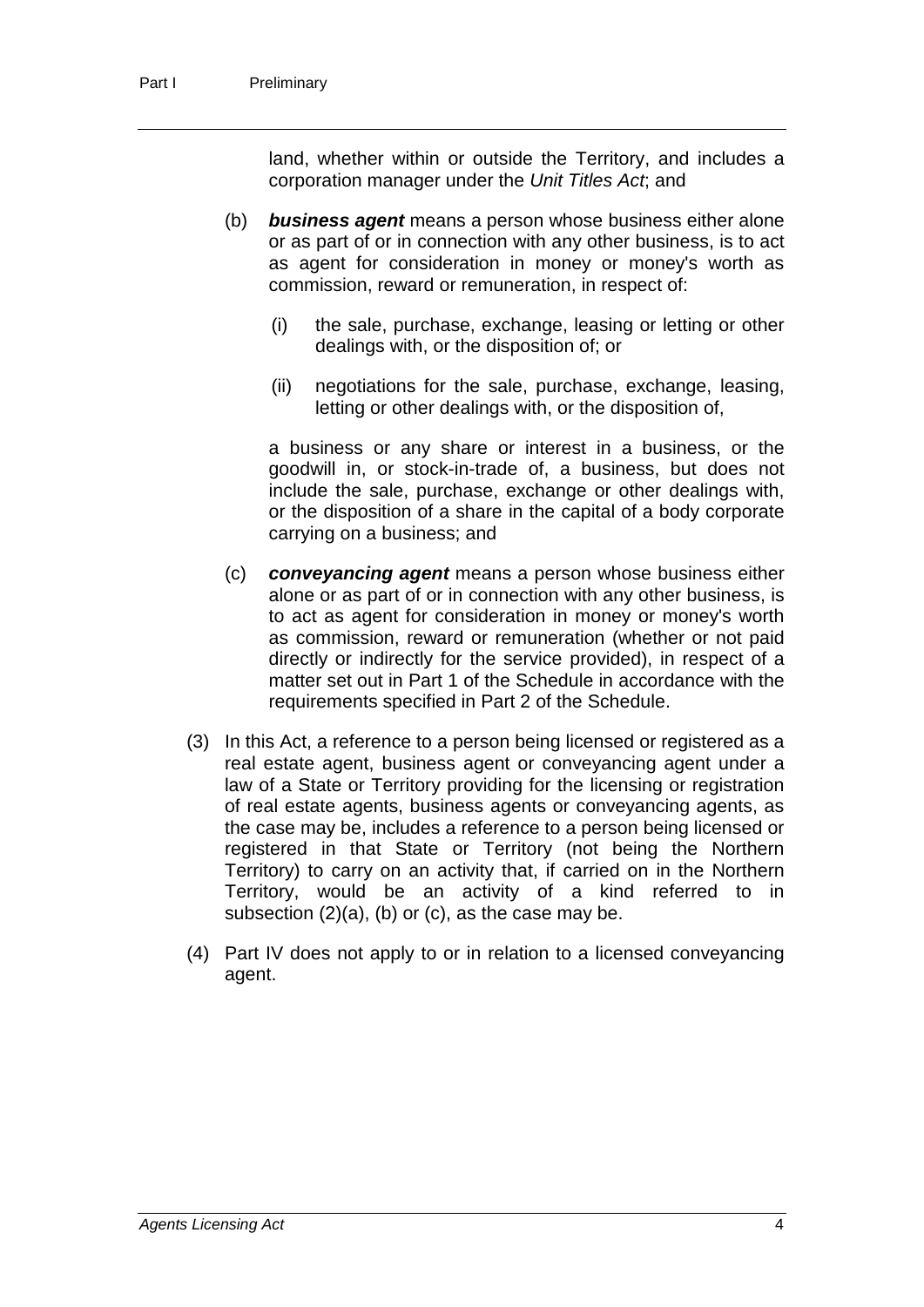land, whether within or outside the Territory, and includes a corporation manager under the *Unit Titles Act*; and

- (b) *business agent* means a person whose business either alone or as part of or in connection with any other business, is to act as agent for consideration in money or money's worth as commission, reward or remuneration, in respect of:
	- (i) the sale, purchase, exchange, leasing or letting or other dealings with, or the disposition of; or
	- (ii) negotiations for the sale, purchase, exchange, leasing, letting or other dealings with, or the disposition of,

a business or any share or interest in a business, or the goodwill in, or stock-in-trade of, a business, but does not include the sale, purchase, exchange or other dealings with, or the disposition of a share in the capital of a body corporate carrying on a business; and

- (c) *conveyancing agent* means a person whose business either alone or as part of or in connection with any other business, is to act as agent for consideration in money or money's worth as commission, reward or remuneration (whether or not paid directly or indirectly for the service provided), in respect of a matter set out in Part 1 of the Schedule in accordance with the requirements specified in Part 2 of the Schedule.
- (3) In this Act, a reference to a person being licensed or registered as a real estate agent, business agent or conveyancing agent under a law of a State or Territory providing for the licensing or registration of real estate agents, business agents or conveyancing agents, as the case may be, includes a reference to a person being licensed or registered in that State or Territory (not being the Northern Territory) to carry on an activity that, if carried on in the Northern Territory, would be an activity of a kind referred to in subsection (2)(a), (b) or (c), as the case may be.
- (4) Part IV does not apply to or in relation to a licensed conveyancing agent.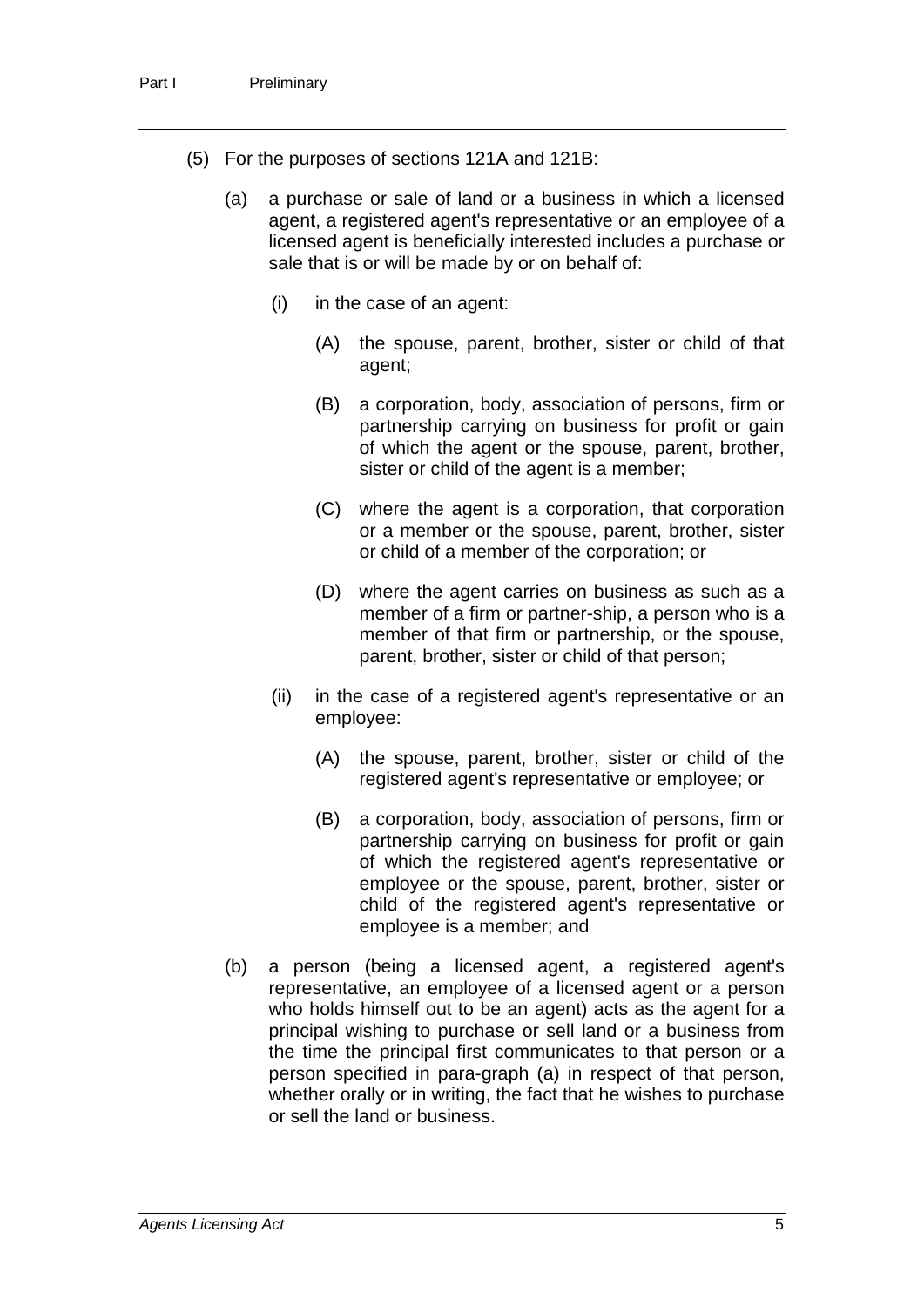- (5) For the purposes of sections 121A and 121B:
	- (a) a purchase or sale of land or a business in which a licensed agent, a registered agent's representative or an employee of a licensed agent is beneficially interested includes a purchase or sale that is or will be made by or on behalf of:
		- (i) in the case of an agent:
			- (A) the spouse, parent, brother, sister or child of that agent;
			- (B) a corporation, body, association of persons, firm or partnership carrying on business for profit or gain of which the agent or the spouse, parent, brother, sister or child of the agent is a member;
			- (C) where the agent is a corporation, that corporation or a member or the spouse, parent, brother, sister or child of a member of the corporation; or
			- (D) where the agent carries on business as such as a member of a firm or partner-ship, a person who is a member of that firm or partnership, or the spouse, parent, brother, sister or child of that person;
		- (ii) in the case of a registered agent's representative or an employee:
			- (A) the spouse, parent, brother, sister or child of the registered agent's representative or employee; or
			- (B) a corporation, body, association of persons, firm or partnership carrying on business for profit or gain of which the registered agent's representative or employee or the spouse, parent, brother, sister or child of the registered agent's representative or employee is a member; and
	- (b) a person (being a licensed agent, a registered agent's representative, an employee of a licensed agent or a person who holds himself out to be an agent) acts as the agent for a principal wishing to purchase or sell land or a business from the time the principal first communicates to that person or a person specified in para-graph (a) in respect of that person, whether orally or in writing, the fact that he wishes to purchase or sell the land or business.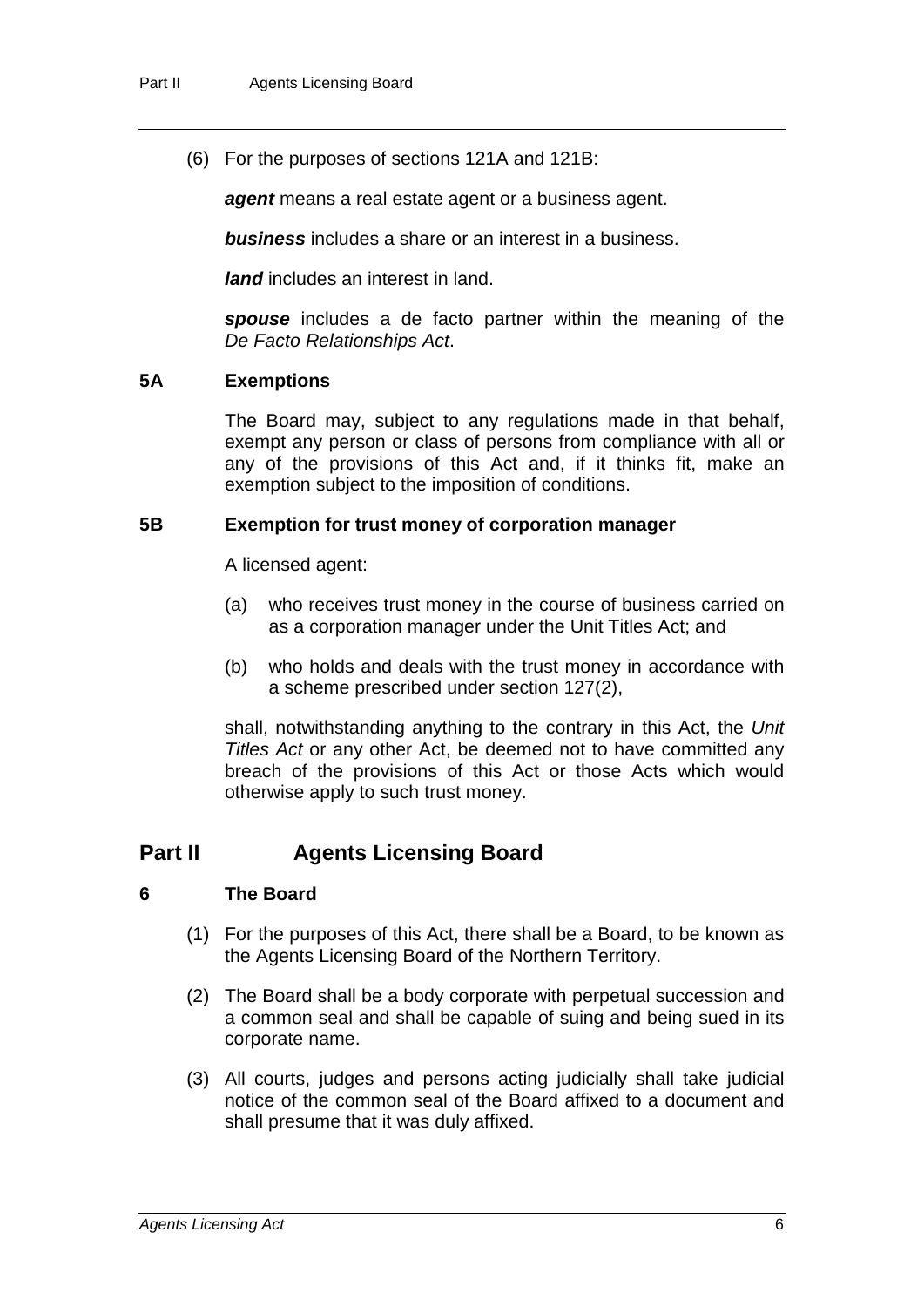(6) For the purposes of sections 121A and 121B:

*agent* means a real estate agent or a business agent.

*business* includes a share or an interest in a business.

*land* includes an interest in land.

*spouse* includes a de facto partner within the meaning of the *De Facto Relationships Act*.

#### **5A Exemptions**

The Board may, subject to any regulations made in that behalf, exempt any person or class of persons from compliance with all or any of the provisions of this Act and, if it thinks fit, make an exemption subject to the imposition of conditions.

#### **5B Exemption for trust money of corporation manager**

A licensed agent:

- (a) who receives trust money in the course of business carried on as a corporation manager under the Unit Titles Act; and
- (b) who holds and deals with the trust money in accordance with a scheme prescribed under section 127(2),

shall, notwithstanding anything to the contrary in this Act, the *Unit Titles Act* or any other Act, be deemed not to have committed any breach of the provisions of this Act or those Acts which would otherwise apply to such trust money.

#### **Part II Agents Licensing Board**

#### **6 The Board**

- (1) For the purposes of this Act, there shall be a Board, to be known as the Agents Licensing Board of the Northern Territory.
- (2) The Board shall be a body corporate with perpetual succession and a common seal and shall be capable of suing and being sued in its corporate name.
- (3) All courts, judges and persons acting judicially shall take judicial notice of the common seal of the Board affixed to a document and shall presume that it was duly affixed.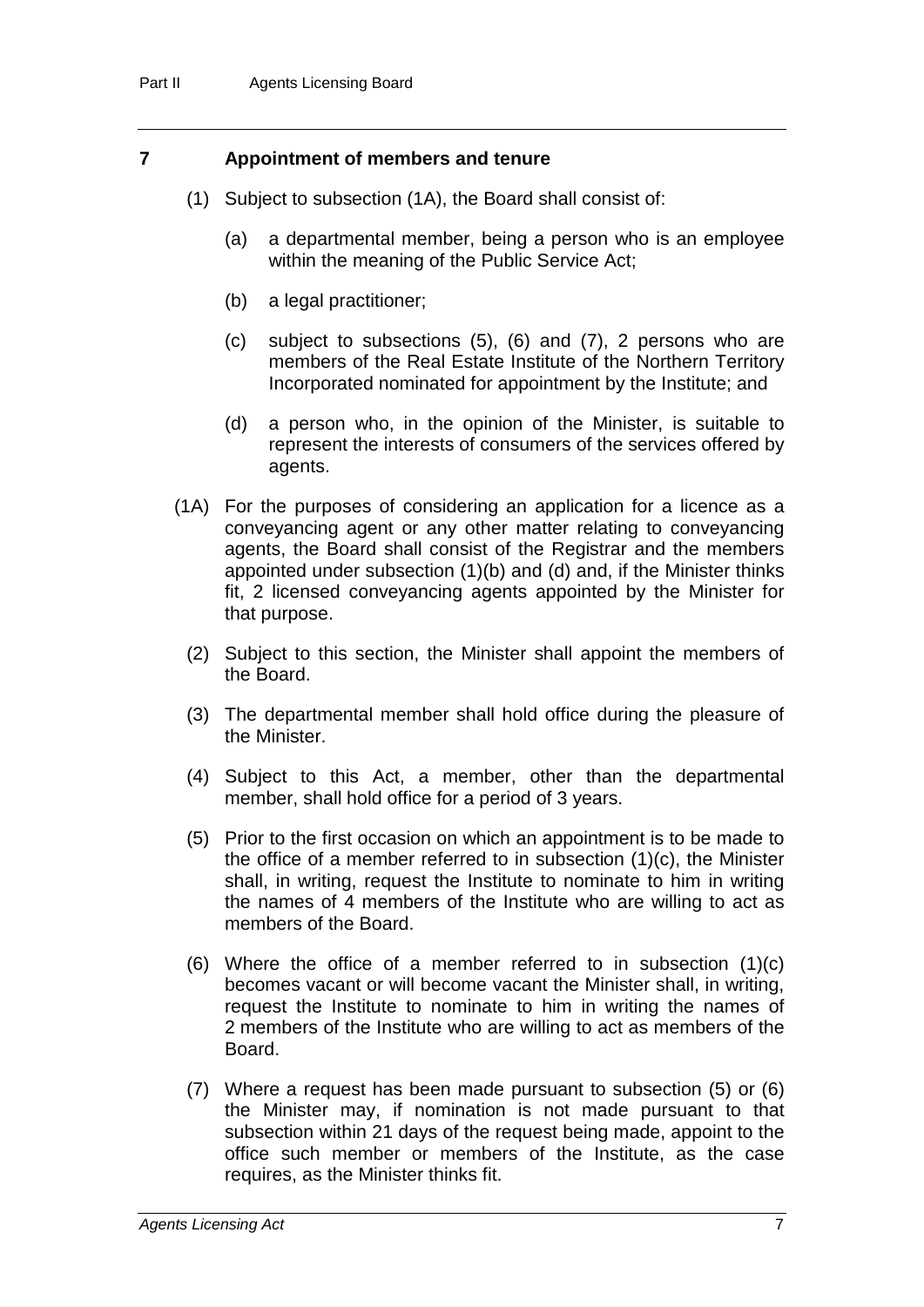#### **7 Appointment of members and tenure**

- (1) Subject to subsection (1A), the Board shall consist of:
	- (a) a departmental member, being a person who is an employee within the meaning of the Public Service Act;
	- (b) a legal practitioner;
	- (c) subject to subsections (5), (6) and (7), 2 persons who are members of the Real Estate Institute of the Northern Territory Incorporated nominated for appointment by the Institute; and
	- (d) a person who, in the opinion of the Minister, is suitable to represent the interests of consumers of the services offered by agents.
- (1A) For the purposes of considering an application for a licence as a conveyancing agent or any other matter relating to conveyancing agents, the Board shall consist of the Registrar and the members appointed under subsection (1)(b) and (d) and, if the Minister thinks fit, 2 licensed conveyancing agents appointed by the Minister for that purpose.
	- (2) Subject to this section, the Minister shall appoint the members of the Board.
	- (3) The departmental member shall hold office during the pleasure of the Minister.
	- (4) Subject to this Act, a member, other than the departmental member, shall hold office for a period of 3 years.
	- (5) Prior to the first occasion on which an appointment is to be made to the office of a member referred to in subsection (1)(c), the Minister shall, in writing, request the Institute to nominate to him in writing the names of 4 members of the Institute who are willing to act as members of the Board.
	- (6) Where the office of a member referred to in subsection (1)(c) becomes vacant or will become vacant the Minister shall, in writing, request the Institute to nominate to him in writing the names of 2 members of the Institute who are willing to act as members of the Board.
	- (7) Where a request has been made pursuant to subsection (5) or (6) the Minister may, if nomination is not made pursuant to that subsection within 21 days of the request being made, appoint to the office such member or members of the Institute, as the case requires, as the Minister thinks fit.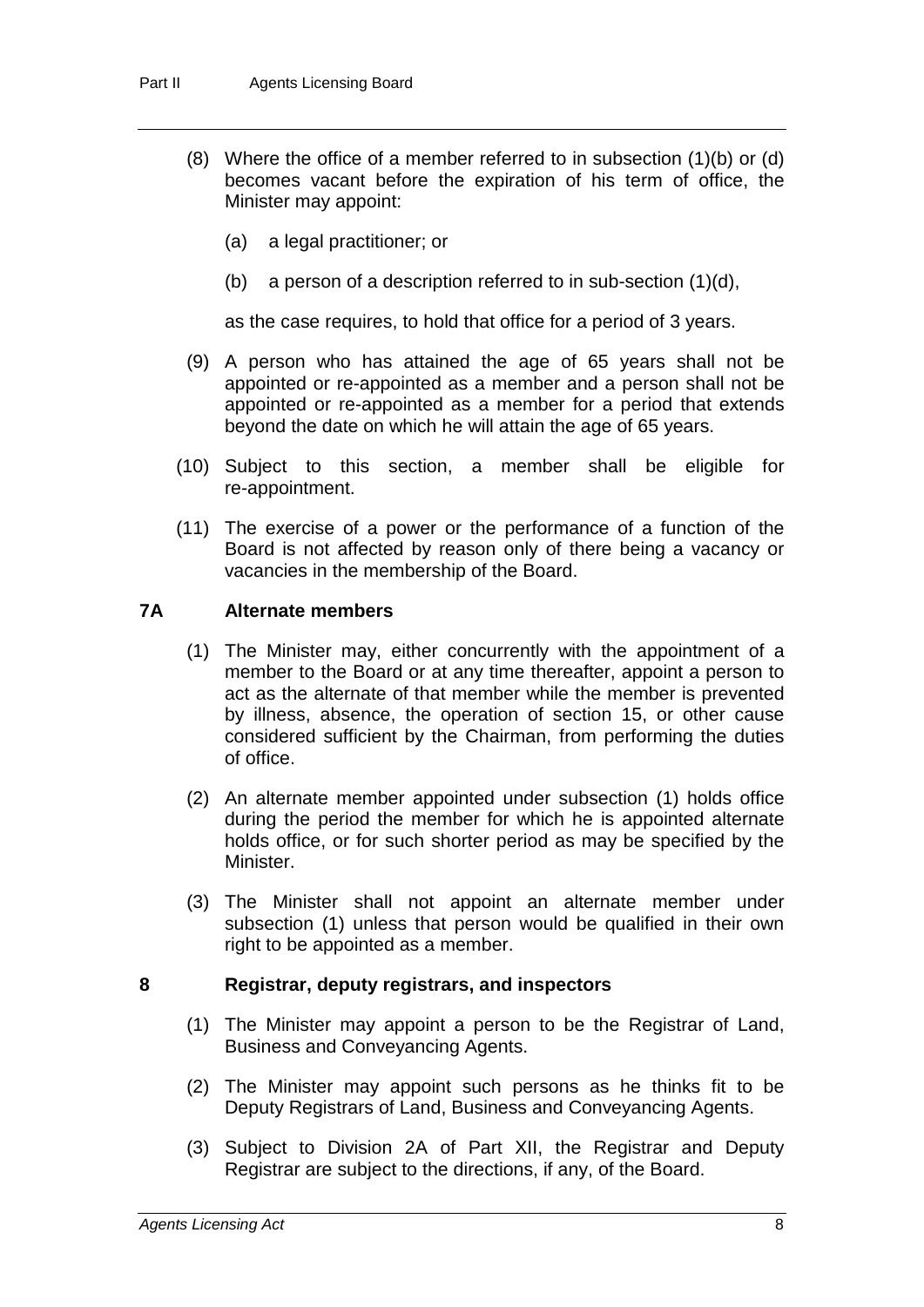- (8) Where the office of a member referred to in subsection (1)(b) or (d) becomes vacant before the expiration of his term of office, the Minister may appoint:
	- (a) a legal practitioner; or
	- (b) a person of a description referred to in sub-section  $(1)(d)$ ,

as the case requires, to hold that office for a period of 3 years.

- (9) A person who has attained the age of 65 years shall not be appointed or re-appointed as a member and a person shall not be appointed or re-appointed as a member for a period that extends beyond the date on which he will attain the age of 65 years.
- (10) Subject to this section, a member shall be eligible for re-appointment.
- (11) The exercise of a power or the performance of a function of the Board is not affected by reason only of there being a vacancy or vacancies in the membership of the Board.

#### **7A Alternate members**

- (1) The Minister may, either concurrently with the appointment of a member to the Board or at any time thereafter, appoint a person to act as the alternate of that member while the member is prevented by illness, absence, the operation of section 15, or other cause considered sufficient by the Chairman, from performing the duties of office.
- (2) An alternate member appointed under subsection (1) holds office during the period the member for which he is appointed alternate holds office, or for such shorter period as may be specified by the Minister.
- (3) The Minister shall not appoint an alternate member under subsection (1) unless that person would be qualified in their own right to be appointed as a member.

#### **8 Registrar, deputy registrars, and inspectors**

- (1) The Minister may appoint a person to be the Registrar of Land, Business and Conveyancing Agents.
- (2) The Minister may appoint such persons as he thinks fit to be Deputy Registrars of Land, Business and Conveyancing Agents.
- (3) Subject to Division 2A of Part XII, the Registrar and Deputy Registrar are subject to the directions, if any, of the Board.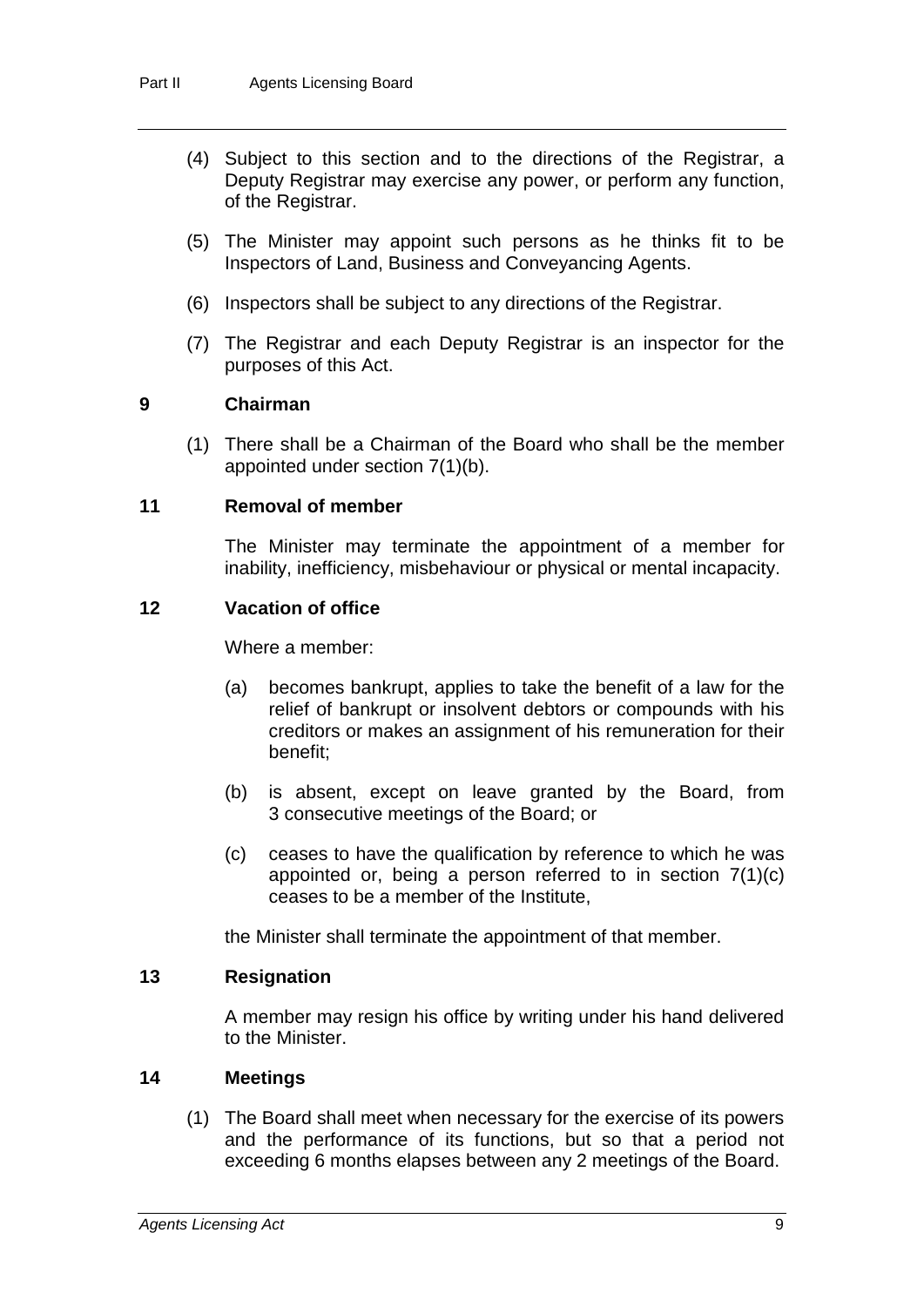- (4) Subject to this section and to the directions of the Registrar, a Deputy Registrar may exercise any power, or perform any function, of the Registrar.
- (5) The Minister may appoint such persons as he thinks fit to be Inspectors of Land, Business and Conveyancing Agents.
- (6) Inspectors shall be subject to any directions of the Registrar.
- (7) The Registrar and each Deputy Registrar is an inspector for the purposes of this Act.

#### **9 Chairman**

(1) There shall be a Chairman of the Board who shall be the member appointed under section 7(1)(b).

#### **11 Removal of member**

The Minister may terminate the appointment of a member for inability, inefficiency, misbehaviour or physical or mental incapacity.

#### **12 Vacation of office**

Where a member:

- (a) becomes bankrupt, applies to take the benefit of a law for the relief of bankrupt or insolvent debtors or compounds with his creditors or makes an assignment of his remuneration for their benefit;
- (b) is absent, except on leave granted by the Board, from 3 consecutive meetings of the Board; or
- (c) ceases to have the qualification by reference to which he was appointed or, being a person referred to in section 7(1)(c) ceases to be a member of the Institute,

the Minister shall terminate the appointment of that member.

#### **13 Resignation**

A member may resign his office by writing under his hand delivered to the Minister.

#### **14 Meetings**

(1) The Board shall meet when necessary for the exercise of its powers and the performance of its functions, but so that a period not exceeding 6 months elapses between any 2 meetings of the Board.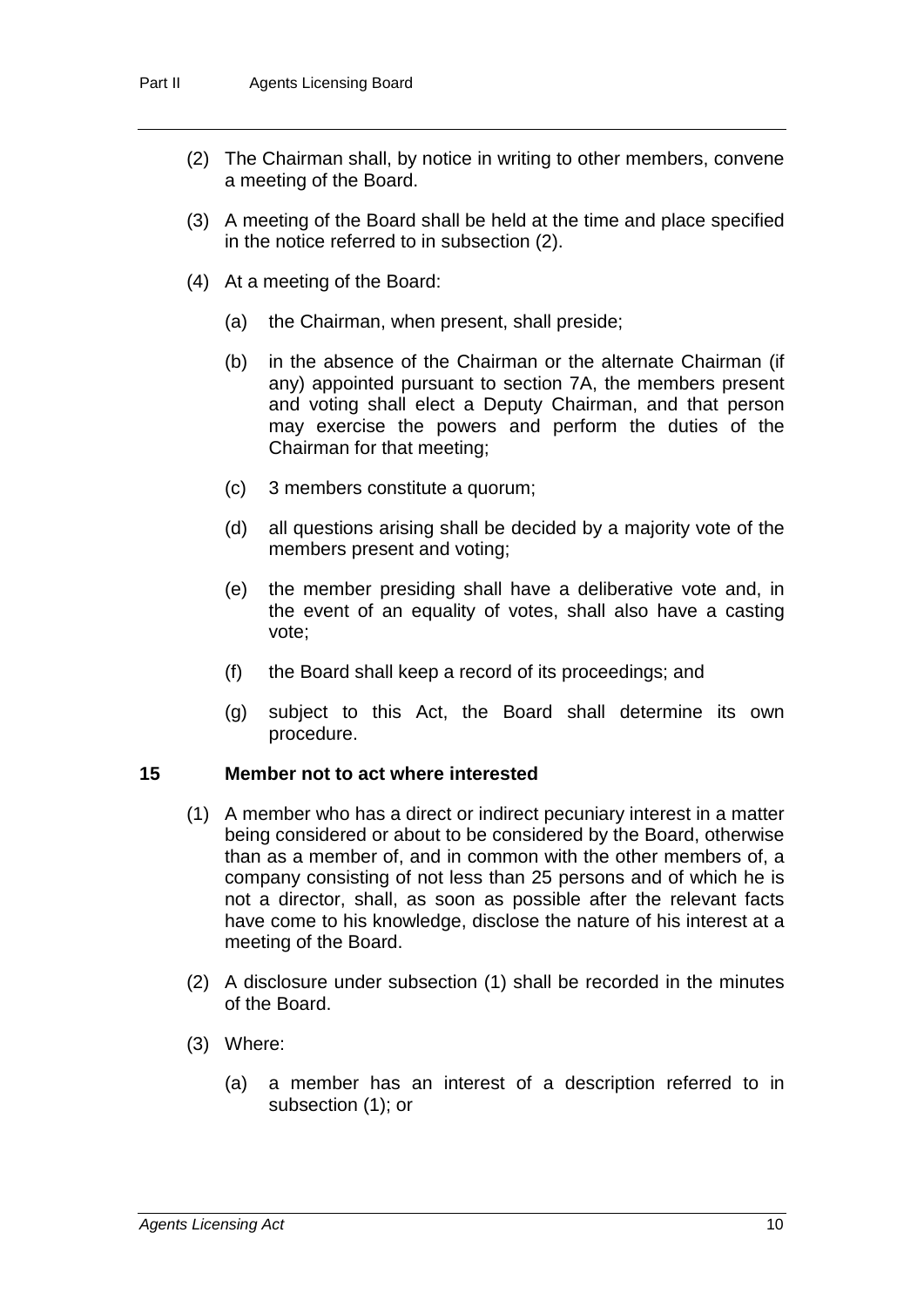- (2) The Chairman shall, by notice in writing to other members, convene a meeting of the Board.
- (3) A meeting of the Board shall be held at the time and place specified in the notice referred to in subsection (2).
- (4) At a meeting of the Board:
	- (a) the Chairman, when present, shall preside;
	- (b) in the absence of the Chairman or the alternate Chairman (if any) appointed pursuant to section 7A, the members present and voting shall elect a Deputy Chairman, and that person may exercise the powers and perform the duties of the Chairman for that meeting;
	- (c) 3 members constitute a quorum;
	- (d) all questions arising shall be decided by a majority vote of the members present and voting;
	- (e) the member presiding shall have a deliberative vote and, in the event of an equality of votes, shall also have a casting vote;
	- (f) the Board shall keep a record of its proceedings; and
	- (g) subject to this Act, the Board shall determine its own procedure.

#### **15 Member not to act where interested**

- (1) A member who has a direct or indirect pecuniary interest in a matter being considered or about to be considered by the Board, otherwise than as a member of, and in common with the other members of, a company consisting of not less than 25 persons and of which he is not a director, shall, as soon as possible after the relevant facts have come to his knowledge, disclose the nature of his interest at a meeting of the Board.
- (2) A disclosure under subsection (1) shall be recorded in the minutes of the Board.
- (3) Where:
	- (a) a member has an interest of a description referred to in subsection (1); or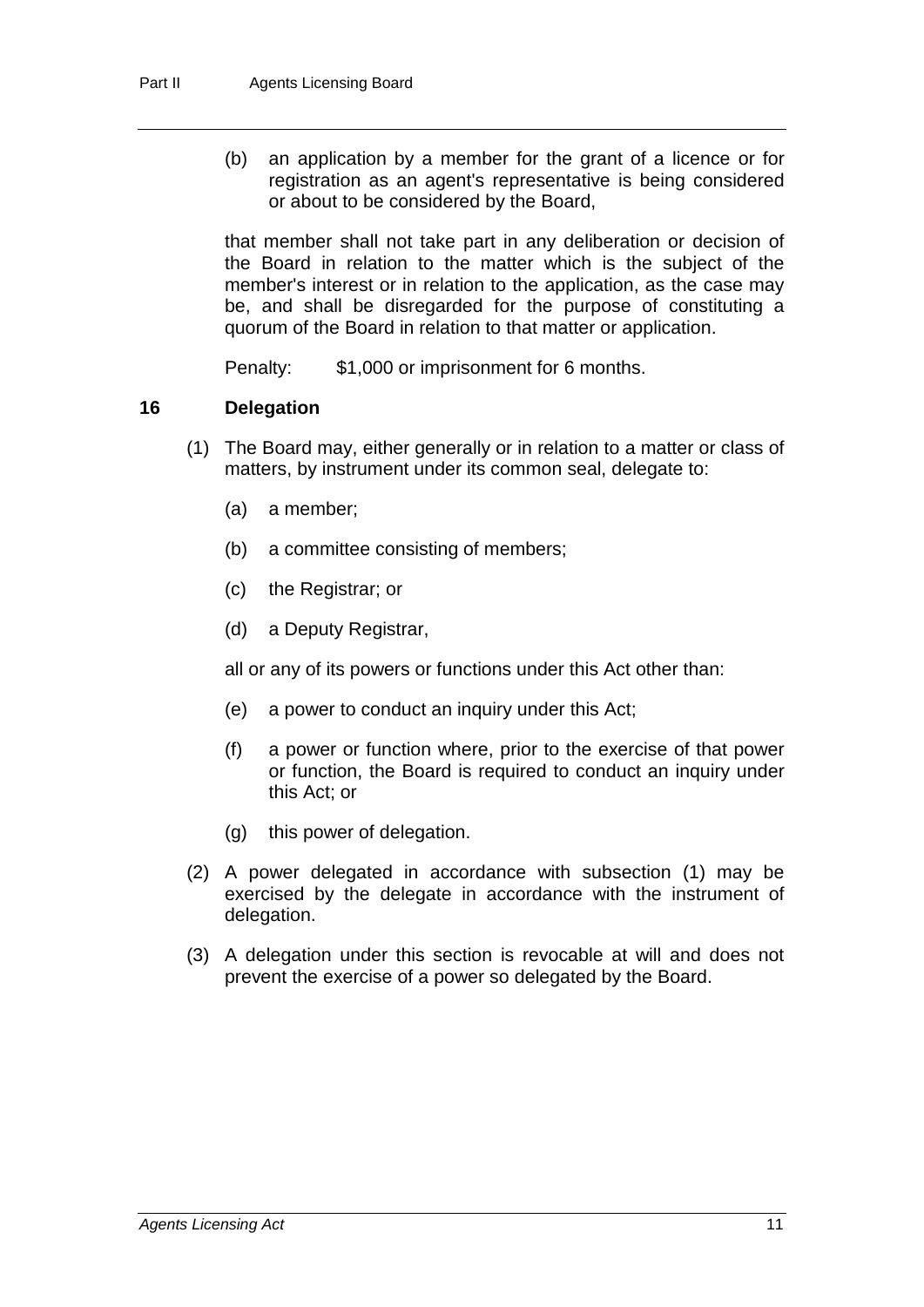(b) an application by a member for the grant of a licence or for registration as an agent's representative is being considered or about to be considered by the Board,

that member shall not take part in any deliberation or decision of the Board in relation to the matter which is the subject of the member's interest or in relation to the application, as the case may be, and shall be disregarded for the purpose of constituting a quorum of the Board in relation to that matter or application.

Penalty: \$1,000 or imprisonment for 6 months.

#### **16 Delegation**

- (1) The Board may, either generally or in relation to a matter or class of matters, by instrument under its common seal, delegate to:
	- (a) a member;
	- (b) a committee consisting of members;
	- (c) the Registrar; or
	- (d) a Deputy Registrar,

all or any of its powers or functions under this Act other than:

- (e) a power to conduct an inquiry under this Act;
- (f) a power or function where, prior to the exercise of that power or function, the Board is required to conduct an inquiry under this Act; or
- (g) this power of delegation.
- (2) A power delegated in accordance with subsection (1) may be exercised by the delegate in accordance with the instrument of delegation.
- (3) A delegation under this section is revocable at will and does not prevent the exercise of a power so delegated by the Board.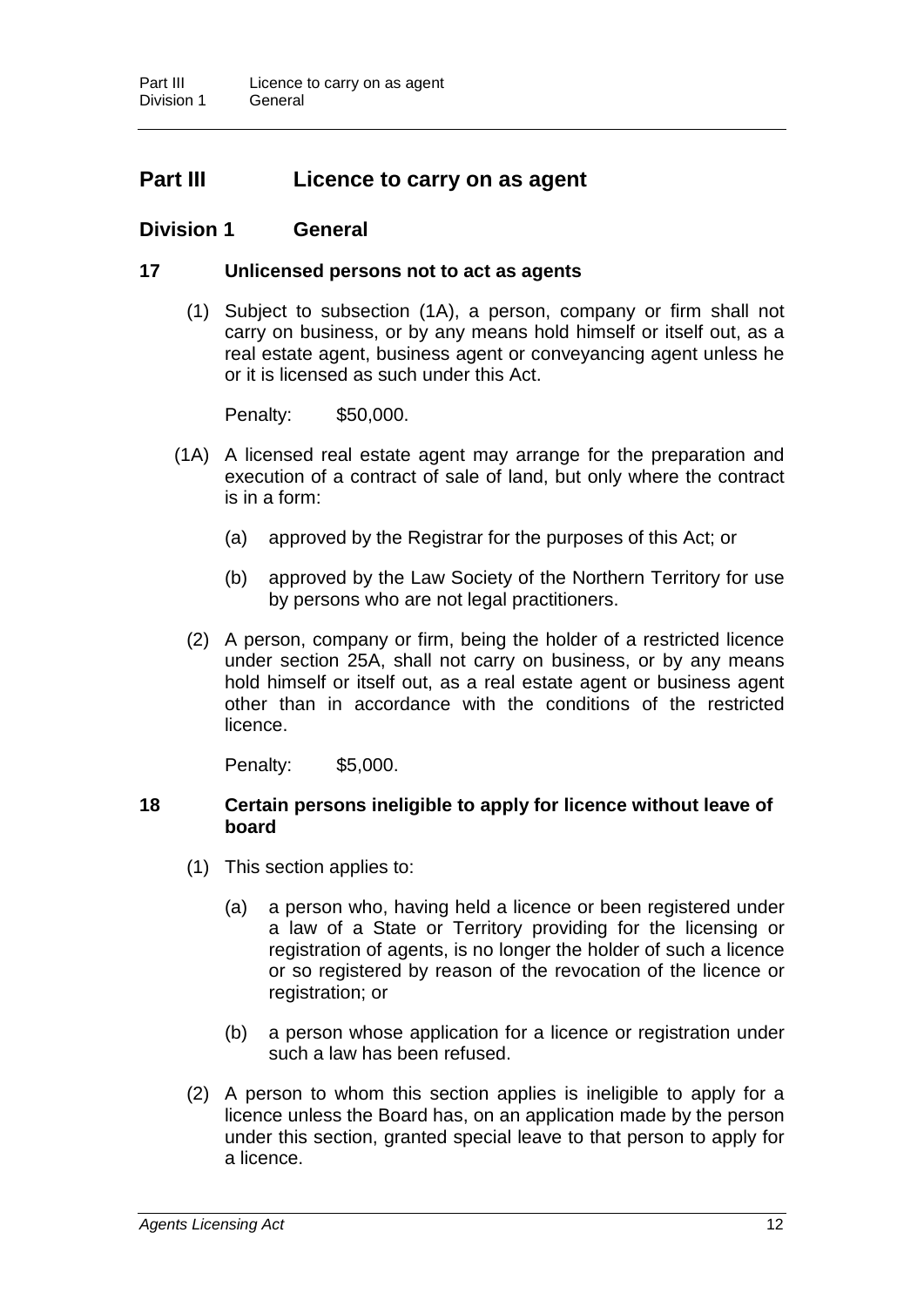### **Part III Licence to carry on as agent**

#### **Division 1 General**

#### **17 Unlicensed persons not to act as agents**

(1) Subject to subsection (1A), a person, company or firm shall not carry on business, or by any means hold himself or itself out, as a real estate agent, business agent or conveyancing agent unless he or it is licensed as such under this Act.

Penalty: \$50,000.

- (1A) A licensed real estate agent may arrange for the preparation and execution of a contract of sale of land, but only where the contract is in a form:
	- (a) approved by the Registrar for the purposes of this Act; or
	- (b) approved by the Law Society of the Northern Territory for use by persons who are not legal practitioners.
	- (2) A person, company or firm, being the holder of a restricted licence under section 25A, shall not carry on business, or by any means hold himself or itself out, as a real estate agent or business agent other than in accordance with the conditions of the restricted licence.

Penalty: \$5,000.

#### **18 Certain persons ineligible to apply for licence without leave of board**

- (1) This section applies to:
	- (a) a person who, having held a licence or been registered under a law of a State or Territory providing for the licensing or registration of agents, is no longer the holder of such a licence or so registered by reason of the revocation of the licence or registration; or
	- (b) a person whose application for a licence or registration under such a law has been refused.
- (2) A person to whom this section applies is ineligible to apply for a licence unless the Board has, on an application made by the person under this section, granted special leave to that person to apply for a licence.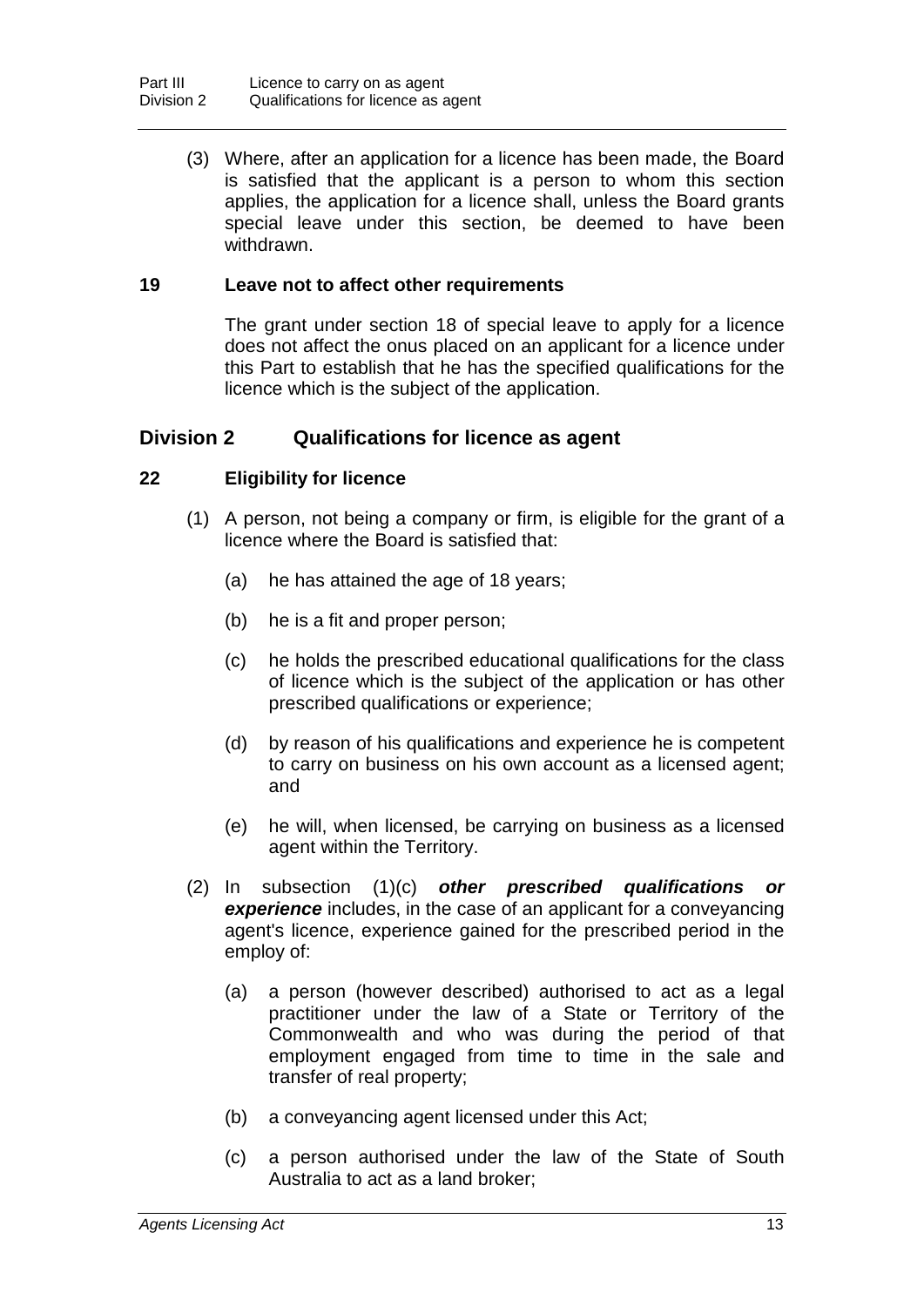(3) Where, after an application for a licence has been made, the Board is satisfied that the applicant is a person to whom this section applies, the application for a licence shall, unless the Board grants special leave under this section, be deemed to have been withdrawn.

#### **19 Leave not to affect other requirements**

The grant under section 18 of special leave to apply for a licence does not affect the onus placed on an applicant for a licence under this Part to establish that he has the specified qualifications for the licence which is the subject of the application.

#### **Division 2 Qualifications for licence as agent**

#### **22 Eligibility for licence**

- (1) A person, not being a company or firm, is eligible for the grant of a licence where the Board is satisfied that:
	- (a) he has attained the age of 18 years;
	- (b) he is a fit and proper person;
	- (c) he holds the prescribed educational qualifications for the class of licence which is the subject of the application or has other prescribed qualifications or experience;
	- (d) by reason of his qualifications and experience he is competent to carry on business on his own account as a licensed agent; and
	- (e) he will, when licensed, be carrying on business as a licensed agent within the Territory.
- (2) In subsection (1)(c) *other prescribed qualifications or experience* includes, in the case of an applicant for a conveyancing agent's licence, experience gained for the prescribed period in the employ of:
	- (a) a person (however described) authorised to act as a legal practitioner under the law of a State or Territory of the Commonwealth and who was during the period of that employment engaged from time to time in the sale and transfer of real property;
	- (b) a conveyancing agent licensed under this Act;
	- (c) a person authorised under the law of the State of South Australia to act as a land broker;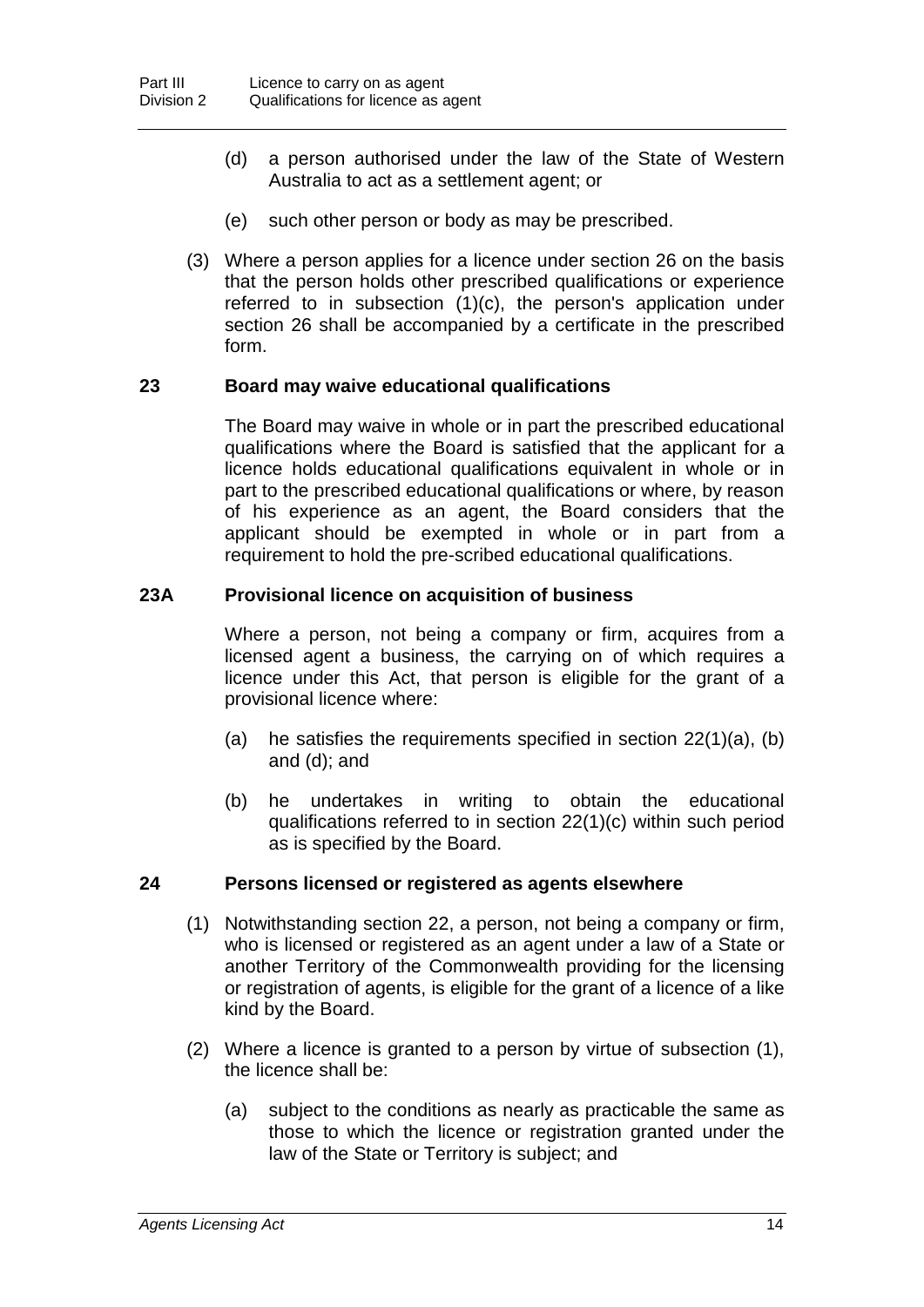- (d) a person authorised under the law of the State of Western Australia to act as a settlement agent; or
- (e) such other person or body as may be prescribed.
- (3) Where a person applies for a licence under section 26 on the basis that the person holds other prescribed qualifications or experience referred to in subsection (1)(c), the person's application under section 26 shall be accompanied by a certificate in the prescribed form.

#### **23 Board may waive educational qualifications**

The Board may waive in whole or in part the prescribed educational qualifications where the Board is satisfied that the applicant for a licence holds educational qualifications equivalent in whole or in part to the prescribed educational qualifications or where, by reason of his experience as an agent, the Board considers that the applicant should be exempted in whole or in part from a requirement to hold the pre-scribed educational qualifications.

#### **23A Provisional licence on acquisition of business**

Where a person, not being a company or firm, acquires from a licensed agent a business, the carrying on of which requires a licence under this Act, that person is eligible for the grant of a provisional licence where:

- (a) he satisfies the requirements specified in section  $22(1)(a)$ , (b) and (d); and
- (b) he undertakes in writing to obtain the educational qualifications referred to in section 22(1)(c) within such period as is specified by the Board.

#### **24 Persons licensed or registered as agents elsewhere**

- (1) Notwithstanding section 22, a person, not being a company or firm, who is licensed or registered as an agent under a law of a State or another Territory of the Commonwealth providing for the licensing or registration of agents, is eligible for the grant of a licence of a like kind by the Board.
- (2) Where a licence is granted to a person by virtue of subsection (1), the licence shall be:
	- (a) subject to the conditions as nearly as practicable the same as those to which the licence or registration granted under the law of the State or Territory is subject; and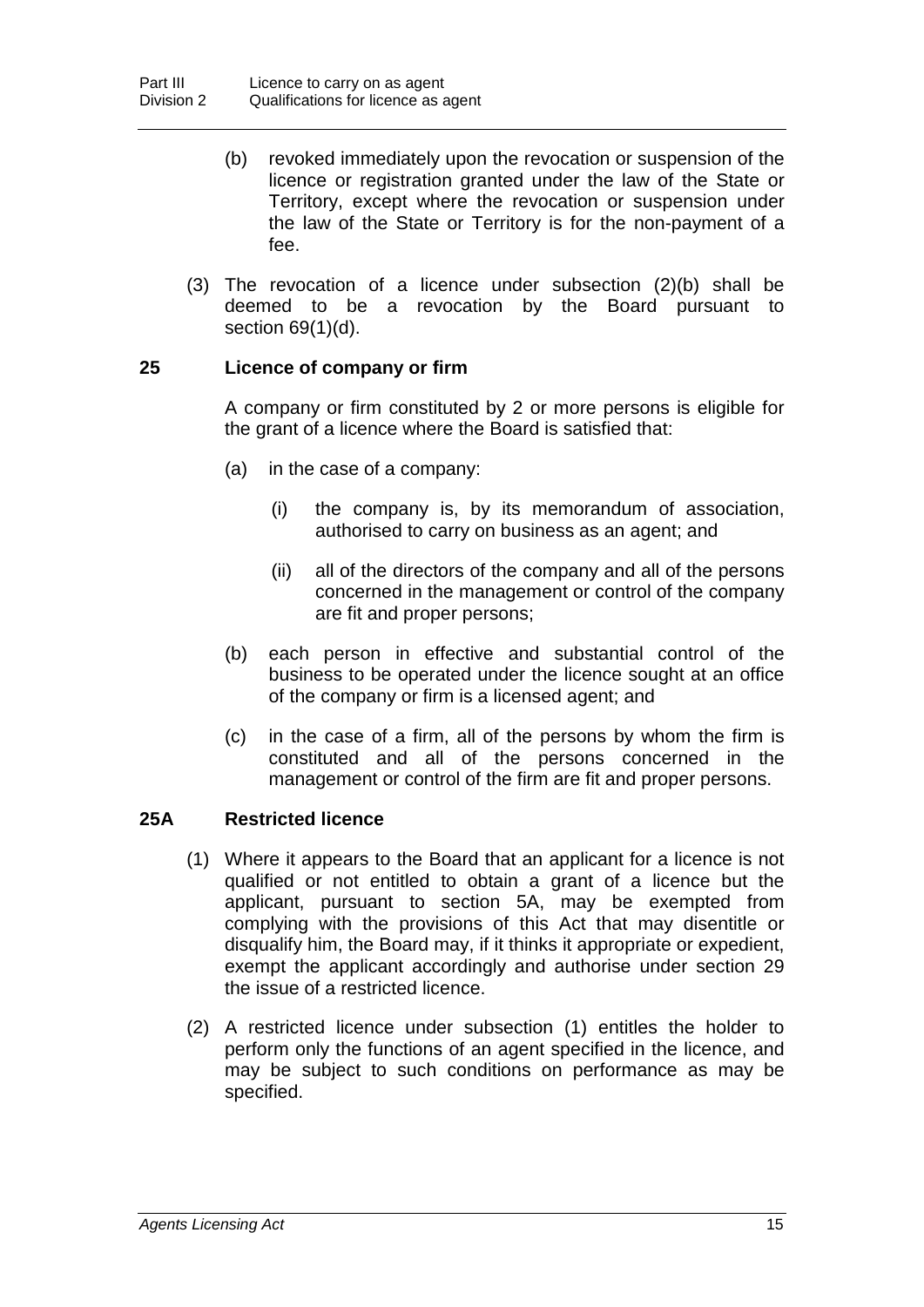- (b) revoked immediately upon the revocation or suspension of the licence or registration granted under the law of the State or Territory, except where the revocation or suspension under the law of the State or Territory is for the non-payment of a fee.
- (3) The revocation of a licence under subsection (2)(b) shall be deemed to be a revocation by the Board pursuant to section 69(1)(d).

#### **25 Licence of company or firm**

A company or firm constituted by 2 or more persons is eligible for the grant of a licence where the Board is satisfied that:

- (a) in the case of a company:
	- (i) the company is, by its memorandum of association, authorised to carry on business as an agent; and
	- (ii) all of the directors of the company and all of the persons concerned in the management or control of the company are fit and proper persons;
- (b) each person in effective and substantial control of the business to be operated under the licence sought at an office of the company or firm is a licensed agent; and
- (c) in the case of a firm, all of the persons by whom the firm is constituted and all of the persons concerned in the management or control of the firm are fit and proper persons.

#### **25A Restricted licence**

- (1) Where it appears to the Board that an applicant for a licence is not qualified or not entitled to obtain a grant of a licence but the applicant, pursuant to section 5A, may be exempted from complying with the provisions of this Act that may disentitle or disqualify him, the Board may, if it thinks it appropriate or expedient, exempt the applicant accordingly and authorise under section 29 the issue of a restricted licence.
- (2) A restricted licence under subsection (1) entitles the holder to perform only the functions of an agent specified in the licence, and may be subject to such conditions on performance as may be specified.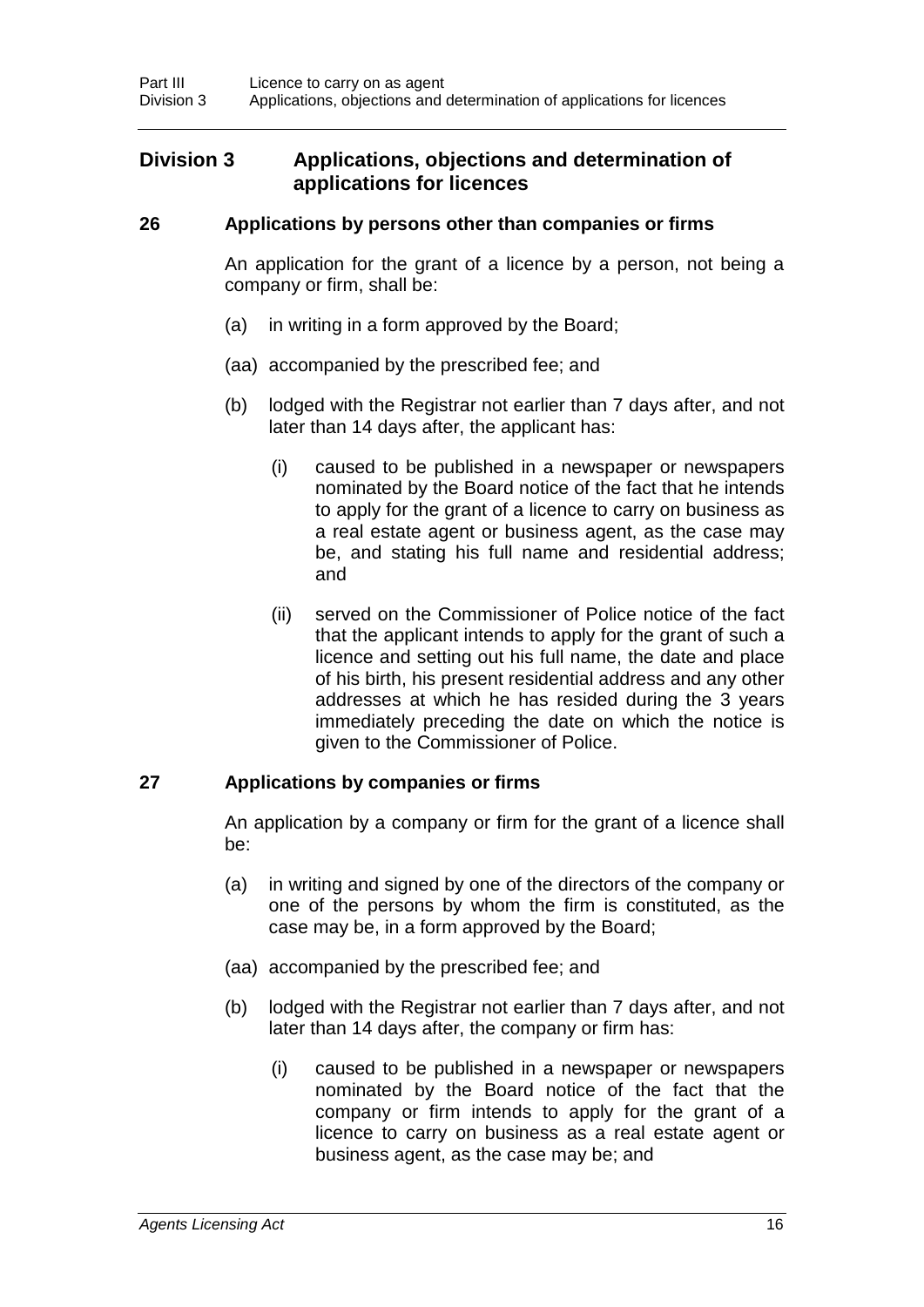#### **Division 3 Applications, objections and determination of applications for licences**

#### **26 Applications by persons other than companies or firms**

An application for the grant of a licence by a person, not being a company or firm, shall be:

- (a) in writing in a form approved by the Board;
- (aa) accompanied by the prescribed fee; and
- (b) lodged with the Registrar not earlier than 7 days after, and not later than 14 days after, the applicant has:
	- (i) caused to be published in a newspaper or newspapers nominated by the Board notice of the fact that he intends to apply for the grant of a licence to carry on business as a real estate agent or business agent, as the case may be, and stating his full name and residential address; and
	- (ii) served on the Commissioner of Police notice of the fact that the applicant intends to apply for the grant of such a licence and setting out his full name, the date and place of his birth, his present residential address and any other addresses at which he has resided during the 3 years immediately preceding the date on which the notice is given to the Commissioner of Police.

#### **27 Applications by companies or firms**

An application by a company or firm for the grant of a licence shall be:

- (a) in writing and signed by one of the directors of the company or one of the persons by whom the firm is constituted, as the case may be, in a form approved by the Board;
- (aa) accompanied by the prescribed fee; and
- (b) lodged with the Registrar not earlier than 7 days after, and not later than 14 days after, the company or firm has:
	- (i) caused to be published in a newspaper or newspapers nominated by the Board notice of the fact that the company or firm intends to apply for the grant of a licence to carry on business as a real estate agent or business agent, as the case may be; and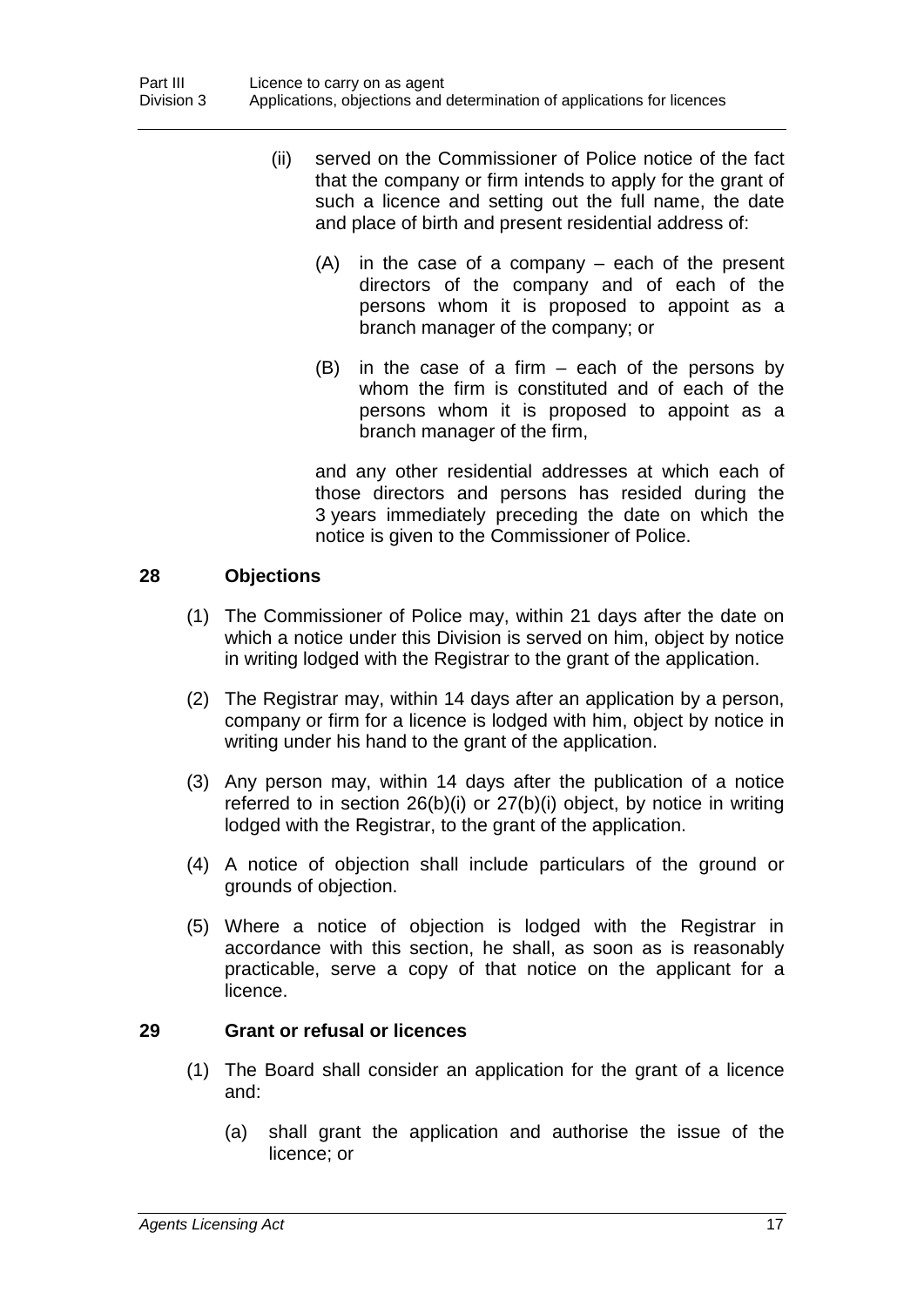- (ii) served on the Commissioner of Police notice of the fact that the company or firm intends to apply for the grant of such a licence and setting out the full name, the date and place of birth and present residential address of:
	- (A) in the case of a company each of the present directors of the company and of each of the persons whom it is proposed to appoint as a branch manager of the company; or
	- (B) in the case of a firm each of the persons by whom the firm is constituted and of each of the persons whom it is proposed to appoint as a branch manager of the firm,

and any other residential addresses at which each of those directors and persons has resided during the 3 years immediately preceding the date on which the notice is given to the Commissioner of Police.

#### **28 Objections**

- (1) The Commissioner of Police may, within 21 days after the date on which a notice under this Division is served on him, object by notice in writing lodged with the Registrar to the grant of the application.
- (2) The Registrar may, within 14 days after an application by a person, company or firm for a licence is lodged with him, object by notice in writing under his hand to the grant of the application.
- (3) Any person may, within 14 days after the publication of a notice referred to in section 26(b)(i) or 27(b)(i) object, by notice in writing lodged with the Registrar, to the grant of the application.
- (4) A notice of objection shall include particulars of the ground or grounds of objection.
- (5) Where a notice of objection is lodged with the Registrar in accordance with this section, he shall, as soon as is reasonably practicable, serve a copy of that notice on the applicant for a licence.

#### **29 Grant or refusal or licences**

- (1) The Board shall consider an application for the grant of a licence and:
	- (a) shall grant the application and authorise the issue of the licence; or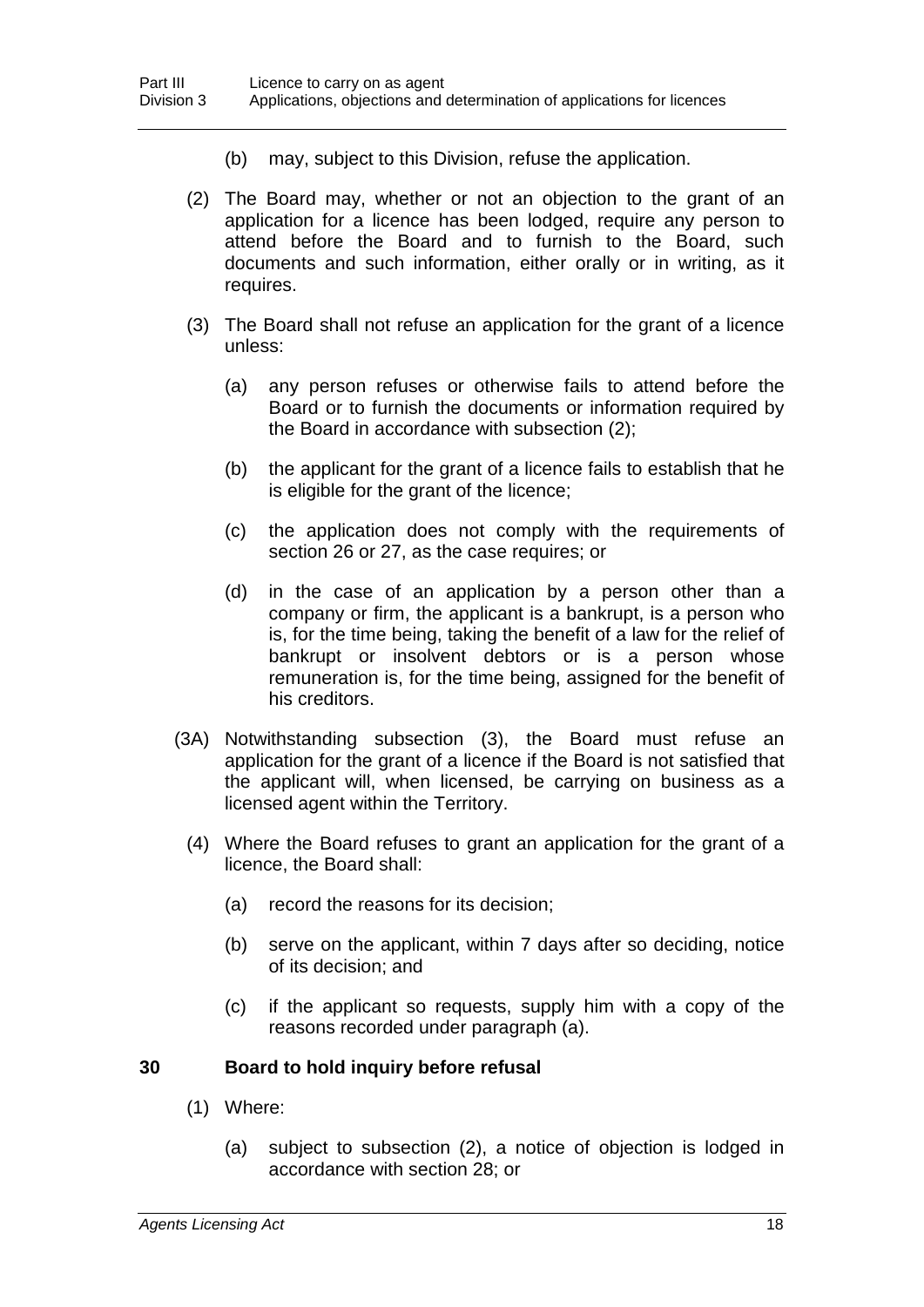- (b) may, subject to this Division, refuse the application.
- (2) The Board may, whether or not an objection to the grant of an application for a licence has been lodged, require any person to attend before the Board and to furnish to the Board, such documents and such information, either orally or in writing, as it requires.
- (3) The Board shall not refuse an application for the grant of a licence unless:
	- (a) any person refuses or otherwise fails to attend before the Board or to furnish the documents or information required by the Board in accordance with subsection (2);
	- (b) the applicant for the grant of a licence fails to establish that he is eligible for the grant of the licence;
	- (c) the application does not comply with the requirements of section 26 or 27, as the case requires; or
	- (d) in the case of an application by a person other than a company or firm, the applicant is a bankrupt, is a person who is, for the time being, taking the benefit of a law for the relief of bankrupt or insolvent debtors or is a person whose remuneration is, for the time being, assigned for the benefit of his creditors.
- (3A) Notwithstanding subsection (3), the Board must refuse an application for the grant of a licence if the Board is not satisfied that the applicant will, when licensed, be carrying on business as a licensed agent within the Territory.
	- (4) Where the Board refuses to grant an application for the grant of a licence, the Board shall:
		- (a) record the reasons for its decision;
		- (b) serve on the applicant, within 7 days after so deciding, notice of its decision; and
		- (c) if the applicant so requests, supply him with a copy of the reasons recorded under paragraph (a).

#### **30 Board to hold inquiry before refusal**

- (1) Where:
	- (a) subject to subsection (2), a notice of objection is lodged in accordance with section 28; or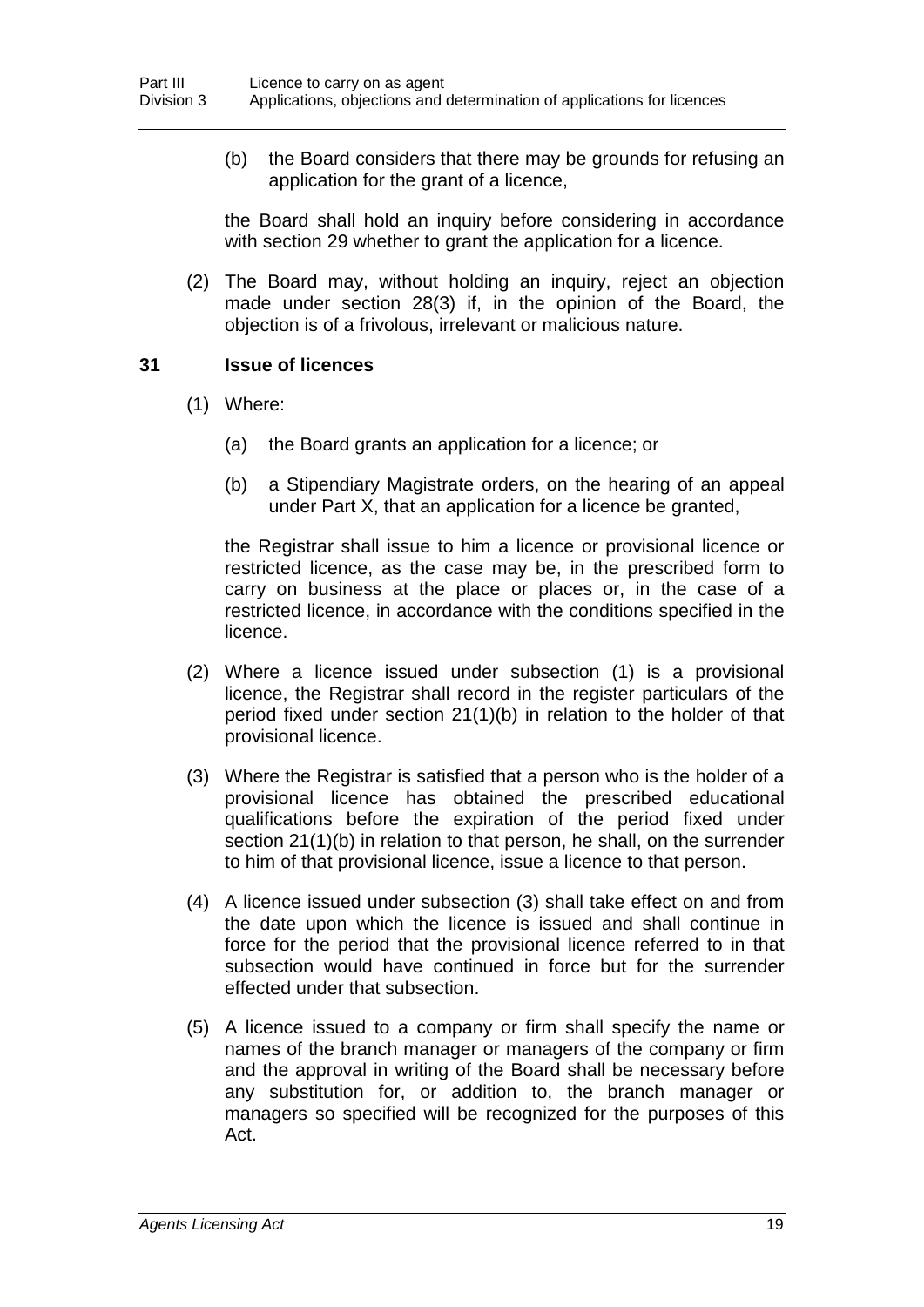(b) the Board considers that there may be grounds for refusing an application for the grant of a licence,

the Board shall hold an inquiry before considering in accordance with section 29 whether to grant the application for a licence.

(2) The Board may, without holding an inquiry, reject an objection made under section 28(3) if, in the opinion of the Board, the objection is of a frivolous, irrelevant or malicious nature.

#### **31 Issue of licences**

- (1) Where:
	- (a) the Board grants an application for a licence; or
	- (b) a Stipendiary Magistrate orders, on the hearing of an appeal under Part X, that an application for a licence be granted,

the Registrar shall issue to him a licence or provisional licence or restricted licence, as the case may be, in the prescribed form to carry on business at the place or places or, in the case of a restricted licence, in accordance with the conditions specified in the licence.

- (2) Where a licence issued under subsection (1) is a provisional licence, the Registrar shall record in the register particulars of the period fixed under section 21(1)(b) in relation to the holder of that provisional licence.
- (3) Where the Registrar is satisfied that a person who is the holder of a provisional licence has obtained the prescribed educational qualifications before the expiration of the period fixed under section 21(1)(b) in relation to that person, he shall, on the surrender to him of that provisional licence, issue a licence to that person.
- (4) A licence issued under subsection (3) shall take effect on and from the date upon which the licence is issued and shall continue in force for the period that the provisional licence referred to in that subsection would have continued in force but for the surrender effected under that subsection.
- (5) A licence issued to a company or firm shall specify the name or names of the branch manager or managers of the company or firm and the approval in writing of the Board shall be necessary before any substitution for, or addition to, the branch manager or managers so specified will be recognized for the purposes of this Act.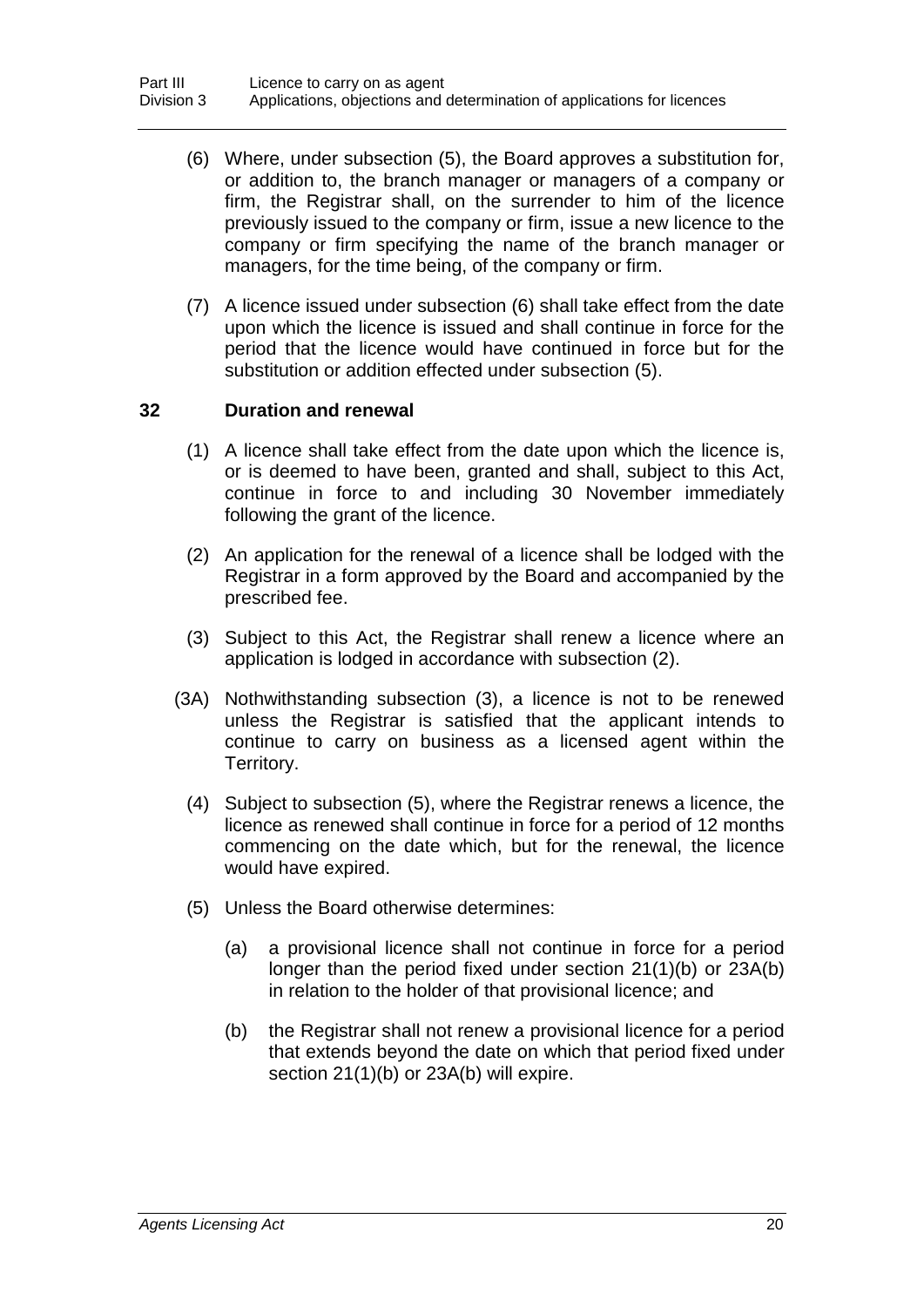- (6) Where, under subsection (5), the Board approves a substitution for, or addition to, the branch manager or managers of a company or firm, the Registrar shall, on the surrender to him of the licence previously issued to the company or firm, issue a new licence to the company or firm specifying the name of the branch manager or managers, for the time being, of the company or firm.
- (7) A licence issued under subsection (6) shall take effect from the date upon which the licence is issued and shall continue in force for the period that the licence would have continued in force but for the substitution or addition effected under subsection (5).

#### **32 Duration and renewal**

- (1) A licence shall take effect from the date upon which the licence is, or is deemed to have been, granted and shall, subject to this Act, continue in force to and including 30 November immediately following the grant of the licence.
- (2) An application for the renewal of a licence shall be lodged with the Registrar in a form approved by the Board and accompanied by the prescribed fee.
- (3) Subject to this Act, the Registrar shall renew a licence where an application is lodged in accordance with subsection (2).
- (3A) Nothwithstanding subsection (3), a licence is not to be renewed unless the Registrar is satisfied that the applicant intends to continue to carry on business as a licensed agent within the Territory.
	- (4) Subject to subsection (5), where the Registrar renews a licence, the licence as renewed shall continue in force for a period of 12 months commencing on the date which, but for the renewal, the licence would have expired.
	- (5) Unless the Board otherwise determines:
		- (a) a provisional licence shall not continue in force for a period longer than the period fixed under section 21(1)(b) or 23A(b) in relation to the holder of that provisional licence; and
		- (b) the Registrar shall not renew a provisional licence for a period that extends beyond the date on which that period fixed under section 21(1)(b) or 23A(b) will expire.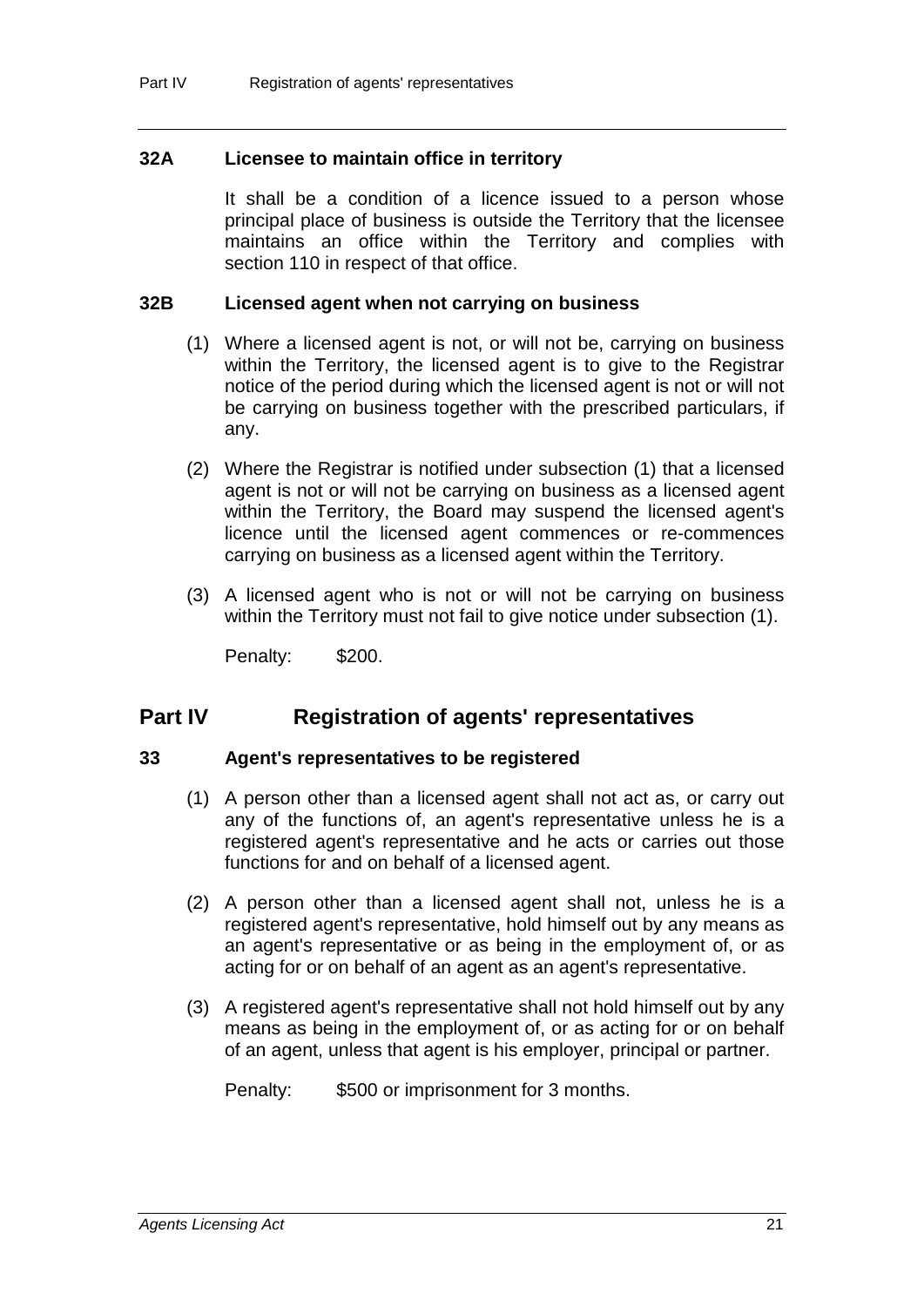#### **32A Licensee to maintain office in territory**

It shall be a condition of a licence issued to a person whose principal place of business is outside the Territory that the licensee maintains an office within the Territory and complies with section 110 in respect of that office.

#### **32B Licensed agent when not carrying on business**

- (1) Where a licensed agent is not, or will not be, carrying on business within the Territory, the licensed agent is to give to the Registrar notice of the period during which the licensed agent is not or will not be carrying on business together with the prescribed particulars, if any.
- (2) Where the Registrar is notified under subsection (1) that a licensed agent is not or will not be carrying on business as a licensed agent within the Territory, the Board may suspend the licensed agent's licence until the licensed agent commences or re-commences carrying on business as a licensed agent within the Territory.
- (3) A licensed agent who is not or will not be carrying on business within the Territory must not fail to give notice under subsection (1).

Penalty: \$200.

### **Part IV Registration of agents' representatives**

#### **33 Agent's representatives to be registered**

- (1) A person other than a licensed agent shall not act as, or carry out any of the functions of, an agent's representative unless he is a registered agent's representative and he acts or carries out those functions for and on behalf of a licensed agent.
- (2) A person other than a licensed agent shall not, unless he is a registered agent's representative, hold himself out by any means as an agent's representative or as being in the employment of, or as acting for or on behalf of an agent as an agent's representative.
- (3) A registered agent's representative shall not hold himself out by any means as being in the employment of, or as acting for or on behalf of an agent, unless that agent is his employer, principal or partner.
	- Penalty: \$500 or imprisonment for 3 months.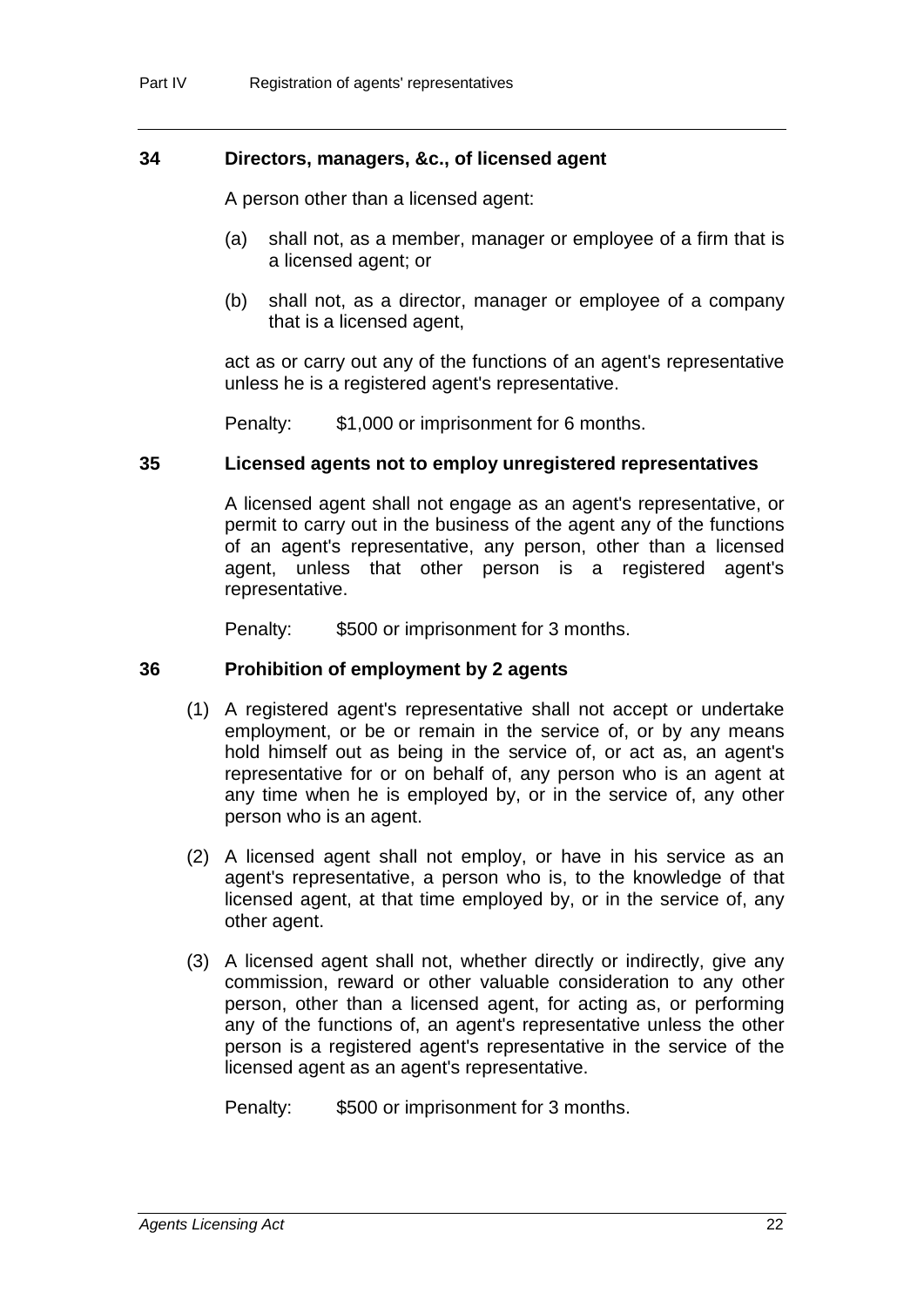#### **34 Directors, managers, &c., of licensed agent**

A person other than a licensed agent:

- (a) shall not, as a member, manager or employee of a firm that is a licensed agent; or
- (b) shall not, as a director, manager or employee of a company that is a licensed agent,

act as or carry out any of the functions of an agent's representative unless he is a registered agent's representative.

Penalty: \$1,000 or imprisonment for 6 months.

#### **35 Licensed agents not to employ unregistered representatives**

A licensed agent shall not engage as an agent's representative, or permit to carry out in the business of the agent any of the functions of an agent's representative, any person, other than a licensed agent, unless that other person is a registered agent's representative.

Penalty: \$500 or imprisonment for 3 months.

#### **36 Prohibition of employment by 2 agents**

- (1) A registered agent's representative shall not accept or undertake employment, or be or remain in the service of, or by any means hold himself out as being in the service of, or act as, an agent's representative for or on behalf of, any person who is an agent at any time when he is employed by, or in the service of, any other person who is an agent.
- (2) A licensed agent shall not employ, or have in his service as an agent's representative, a person who is, to the knowledge of that licensed agent, at that time employed by, or in the service of, any other agent.
- (3) A licensed agent shall not, whether directly or indirectly, give any commission, reward or other valuable consideration to any other person, other than a licensed agent, for acting as, or performing any of the functions of, an agent's representative unless the other person is a registered agent's representative in the service of the licensed agent as an agent's representative.

Penalty: \$500 or imprisonment for 3 months.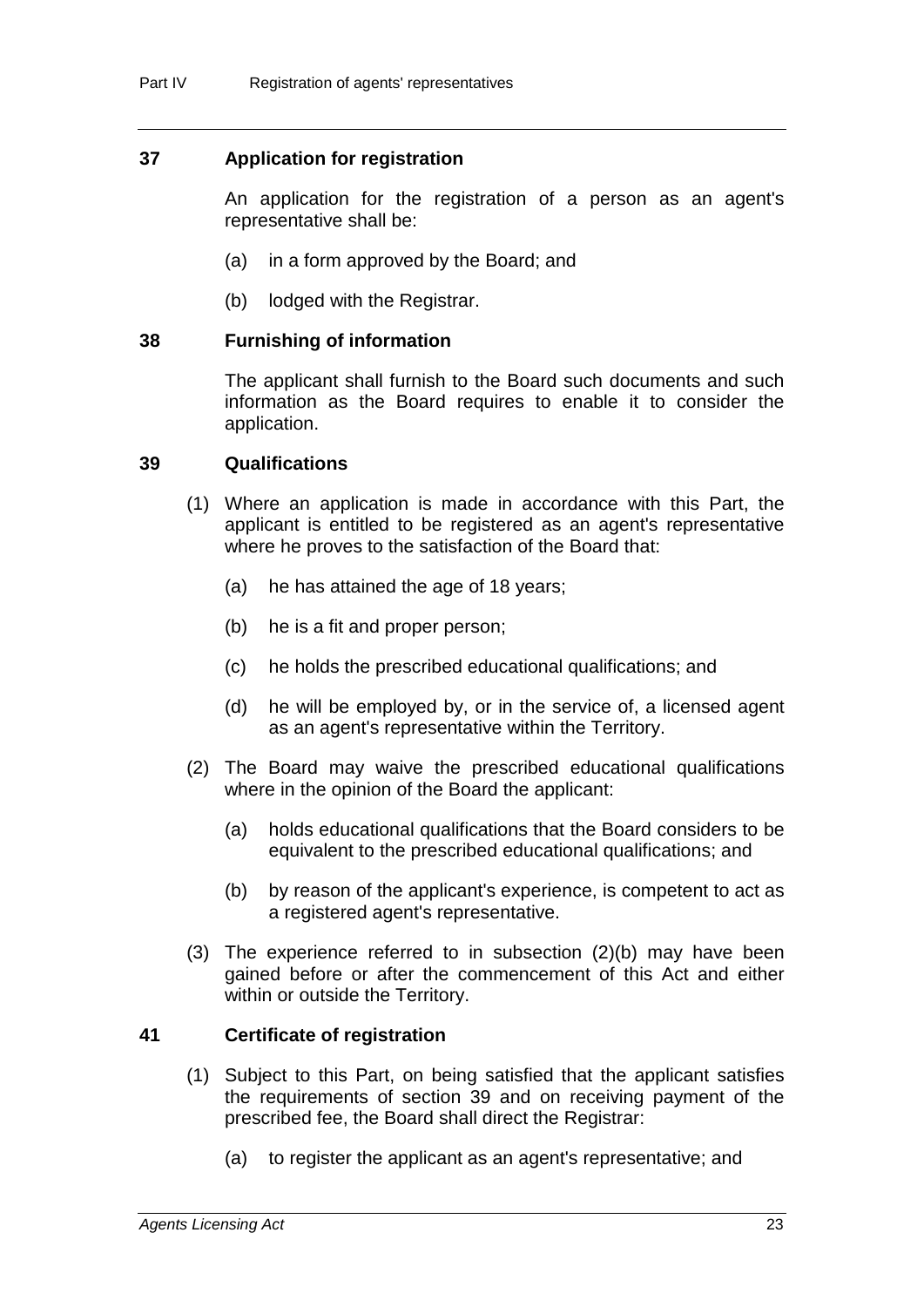#### **37 Application for registration**

An application for the registration of a person as an agent's representative shall be:

- (a) in a form approved by the Board; and
- (b) lodged with the Registrar.

#### **38 Furnishing of information**

The applicant shall furnish to the Board such documents and such information as the Board requires to enable it to consider the application.

#### **39 Qualifications**

- (1) Where an application is made in accordance with this Part, the applicant is entitled to be registered as an agent's representative where he proves to the satisfaction of the Board that:
	- (a) he has attained the age of 18 years;
	- (b) he is a fit and proper person;
	- (c) he holds the prescribed educational qualifications; and
	- (d) he will be employed by, or in the service of, a licensed agent as an agent's representative within the Territory.
- (2) The Board may waive the prescribed educational qualifications where in the opinion of the Board the applicant:
	- (a) holds educational qualifications that the Board considers to be equivalent to the prescribed educational qualifications; and
	- (b) by reason of the applicant's experience, is competent to act as a registered agent's representative.
- (3) The experience referred to in subsection (2)(b) may have been gained before or after the commencement of this Act and either within or outside the Territory.

#### **41 Certificate of registration**

- (1) Subject to this Part, on being satisfied that the applicant satisfies the requirements of section 39 and on receiving payment of the prescribed fee, the Board shall direct the Registrar:
	- (a) to register the applicant as an agent's representative; and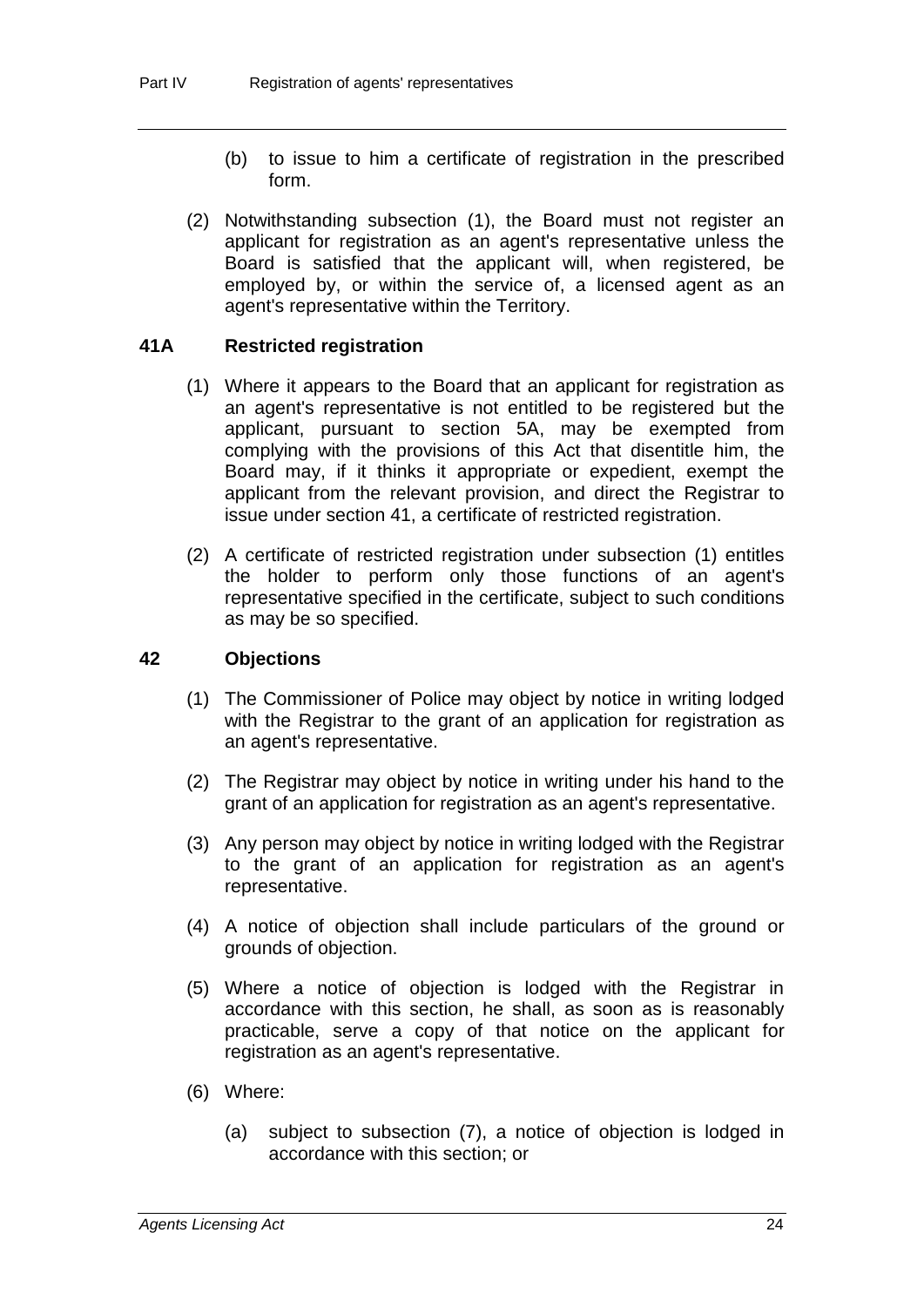- (b) to issue to him a certificate of registration in the prescribed form.
- (2) Notwithstanding subsection (1), the Board must not register an applicant for registration as an agent's representative unless the Board is satisfied that the applicant will, when registered, be employed by, or within the service of, a licensed agent as an agent's representative within the Territory.

#### **41A Restricted registration**

- (1) Where it appears to the Board that an applicant for registration as an agent's representative is not entitled to be registered but the applicant, pursuant to section 5A, may be exempted from complying with the provisions of this Act that disentitle him, the Board may, if it thinks it appropriate or expedient, exempt the applicant from the relevant provision, and direct the Registrar to issue under section 41, a certificate of restricted registration.
- (2) A certificate of restricted registration under subsection (1) entitles the holder to perform only those functions of an agent's representative specified in the certificate, subject to such conditions as may be so specified.

#### **42 Objections**

- (1) The Commissioner of Police may object by notice in writing lodged with the Registrar to the grant of an application for registration as an agent's representative.
- (2) The Registrar may object by notice in writing under his hand to the grant of an application for registration as an agent's representative.
- (3) Any person may object by notice in writing lodged with the Registrar to the grant of an application for registration as an agent's representative.
- (4) A notice of objection shall include particulars of the ground or grounds of objection.
- (5) Where a notice of objection is lodged with the Registrar in accordance with this section, he shall, as soon as is reasonably practicable, serve a copy of that notice on the applicant for registration as an agent's representative.
- (6) Where:
	- (a) subject to subsection (7), a notice of objection is lodged in accordance with this section; or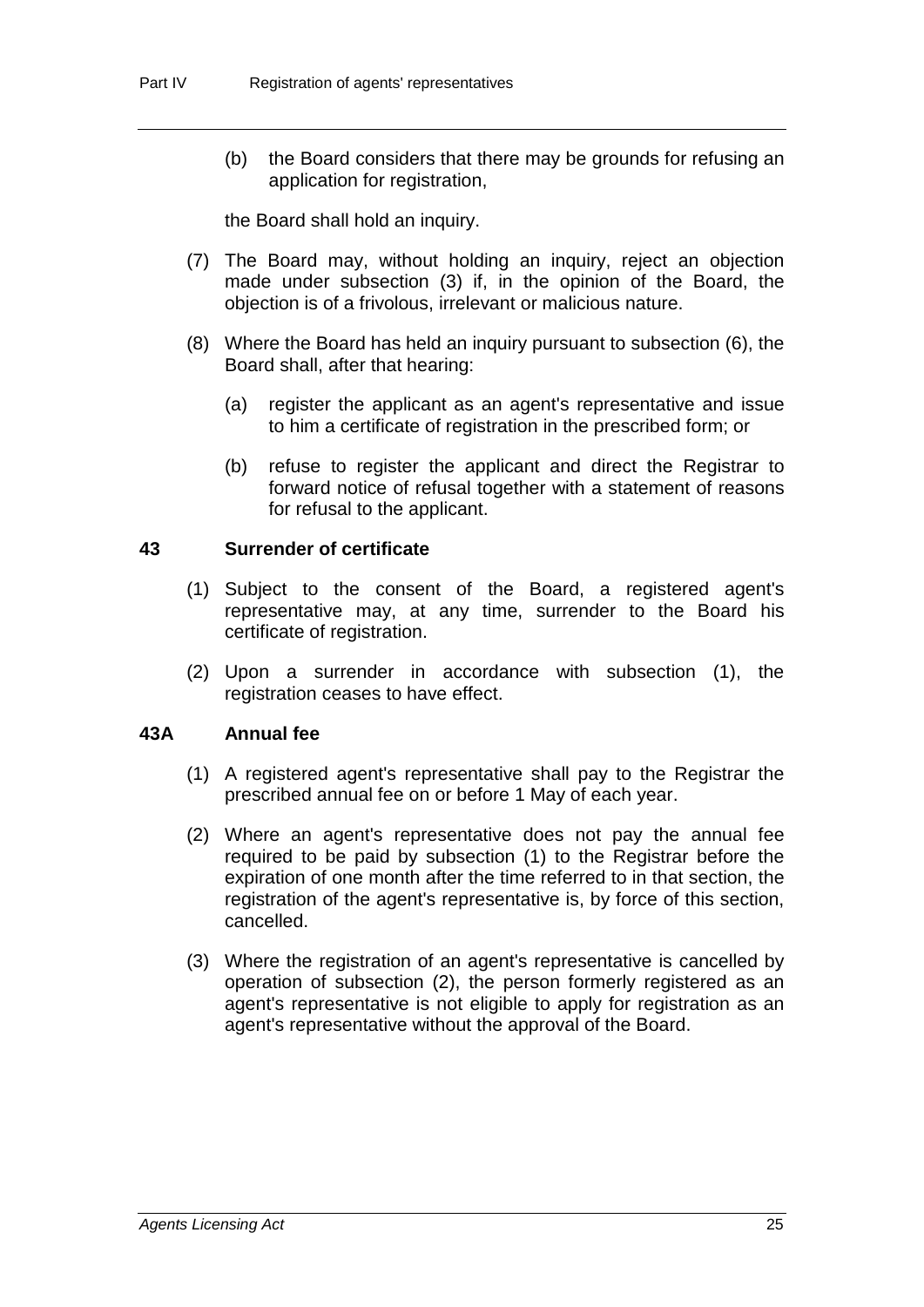(b) the Board considers that there may be grounds for refusing an application for registration,

the Board shall hold an inquiry.

- (7) The Board may, without holding an inquiry, reject an objection made under subsection (3) if, in the opinion of the Board, the objection is of a frivolous, irrelevant or malicious nature.
- (8) Where the Board has held an inquiry pursuant to subsection (6), the Board shall, after that hearing:
	- (a) register the applicant as an agent's representative and issue to him a certificate of registration in the prescribed form; or
	- (b) refuse to register the applicant and direct the Registrar to forward notice of refusal together with a statement of reasons for refusal to the applicant.

#### **43 Surrender of certificate**

- (1) Subject to the consent of the Board, a registered agent's representative may, at any time, surrender to the Board his certificate of registration.
- (2) Upon a surrender in accordance with subsection (1), the registration ceases to have effect.

#### **43A Annual fee**

- (1) A registered agent's representative shall pay to the Registrar the prescribed annual fee on or before 1 May of each year.
- (2) Where an agent's representative does not pay the annual fee required to be paid by subsection (1) to the Registrar before the expiration of one month after the time referred to in that section, the registration of the agent's representative is, by force of this section, cancelled.
- (3) Where the registration of an agent's representative is cancelled by operation of subsection (2), the person formerly registered as an agent's representative is not eligible to apply for registration as an agent's representative without the approval of the Board.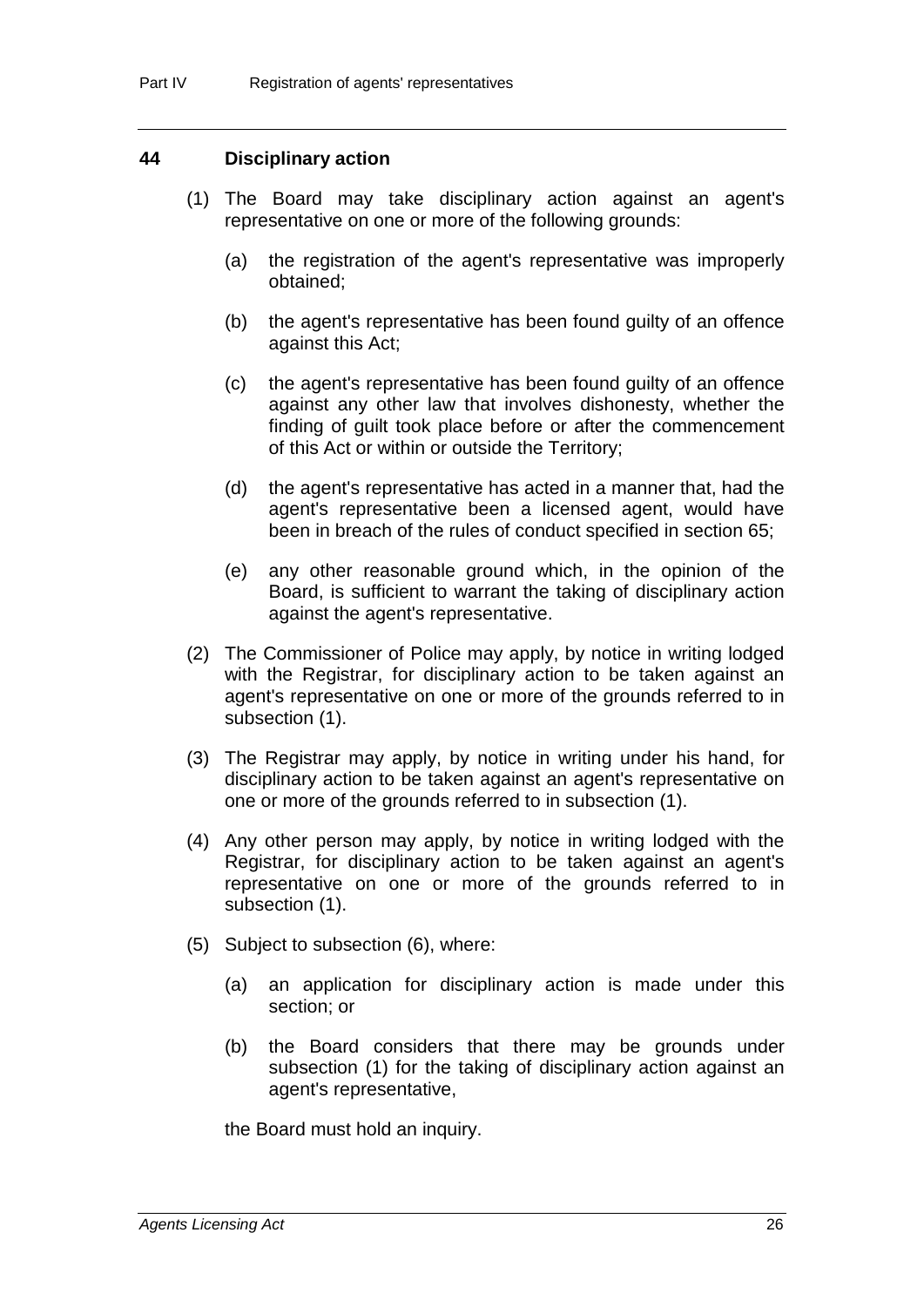#### **44 Disciplinary action**

- (1) The Board may take disciplinary action against an agent's representative on one or more of the following grounds:
	- (a) the registration of the agent's representative was improperly obtained;
	- (b) the agent's representative has been found guilty of an offence against this Act;
	- (c) the agent's representative has been found guilty of an offence against any other law that involves dishonesty, whether the finding of guilt took place before or after the commencement of this Act or within or outside the Territory;
	- (d) the agent's representative has acted in a manner that, had the agent's representative been a licensed agent, would have been in breach of the rules of conduct specified in section 65;
	- (e) any other reasonable ground which, in the opinion of the Board, is sufficient to warrant the taking of disciplinary action against the agent's representative.
- (2) The Commissioner of Police may apply, by notice in writing lodged with the Registrar, for disciplinary action to be taken against an agent's representative on one or more of the grounds referred to in subsection (1).
- (3) The Registrar may apply, by notice in writing under his hand, for disciplinary action to be taken against an agent's representative on one or more of the grounds referred to in subsection (1).
- (4) Any other person may apply, by notice in writing lodged with the Registrar, for disciplinary action to be taken against an agent's representative on one or more of the grounds referred to in subsection (1).
- (5) Subject to subsection (6), where:
	- (a) an application for disciplinary action is made under this section; or
	- (b) the Board considers that there may be grounds under subsection (1) for the taking of disciplinary action against an agent's representative,

the Board must hold an inquiry.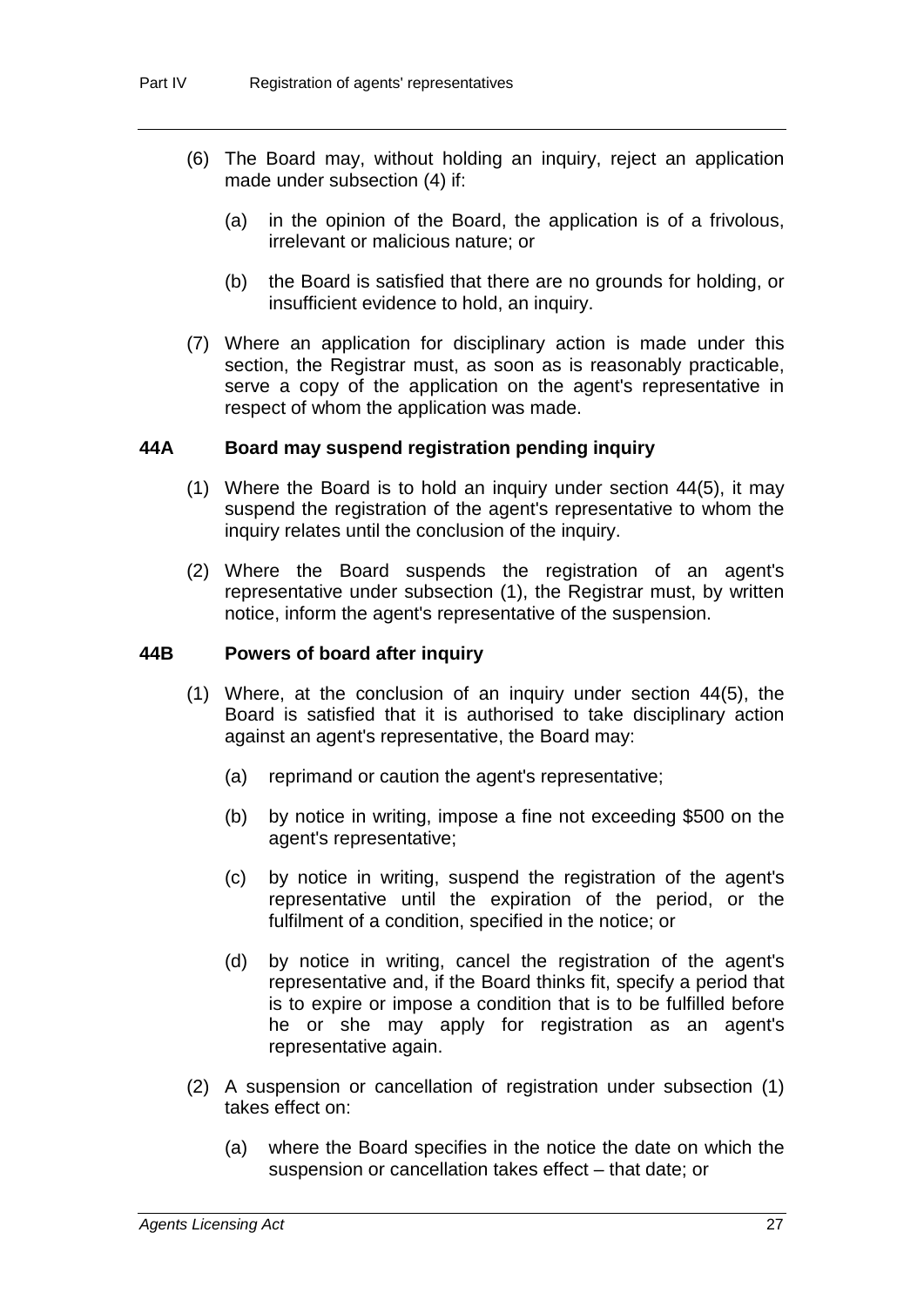- (6) The Board may, without holding an inquiry, reject an application made under subsection (4) if:
	- (a) in the opinion of the Board, the application is of a frivolous, irrelevant or malicious nature; or
	- (b) the Board is satisfied that there are no grounds for holding, or insufficient evidence to hold, an inquiry.
- (7) Where an application for disciplinary action is made under this section, the Registrar must, as soon as is reasonably practicable, serve a copy of the application on the agent's representative in respect of whom the application was made.

#### **44A Board may suspend registration pending inquiry**

- (1) Where the Board is to hold an inquiry under section 44(5), it may suspend the registration of the agent's representative to whom the inquiry relates until the conclusion of the inquiry.
- (2) Where the Board suspends the registration of an agent's representative under subsection (1), the Registrar must, by written notice, inform the agent's representative of the suspension.

#### **44B Powers of board after inquiry**

- (1) Where, at the conclusion of an inquiry under section 44(5), the Board is satisfied that it is authorised to take disciplinary action against an agent's representative, the Board may:
	- (a) reprimand or caution the agent's representative;
	- (b) by notice in writing, impose a fine not exceeding \$500 on the agent's representative;
	- (c) by notice in writing, suspend the registration of the agent's representative until the expiration of the period, or the fulfilment of a condition, specified in the notice; or
	- (d) by notice in writing, cancel the registration of the agent's representative and, if the Board thinks fit, specify a period that is to expire or impose a condition that is to be fulfilled before he or she may apply for registration as an agent's representative again.
- (2) A suspension or cancellation of registration under subsection (1) takes effect on:
	- (a) where the Board specifies in the notice the date on which the suspension or cancellation takes effect – that date; or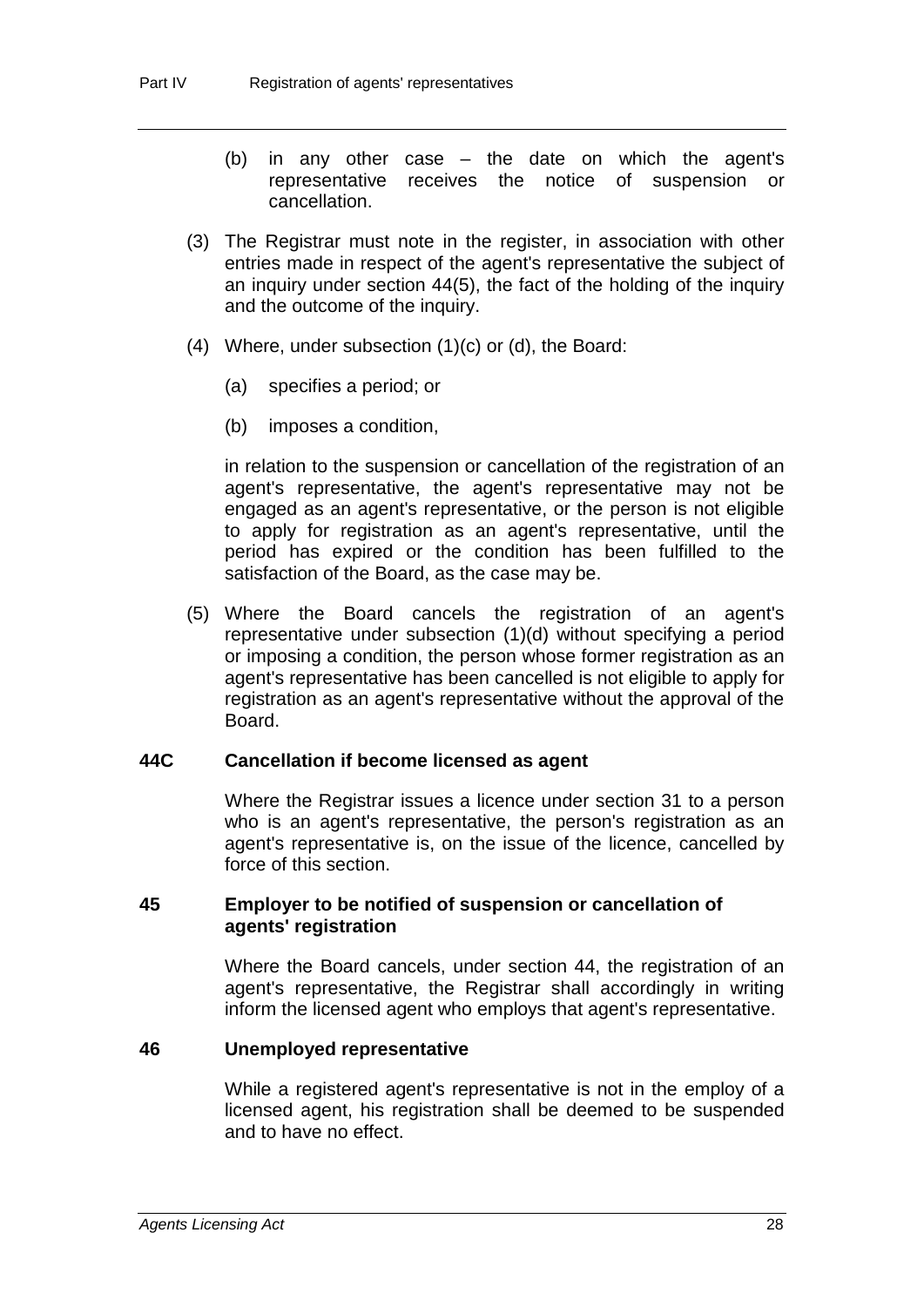- (b) in any other case the date on which the agent's representative receives the notice of suspension or cancellation.
- (3) The Registrar must note in the register, in association with other entries made in respect of the agent's representative the subject of an inquiry under section 44(5), the fact of the holding of the inquiry and the outcome of the inquiry.
- (4) Where, under subsection (1)(c) or (d), the Board:
	- (a) specifies a period; or
	- (b) imposes a condition,

in relation to the suspension or cancellation of the registration of an agent's representative, the agent's representative may not be engaged as an agent's representative, or the person is not eligible to apply for registration as an agent's representative, until the period has expired or the condition has been fulfilled to the satisfaction of the Board, as the case may be.

(5) Where the Board cancels the registration of an agent's representative under subsection (1)(d) without specifying a period or imposing a condition, the person whose former registration as an agent's representative has been cancelled is not eligible to apply for registration as an agent's representative without the approval of the Board.

#### **44C Cancellation if become licensed as agent**

Where the Registrar issues a licence under section 31 to a person who is an agent's representative, the person's registration as an agent's representative is, on the issue of the licence, cancelled by force of this section.

#### **45 Employer to be notified of suspension or cancellation of agents' registration**

Where the Board cancels, under section 44, the registration of an agent's representative, the Registrar shall accordingly in writing inform the licensed agent who employs that agent's representative.

#### **46 Unemployed representative**

While a registered agent's representative is not in the employ of a licensed agent, his registration shall be deemed to be suspended and to have no effect.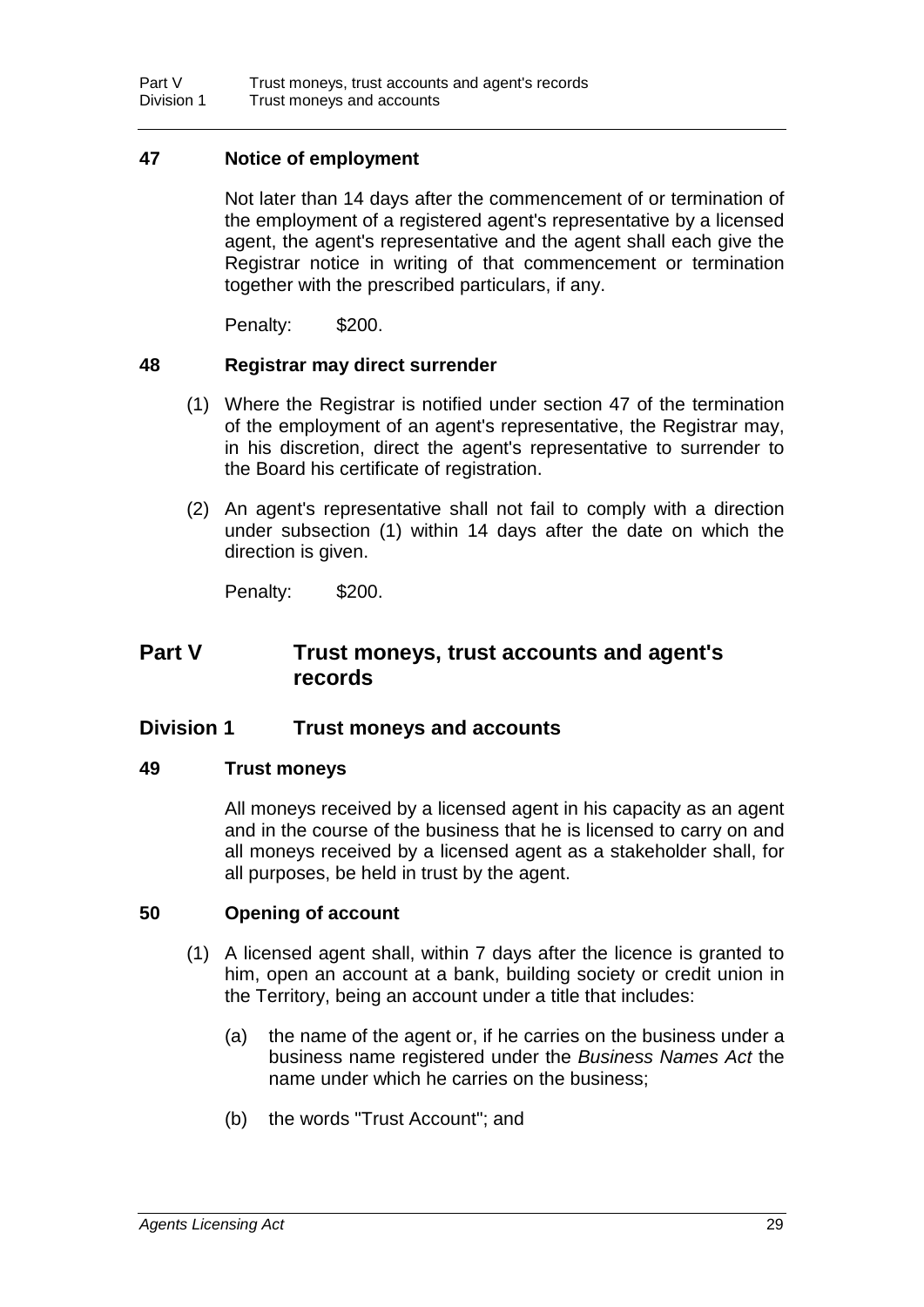#### **47 Notice of employment**

Not later than 14 days after the commencement of or termination of the employment of a registered agent's representative by a licensed agent, the agent's representative and the agent shall each give the Registrar notice in writing of that commencement or termination together with the prescribed particulars, if any.

Penalty: \$200.

#### **48 Registrar may direct surrender**

- (1) Where the Registrar is notified under section 47 of the termination of the employment of an agent's representative, the Registrar may, in his discretion, direct the agent's representative to surrender to the Board his certificate of registration.
- (2) An agent's representative shall not fail to comply with a direction under subsection (1) within 14 days after the date on which the direction is given.

Penalty: \$200.

### **Part V Trust moneys, trust accounts and agent's records**

#### **Division 1 Trust moneys and accounts**

#### **49 Trust moneys**

All moneys received by a licensed agent in his capacity as an agent and in the course of the business that he is licensed to carry on and all moneys received by a licensed agent as a stakeholder shall, for all purposes, be held in trust by the agent.

#### **50 Opening of account**

- (1) A licensed agent shall, within 7 days after the licence is granted to him, open an account at a bank, building society or credit union in the Territory, being an account under a title that includes:
	- (a) the name of the agent or, if he carries on the business under a business name registered under the *Business Names Act* the name under which he carries on the business;
	- (b) the words "Trust Account"; and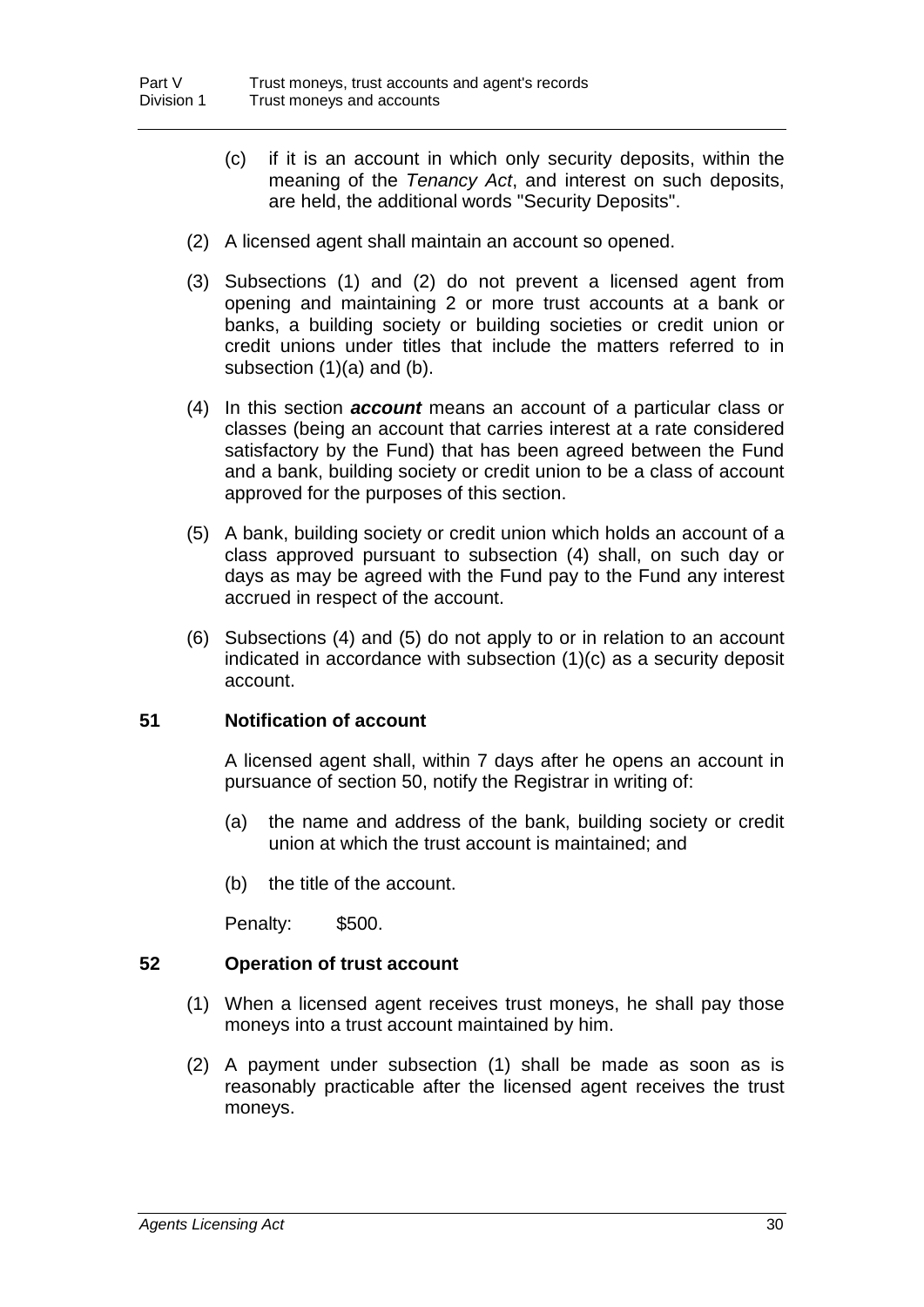- (c) if it is an account in which only security deposits, within the meaning of the *Tenancy Act*, and interest on such deposits, are held, the additional words "Security Deposits".
- (2) A licensed agent shall maintain an account so opened.
- (3) Subsections (1) and (2) do not prevent a licensed agent from opening and maintaining 2 or more trust accounts at a bank or banks, a building society or building societies or credit union or credit unions under titles that include the matters referred to in subsection (1)(a) and (b).
- (4) In this section *account* means an account of a particular class or classes (being an account that carries interest at a rate considered satisfactory by the Fund) that has been agreed between the Fund and a bank, building society or credit union to be a class of account approved for the purposes of this section.
- (5) A bank, building society or credit union which holds an account of a class approved pursuant to subsection (4) shall, on such day or days as may be agreed with the Fund pay to the Fund any interest accrued in respect of the account.
- (6) Subsections (4) and (5) do not apply to or in relation to an account indicated in accordance with subsection (1)(c) as a security deposit account.

#### **51 Notification of account**

A licensed agent shall, within 7 days after he opens an account in pursuance of section 50, notify the Registrar in writing of:

- (a) the name and address of the bank, building society or credit union at which the trust account is maintained; and
- (b) the title of the account.

Penalty: \$500.

#### **52 Operation of trust account**

- (1) When a licensed agent receives trust moneys, he shall pay those moneys into a trust account maintained by him.
- (2) A payment under subsection (1) shall be made as soon as is reasonably practicable after the licensed agent receives the trust moneys.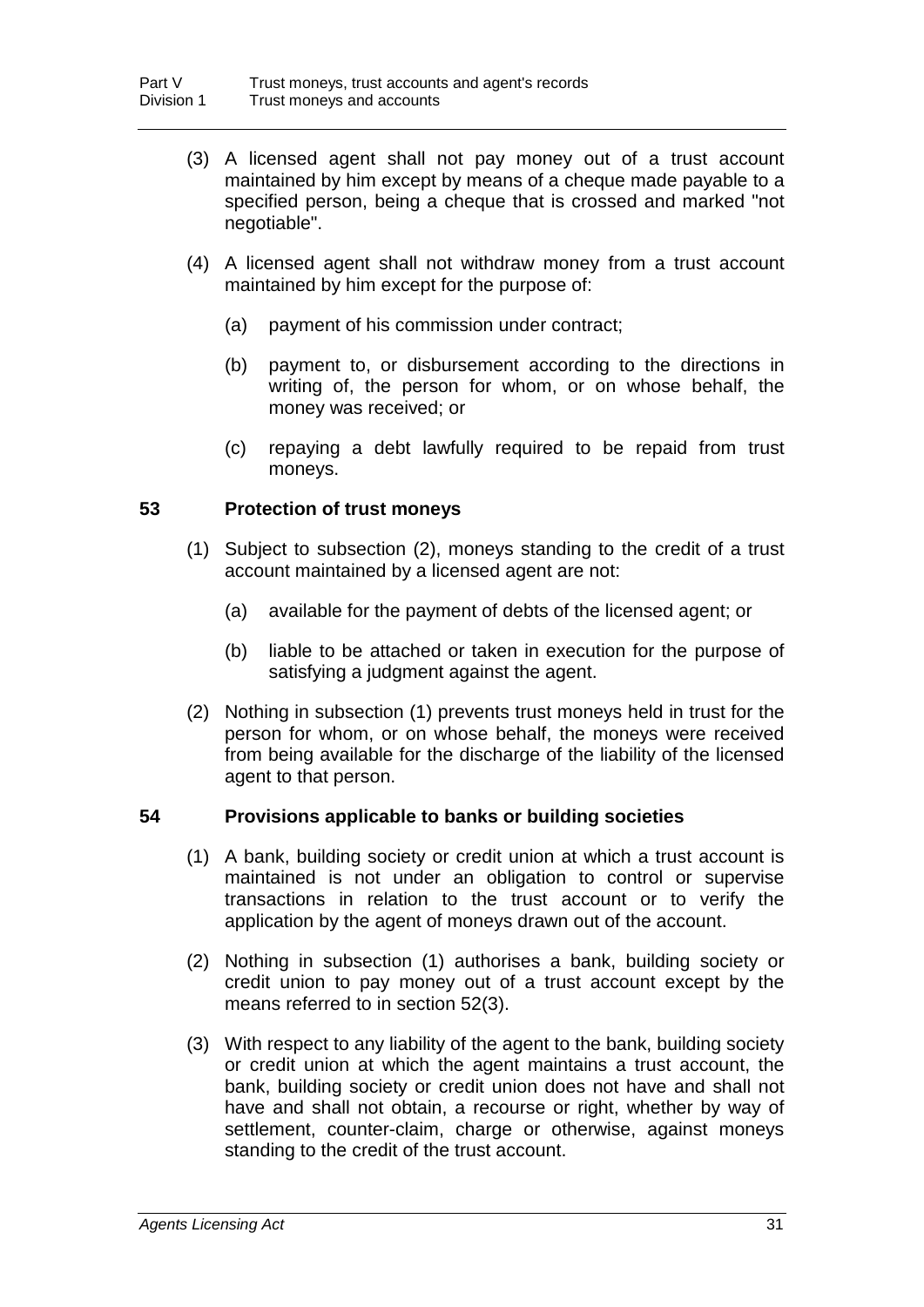- (3) A licensed agent shall not pay money out of a trust account maintained by him except by means of a cheque made payable to a specified person, being a cheque that is crossed and marked "not negotiable".
- (4) A licensed agent shall not withdraw money from a trust account maintained by him except for the purpose of:
	- (a) payment of his commission under contract;
	- (b) payment to, or disbursement according to the directions in writing of, the person for whom, or on whose behalf, the money was received; or
	- (c) repaying a debt lawfully required to be repaid from trust moneys.

## **53 Protection of trust moneys**

- (1) Subject to subsection (2), moneys standing to the credit of a trust account maintained by a licensed agent are not:
	- (a) available for the payment of debts of the licensed agent; or
	- (b) liable to be attached or taken in execution for the purpose of satisfying a judgment against the agent.
- (2) Nothing in subsection (1) prevents trust moneys held in trust for the person for whom, or on whose behalf, the moneys were received from being available for the discharge of the liability of the licensed agent to that person.

## **54 Provisions applicable to banks or building societies**

- (1) A bank, building society or credit union at which a trust account is maintained is not under an obligation to control or supervise transactions in relation to the trust account or to verify the application by the agent of moneys drawn out of the account.
- (2) Nothing in subsection (1) authorises a bank, building society or credit union to pay money out of a trust account except by the means referred to in section 52(3).
- (3) With respect to any liability of the agent to the bank, building society or credit union at which the agent maintains a trust account, the bank, building society or credit union does not have and shall not have and shall not obtain, a recourse or right, whether by way of settlement, counter-claim, charge or otherwise, against moneys standing to the credit of the trust account.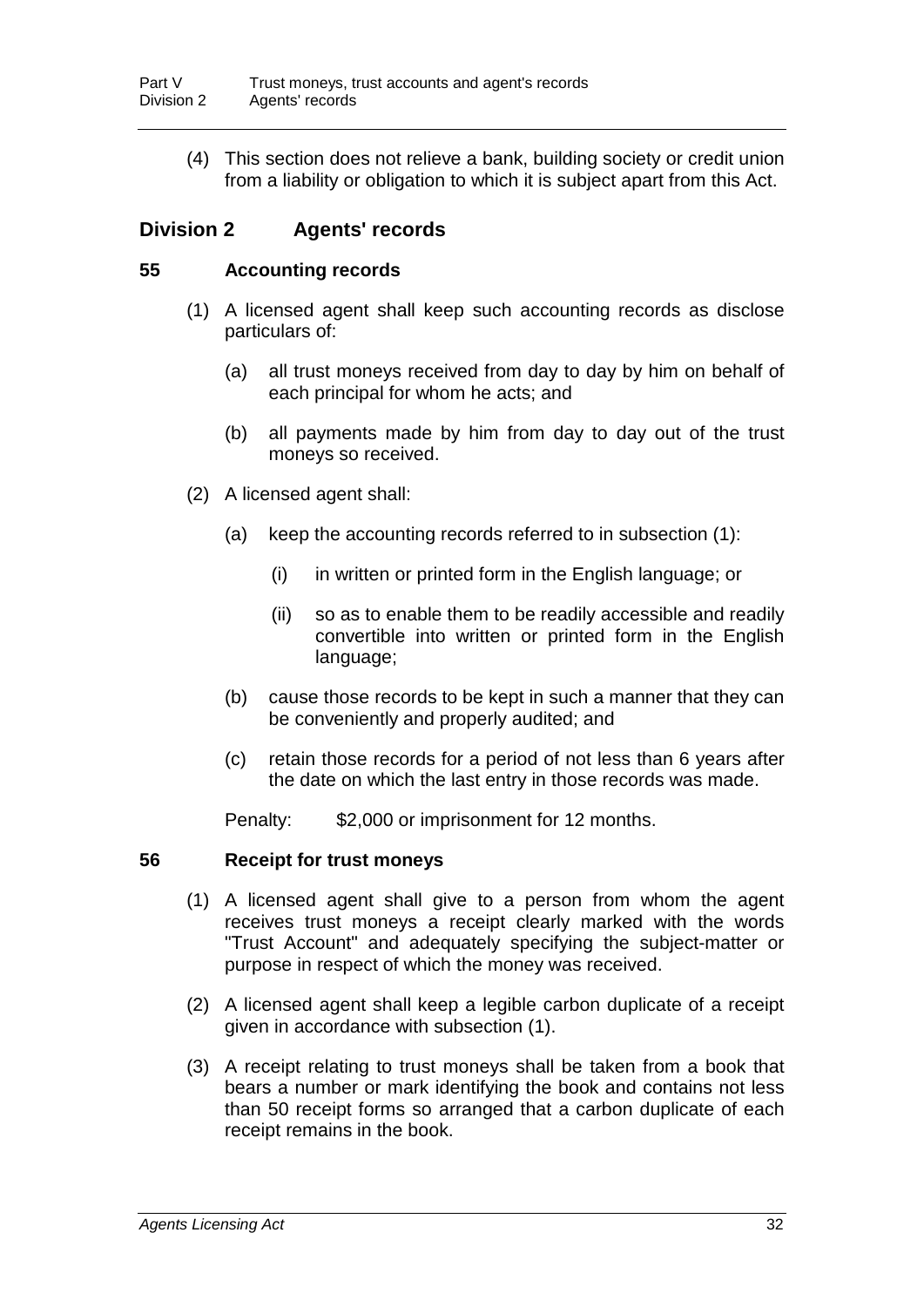(4) This section does not relieve a bank, building society or credit union from a liability or obligation to which it is subject apart from this Act.

## **Division 2 Agents' records**

## **55 Accounting records**

- (1) A licensed agent shall keep such accounting records as disclose particulars of:
	- (a) all trust moneys received from day to day by him on behalf of each principal for whom he acts; and
	- (b) all payments made by him from day to day out of the trust moneys so received.
- (2) A licensed agent shall:
	- (a) keep the accounting records referred to in subsection (1):
		- (i) in written or printed form in the English language; or
		- (ii) so as to enable them to be readily accessible and readily convertible into written or printed form in the English language;
	- (b) cause those records to be kept in such a manner that they can be conveniently and properly audited; and
	- (c) retain those records for a period of not less than 6 years after the date on which the last entry in those records was made.

Penalty: \$2,000 or imprisonment for 12 months.

## **56 Receipt for trust moneys**

- (1) A licensed agent shall give to a person from whom the agent receives trust moneys a receipt clearly marked with the words "Trust Account" and adequately specifying the subject-matter or purpose in respect of which the money was received.
- (2) A licensed agent shall keep a legible carbon duplicate of a receipt given in accordance with subsection (1).
- (3) A receipt relating to trust moneys shall be taken from a book that bears a number or mark identifying the book and contains not less than 50 receipt forms so arranged that a carbon duplicate of each receipt remains in the book.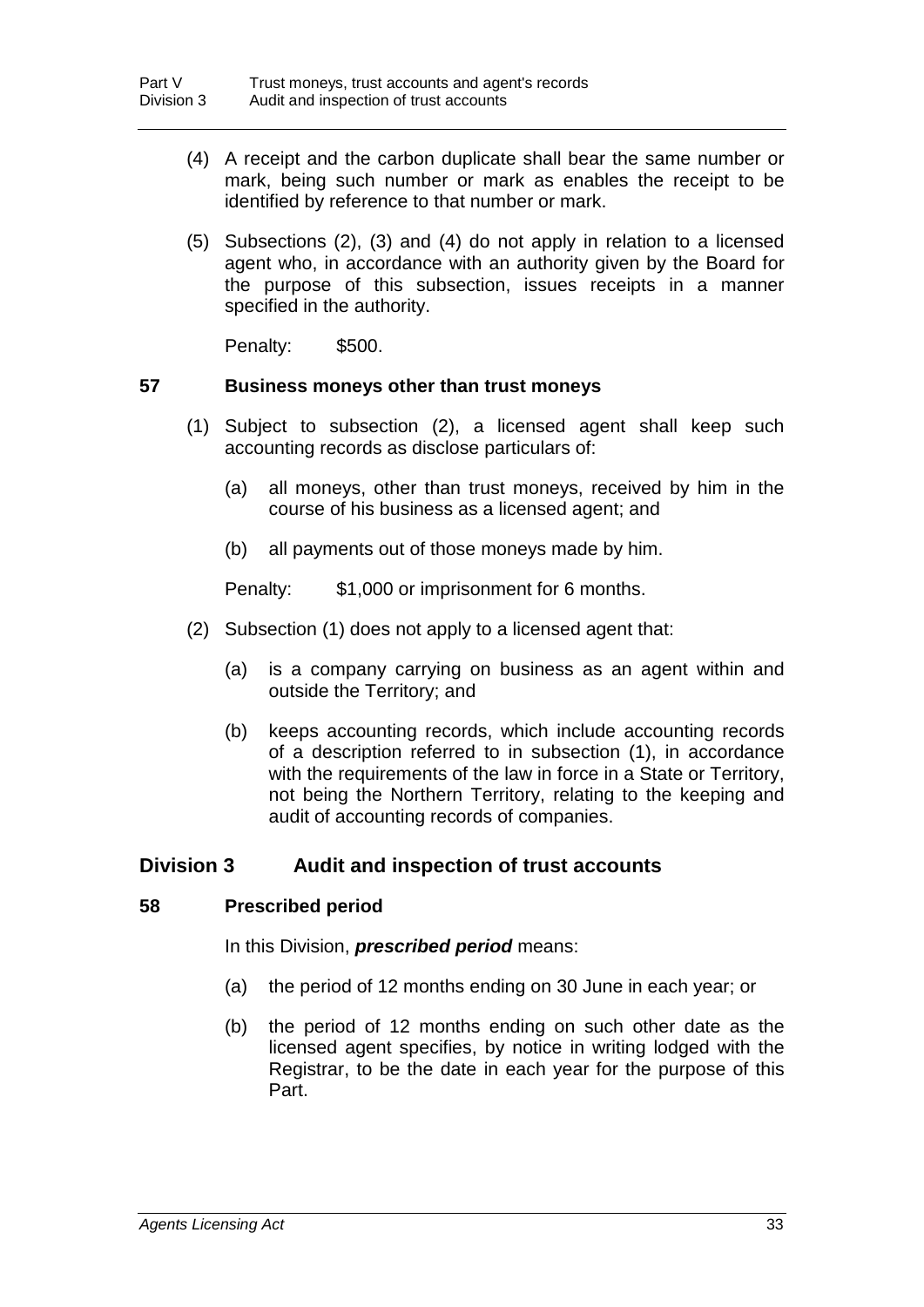- (4) A receipt and the carbon duplicate shall bear the same number or mark, being such number or mark as enables the receipt to be identified by reference to that number or mark.
- (5) Subsections (2), (3) and (4) do not apply in relation to a licensed agent who, in accordance with an authority given by the Board for the purpose of this subsection, issues receipts in a manner specified in the authority.

Penalty: \$500.

#### **57 Business moneys other than trust moneys**

- (1) Subject to subsection (2), a licensed agent shall keep such accounting records as disclose particulars of:
	- (a) all moneys, other than trust moneys, received by him in the course of his business as a licensed agent; and
	- (b) all payments out of those moneys made by him.

Penalty: \$1,000 or imprisonment for 6 months.

- (2) Subsection (1) does not apply to a licensed agent that:
	- (a) is a company carrying on business as an agent within and outside the Territory; and
	- (b) keeps accounting records, which include accounting records of a description referred to in subsection (1), in accordance with the requirements of the law in force in a State or Territory, not being the Northern Territory, relating to the keeping and audit of accounting records of companies.

## **Division 3 Audit and inspection of trust accounts**

## **58 Prescribed period**

In this Division, *prescribed period* means:

- (a) the period of 12 months ending on 30 June in each year; or
- (b) the period of 12 months ending on such other date as the licensed agent specifies, by notice in writing lodged with the Registrar, to be the date in each year for the purpose of this Part.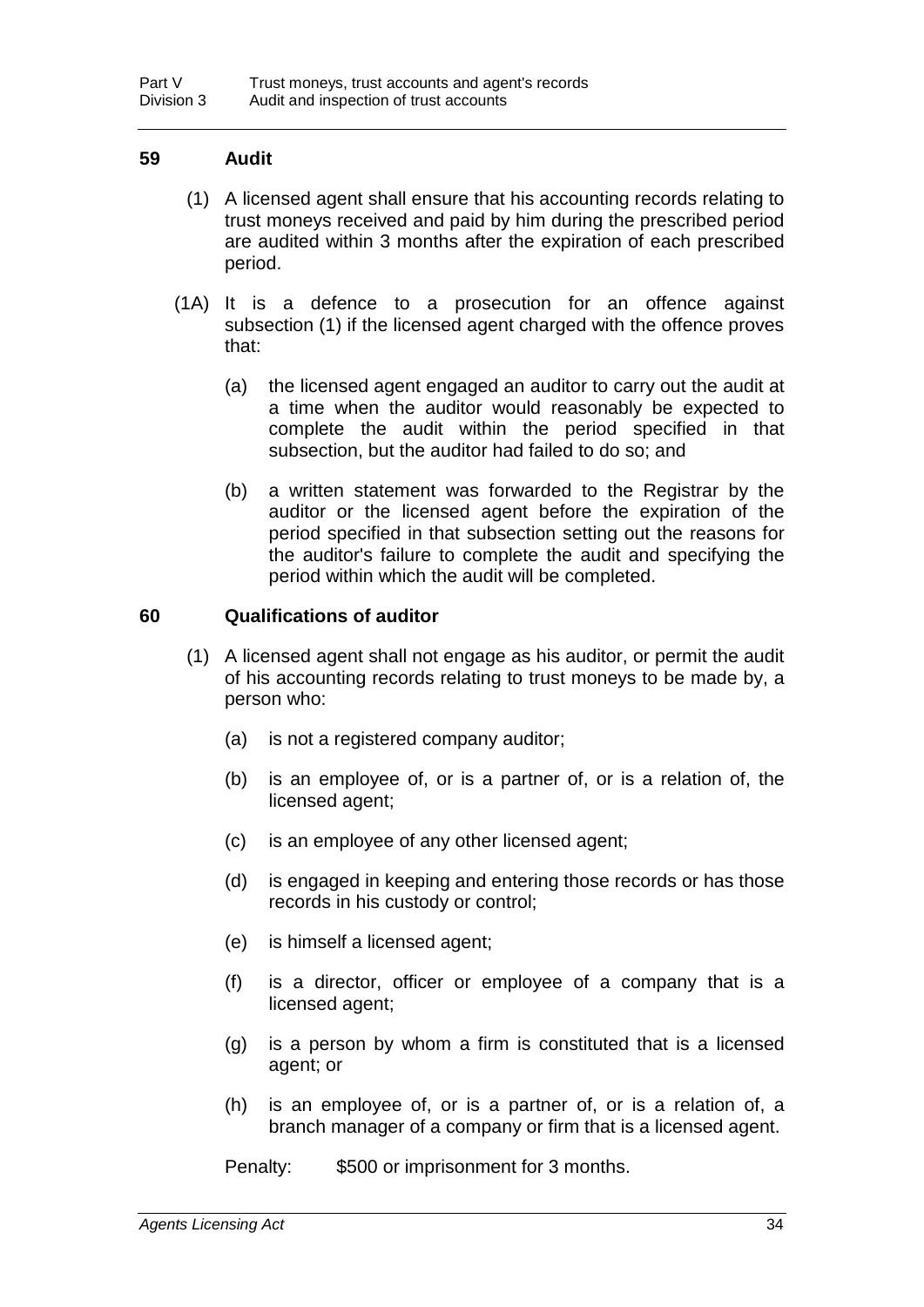## **59 Audit**

- (1) A licensed agent shall ensure that his accounting records relating to trust moneys received and paid by him during the prescribed period are audited within 3 months after the expiration of each prescribed period.
- (1A) It is a defence to a prosecution for an offence against subsection (1) if the licensed agent charged with the offence proves that:
	- (a) the licensed agent engaged an auditor to carry out the audit at a time when the auditor would reasonably be expected to complete the audit within the period specified in that subsection, but the auditor had failed to do so; and
	- (b) a written statement was forwarded to the Registrar by the auditor or the licensed agent before the expiration of the period specified in that subsection setting out the reasons for the auditor's failure to complete the audit and specifying the period within which the audit will be completed.

## **60 Qualifications of auditor**

- (1) A licensed agent shall not engage as his auditor, or permit the audit of his accounting records relating to trust moneys to be made by, a person who:
	- (a) is not a registered company auditor;
	- (b) is an employee of, or is a partner of, or is a relation of, the licensed agent;
	- (c) is an employee of any other licensed agent;
	- (d) is engaged in keeping and entering those records or has those records in his custody or control;
	- (e) is himself a licensed agent;
	- (f) is a director, officer or employee of a company that is a licensed agent;
	- (g) is a person by whom a firm is constituted that is a licensed agent; or
	- (h) is an employee of, or is a partner of, or is a relation of, a branch manager of a company or firm that is a licensed agent.

Penalty: \$500 or imprisonment for 3 months.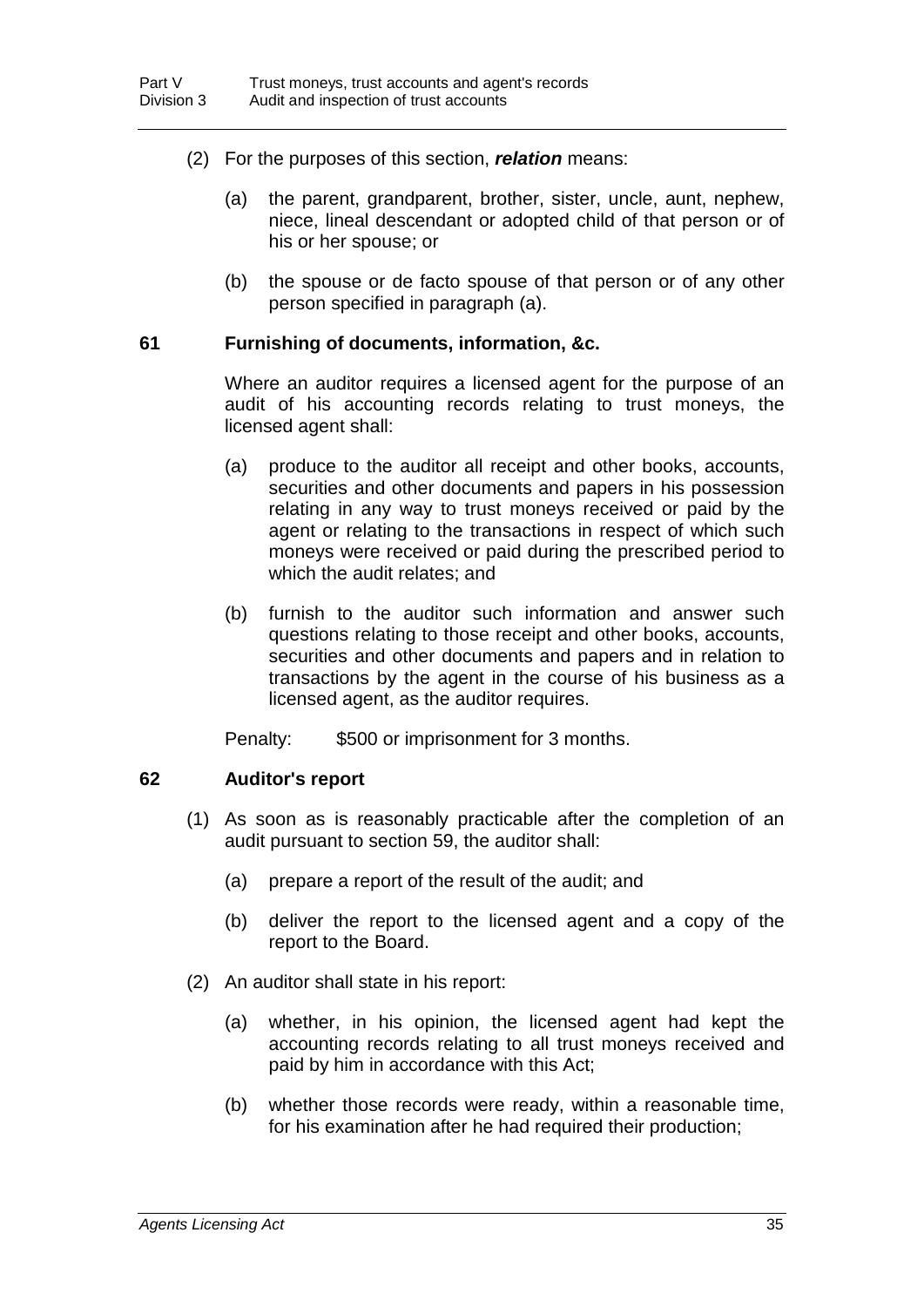- (2) For the purposes of this section, *relation* means:
	- (a) the parent, grandparent, brother, sister, uncle, aunt, nephew, niece, lineal descendant or adopted child of that person or of his or her spouse; or
	- (b) the spouse or de facto spouse of that person or of any other person specified in paragraph (a).

#### **61 Furnishing of documents, information, &c.**

Where an auditor requires a licensed agent for the purpose of an audit of his accounting records relating to trust moneys, the licensed agent shall:

- (a) produce to the auditor all receipt and other books, accounts, securities and other documents and papers in his possession relating in any way to trust moneys received or paid by the agent or relating to the transactions in respect of which such moneys were received or paid during the prescribed period to which the audit relates; and
- (b) furnish to the auditor such information and answer such questions relating to those receipt and other books, accounts, securities and other documents and papers and in relation to transactions by the agent in the course of his business as a licensed agent, as the auditor requires.

Penalty: \$500 or imprisonment for 3 months.

## **62 Auditor's report**

- (1) As soon as is reasonably practicable after the completion of an audit pursuant to section 59, the auditor shall:
	- (a) prepare a report of the result of the audit; and
	- (b) deliver the report to the licensed agent and a copy of the report to the Board.
- (2) An auditor shall state in his report:
	- (a) whether, in his opinion, the licensed agent had kept the accounting records relating to all trust moneys received and paid by him in accordance with this Act;
	- (b) whether those records were ready, within a reasonable time, for his examination after he had required their production;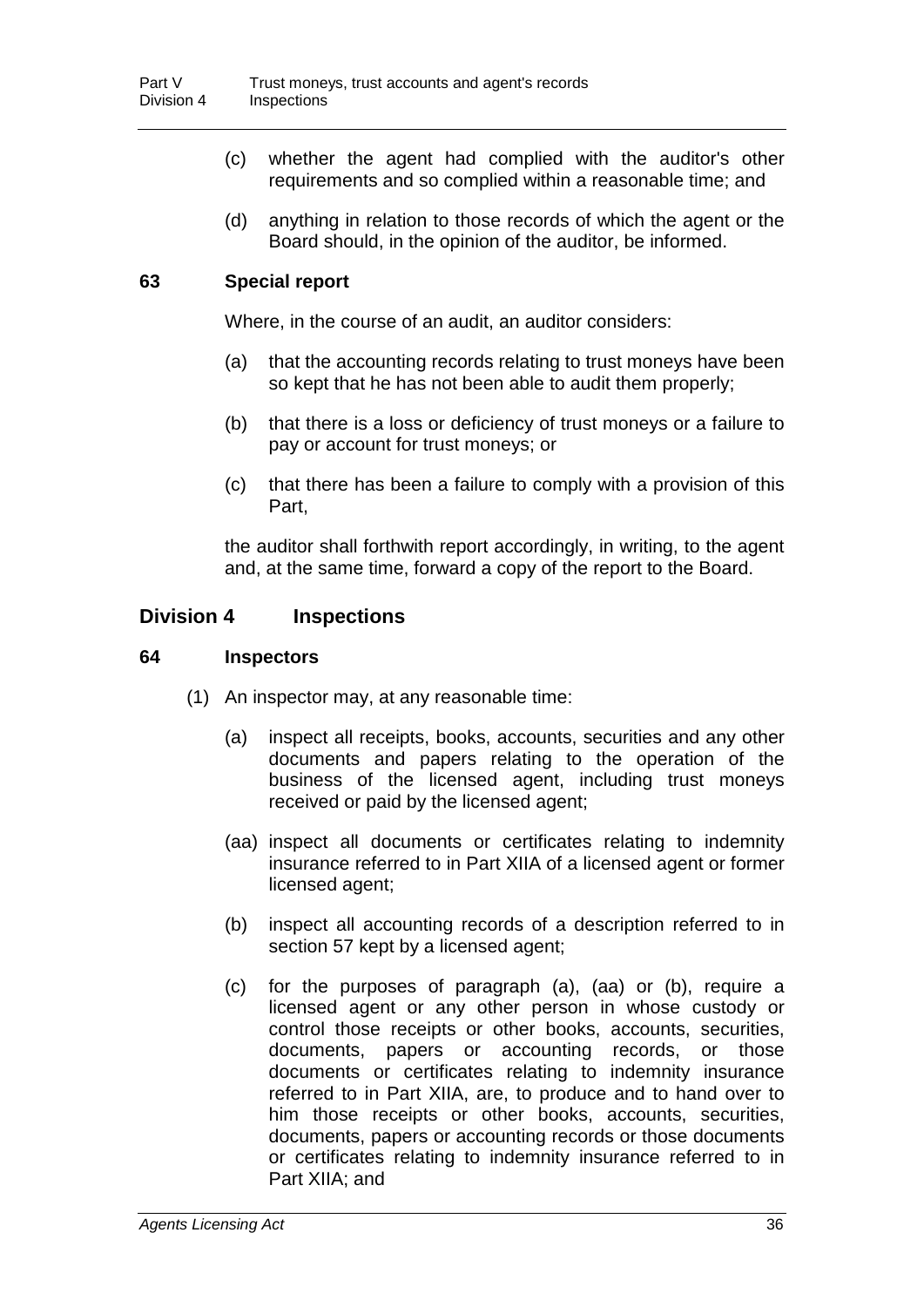- (c) whether the agent had complied with the auditor's other requirements and so complied within a reasonable time; and
- (d) anything in relation to those records of which the agent or the Board should, in the opinion of the auditor, be informed.

## **63 Special report**

Where, in the course of an audit, an auditor considers:

- (a) that the accounting records relating to trust moneys have been so kept that he has not been able to audit them properly;
- (b) that there is a loss or deficiency of trust moneys or a failure to pay or account for trust moneys; or
- (c) that there has been a failure to comply with a provision of this Part,

the auditor shall forthwith report accordingly, in writing, to the agent and, at the same time, forward a copy of the report to the Board.

## **Division 4 Inspections**

### **64 Inspectors**

- (1) An inspector may, at any reasonable time:
	- (a) inspect all receipts, books, accounts, securities and any other documents and papers relating to the operation of the business of the licensed agent, including trust moneys received or paid by the licensed agent;
	- (aa) inspect all documents or certificates relating to indemnity insurance referred to in Part XIIA of a licensed agent or former licensed agent;
	- (b) inspect all accounting records of a description referred to in section 57 kept by a licensed agent;
	- (c) for the purposes of paragraph (a), (aa) or (b), require a licensed agent or any other person in whose custody or control those receipts or other books, accounts, securities, documents, papers or accounting records, or those documents or certificates relating to indemnity insurance referred to in Part XIIA, are, to produce and to hand over to him those receipts or other books, accounts, securities, documents, papers or accounting records or those documents or certificates relating to indemnity insurance referred to in Part XIIA; and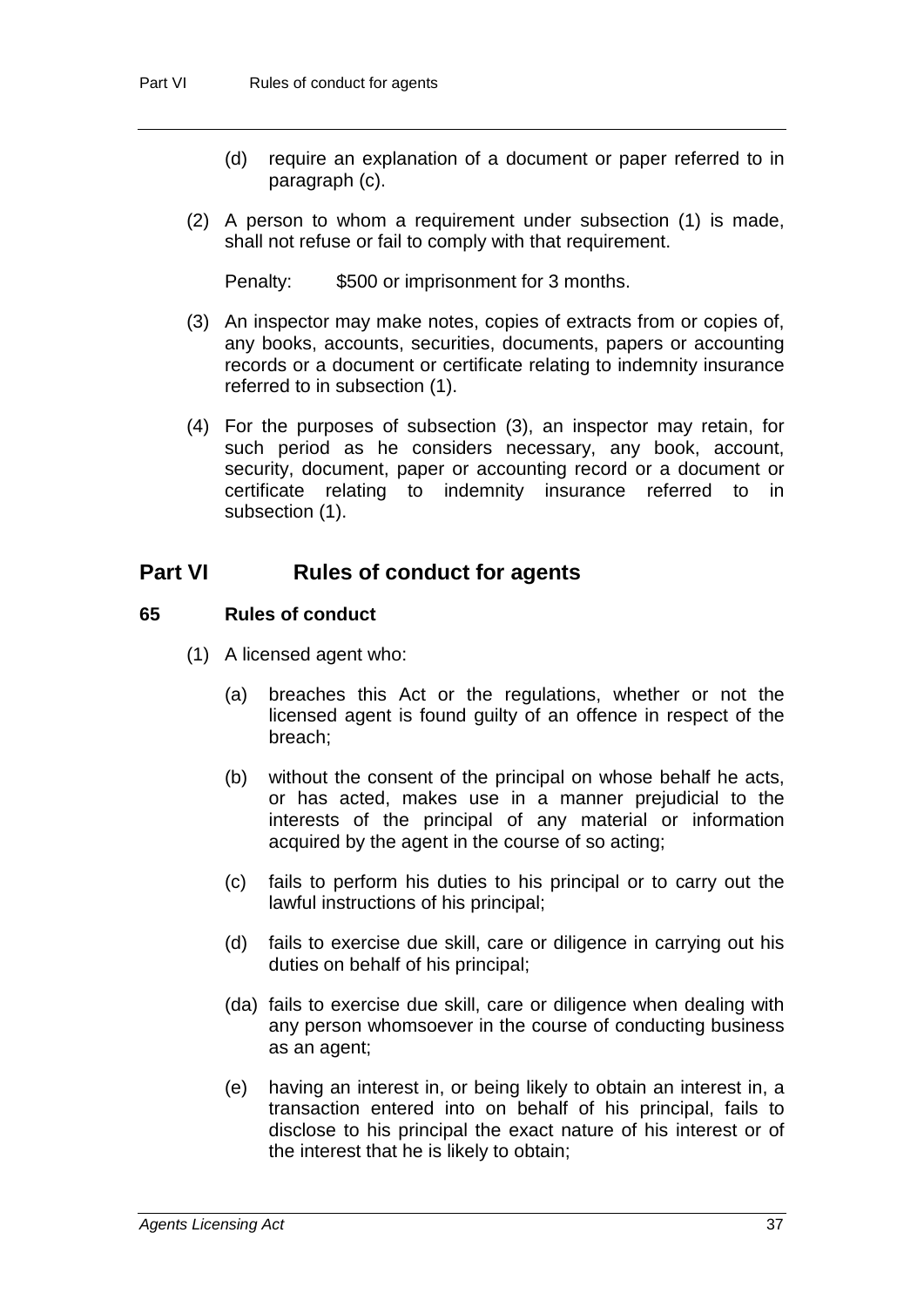- (d) require an explanation of a document or paper referred to in paragraph (c).
- (2) A person to whom a requirement under subsection (1) is made, shall not refuse or fail to comply with that requirement.

Penalty: \$500 or imprisonment for 3 months.

- (3) An inspector may make notes, copies of extracts from or copies of, any books, accounts, securities, documents, papers or accounting records or a document or certificate relating to indemnity insurance referred to in subsection (1).
- (4) For the purposes of subsection (3), an inspector may retain, for such period as he considers necessary, any book, account, security, document, paper or accounting record or a document or certificate relating to indemnity insurance referred to in subsection (1).

# **Part VI Rules of conduct for agents**

## **65 Rules of conduct**

- (1) A licensed agent who:
	- (a) breaches this Act or the regulations, whether or not the licensed agent is found guilty of an offence in respect of the breach;
	- (b) without the consent of the principal on whose behalf he acts, or has acted, makes use in a manner prejudicial to the interests of the principal of any material or information acquired by the agent in the course of so acting;
	- (c) fails to perform his duties to his principal or to carry out the lawful instructions of his principal;
	- (d) fails to exercise due skill, care or diligence in carrying out his duties on behalf of his principal;
	- (da) fails to exercise due skill, care or diligence when dealing with any person whomsoever in the course of conducting business as an agent;
	- (e) having an interest in, or being likely to obtain an interest in, a transaction entered into on behalf of his principal, fails to disclose to his principal the exact nature of his interest or of the interest that he is likely to obtain;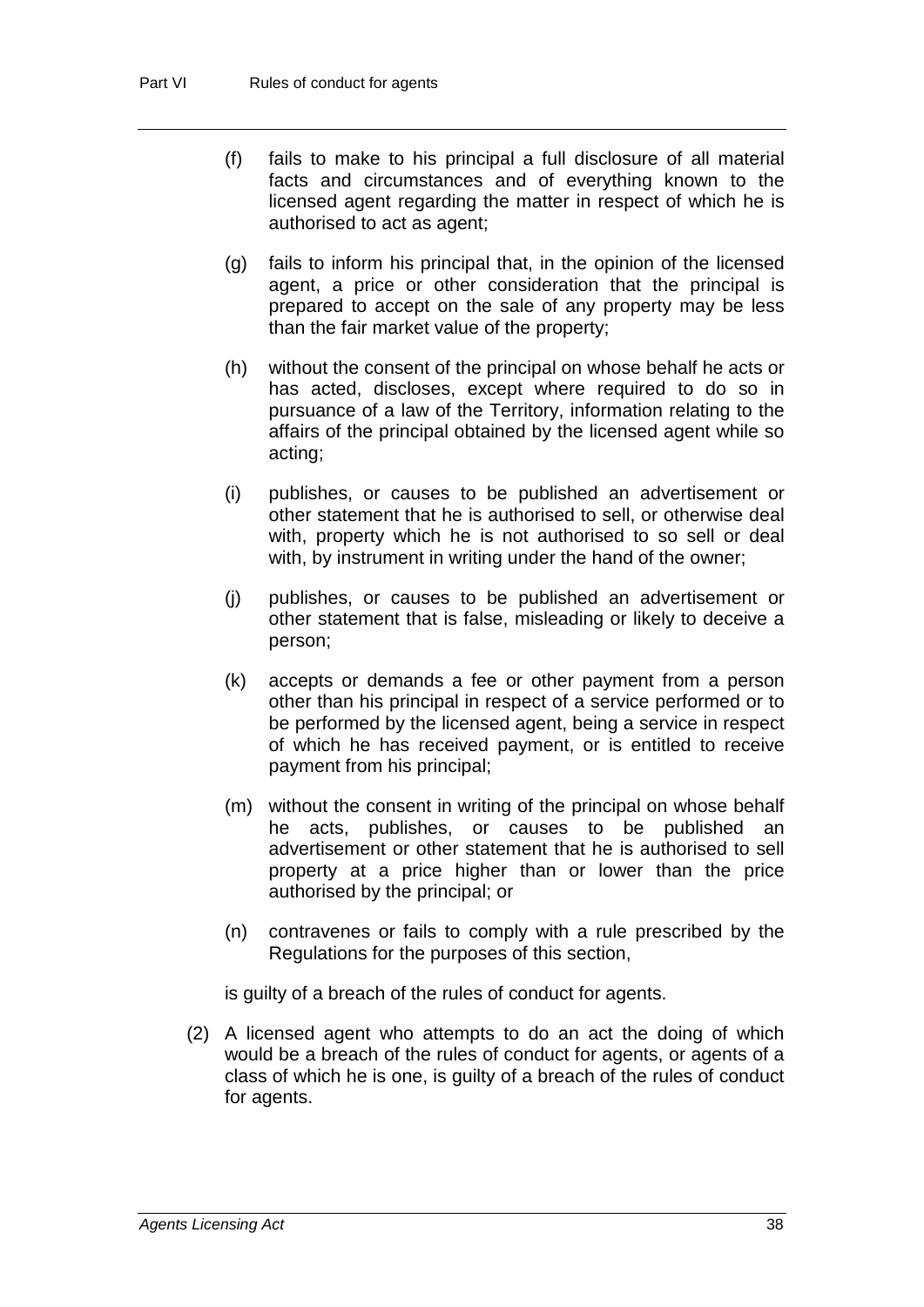- (f) fails to make to his principal a full disclosure of all material facts and circumstances and of everything known to the licensed agent regarding the matter in respect of which he is authorised to act as agent;
- (g) fails to inform his principal that, in the opinion of the licensed agent, a price or other consideration that the principal is prepared to accept on the sale of any property may be less than the fair market value of the property;
- (h) without the consent of the principal on whose behalf he acts or has acted, discloses, except where required to do so in pursuance of a law of the Territory, information relating to the affairs of the principal obtained by the licensed agent while so acting;
- (i) publishes, or causes to be published an advertisement or other statement that he is authorised to sell, or otherwise deal with, property which he is not authorised to so sell or deal with, by instrument in writing under the hand of the owner;
- (j) publishes, or causes to be published an advertisement or other statement that is false, misleading or likely to deceive a person;
- (k) accepts or demands a fee or other payment from a person other than his principal in respect of a service performed or to be performed by the licensed agent, being a service in respect of which he has received payment, or is entitled to receive payment from his principal;
- (m) without the consent in writing of the principal on whose behalf he acts, publishes, or causes to be published an advertisement or other statement that he is authorised to sell property at a price higher than or lower than the price authorised by the principal; or
- (n) contravenes or fails to comply with a rule prescribed by the Regulations for the purposes of this section,

is guilty of a breach of the rules of conduct for agents.

(2) A licensed agent who attempts to do an act the doing of which would be a breach of the rules of conduct for agents, or agents of a class of which he is one, is guilty of a breach of the rules of conduct for agents.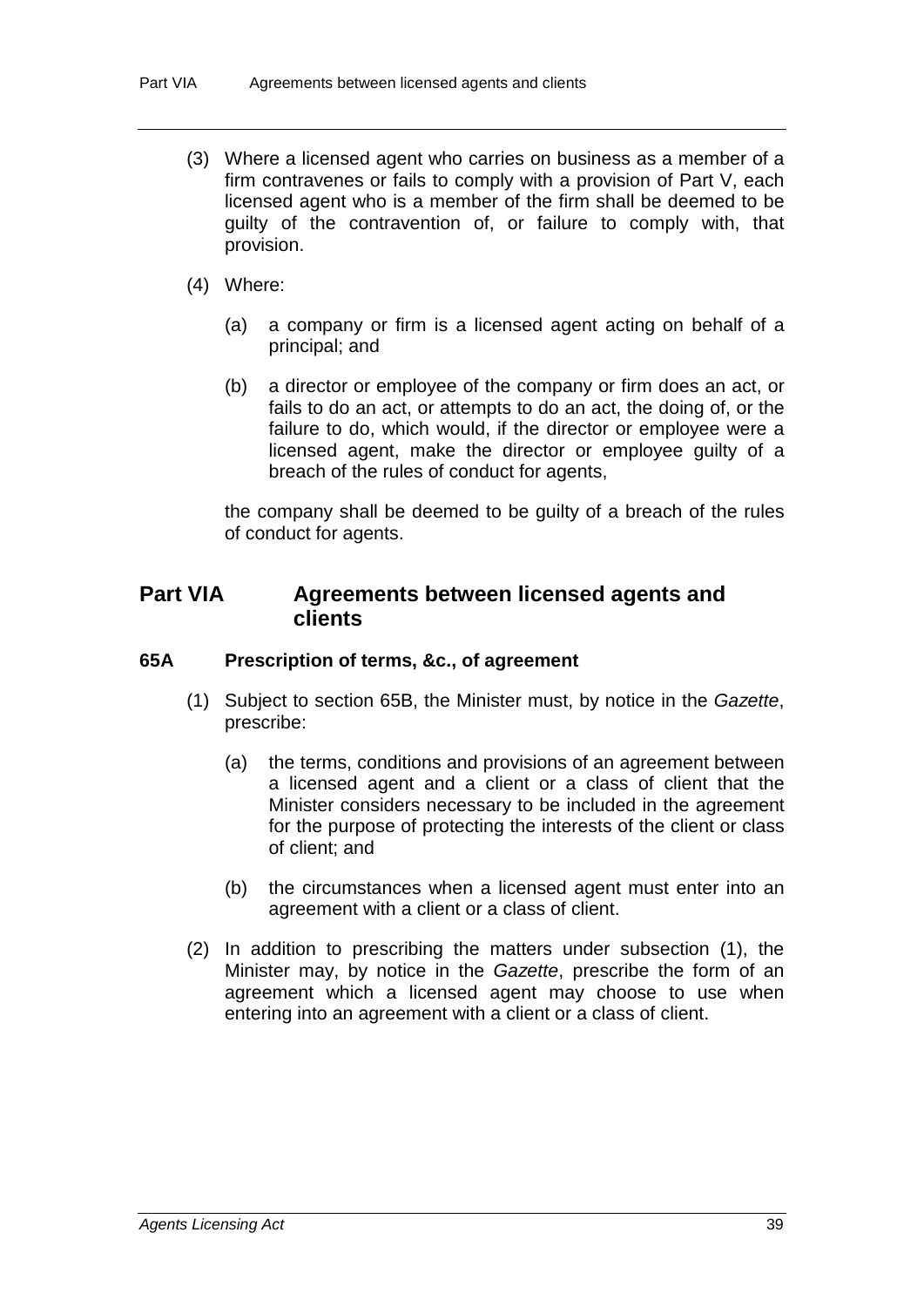- (3) Where a licensed agent who carries on business as a member of a firm contravenes or fails to comply with a provision of Part V, each licensed agent who is a member of the firm shall be deemed to be guilty of the contravention of, or failure to comply with, that provision.
- (4) Where:
	- (a) a company or firm is a licensed agent acting on behalf of a principal; and
	- (b) a director or employee of the company or firm does an act, or fails to do an act, or attempts to do an act, the doing of, or the failure to do, which would, if the director or employee were a licensed agent, make the director or employee guilty of a breach of the rules of conduct for agents,

the company shall be deemed to be guilty of a breach of the rules of conduct for agents.

# **Part VIA Agreements between licensed agents and clients**

## **65A Prescription of terms, &c., of agreement**

- (1) Subject to section 65B, the Minister must, by notice in the *Gazette*, prescribe:
	- (a) the terms, conditions and provisions of an agreement between a licensed agent and a client or a class of client that the Minister considers necessary to be included in the agreement for the purpose of protecting the interests of the client or class of client; and
	- (b) the circumstances when a licensed agent must enter into an agreement with a client or a class of client.
- (2) In addition to prescribing the matters under subsection (1), the Minister may, by notice in the *Gazette*, prescribe the form of an agreement which a licensed agent may choose to use when entering into an agreement with a client or a class of client.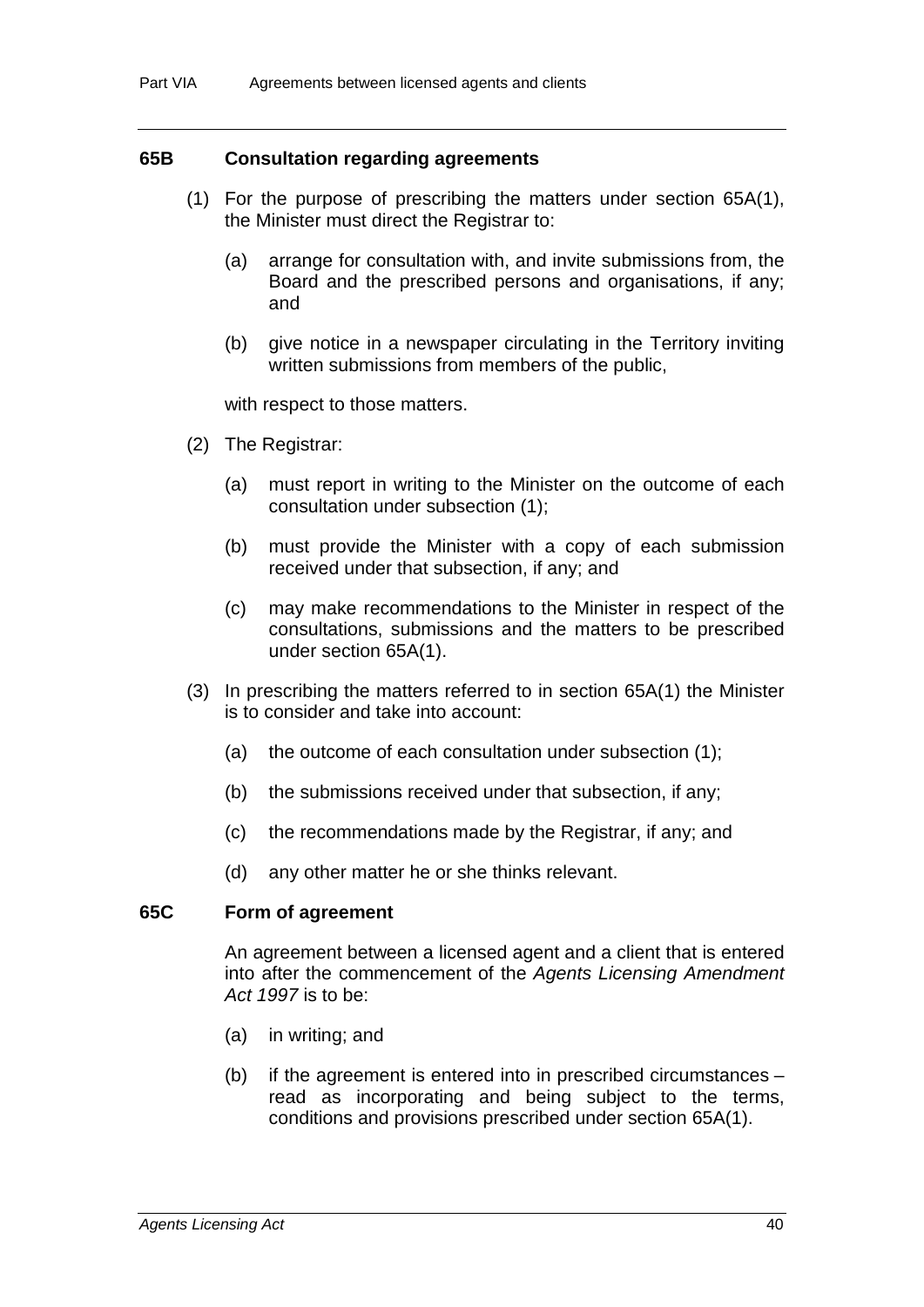#### **65B Consultation regarding agreements**

- (1) For the purpose of prescribing the matters under section 65A(1), the Minister must direct the Registrar to:
	- (a) arrange for consultation with, and invite submissions from, the Board and the prescribed persons and organisations, if any; and
	- (b) give notice in a newspaper circulating in the Territory inviting written submissions from members of the public,

with respect to those matters.

- (2) The Registrar:
	- (a) must report in writing to the Minister on the outcome of each consultation under subsection (1);
	- (b) must provide the Minister with a copy of each submission received under that subsection, if any; and
	- (c) may make recommendations to the Minister in respect of the consultations, submissions and the matters to be prescribed under section 65A(1).
- (3) In prescribing the matters referred to in section 65A(1) the Minister is to consider and take into account:
	- (a) the outcome of each consultation under subsection (1);
	- (b) the submissions received under that subsection, if any;
	- (c) the recommendations made by the Registrar, if any; and
	- (d) any other matter he or she thinks relevant.

## **65C Form of agreement**

An agreement between a licensed agent and a client that is entered into after the commencement of the *Agents Licensing Amendment Act 1997* is to be:

- (a) in writing; and
- (b) if the agreement is entered into in prescribed circumstances read as incorporating and being subject to the terms, conditions and provisions prescribed under section 65A(1).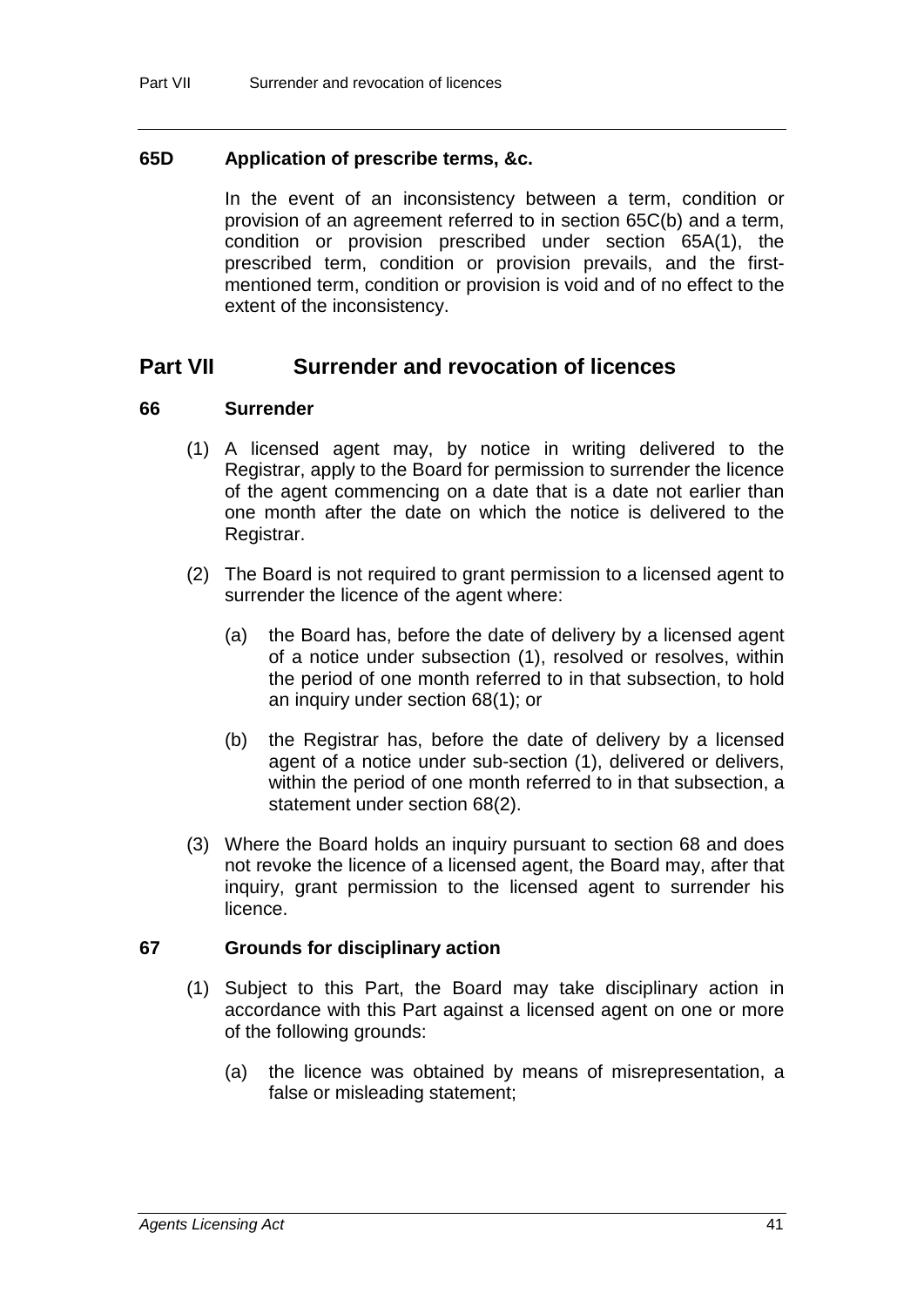## **65D Application of prescribe terms, &c.**

In the event of an inconsistency between a term, condition or provision of an agreement referred to in section 65C(b) and a term, condition or provision prescribed under section 65A(1), the prescribed term, condition or provision prevails, and the firstmentioned term, condition or provision is void and of no effect to the extent of the inconsistency.

# **Part VII Surrender and revocation of licences**

## **66 Surrender**

- (1) A licensed agent may, by notice in writing delivered to the Registrar, apply to the Board for permission to surrender the licence of the agent commencing on a date that is a date not earlier than one month after the date on which the notice is delivered to the Registrar.
- (2) The Board is not required to grant permission to a licensed agent to surrender the licence of the agent where:
	- (a) the Board has, before the date of delivery by a licensed agent of a notice under subsection (1), resolved or resolves, within the period of one month referred to in that subsection, to hold an inquiry under section 68(1); or
	- (b) the Registrar has, before the date of delivery by a licensed agent of a notice under sub-section (1), delivered or delivers, within the period of one month referred to in that subsection, a statement under section 68(2).
- (3) Where the Board holds an inquiry pursuant to section 68 and does not revoke the licence of a licensed agent, the Board may, after that inquiry, grant permission to the licensed agent to surrender his licence.

## **67 Grounds for disciplinary action**

- (1) Subject to this Part, the Board may take disciplinary action in accordance with this Part against a licensed agent on one or more of the following grounds:
	- (a) the licence was obtained by means of misrepresentation, a false or misleading statement;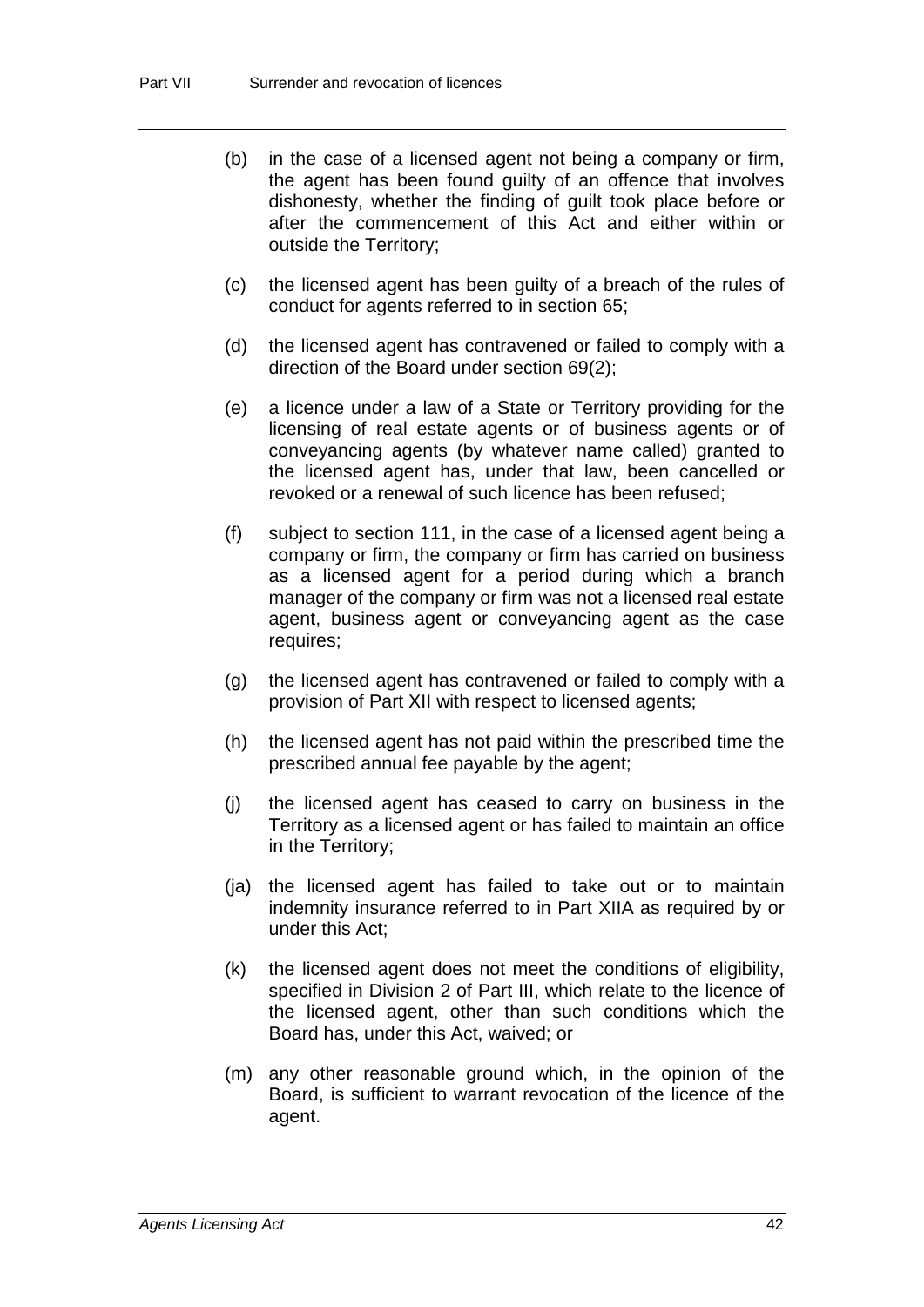- (b) in the case of a licensed agent not being a company or firm, the agent has been found guilty of an offence that involves dishonesty, whether the finding of guilt took place before or after the commencement of this Act and either within or outside the Territory;
- (c) the licensed agent has been guilty of a breach of the rules of conduct for agents referred to in section 65;
- (d) the licensed agent has contravened or failed to comply with a direction of the Board under section 69(2);
- (e) a licence under a law of a State or Territory providing for the licensing of real estate agents or of business agents or of conveyancing agents (by whatever name called) granted to the licensed agent has, under that law, been cancelled or revoked or a renewal of such licence has been refused;
- (f) subject to section 111, in the case of a licensed agent being a company or firm, the company or firm has carried on business as a licensed agent for a period during which a branch manager of the company or firm was not a licensed real estate agent, business agent or conveyancing agent as the case requires;
- (g) the licensed agent has contravened or failed to comply with a provision of Part XII with respect to licensed agents;
- (h) the licensed agent has not paid within the prescribed time the prescribed annual fee payable by the agent;
- (j) the licensed agent has ceased to carry on business in the Territory as a licensed agent or has failed to maintain an office in the Territory;
- (ja) the licensed agent has failed to take out or to maintain indemnity insurance referred to in Part XIIA as required by or under this Act;
- (k) the licensed agent does not meet the conditions of eligibility, specified in Division 2 of Part III, which relate to the licence of the licensed agent, other than such conditions which the Board has, under this Act, waived; or
- (m) any other reasonable ground which, in the opinion of the Board, is sufficient to warrant revocation of the licence of the agent.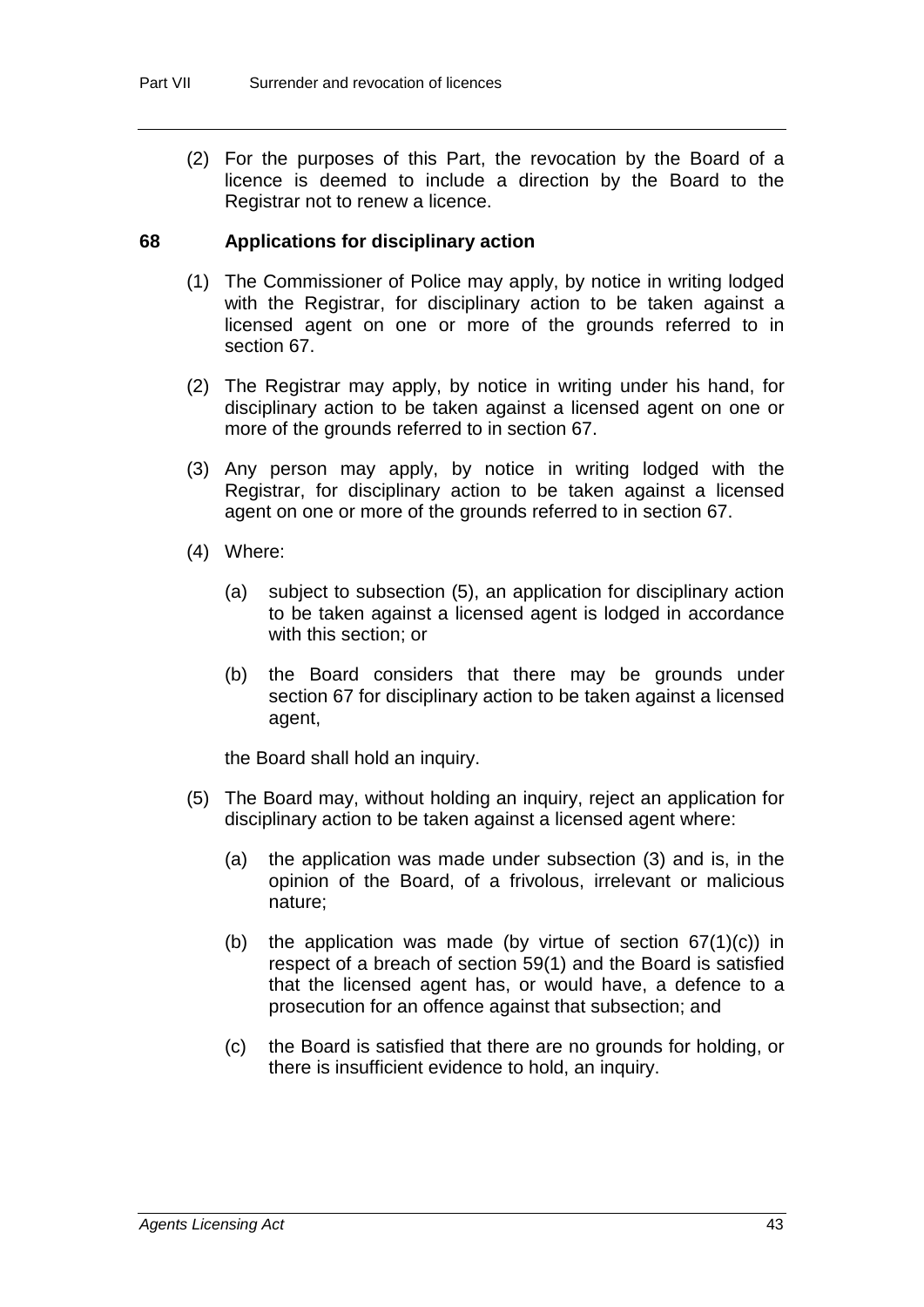(2) For the purposes of this Part, the revocation by the Board of a licence is deemed to include a direction by the Board to the Registrar not to renew a licence.

### **68 Applications for disciplinary action**

- (1) The Commissioner of Police may apply, by notice in writing lodged with the Registrar, for disciplinary action to be taken against a licensed agent on one or more of the grounds referred to in section 67.
- (2) The Registrar may apply, by notice in writing under his hand, for disciplinary action to be taken against a licensed agent on one or more of the grounds referred to in section 67.
- (3) Any person may apply, by notice in writing lodged with the Registrar, for disciplinary action to be taken against a licensed agent on one or more of the grounds referred to in section 67.
- (4) Where:
	- (a) subject to subsection (5), an application for disciplinary action to be taken against a licensed agent is lodged in accordance with this section; or
	- (b) the Board considers that there may be grounds under section 67 for disciplinary action to be taken against a licensed agent,

the Board shall hold an inquiry.

- (5) The Board may, without holding an inquiry, reject an application for disciplinary action to be taken against a licensed agent where:
	- (a) the application was made under subsection (3) and is, in the opinion of the Board, of a frivolous, irrelevant or malicious nature;
	- (b) the application was made (by virtue of section  $67(1)(c)$ ) in respect of a breach of section 59(1) and the Board is satisfied that the licensed agent has, or would have, a defence to a prosecution for an offence against that subsection; and
	- (c) the Board is satisfied that there are no grounds for holding, or there is insufficient evidence to hold, an inquiry.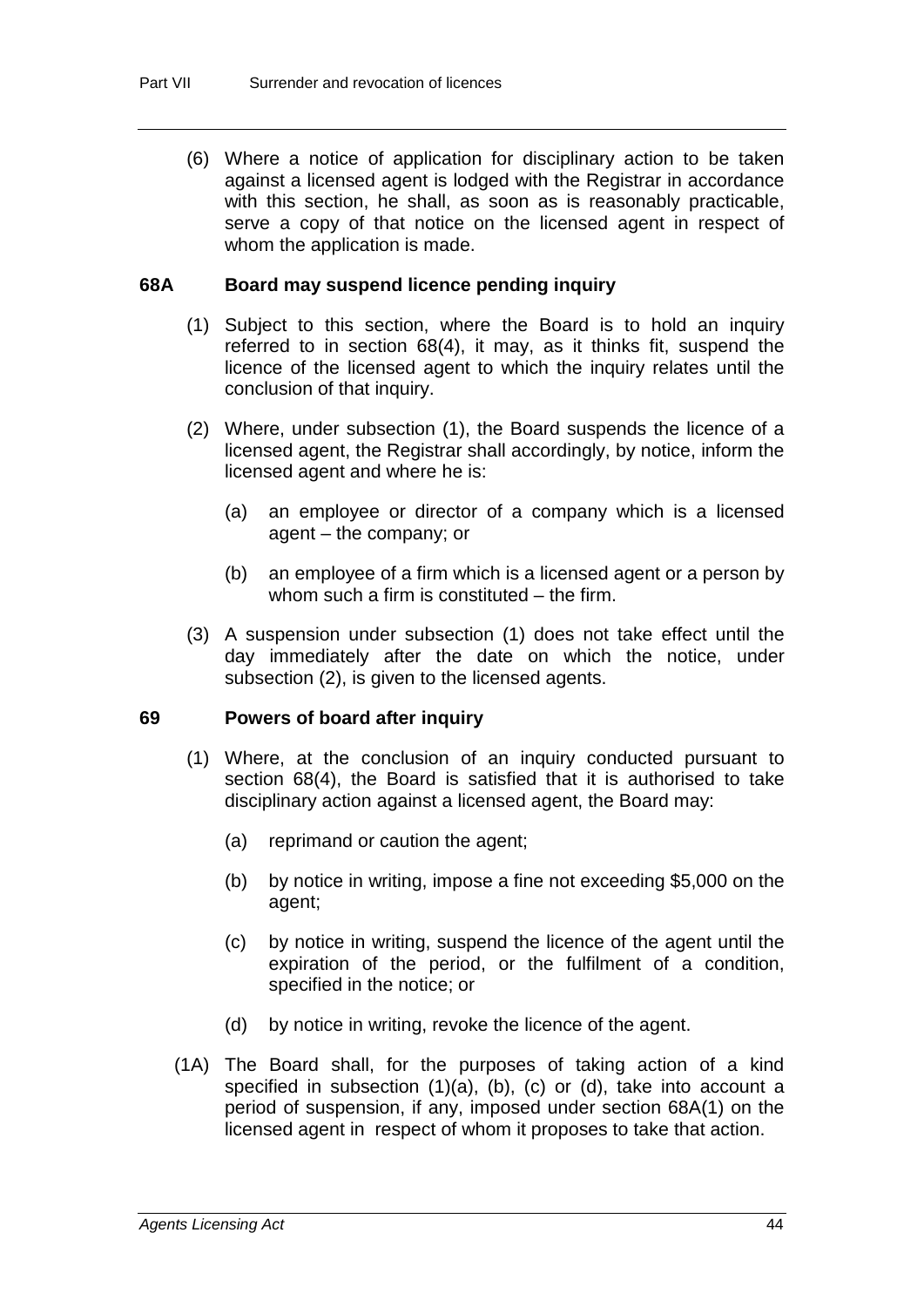(6) Where a notice of application for disciplinary action to be taken against a licensed agent is lodged with the Registrar in accordance with this section, he shall, as soon as is reasonably practicable, serve a copy of that notice on the licensed agent in respect of whom the application is made.

#### **68A Board may suspend licence pending inquiry**

- (1) Subject to this section, where the Board is to hold an inquiry referred to in section 68(4), it may, as it thinks fit, suspend the licence of the licensed agent to which the inquiry relates until the conclusion of that inquiry.
- (2) Where, under subsection (1), the Board suspends the licence of a licensed agent, the Registrar shall accordingly, by notice, inform the licensed agent and where he is:
	- (a) an employee or director of a company which is a licensed agent – the company; or
	- (b) an employee of a firm which is a licensed agent or a person by whom such a firm is constituted – the firm.
- (3) A suspension under subsection (1) does not take effect until the day immediately after the date on which the notice, under subsection (2), is given to the licensed agents.

#### **69 Powers of board after inquiry**

- (1) Where, at the conclusion of an inquiry conducted pursuant to section 68(4), the Board is satisfied that it is authorised to take disciplinary action against a licensed agent, the Board may:
	- (a) reprimand or caution the agent;
	- (b) by notice in writing, impose a fine not exceeding \$5,000 on the agent;
	- (c) by notice in writing, suspend the licence of the agent until the expiration of the period, or the fulfilment of a condition, specified in the notice; or
	- (d) by notice in writing, revoke the licence of the agent.
- (1A) The Board shall, for the purposes of taking action of a kind specified in subsection (1)(a), (b), (c) or (d), take into account a period of suspension, if any, imposed under section 68A(1) on the licensed agent in respect of whom it proposes to take that action.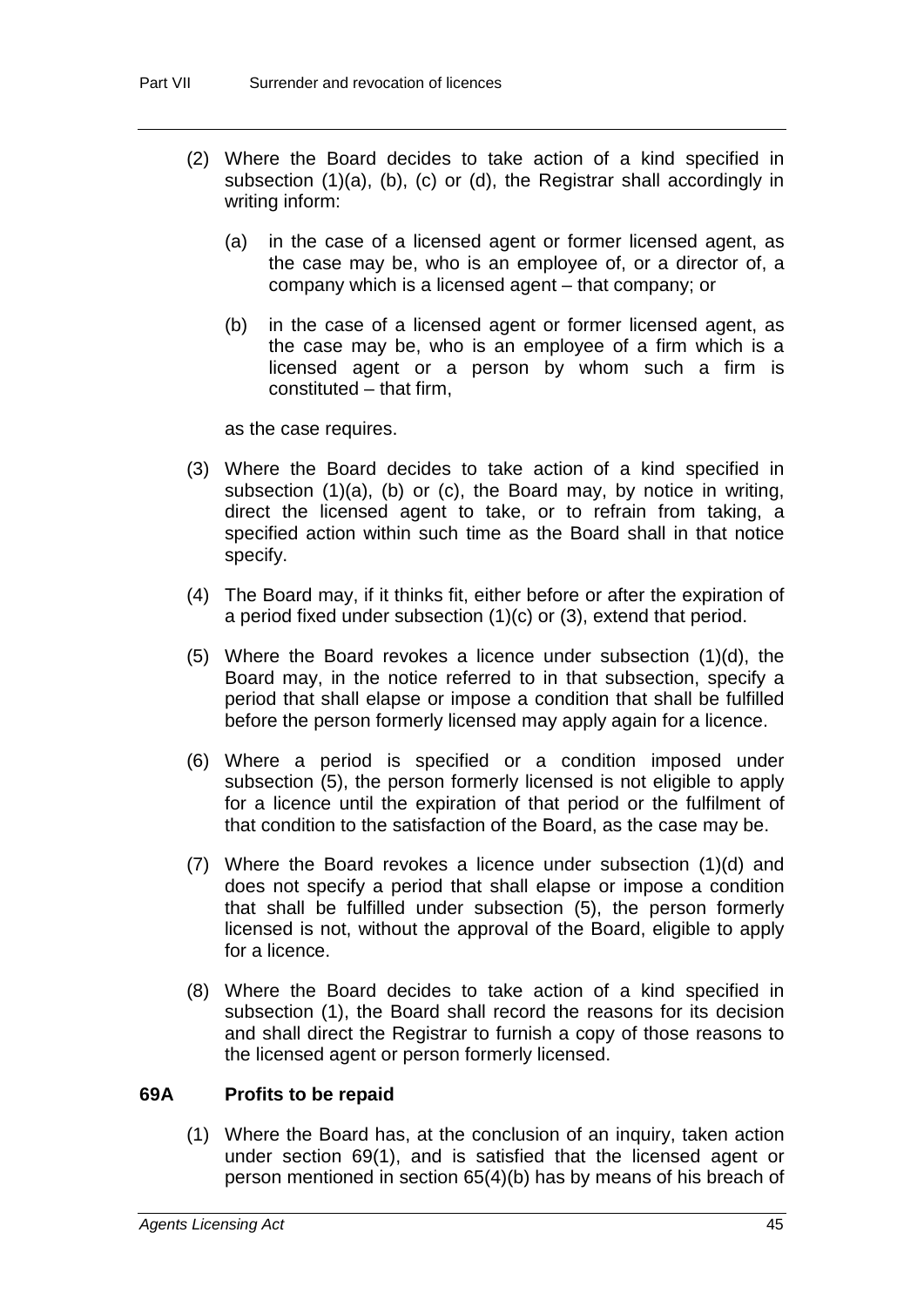- (2) Where the Board decides to take action of a kind specified in subsection (1)(a), (b), (c) or (d), the Registrar shall accordingly in writing inform:
	- (a) in the case of a licensed agent or former licensed agent, as the case may be, who is an employee of, or a director of, a company which is a licensed agent – that company; or
	- (b) in the case of a licensed agent or former licensed agent, as the case may be, who is an employee of a firm which is a licensed agent or a person by whom such a firm is constituted – that firm,

as the case requires.

- (3) Where the Board decides to take action of a kind specified in subsection (1)(a), (b) or (c), the Board may, by notice in writing, direct the licensed agent to take, or to refrain from taking, a specified action within such time as the Board shall in that notice specify.
- (4) The Board may, if it thinks fit, either before or after the expiration of a period fixed under subsection (1)(c) or (3), extend that period.
- (5) Where the Board revokes a licence under subsection (1)(d), the Board may, in the notice referred to in that subsection, specify a period that shall elapse or impose a condition that shall be fulfilled before the person formerly licensed may apply again for a licence.
- (6) Where a period is specified or a condition imposed under subsection (5), the person formerly licensed is not eligible to apply for a licence until the expiration of that period or the fulfilment of that condition to the satisfaction of the Board, as the case may be.
- (7) Where the Board revokes a licence under subsection (1)(d) and does not specify a period that shall elapse or impose a condition that shall be fulfilled under subsection (5), the person formerly licensed is not, without the approval of the Board, eligible to apply for a licence.
- (8) Where the Board decides to take action of a kind specified in subsection (1), the Board shall record the reasons for its decision and shall direct the Registrar to furnish a copy of those reasons to the licensed agent or person formerly licensed.

## **69A Profits to be repaid**

(1) Where the Board has, at the conclusion of an inquiry, taken action under section 69(1), and is satisfied that the licensed agent or person mentioned in section 65(4)(b) has by means of his breach of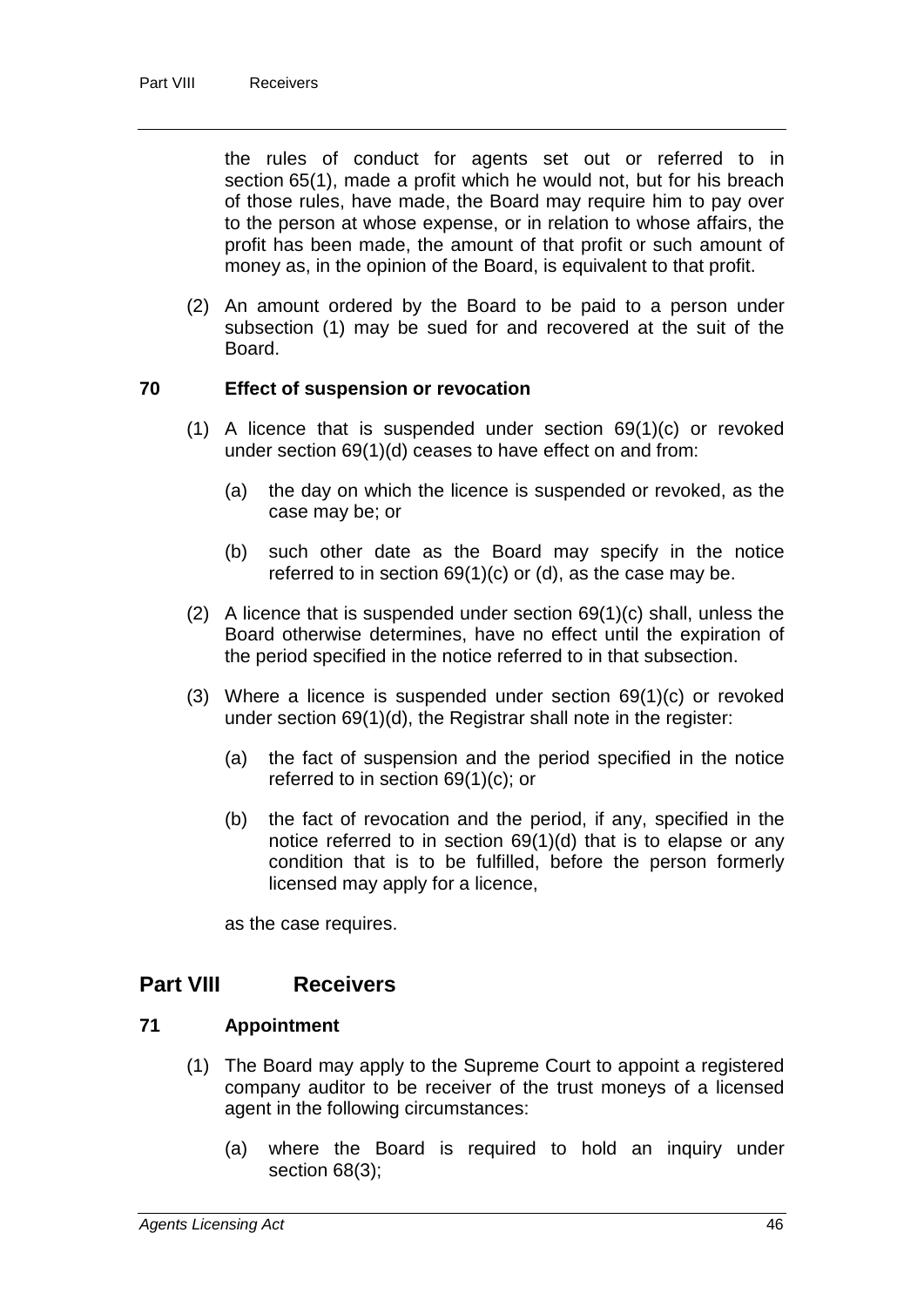the rules of conduct for agents set out or referred to in section 65(1), made a profit which he would not, but for his breach of those rules, have made, the Board may require him to pay over to the person at whose expense, or in relation to whose affairs, the profit has been made, the amount of that profit or such amount of money as, in the opinion of the Board, is equivalent to that profit.

(2) An amount ordered by the Board to be paid to a person under subsection (1) may be sued for and recovered at the suit of the Board.

## **70 Effect of suspension or revocation**

- (1) A licence that is suspended under section 69(1)(c) or revoked under section 69(1)(d) ceases to have effect on and from:
	- (a) the day on which the licence is suspended or revoked, as the case may be; or
	- (b) such other date as the Board may specify in the notice referred to in section 69(1)(c) or (d), as the case may be.
- (2) A licence that is suspended under section  $69(1)(c)$  shall, unless the Board otherwise determines, have no effect until the expiration of the period specified in the notice referred to in that subsection.
- (3) Where a licence is suspended under section 69(1)(c) or revoked under section 69(1)(d), the Registrar shall note in the register:
	- (a) the fact of suspension and the period specified in the notice referred to in section 69(1)(c); or
	- (b) the fact of revocation and the period, if any, specified in the notice referred to in section 69(1)(d) that is to elapse or any condition that is to be fulfilled, before the person formerly licensed may apply for a licence,

as the case requires.

# **Part VIII Receivers**

## **71 Appointment**

- (1) The Board may apply to the Supreme Court to appoint a registered company auditor to be receiver of the trust moneys of a licensed agent in the following circumstances:
	- (a) where the Board is required to hold an inquiry under section 68(3);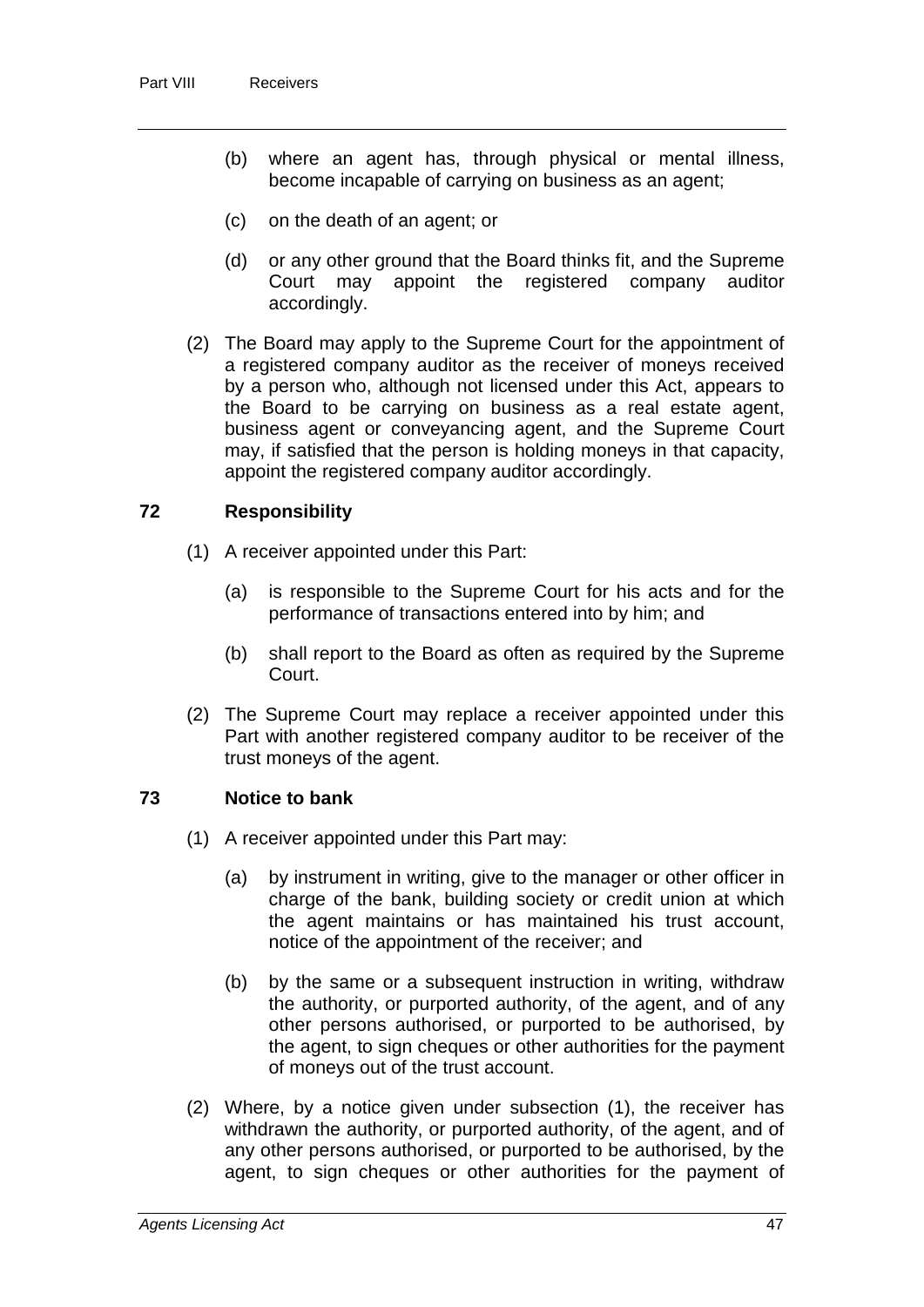- (b) where an agent has, through physical or mental illness, become incapable of carrying on business as an agent;
- (c) on the death of an agent; or
- (d) or any other ground that the Board thinks fit, and the Supreme appoint the registered company accordingly.
- (2) The Board may apply to the Supreme Court for the appointment of a registered company auditor as the receiver of moneys received by a person who, although not licensed under this Act, appears to the Board to be carrying on business as a real estate agent, business agent or conveyancing agent, and the Supreme Court may, if satisfied that the person is holding moneys in that capacity, appoint the registered company auditor accordingly.

## **72 Responsibility**

- (1) A receiver appointed under this Part:
	- (a) is responsible to the Supreme Court for his acts and for the performance of transactions entered into by him; and
	- (b) shall report to the Board as often as required by the Supreme Court.
- (2) The Supreme Court may replace a receiver appointed under this Part with another registered company auditor to be receiver of the trust moneys of the agent.

## **73 Notice to bank**

- (1) A receiver appointed under this Part may:
	- (a) by instrument in writing, give to the manager or other officer in charge of the bank, building society or credit union at which the agent maintains or has maintained his trust account, notice of the appointment of the receiver; and
	- (b) by the same or a subsequent instruction in writing, withdraw the authority, or purported authority, of the agent, and of any other persons authorised, or purported to be authorised, by the agent, to sign cheques or other authorities for the payment of moneys out of the trust account.
- (2) Where, by a notice given under subsection (1), the receiver has withdrawn the authority, or purported authority, of the agent, and of any other persons authorised, or purported to be authorised, by the agent, to sign cheques or other authorities for the payment of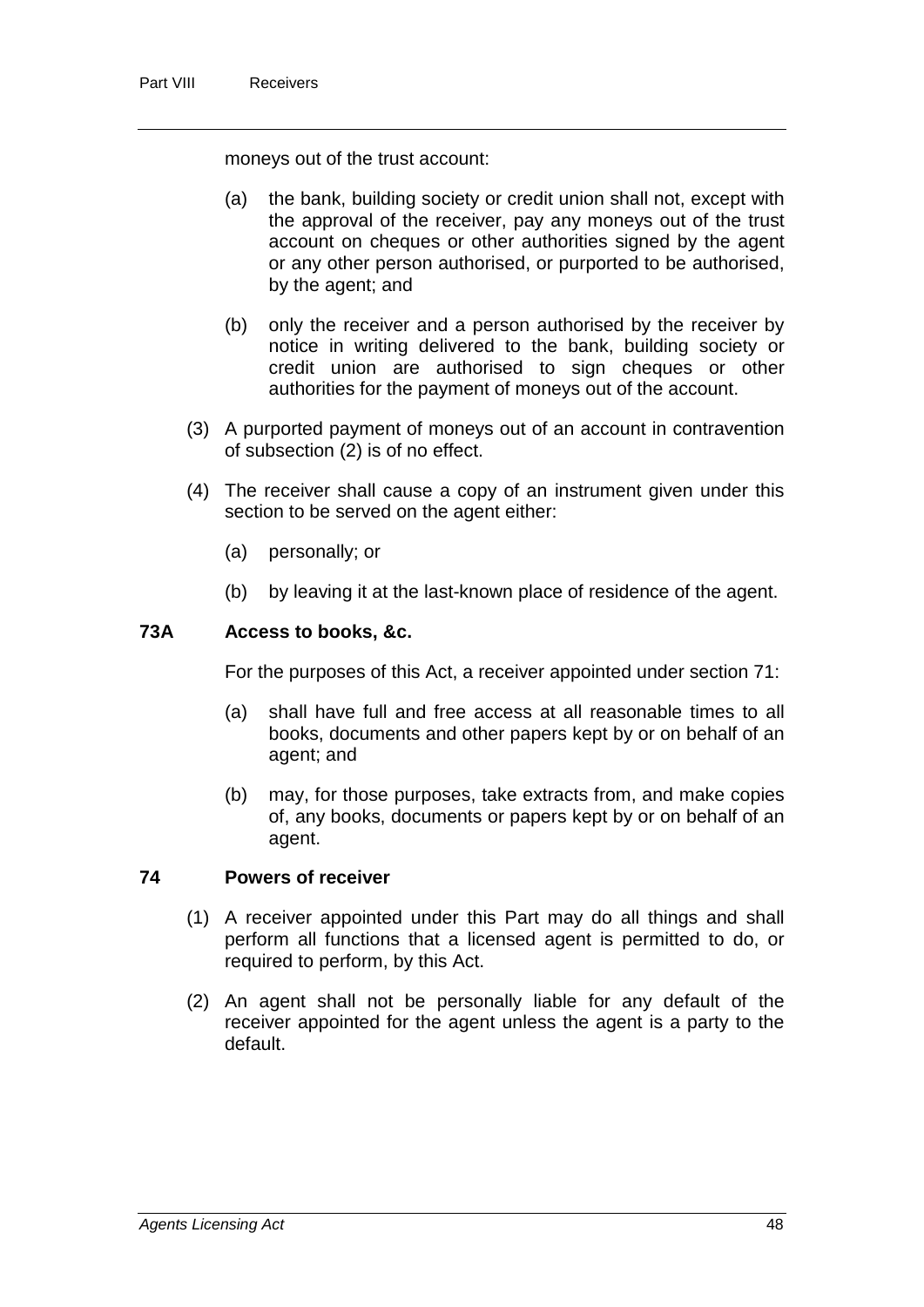moneys out of the trust account:

- (a) the bank, building society or credit union shall not, except with the approval of the receiver, pay any moneys out of the trust account on cheques or other authorities signed by the agent or any other person authorised, or purported to be authorised, by the agent; and
- (b) only the receiver and a person authorised by the receiver by notice in writing delivered to the bank, building society or credit union are authorised to sign cheques or other authorities for the payment of moneys out of the account.
- (3) A purported payment of moneys out of an account in contravention of subsection (2) is of no effect.
- (4) The receiver shall cause a copy of an instrument given under this section to be served on the agent either:
	- (a) personally; or
	- (b) by leaving it at the last-known place of residence of the agent.

#### **73A Access to books, &c.**

For the purposes of this Act, a receiver appointed under section 71:

- (a) shall have full and free access at all reasonable times to all books, documents and other papers kept by or on behalf of an agent; and
- (b) may, for those purposes, take extracts from, and make copies of, any books, documents or papers kept by or on behalf of an agent.

### **74 Powers of receiver**

- (1) A receiver appointed under this Part may do all things and shall perform all functions that a licensed agent is permitted to do, or required to perform, by this Act.
- (2) An agent shall not be personally liable for any default of the receiver appointed for the agent unless the agent is a party to the default.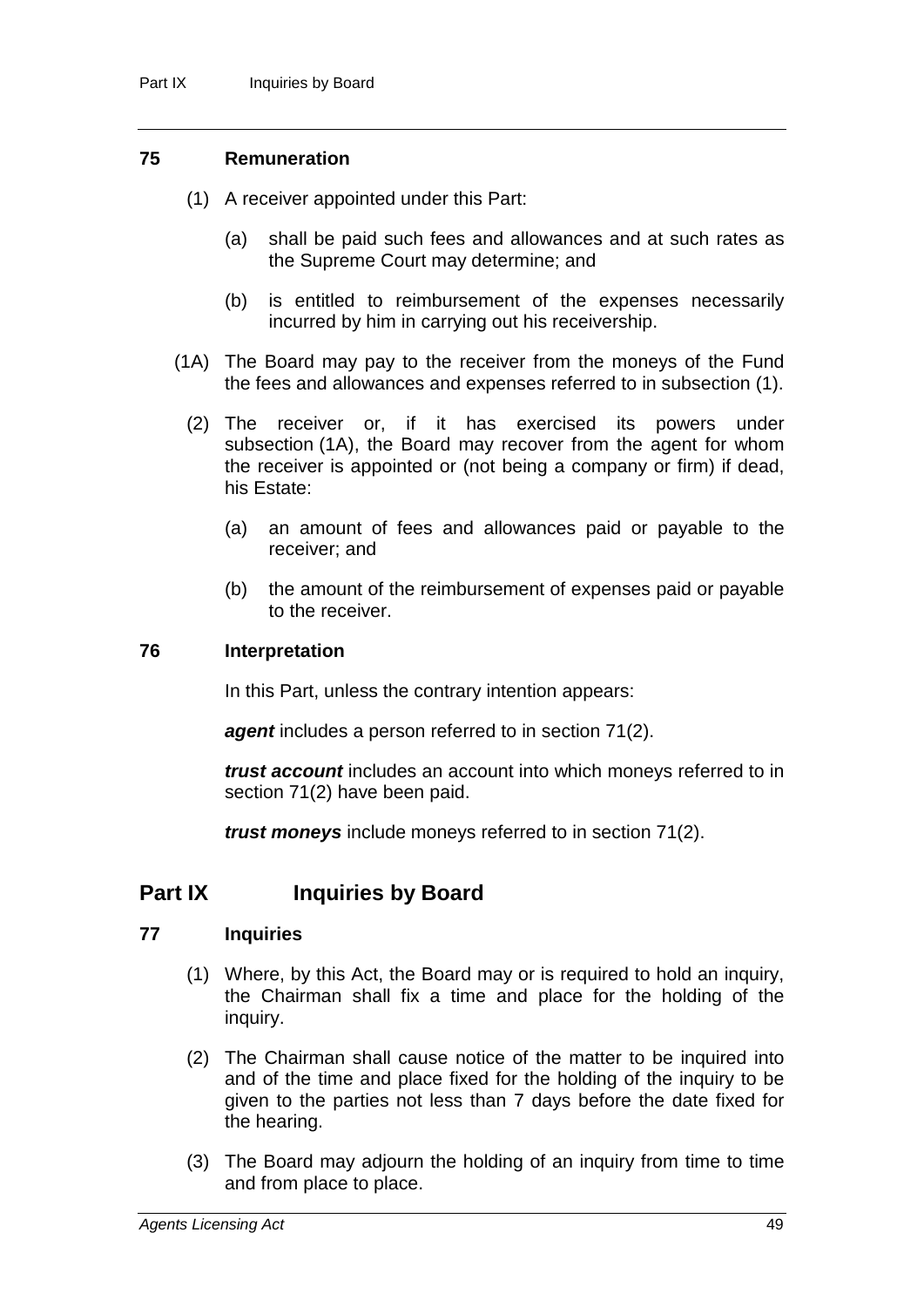### **75 Remuneration**

- (1) A receiver appointed under this Part:
	- (a) shall be paid such fees and allowances and at such rates as the Supreme Court may determine; and
	- (b) is entitled to reimbursement of the expenses necessarily incurred by him in carrying out his receivership.
- (1A) The Board may pay to the receiver from the moneys of the Fund the fees and allowances and expenses referred to in subsection (1).
	- (2) The receiver or, if it has exercised its powers under subsection (1A), the Board may recover from the agent for whom the receiver is appointed or (not being a company or firm) if dead, his Estate:
		- (a) an amount of fees and allowances paid or payable to the receiver; and
		- (b) the amount of the reimbursement of expenses paid or payable to the receiver.

#### **76 Interpretation**

In this Part, unless the contrary intention appears:

*agent* includes a person referred to in section 71(2).

*trust account* includes an account into which moneys referred to in section 71(2) have been paid.

*trust moneys* include moneys referred to in section 71(2).

# **Part IX Inquiries by Board**

## **77 Inquiries**

- (1) Where, by this Act, the Board may or is required to hold an inquiry, the Chairman shall fix a time and place for the holding of the inquiry.
- (2) The Chairman shall cause notice of the matter to be inquired into and of the time and place fixed for the holding of the inquiry to be given to the parties not less than 7 days before the date fixed for the hearing.
- (3) The Board may adjourn the holding of an inquiry from time to time and from place to place.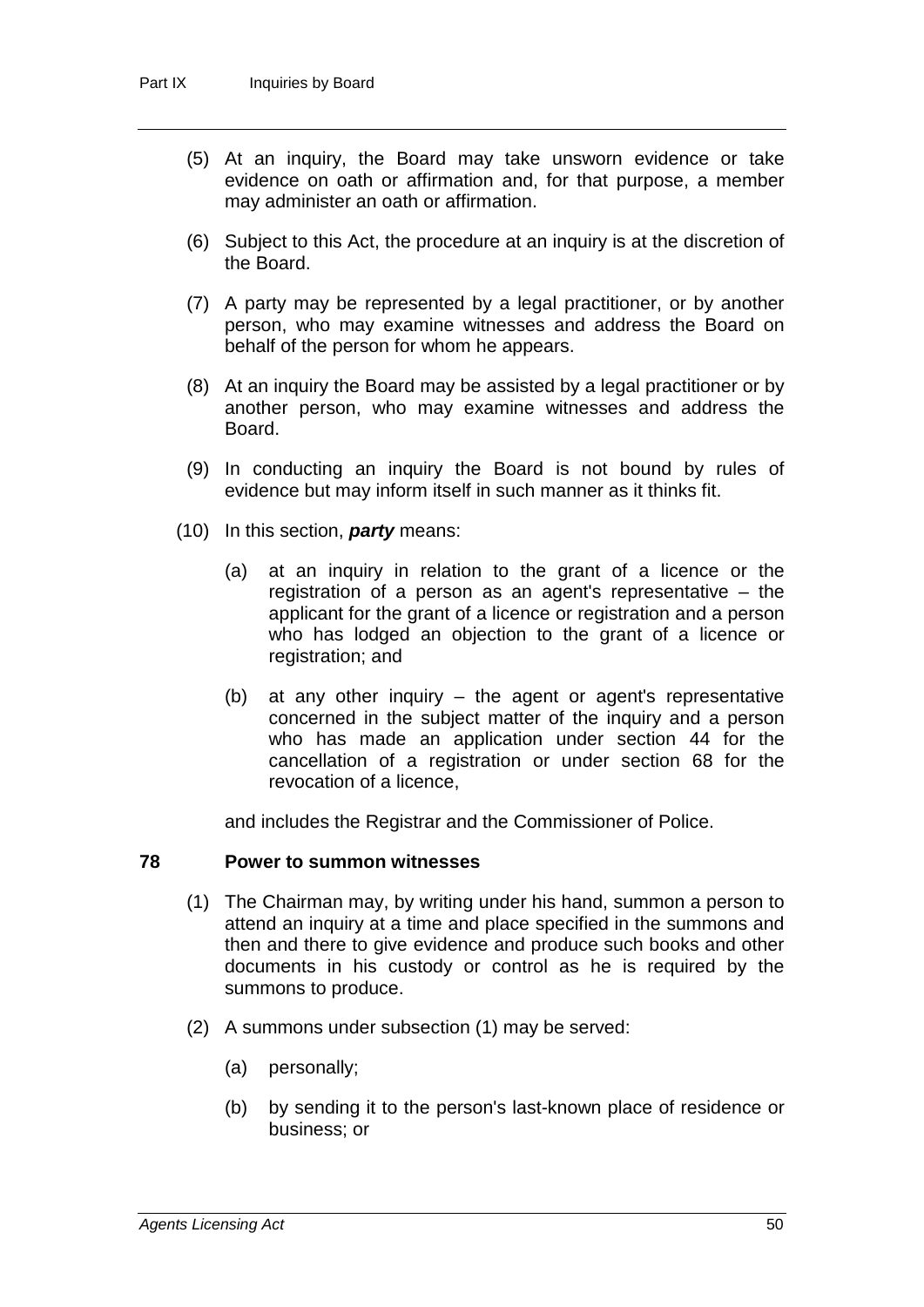- (5) At an inquiry, the Board may take unsworn evidence or take evidence on oath or affirmation and, for that purpose, a member may administer an oath or affirmation.
- (6) Subject to this Act, the procedure at an inquiry is at the discretion of the Board.
- (7) A party may be represented by a legal practitioner, or by another person, who may examine witnesses and address the Board on behalf of the person for whom he appears.
- (8) At an inquiry the Board may be assisted by a legal practitioner or by another person, who may examine witnesses and address the Board.
- (9) In conducting an inquiry the Board is not bound by rules of evidence but may inform itself in such manner as it thinks fit.
- (10) In this section, *party* means:
	- (a) at an inquiry in relation to the grant of a licence or the registration of a person as an agent's representative – the applicant for the grant of a licence or registration and a person who has lodged an objection to the grant of a licence or registration; and
	- (b) at any other inquiry the agent or agent's representative concerned in the subject matter of the inquiry and a person who has made an application under section 44 for the cancellation of a registration or under section 68 for the revocation of a licence,

and includes the Registrar and the Commissioner of Police.

## **78 Power to summon witnesses**

- (1) The Chairman may, by writing under his hand, summon a person to attend an inquiry at a time and place specified in the summons and then and there to give evidence and produce such books and other documents in his custody or control as he is required by the summons to produce.
- (2) A summons under subsection (1) may be served:
	- (a) personally;
	- (b) by sending it to the person's last-known place of residence or business; or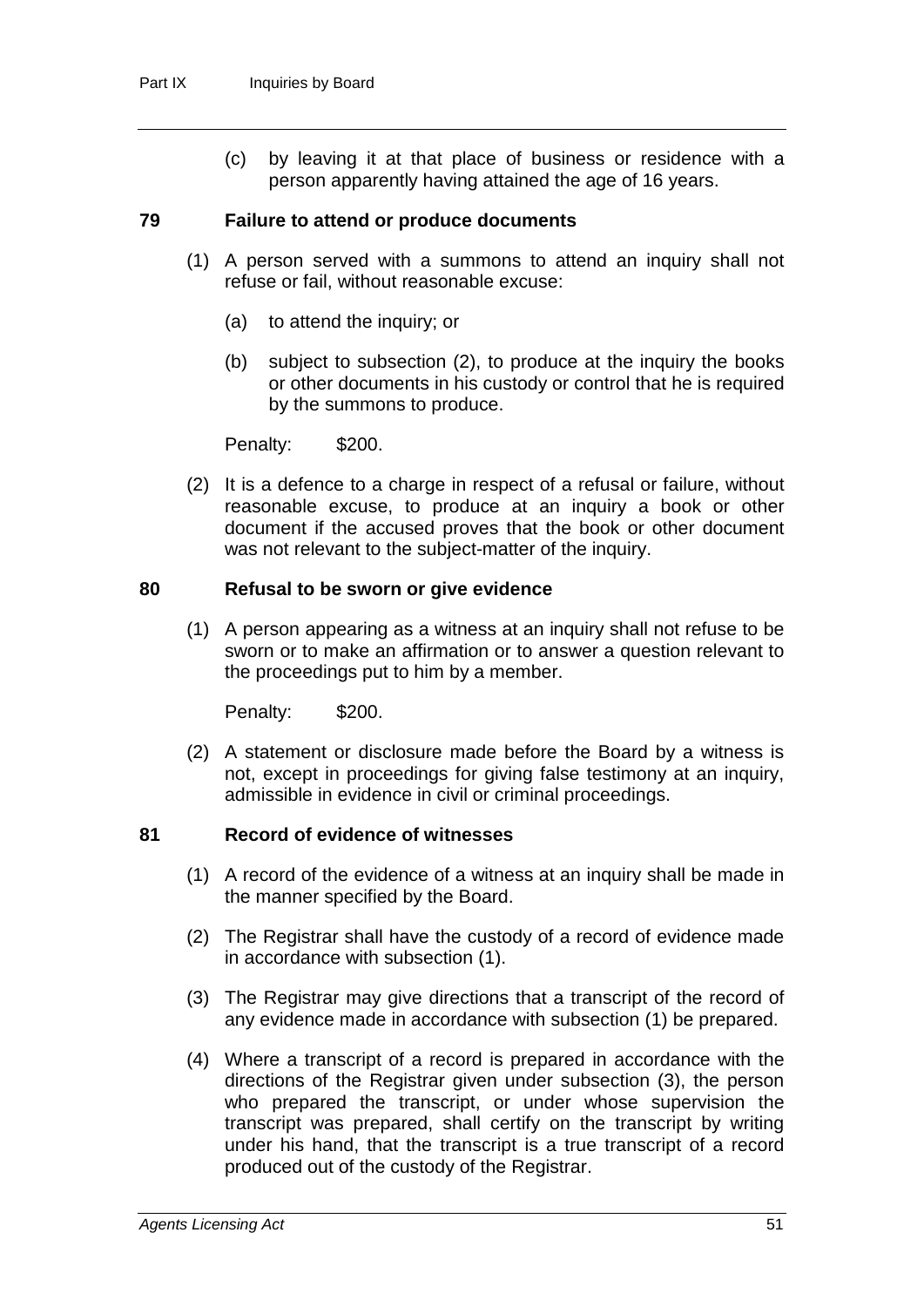(c) by leaving it at that place of business or residence with a person apparently having attained the age of 16 years.

### **79 Failure to attend or produce documents**

- (1) A person served with a summons to attend an inquiry shall not refuse or fail, without reasonable excuse:
	- (a) to attend the inquiry; or
	- (b) subject to subsection (2), to produce at the inquiry the books or other documents in his custody or control that he is required by the summons to produce.

Penalty: \$200.

(2) It is a defence to a charge in respect of a refusal or failure, without reasonable excuse, to produce at an inquiry a book or other document if the accused proves that the book or other document was not relevant to the subject-matter of the inquiry.

#### **80 Refusal to be sworn or give evidence**

(1) A person appearing as a witness at an inquiry shall not refuse to be sworn or to make an affirmation or to answer a question relevant to the proceedings put to him by a member.

Penalty: \$200.

(2) A statement or disclosure made before the Board by a witness is not, except in proceedings for giving false testimony at an inquiry, admissible in evidence in civil or criminal proceedings.

## **81 Record of evidence of witnesses**

- (1) A record of the evidence of a witness at an inquiry shall be made in the manner specified by the Board.
- (2) The Registrar shall have the custody of a record of evidence made in accordance with subsection (1).
- (3) The Registrar may give directions that a transcript of the record of any evidence made in accordance with subsection (1) be prepared.
- (4) Where a transcript of a record is prepared in accordance with the directions of the Registrar given under subsection (3), the person who prepared the transcript, or under whose supervision the transcript was prepared, shall certify on the transcript by writing under his hand, that the transcript is a true transcript of a record produced out of the custody of the Registrar.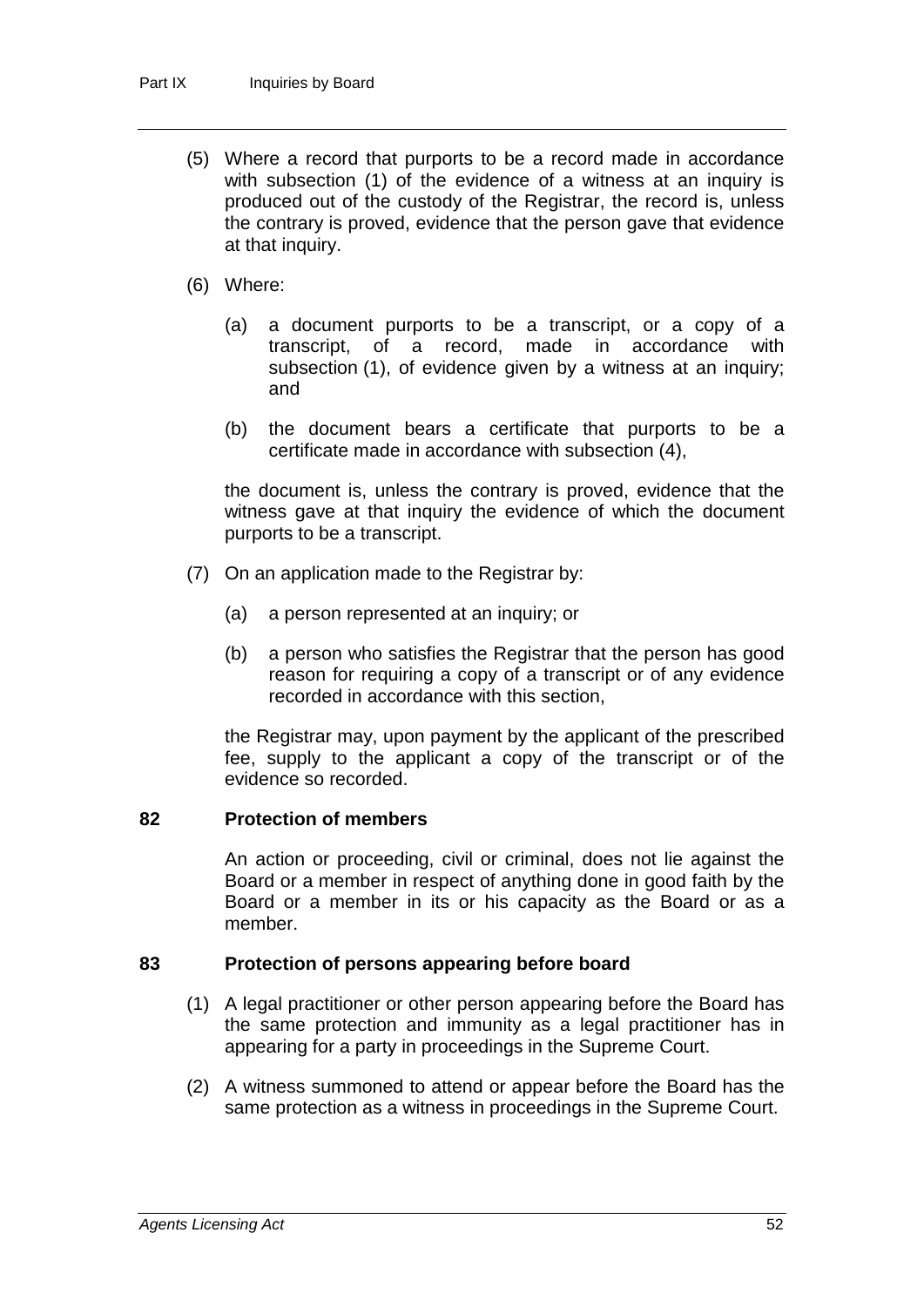- (5) Where a record that purports to be a record made in accordance with subsection (1) of the evidence of a witness at an inquiry is produced out of the custody of the Registrar, the record is, unless the contrary is proved, evidence that the person gave that evidence at that inquiry.
- (6) Where:
	- (a) a document purports to be a transcript, or a copy of a transcript, of a record, made in accordance with subsection (1), of evidence given by a witness at an inquiry; and
	- (b) the document bears a certificate that purports to be a certificate made in accordance with subsection (4),

the document is, unless the contrary is proved, evidence that the witness gave at that inquiry the evidence of which the document purports to be a transcript.

- (7) On an application made to the Registrar by:
	- (a) a person represented at an inquiry; or
	- (b) a person who satisfies the Registrar that the person has good reason for requiring a copy of a transcript or of any evidence recorded in accordance with this section,

the Registrar may, upon payment by the applicant of the prescribed fee, supply to the applicant a copy of the transcript or of the evidence so recorded.

## **82 Protection of members**

An action or proceeding, civil or criminal, does not lie against the Board or a member in respect of anything done in good faith by the Board or a member in its or his capacity as the Board or as a member.

## **83 Protection of persons appearing before board**

- (1) A legal practitioner or other person appearing before the Board has the same protection and immunity as a legal practitioner has in appearing for a party in proceedings in the Supreme Court.
- (2) A witness summoned to attend or appear before the Board has the same protection as a witness in proceedings in the Supreme Court.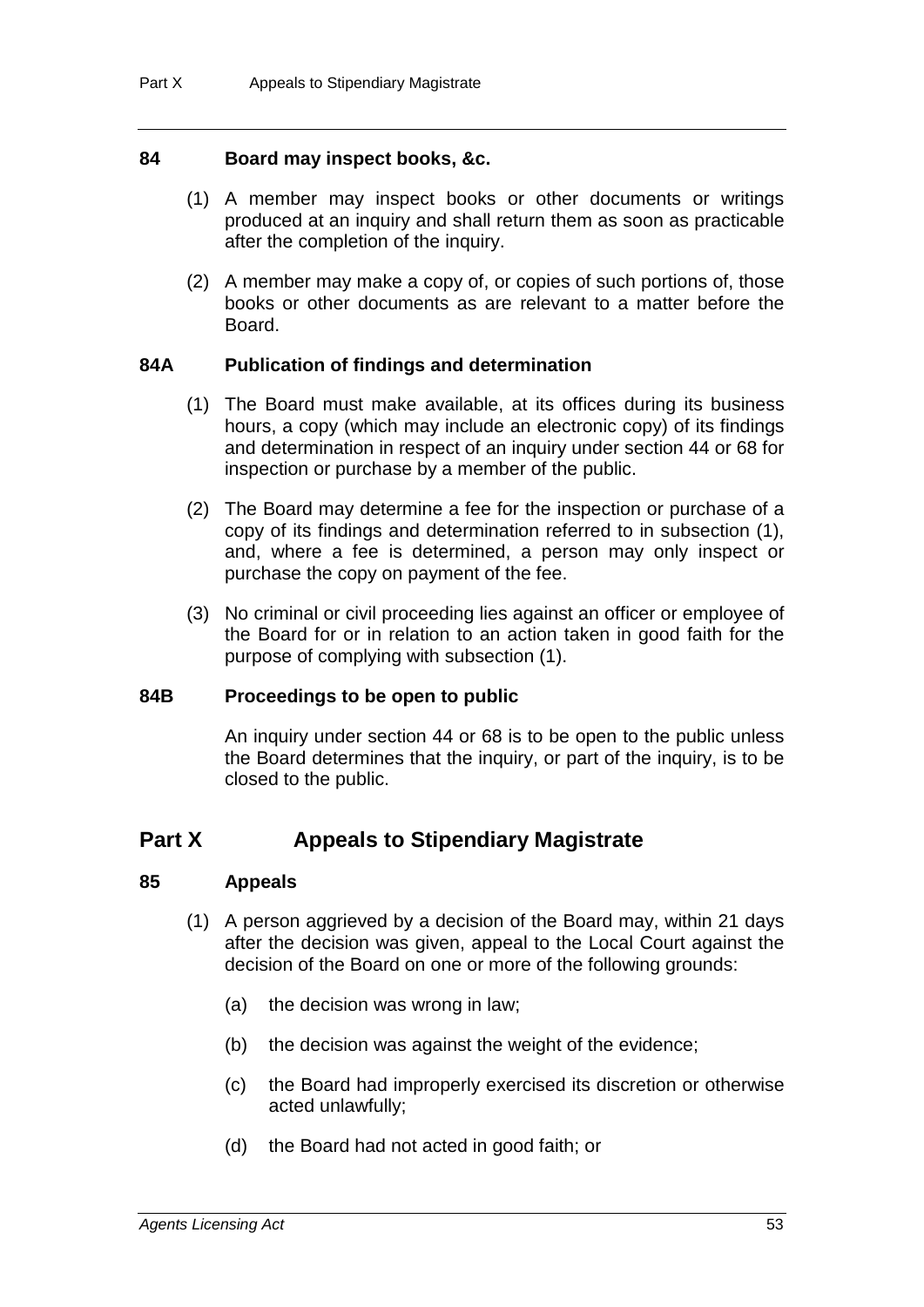## **84 Board may inspect books, &c.**

- (1) A member may inspect books or other documents or writings produced at an inquiry and shall return them as soon as practicable after the completion of the inquiry.
- (2) A member may make a copy of, or copies of such portions of, those books or other documents as are relevant to a matter before the Board.

## **84A Publication of findings and determination**

- (1) The Board must make available, at its offices during its business hours, a copy (which may include an electronic copy) of its findings and determination in respect of an inquiry under section 44 or 68 for inspection or purchase by a member of the public.
- (2) The Board may determine a fee for the inspection or purchase of a copy of its findings and determination referred to in subsection (1), and, where a fee is determined, a person may only inspect or purchase the copy on payment of the fee.
- (3) No criminal or civil proceeding lies against an officer or employee of the Board for or in relation to an action taken in good faith for the purpose of complying with subsection (1).

## **84B Proceedings to be open to public**

An inquiry under section 44 or 68 is to be open to the public unless the Board determines that the inquiry, or part of the inquiry, is to be closed to the public.

# **Part X Appeals to Stipendiary Magistrate**

## **85 Appeals**

- (1) A person aggrieved by a decision of the Board may, within 21 days after the decision was given, appeal to the Local Court against the decision of the Board on one or more of the following grounds:
	- (a) the decision was wrong in law;
	- (b) the decision was against the weight of the evidence;
	- (c) the Board had improperly exercised its discretion or otherwise acted unlawfully;
	- (d) the Board had not acted in good faith; or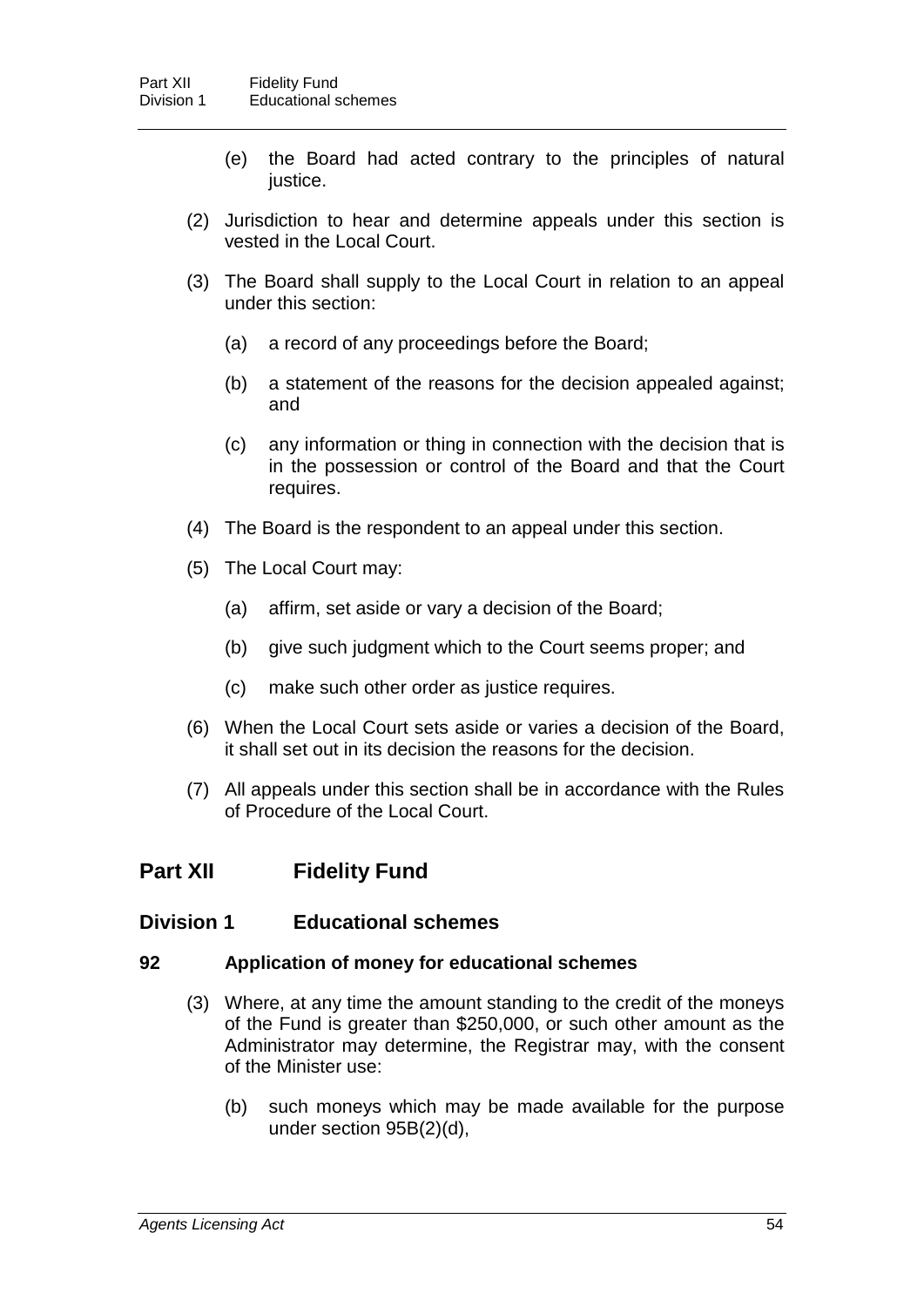- (e) the Board had acted contrary to the principles of natural justice.
- (2) Jurisdiction to hear and determine appeals under this section is vested in the Local Court.
- (3) The Board shall supply to the Local Court in relation to an appeal under this section:
	- (a) a record of any proceedings before the Board;
	- (b) a statement of the reasons for the decision appealed against; and
	- (c) any information or thing in connection with the decision that is in the possession or control of the Board and that the Court requires.
- (4) The Board is the respondent to an appeal under this section.
- (5) The Local Court may:
	- (a) affirm, set aside or vary a decision of the Board;
	- (b) give such judgment which to the Court seems proper; and
	- (c) make such other order as justice requires.
- (6) When the Local Court sets aside or varies a decision of the Board, it shall set out in its decision the reasons for the decision.
- (7) All appeals under this section shall be in accordance with the Rules of Procedure of the Local Court.

# **Part XII Fidelity Fund**

## **Division 1 Educational schemes**

#### **92 Application of money for educational schemes**

- (3) Where, at any time the amount standing to the credit of the moneys of the Fund is greater than \$250,000, or such other amount as the Administrator may determine, the Registrar may, with the consent of the Minister use:
	- (b) such moneys which may be made available for the purpose under section 95B(2)(d),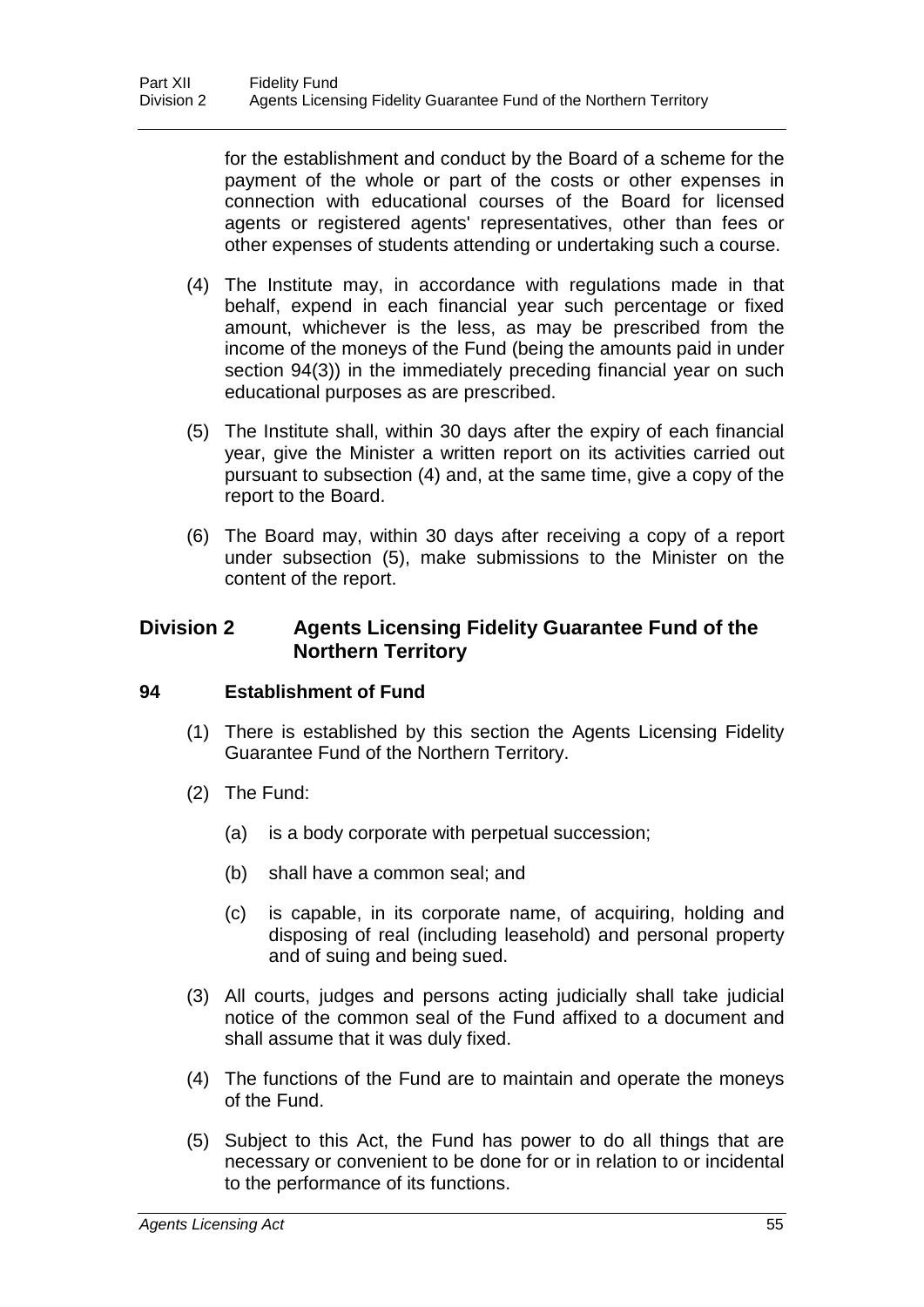for the establishment and conduct by the Board of a scheme for the payment of the whole or part of the costs or other expenses in connection with educational courses of the Board for licensed agents or registered agents' representatives, other than fees or other expenses of students attending or undertaking such a course.

- (4) The Institute may, in accordance with regulations made in that behalf, expend in each financial year such percentage or fixed amount, whichever is the less, as may be prescribed from the income of the moneys of the Fund (being the amounts paid in under section 94(3)) in the immediately preceding financial year on such educational purposes as are prescribed.
- (5) The Institute shall, within 30 days after the expiry of each financial year, give the Minister a written report on its activities carried out pursuant to subsection (4) and, at the same time, give a copy of the report to the Board.
- (6) The Board may, within 30 days after receiving a copy of a report under subsection (5), make submissions to the Minister on the content of the report.

## **Division 2 Agents Licensing Fidelity Guarantee Fund of the Northern Territory**

## **94 Establishment of Fund**

- (1) There is established by this section the Agents Licensing Fidelity Guarantee Fund of the Northern Territory.
- (2) The Fund:
	- (a) is a body corporate with perpetual succession;
	- (b) shall have a common seal; and
	- (c) is capable, in its corporate name, of acquiring, holding and disposing of real (including leasehold) and personal property and of suing and being sued.
- (3) All courts, judges and persons acting judicially shall take judicial notice of the common seal of the Fund affixed to a document and shall assume that it was duly fixed.
- (4) The functions of the Fund are to maintain and operate the moneys of the Fund.
- (5) Subject to this Act, the Fund has power to do all things that are necessary or convenient to be done for or in relation to or incidental to the performance of its functions.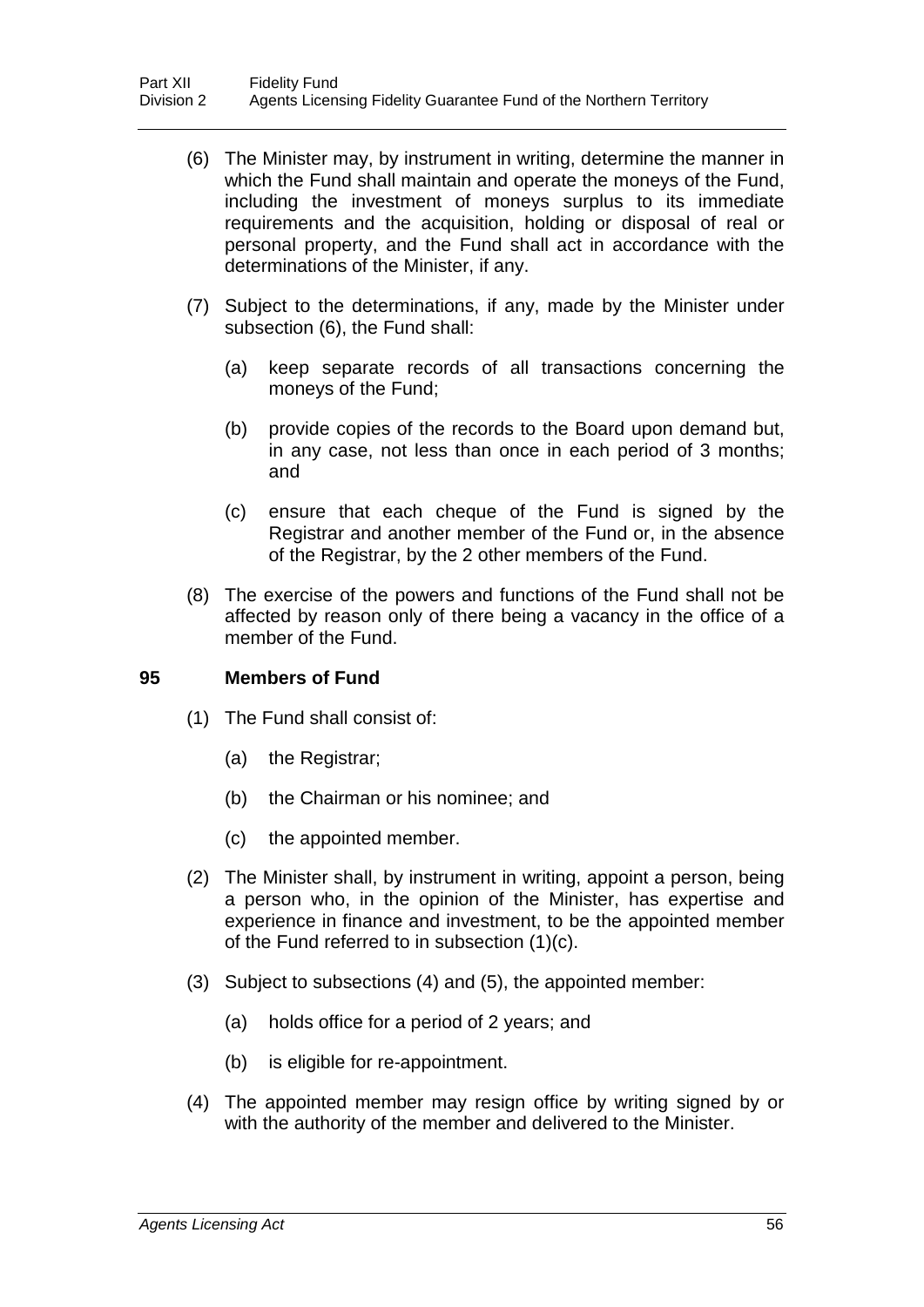- (6) The Minister may, by instrument in writing, determine the manner in which the Fund shall maintain and operate the moneys of the Fund, including the investment of moneys surplus to its immediate requirements and the acquisition, holding or disposal of real or personal property, and the Fund shall act in accordance with the determinations of the Minister, if any.
- (7) Subject to the determinations, if any, made by the Minister under subsection (6), the Fund shall:
	- (a) keep separate records of all transactions concerning the moneys of the Fund;
	- (b) provide copies of the records to the Board upon demand but, in any case, not less than once in each period of 3 months; and
	- (c) ensure that each cheque of the Fund is signed by the Registrar and another member of the Fund or, in the absence of the Registrar, by the 2 other members of the Fund.
- (8) The exercise of the powers and functions of the Fund shall not be affected by reason only of there being a vacancy in the office of a member of the Fund.

## **95 Members of Fund**

- (1) The Fund shall consist of:
	- (a) the Registrar;
	- (b) the Chairman or his nominee; and
	- (c) the appointed member.
- (2) The Minister shall, by instrument in writing, appoint a person, being a person who, in the opinion of the Minister, has expertise and experience in finance and investment, to be the appointed member of the Fund referred to in subsection (1)(c).
- (3) Subject to subsections (4) and (5), the appointed member:
	- (a) holds office for a period of 2 years; and
	- (b) is eligible for re-appointment.
- (4) The appointed member may resign office by writing signed by or with the authority of the member and delivered to the Minister.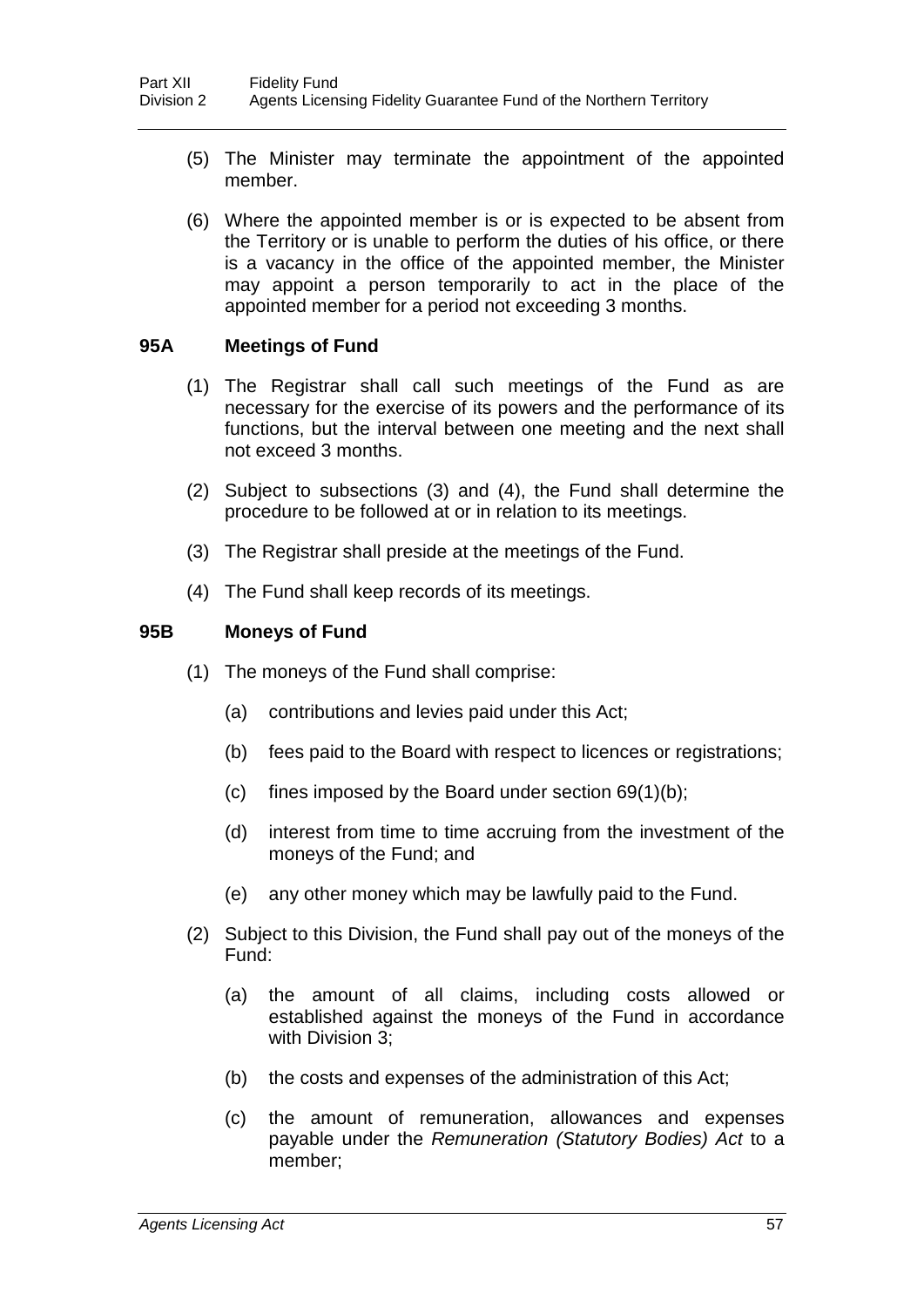- (5) The Minister may terminate the appointment of the appointed member.
- (6) Where the appointed member is or is expected to be absent from the Territory or is unable to perform the duties of his office, or there is a vacancy in the office of the appointed member, the Minister may appoint a person temporarily to act in the place of the appointed member for a period not exceeding 3 months.

## **95A Meetings of Fund**

- (1) The Registrar shall call such meetings of the Fund as are necessary for the exercise of its powers and the performance of its functions, but the interval between one meeting and the next shall not exceed 3 months.
- (2) Subject to subsections (3) and (4), the Fund shall determine the procedure to be followed at or in relation to its meetings.
- (3) The Registrar shall preside at the meetings of the Fund.
- (4) The Fund shall keep records of its meetings.

## **95B Moneys of Fund**

- (1) The moneys of the Fund shall comprise:
	- (a) contributions and levies paid under this Act;
	- (b) fees paid to the Board with respect to licences or registrations;
	- (c) fines imposed by the Board under section  $69(1)(b)$ ;
	- (d) interest from time to time accruing from the investment of the moneys of the Fund; and
	- (e) any other money which may be lawfully paid to the Fund.
- (2) Subject to this Division, the Fund shall pay out of the moneys of the Fund:
	- (a) the amount of all claims, including costs allowed or established against the moneys of the Fund in accordance with Division 3;
	- (b) the costs and expenses of the administration of this Act;
	- (c) the amount of remuneration, allowances and expenses payable under the *Remuneration (Statutory Bodies) Act* to a member;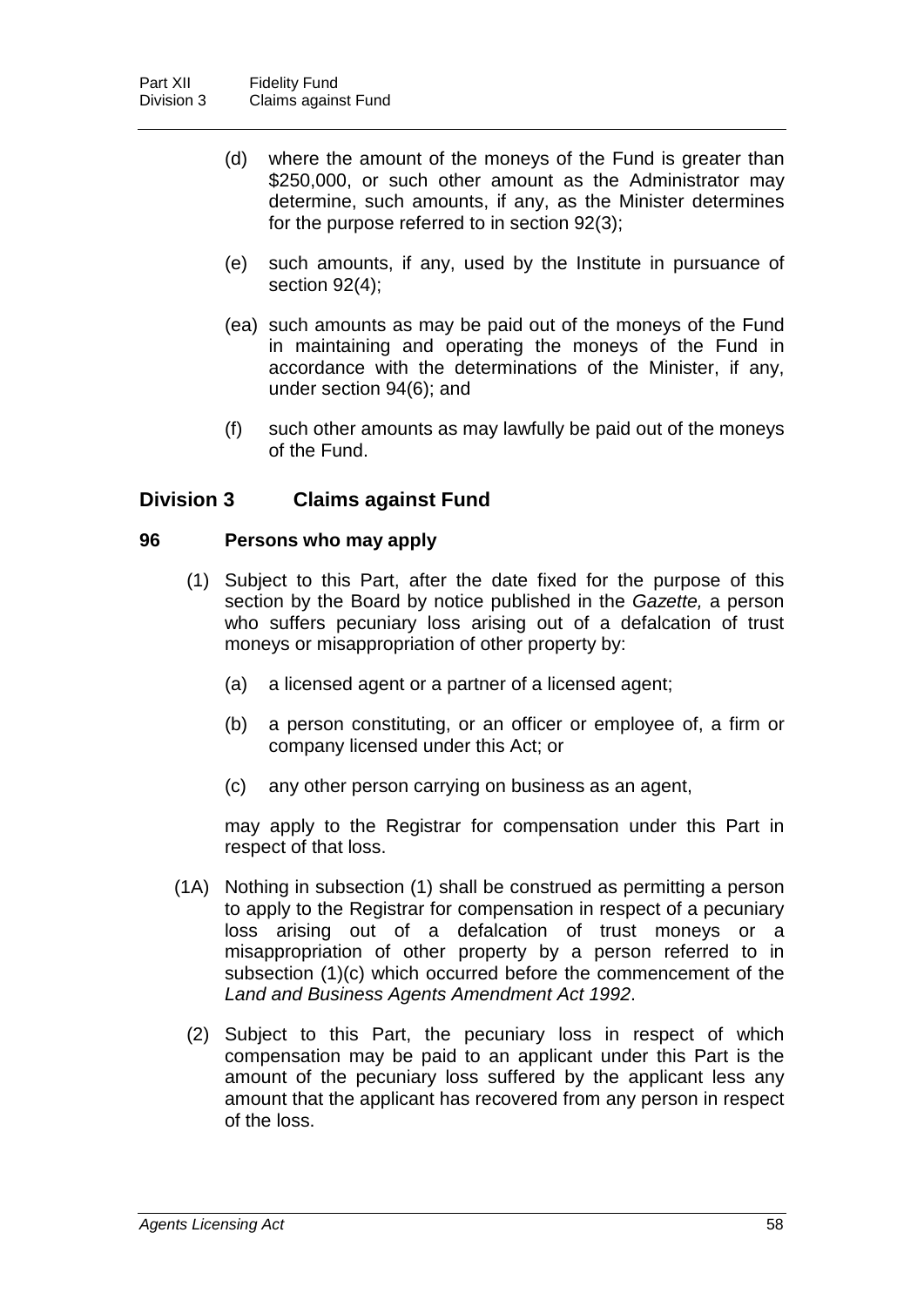- (d) where the amount of the moneys of the Fund is greater than \$250,000, or such other amount as the Administrator may determine, such amounts, if any, as the Minister determines for the purpose referred to in section 92(3);
- (e) such amounts, if any, used by the Institute in pursuance of section 92(4);
- (ea) such amounts as may be paid out of the moneys of the Fund in maintaining and operating the moneys of the Fund in accordance with the determinations of the Minister, if any, under section 94(6); and
- (f) such other amounts as may lawfully be paid out of the moneys of the Fund.

## **Division 3 Claims against Fund**

## **96 Persons who may apply**

- (1) Subject to this Part, after the date fixed for the purpose of this section by the Board by notice published in the *Gazette,* a person who suffers pecuniary loss arising out of a defalcation of trust moneys or misappropriation of other property by:
	- (a) a licensed agent or a partner of a licensed agent;
	- (b) a person constituting, or an officer or employee of, a firm or company licensed under this Act; or
	- (c) any other person carrying on business as an agent,

may apply to the Registrar for compensation under this Part in respect of that loss.

- (1A) Nothing in subsection (1) shall be construed as permitting a person to apply to the Registrar for compensation in respect of a pecuniary loss arising out of a defalcation of trust moneys or a misappropriation of other property by a person referred to in subsection (1)(c) which occurred before the commencement of the *Land and Business Agents Amendment Act 1992*.
	- (2) Subject to this Part, the pecuniary loss in respect of which compensation may be paid to an applicant under this Part is the amount of the pecuniary loss suffered by the applicant less any amount that the applicant has recovered from any person in respect of the loss.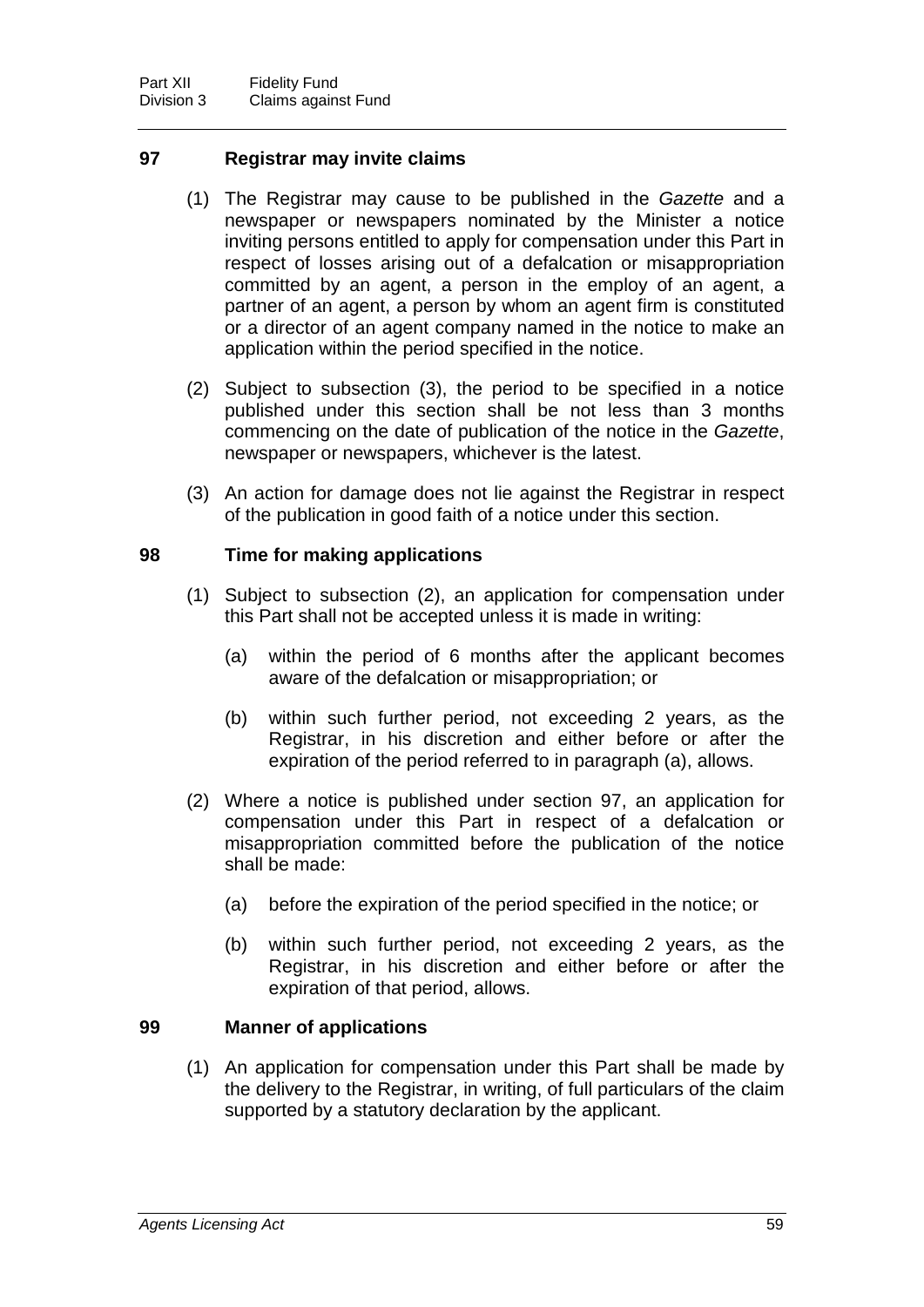## **97 Registrar may invite claims**

- (1) The Registrar may cause to be published in the *Gazette* and a newspaper or newspapers nominated by the Minister a notice inviting persons entitled to apply for compensation under this Part in respect of losses arising out of a defalcation or misappropriation committed by an agent, a person in the employ of an agent, a partner of an agent, a person by whom an agent firm is constituted or a director of an agent company named in the notice to make an application within the period specified in the notice.
- (2) Subject to subsection (3), the period to be specified in a notice published under this section shall be not less than 3 months commencing on the date of publication of the notice in the *Gazette*, newspaper or newspapers, whichever is the latest.
- (3) An action for damage does not lie against the Registrar in respect of the publication in good faith of a notice under this section.

## **98 Time for making applications**

- (1) Subject to subsection (2), an application for compensation under this Part shall not be accepted unless it is made in writing:
	- (a) within the period of 6 months after the applicant becomes aware of the defalcation or misappropriation; or
	- (b) within such further period, not exceeding 2 years, as the Registrar, in his discretion and either before or after the expiration of the period referred to in paragraph (a), allows.
- (2) Where a notice is published under section 97, an application for compensation under this Part in respect of a defalcation or misappropriation committed before the publication of the notice shall be made:
	- (a) before the expiration of the period specified in the notice; or
	- (b) within such further period, not exceeding 2 years, as the Registrar, in his discretion and either before or after the expiration of that period, allows.

## **99 Manner of applications**

(1) An application for compensation under this Part shall be made by the delivery to the Registrar, in writing, of full particulars of the claim supported by a statutory declaration by the applicant.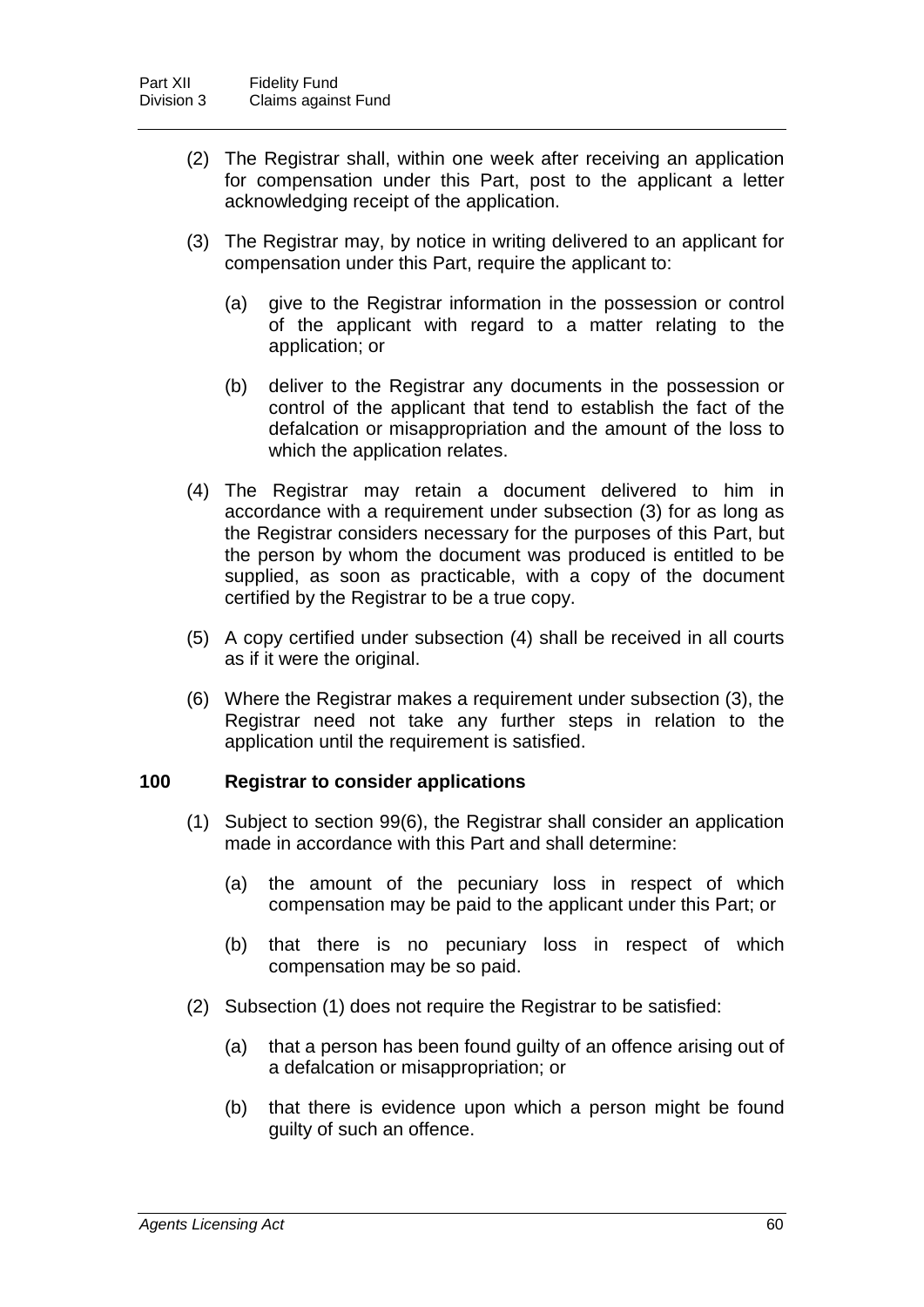- (2) The Registrar shall, within one week after receiving an application for compensation under this Part, post to the applicant a letter acknowledging receipt of the application.
- (3) The Registrar may, by notice in writing delivered to an applicant for compensation under this Part, require the applicant to:
	- (a) give to the Registrar information in the possession or control of the applicant with regard to a matter relating to the application; or
	- (b) deliver to the Registrar any documents in the possession or control of the applicant that tend to establish the fact of the defalcation or misappropriation and the amount of the loss to which the application relates.
- (4) The Registrar may retain a document delivered to him in accordance with a requirement under subsection (3) for as long as the Registrar considers necessary for the purposes of this Part, but the person by whom the document was produced is entitled to be supplied, as soon as practicable, with a copy of the document certified by the Registrar to be a true copy.
- (5) A copy certified under subsection (4) shall be received in all courts as if it were the original.
- (6) Where the Registrar makes a requirement under subsection (3), the Registrar need not take any further steps in relation to the application until the requirement is satisfied.

#### **100 Registrar to consider applications**

- (1) Subject to section 99(6), the Registrar shall consider an application made in accordance with this Part and shall determine:
	- (a) the amount of the pecuniary loss in respect of which compensation may be paid to the applicant under this Part; or
	- (b) that there is no pecuniary loss in respect of which compensation may be so paid.
- (2) Subsection (1) does not require the Registrar to be satisfied:
	- (a) that a person has been found guilty of an offence arising out of a defalcation or misappropriation; or
	- (b) that there is evidence upon which a person might be found guilty of such an offence.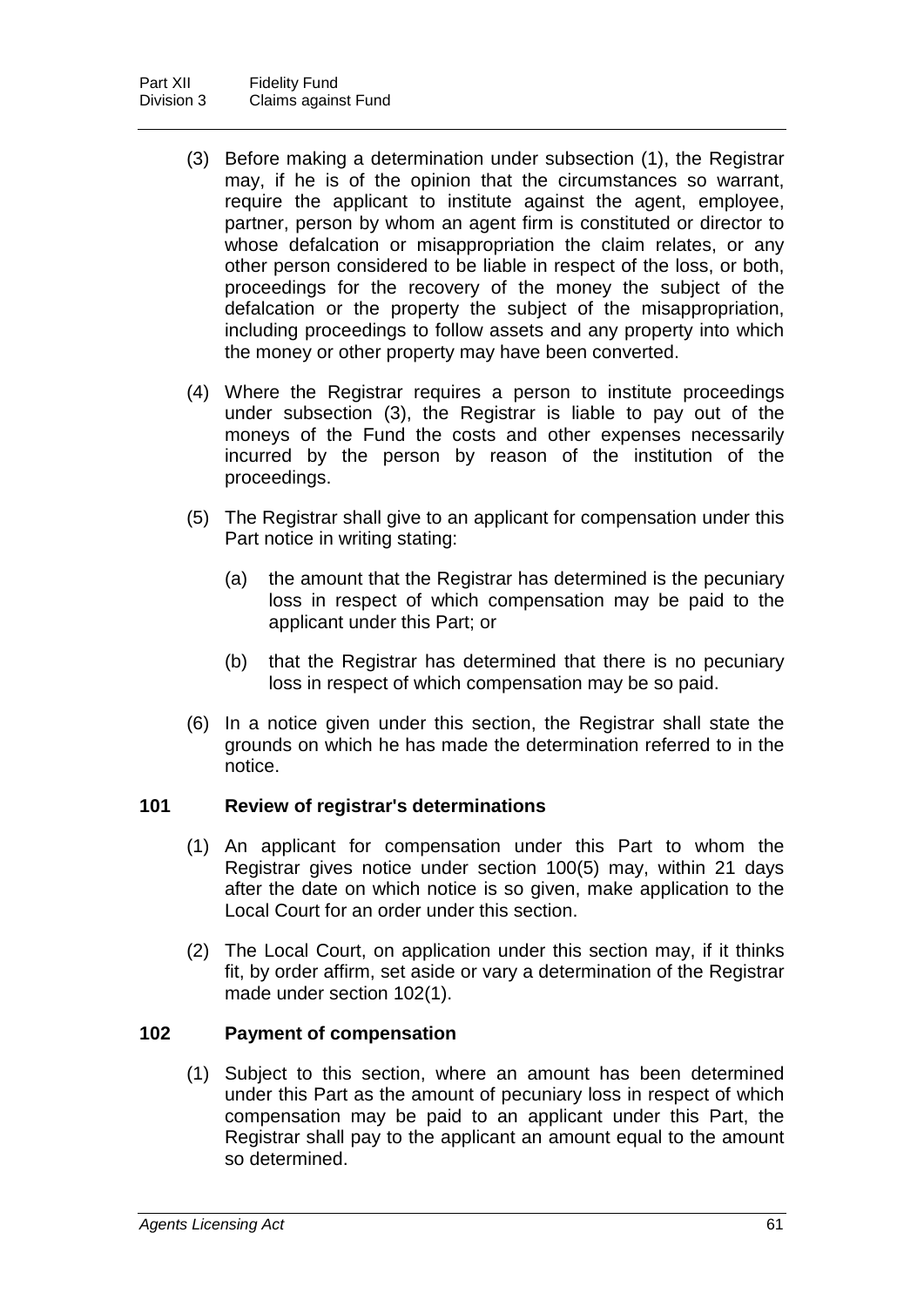- (3) Before making a determination under subsection (1), the Registrar may, if he is of the opinion that the circumstances so warrant, require the applicant to institute against the agent, employee, partner, person by whom an agent firm is constituted or director to whose defalcation or misappropriation the claim relates, or any other person considered to be liable in respect of the loss, or both, proceedings for the recovery of the money the subject of the defalcation or the property the subject of the misappropriation, including proceedings to follow assets and any property into which the money or other property may have been converted.
- (4) Where the Registrar requires a person to institute proceedings under subsection (3), the Registrar is liable to pay out of the moneys of the Fund the costs and other expenses necessarily incurred by the person by reason of the institution of the proceedings.
- (5) The Registrar shall give to an applicant for compensation under this Part notice in writing stating:
	- (a) the amount that the Registrar has determined is the pecuniary loss in respect of which compensation may be paid to the applicant under this Part; or
	- (b) that the Registrar has determined that there is no pecuniary loss in respect of which compensation may be so paid.
- (6) In a notice given under this section, the Registrar shall state the grounds on which he has made the determination referred to in the notice.

## **101 Review of registrar's determinations**

- (1) An applicant for compensation under this Part to whom the Registrar gives notice under section 100(5) may, within 21 days after the date on which notice is so given, make application to the Local Court for an order under this section.
- (2) The Local Court, on application under this section may, if it thinks fit, by order affirm, set aside or vary a determination of the Registrar made under section 102(1).

## **102 Payment of compensation**

(1) Subject to this section, where an amount has been determined under this Part as the amount of pecuniary loss in respect of which compensation may be paid to an applicant under this Part, the Registrar shall pay to the applicant an amount equal to the amount so determined.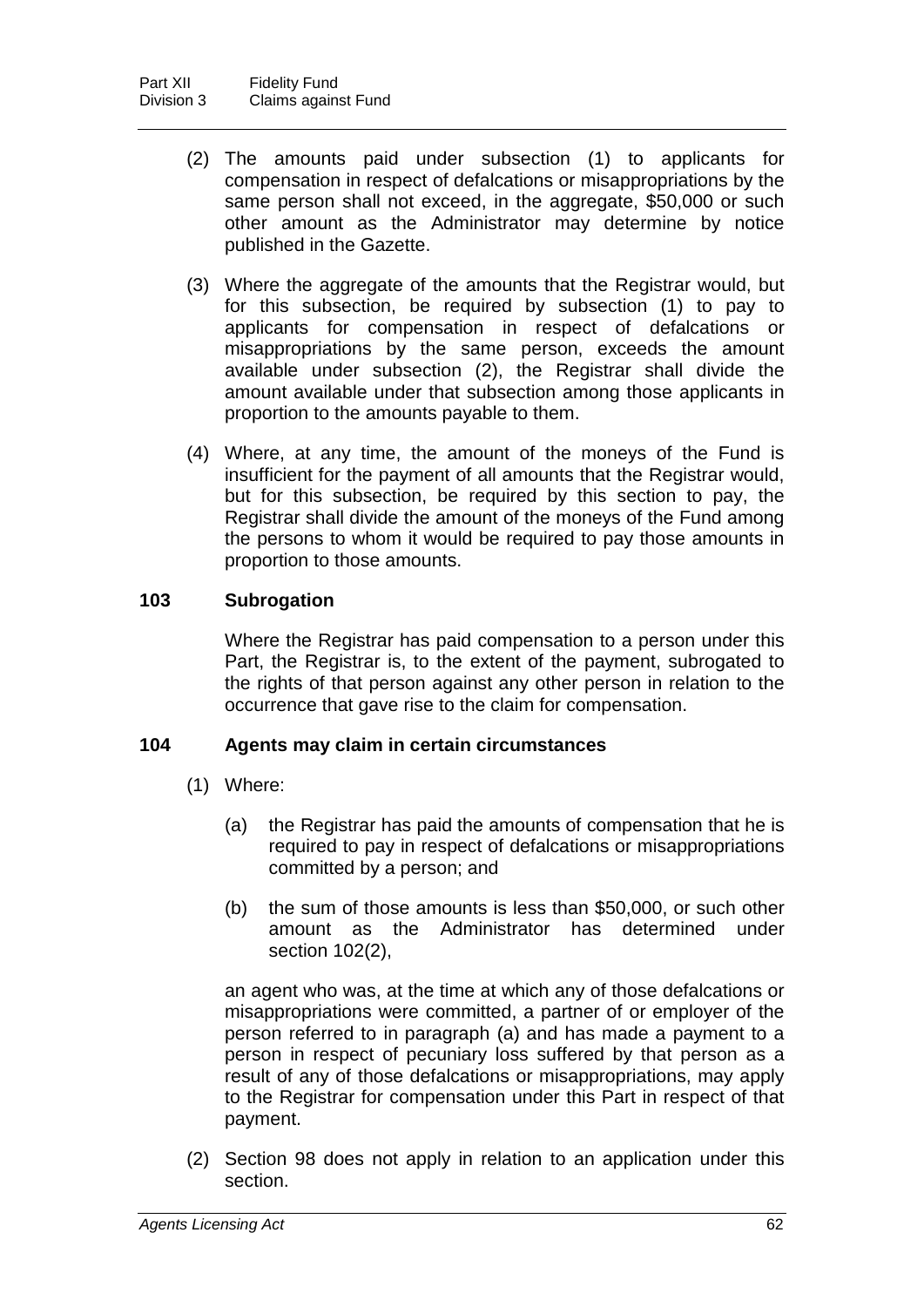- (2) The amounts paid under subsection (1) to applicants for compensation in respect of defalcations or misappropriations by the same person shall not exceed, in the aggregate, \$50,000 or such other amount as the Administrator may determine by notice published in the Gazette.
- (3) Where the aggregate of the amounts that the Registrar would, but for this subsection, be required by subsection (1) to pay to applicants for compensation in respect of defalcations or misappropriations by the same person, exceeds the amount available under subsection (2), the Registrar shall divide the amount available under that subsection among those applicants in proportion to the amounts payable to them.
- (4) Where, at any time, the amount of the moneys of the Fund is insufficient for the payment of all amounts that the Registrar would, but for this subsection, be required by this section to pay, the Registrar shall divide the amount of the moneys of the Fund among the persons to whom it would be required to pay those amounts in proportion to those amounts.

## **103 Subrogation**

Where the Registrar has paid compensation to a person under this Part, the Registrar is, to the extent of the payment, subrogated to the rights of that person against any other person in relation to the occurrence that gave rise to the claim for compensation.

## **104 Agents may claim in certain circumstances**

- (1) Where:
	- (a) the Registrar has paid the amounts of compensation that he is required to pay in respect of defalcations or misappropriations committed by a person; and
	- (b) the sum of those amounts is less than \$50,000, or such other amount as the Administrator has determined under section 102(2),

an agent who was, at the time at which any of those defalcations or misappropriations were committed, a partner of or employer of the person referred to in paragraph (a) and has made a payment to a person in respect of pecuniary loss suffered by that person as a result of any of those defalcations or misappropriations, may apply to the Registrar for compensation under this Part in respect of that payment.

(2) Section 98 does not apply in relation to an application under this section.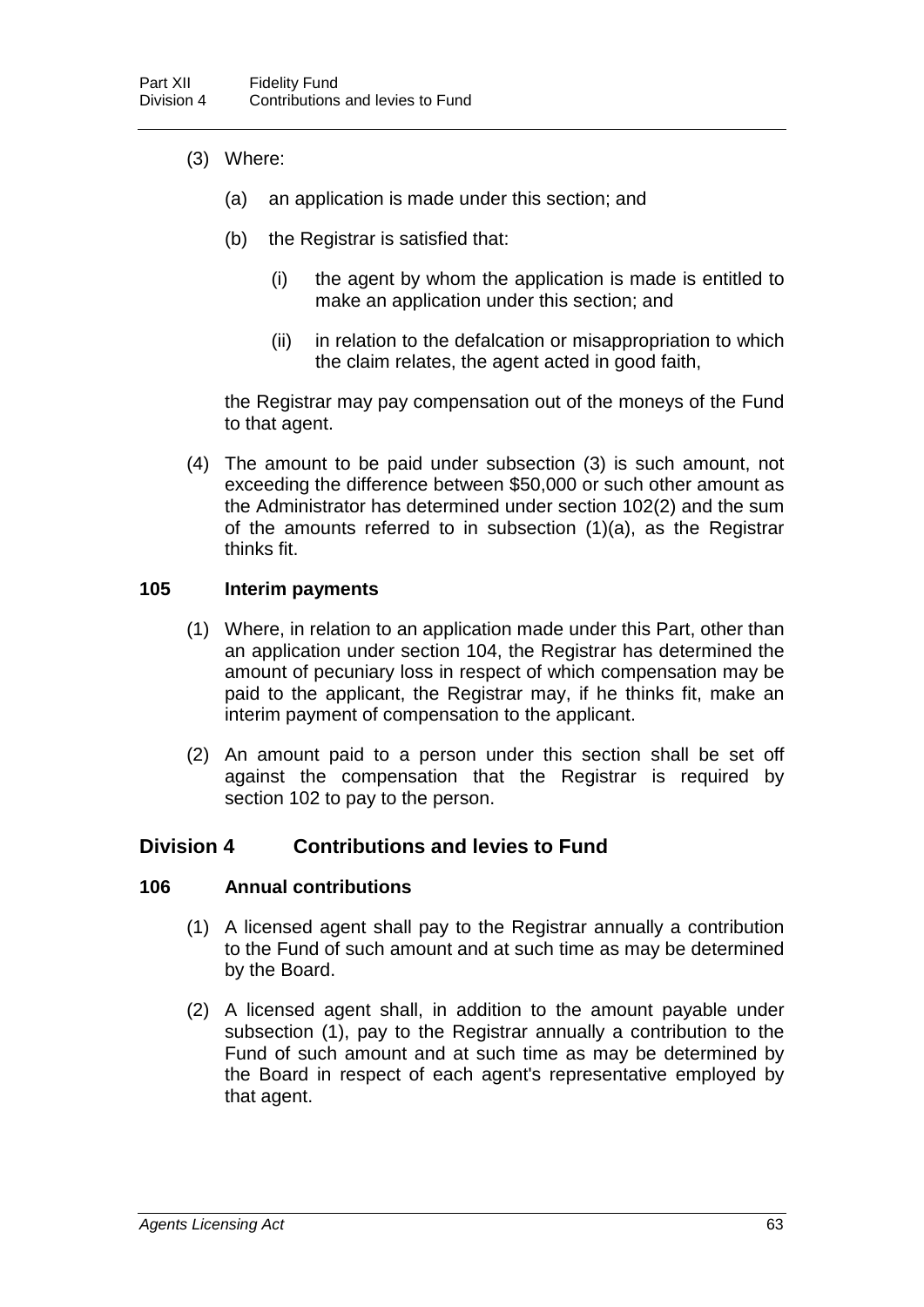- (3) Where:
	- (a) an application is made under this section; and
	- (b) the Registrar is satisfied that:
		- (i) the agent by whom the application is made is entitled to make an application under this section; and
		- (ii) in relation to the defalcation or misappropriation to which the claim relates, the agent acted in good faith,

the Registrar may pay compensation out of the moneys of the Fund to that agent.

(4) The amount to be paid under subsection (3) is such amount, not exceeding the difference between \$50,000 or such other amount as the Administrator has determined under section 102(2) and the sum of the amounts referred to in subsection (1)(a), as the Registrar thinks fit.

#### **105 Interim payments**

- (1) Where, in relation to an application made under this Part, other than an application under section 104, the Registrar has determined the amount of pecuniary loss in respect of which compensation may be paid to the applicant, the Registrar may, if he thinks fit, make an interim payment of compensation to the applicant.
- (2) An amount paid to a person under this section shall be set off against the compensation that the Registrar is required by section 102 to pay to the person.

## **Division 4 Contributions and levies to Fund**

#### **106 Annual contributions**

- (1) A licensed agent shall pay to the Registrar annually a contribution to the Fund of such amount and at such time as may be determined by the Board.
- (2) A licensed agent shall, in addition to the amount payable under subsection (1), pay to the Registrar annually a contribution to the Fund of such amount and at such time as may be determined by the Board in respect of each agent's representative employed by that agent.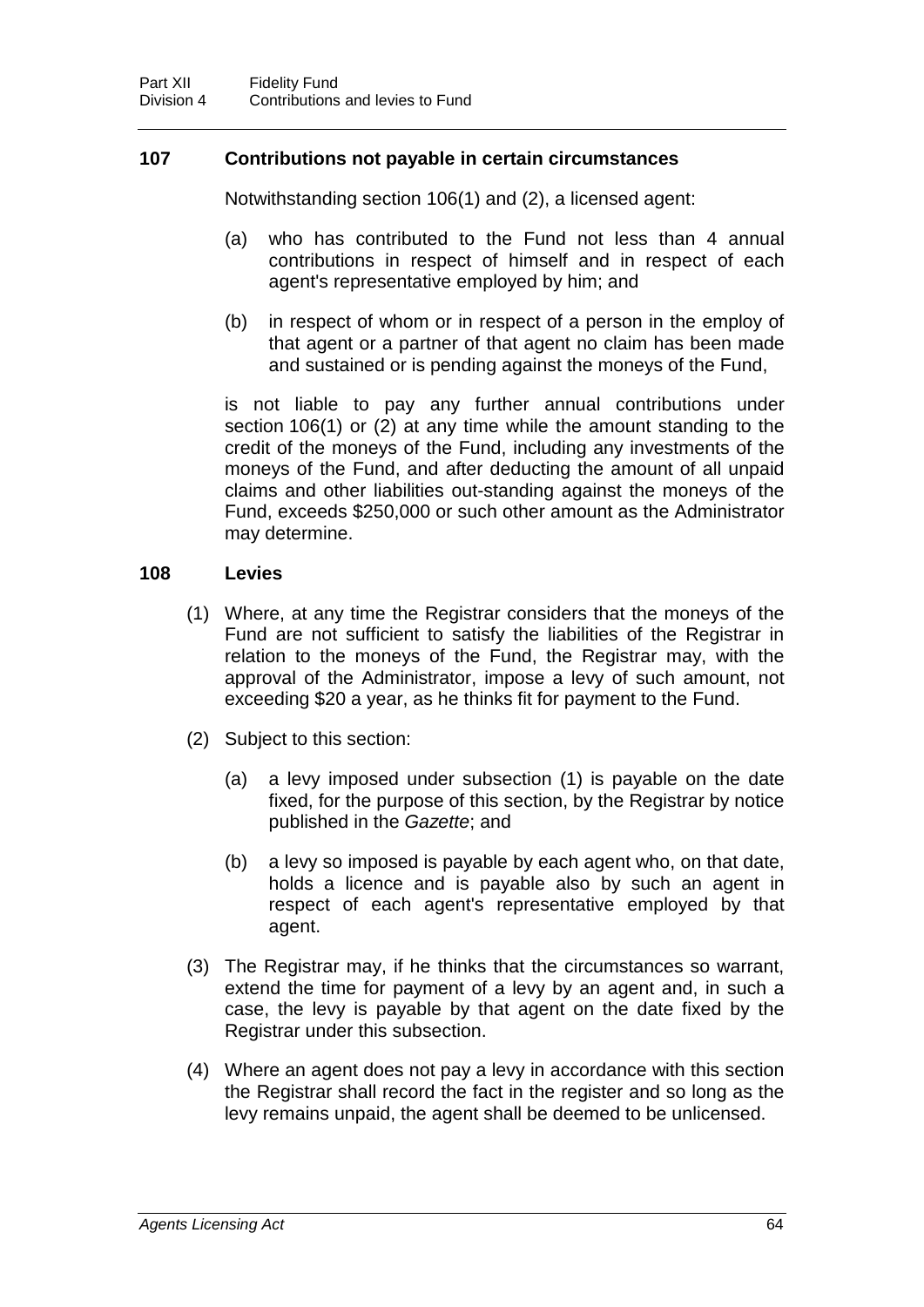## **107 Contributions not payable in certain circumstances**

Notwithstanding section 106(1) and (2), a licensed agent:

- (a) who has contributed to the Fund not less than 4 annual contributions in respect of himself and in respect of each agent's representative employed by him; and
- (b) in respect of whom or in respect of a person in the employ of that agent or a partner of that agent no claim has been made and sustained or is pending against the moneys of the Fund,

is not liable to pay any further annual contributions under section 106(1) or (2) at any time while the amount standing to the credit of the moneys of the Fund, including any investments of the moneys of the Fund, and after deducting the amount of all unpaid claims and other liabilities out-standing against the moneys of the Fund, exceeds \$250,000 or such other amount as the Administrator may determine.

## **108 Levies**

- (1) Where, at any time the Registrar considers that the moneys of the Fund are not sufficient to satisfy the liabilities of the Registrar in relation to the moneys of the Fund, the Registrar may, with the approval of the Administrator, impose a levy of such amount, not exceeding \$20 a year, as he thinks fit for payment to the Fund.
- (2) Subject to this section:
	- (a) a levy imposed under subsection (1) is payable on the date fixed, for the purpose of this section, by the Registrar by notice published in the *Gazette*; and
	- (b) a levy so imposed is payable by each agent who, on that date, holds a licence and is payable also by such an agent in respect of each agent's representative employed by that agent.
- (3) The Registrar may, if he thinks that the circumstances so warrant, extend the time for payment of a levy by an agent and, in such a case, the levy is payable by that agent on the date fixed by the Registrar under this subsection.
- (4) Where an agent does not pay a levy in accordance with this section the Registrar shall record the fact in the register and so long as the levy remains unpaid, the agent shall be deemed to be unlicensed.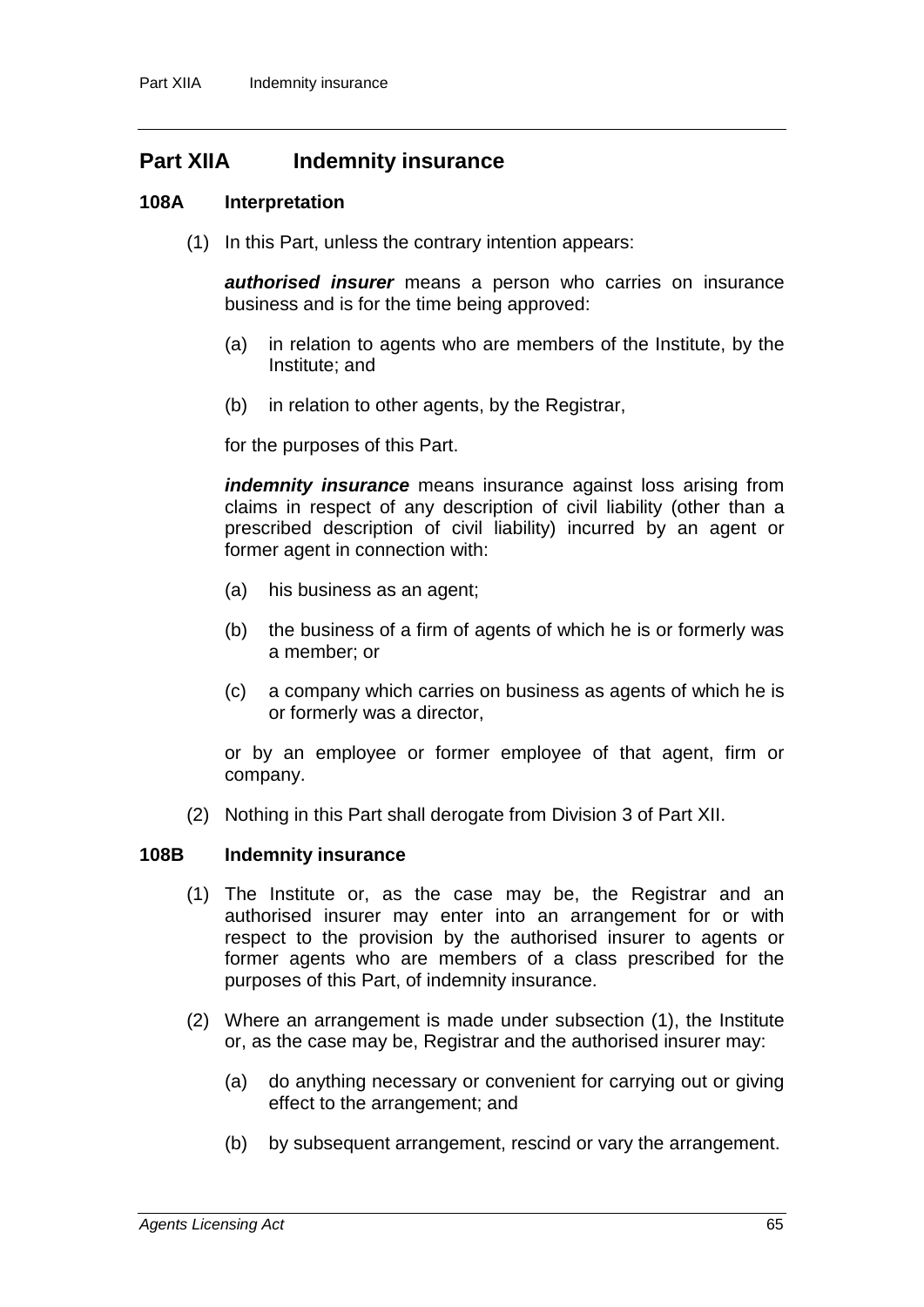# **Part XIIA Indemnity insurance**

#### **108A Interpretation**

(1) In this Part, unless the contrary intention appears:

*authorised insurer* means a person who carries on insurance business and is for the time being approved:

- (a) in relation to agents who are members of the Institute, by the Institute; and
- (b) in relation to other agents, by the Registrar,

for the purposes of this Part.

*indemnity insurance* means insurance against loss arising from claims in respect of any description of civil liability (other than a prescribed description of civil liability) incurred by an agent or former agent in connection with:

- (a) his business as an agent;
- (b) the business of a firm of agents of which he is or formerly was a member; or
- (c) a company which carries on business as agents of which he is or formerly was a director,

or by an employee or former employee of that agent, firm or company.

(2) Nothing in this Part shall derogate from Division 3 of Part XII.

#### **108B Indemnity insurance**

- (1) The Institute or, as the case may be, the Registrar and an authorised insurer may enter into an arrangement for or with respect to the provision by the authorised insurer to agents or former agents who are members of a class prescribed for the purposes of this Part, of indemnity insurance.
- (2) Where an arrangement is made under subsection (1), the Institute or, as the case may be, Registrar and the authorised insurer may:
	- (a) do anything necessary or convenient for carrying out or giving effect to the arrangement; and
	- (b) by subsequent arrangement, rescind or vary the arrangement.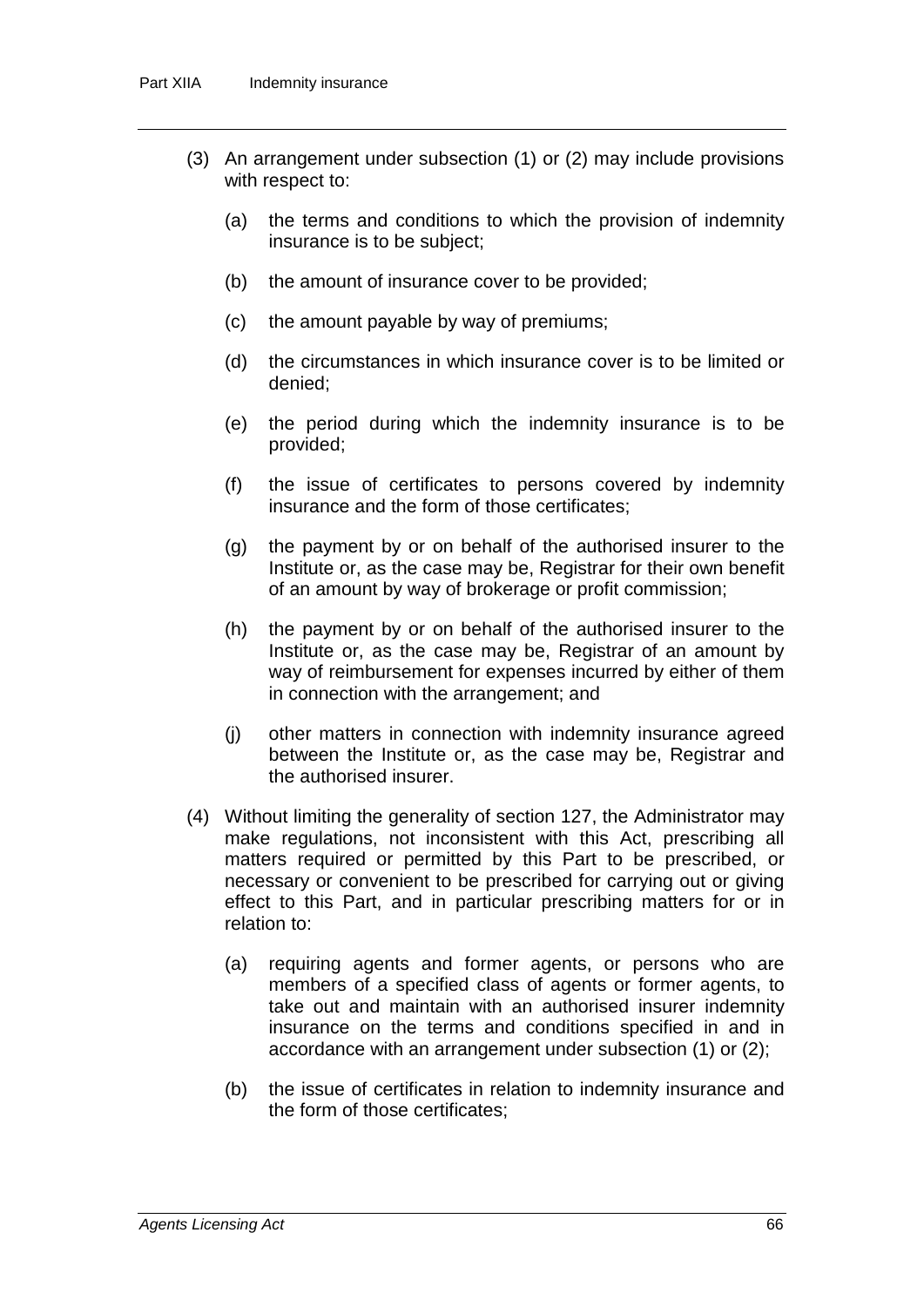- (3) An arrangement under subsection (1) or (2) may include provisions with respect to:
	- (a) the terms and conditions to which the provision of indemnity insurance is to be subject;
	- (b) the amount of insurance cover to be provided;
	- (c) the amount payable by way of premiums;
	- (d) the circumstances in which insurance cover is to be limited or denied;
	- (e) the period during which the indemnity insurance is to be provided;
	- (f) the issue of certificates to persons covered by indemnity insurance and the form of those certificates;
	- (g) the payment by or on behalf of the authorised insurer to the Institute or, as the case may be, Registrar for their own benefit of an amount by way of brokerage or profit commission;
	- (h) the payment by or on behalf of the authorised insurer to the Institute or, as the case may be, Registrar of an amount by way of reimbursement for expenses incurred by either of them in connection with the arrangement; and
	- (j) other matters in connection with indemnity insurance agreed between the Institute or, as the case may be, Registrar and the authorised insurer.
- (4) Without limiting the generality of section 127, the Administrator may make regulations, not inconsistent with this Act, prescribing all matters required or permitted by this Part to be prescribed, or necessary or convenient to be prescribed for carrying out or giving effect to this Part, and in particular prescribing matters for or in relation to:
	- (a) requiring agents and former agents, or persons who are members of a specified class of agents or former agents, to take out and maintain with an authorised insurer indemnity insurance on the terms and conditions specified in and in accordance with an arrangement under subsection (1) or (2);
	- (b) the issue of certificates in relation to indemnity insurance and the form of those certificates;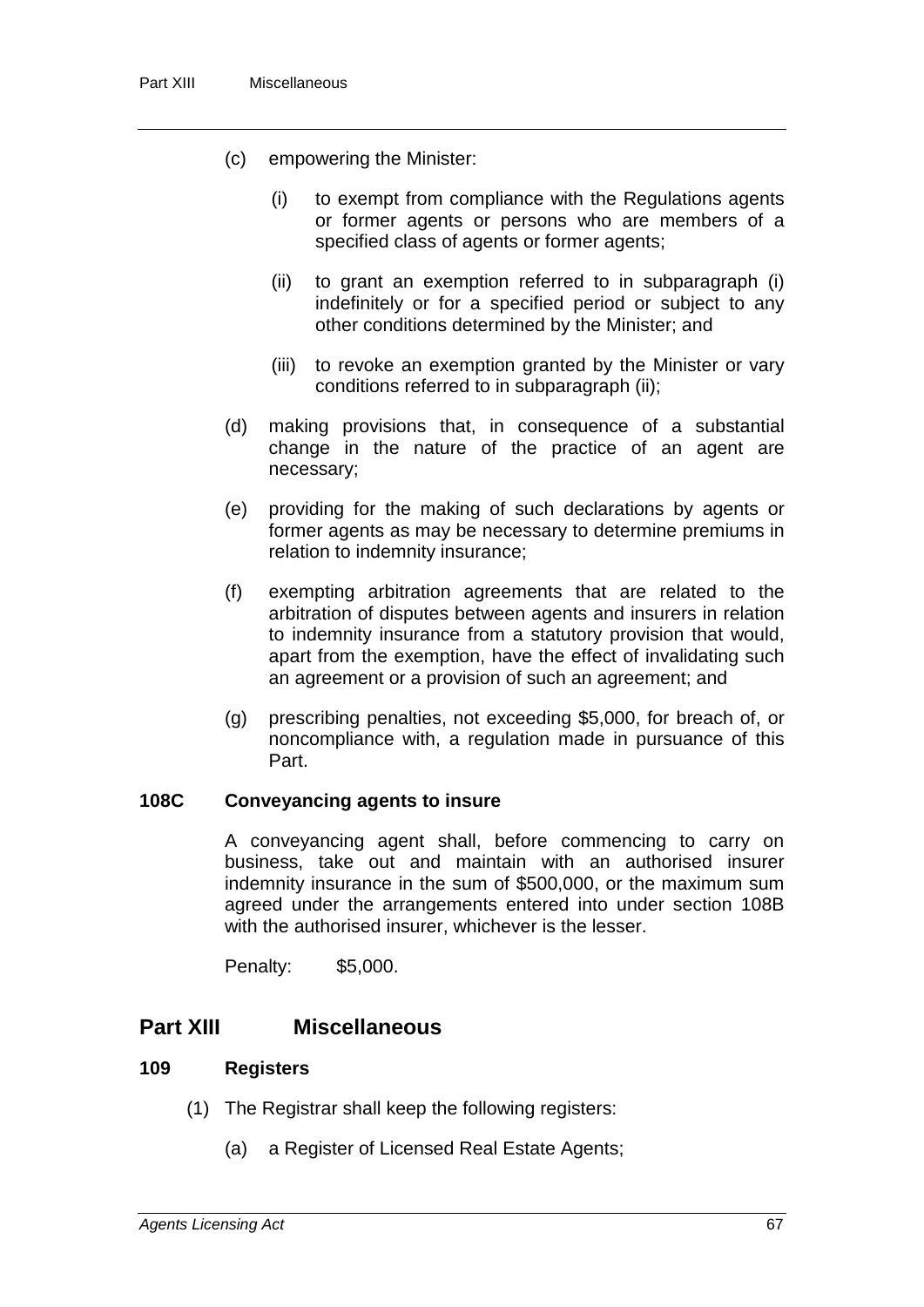- (c) empowering the Minister:
	- (i) to exempt from compliance with the Regulations agents or former agents or persons who are members of a specified class of agents or former agents;
	- (ii) to grant an exemption referred to in subparagraph (i) indefinitely or for a specified period or subject to any other conditions determined by the Minister; and
	- (iii) to revoke an exemption granted by the Minister or vary conditions referred to in subparagraph (ii);
- (d) making provisions that, in consequence of a substantial change in the nature of the practice of an agent are necessary;
- (e) providing for the making of such declarations by agents or former agents as may be necessary to determine premiums in relation to indemnity insurance;
- (f) exempting arbitration agreements that are related to the arbitration of disputes between agents and insurers in relation to indemnity insurance from a statutory provision that would, apart from the exemption, have the effect of invalidating such an agreement or a provision of such an agreement; and
- (g) prescribing penalties, not exceeding \$5,000, for breach of, or noncompliance with, a regulation made in pursuance of this Part.

#### **108C Conveyancing agents to insure**

A conveyancing agent shall, before commencing to carry on business, take out and maintain with an authorised insurer indemnity insurance in the sum of \$500,000, or the maximum sum agreed under the arrangements entered into under section 108B with the authorised insurer, whichever is the lesser.

Penalty: \$5,000.

# **Part XIII Miscellaneous**

#### **109 Registers**

- (1) The Registrar shall keep the following registers:
	- (a) a Register of Licensed Real Estate Agents;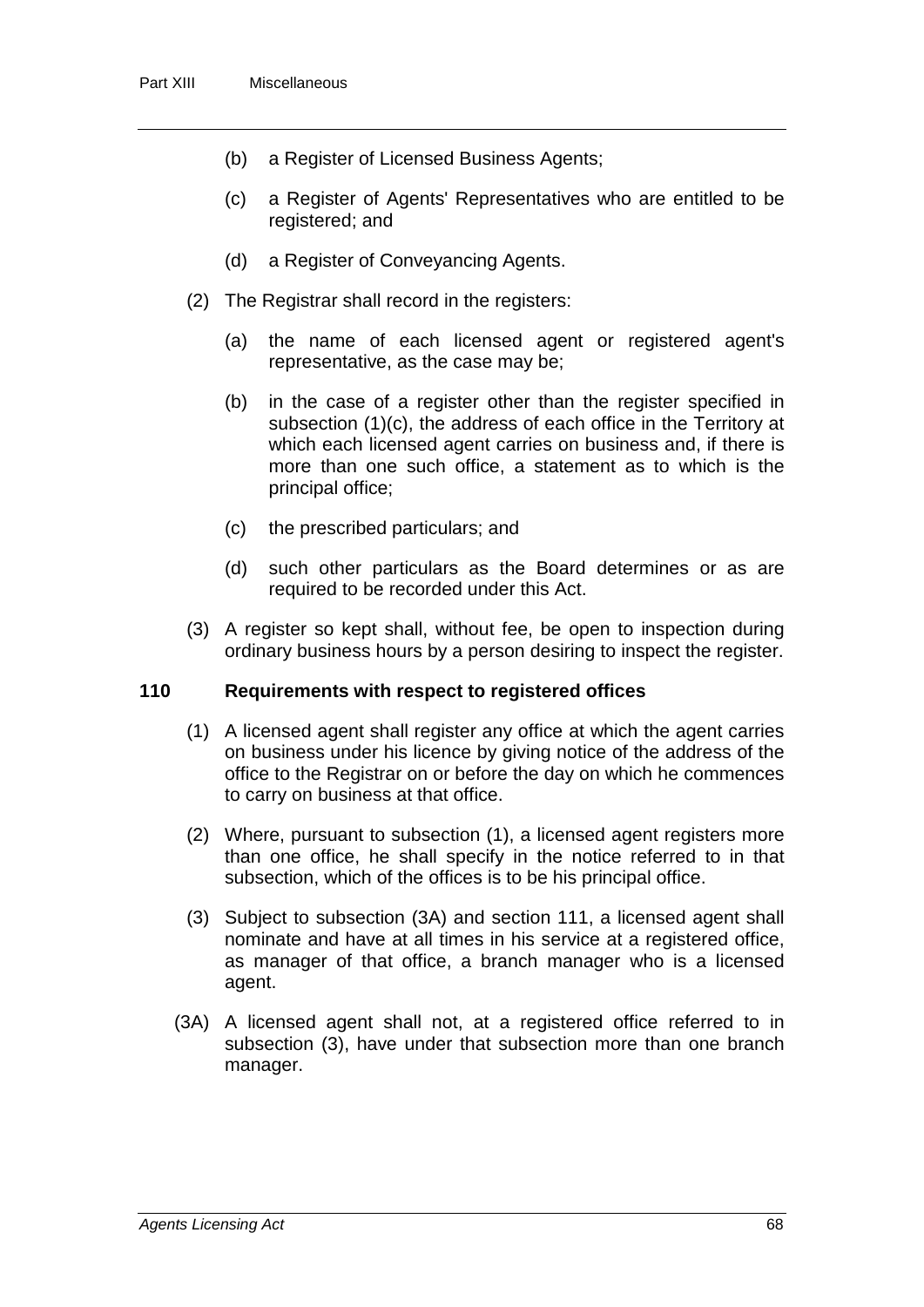- (b) a Register of Licensed Business Agents;
- (c) a Register of Agents' Representatives who are entitled to be registered; and
- (d) a Register of Conveyancing Agents.
- (2) The Registrar shall record in the registers:
	- (a) the name of each licensed agent or registered agent's representative, as the case may be;
	- (b) in the case of a register other than the register specified in subsection (1)(c), the address of each office in the Territory at which each licensed agent carries on business and, if there is more than one such office, a statement as to which is the principal office;
	- (c) the prescribed particulars; and
	- (d) such other particulars as the Board determines or as are required to be recorded under this Act.
- (3) A register so kept shall, without fee, be open to inspection during ordinary business hours by a person desiring to inspect the register.

#### **110 Requirements with respect to registered offices**

- (1) A licensed agent shall register any office at which the agent carries on business under his licence by giving notice of the address of the office to the Registrar on or before the day on which he commences to carry on business at that office.
- (2) Where, pursuant to subsection (1), a licensed agent registers more than one office, he shall specify in the notice referred to in that subsection, which of the offices is to be his principal office.
- (3) Subject to subsection (3A) and section 111, a licensed agent shall nominate and have at all times in his service at a registered office, as manager of that office, a branch manager who is a licensed agent.
- (3A) A licensed agent shall not, at a registered office referred to in subsection (3), have under that subsection more than one branch manager.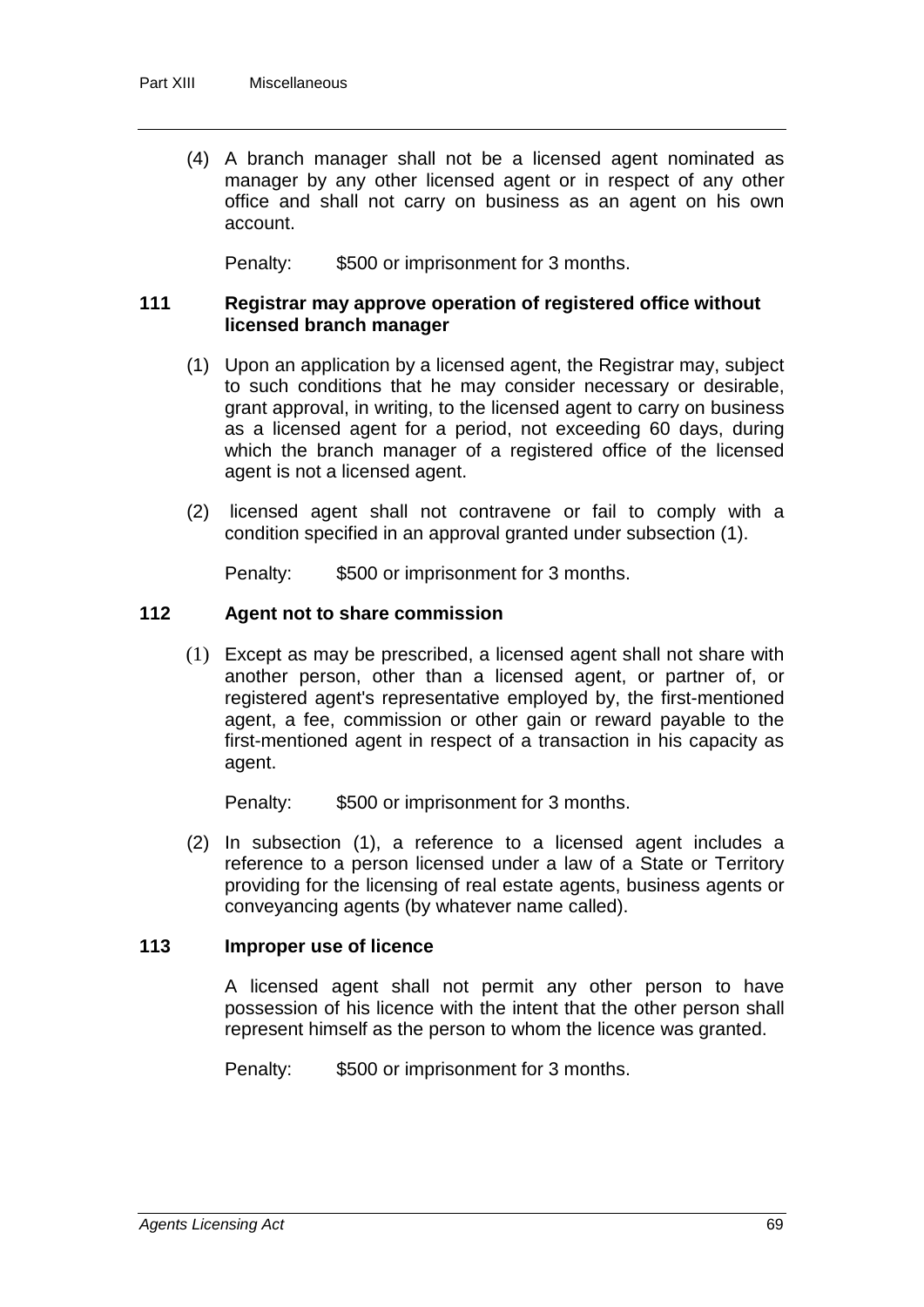(4) A branch manager shall not be a licensed agent nominated as manager by any other licensed agent or in respect of any other office and shall not carry on business as an agent on his own account.

Penalty: \$500 or imprisonment for 3 months.

#### **111 Registrar may approve operation of registered office without licensed branch manager**

- (1) Upon an application by a licensed agent, the Registrar may, subject to such conditions that he may consider necessary or desirable, grant approval, in writing, to the licensed agent to carry on business as a licensed agent for a period, not exceeding 60 days, during which the branch manager of a registered office of the licensed agent is not a licensed agent.
- (2) licensed agent shall not contravene or fail to comply with a condition specified in an approval granted under subsection (1).

Penalty: \$500 or imprisonment for 3 months.

### **112 Agent not to share commission**

(1) Except as may be prescribed, a licensed agent shall not share with another person, other than a licensed agent, or partner of, or registered agent's representative employed by, the first-mentioned agent, a fee, commission or other gain or reward payable to the first-mentioned agent in respect of a transaction in his capacity as agent.

Penalty: \$500 or imprisonment for 3 months.

(2) In subsection (1), a reference to a licensed agent includes a reference to a person licensed under a law of a State or Territory providing for the licensing of real estate agents, business agents or conveyancing agents (by whatever name called).

#### **113 Improper use of licence**

A licensed agent shall not permit any other person to have possession of his licence with the intent that the other person shall represent himself as the person to whom the licence was granted.

Penalty: \$500 or imprisonment for 3 months.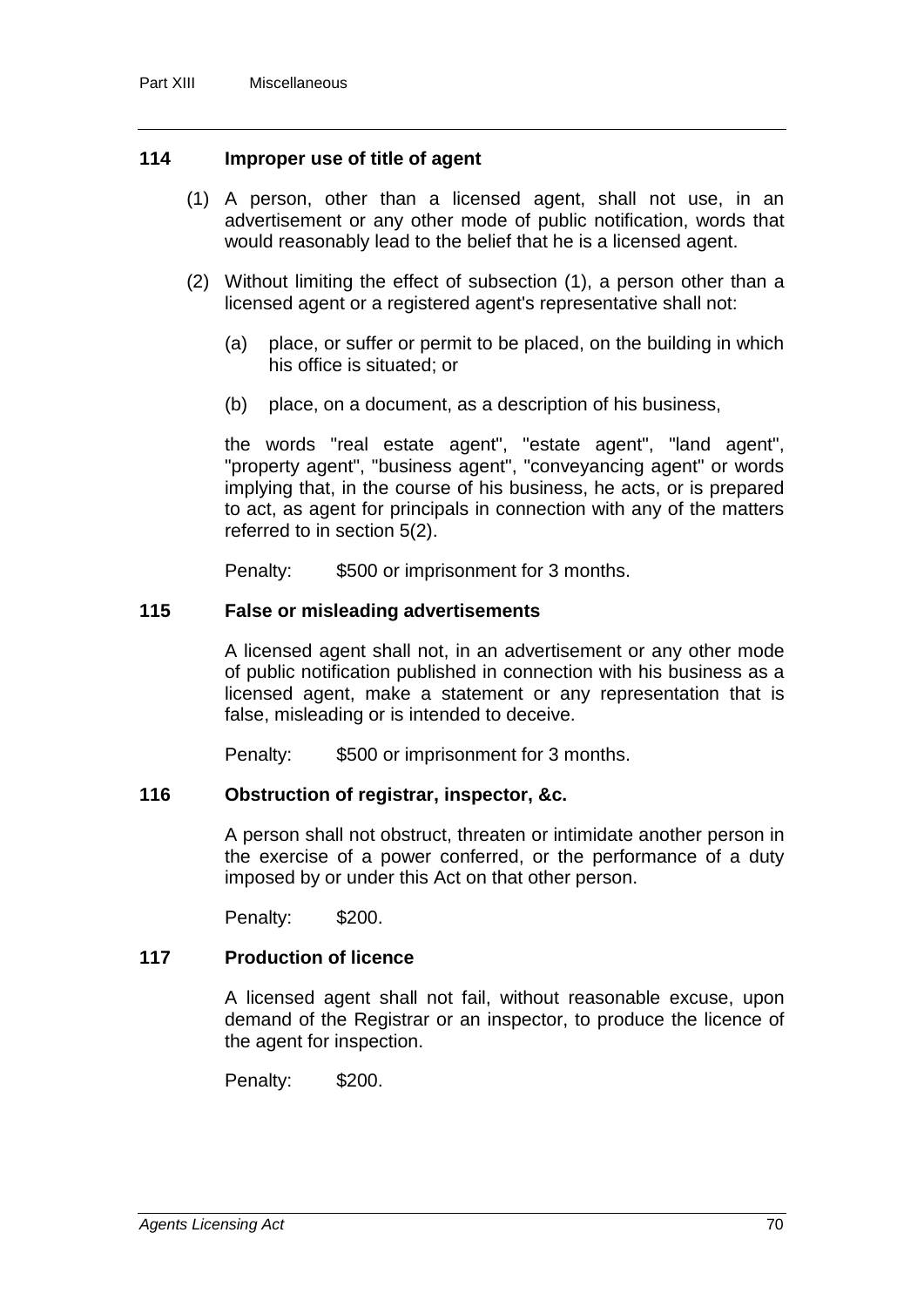#### **114 Improper use of title of agent**

- (1) A person, other than a licensed agent, shall not use, in an advertisement or any other mode of public notification, words that would reasonably lead to the belief that he is a licensed agent.
- (2) Without limiting the effect of subsection (1), a person other than a licensed agent or a registered agent's representative shall not:
	- (a) place, or suffer or permit to be placed, on the building in which his office is situated; or
	- (b) place, on a document, as a description of his business,

the words "real estate agent", "estate agent", "land agent", "property agent", "business agent", "conveyancing agent" or words implying that, in the course of his business, he acts, or is prepared to act, as agent for principals in connection with any of the matters referred to in section 5(2).

Penalty: \$500 or imprisonment for 3 months.

#### **115 False or misleading advertisements**

A licensed agent shall not, in an advertisement or any other mode of public notification published in connection with his business as a licensed agent, make a statement or any representation that is false, misleading or is intended to deceive.

Penalty: \$500 or imprisonment for 3 months.

#### **116 Obstruction of registrar, inspector, &c.**

A person shall not obstruct, threaten or intimidate another person in the exercise of a power conferred, or the performance of a duty imposed by or under this Act on that other person.

Penalty: \$200.

#### **117 Production of licence**

A licensed agent shall not fail, without reasonable excuse, upon demand of the Registrar or an inspector, to produce the licence of the agent for inspection.

Penalty: \$200.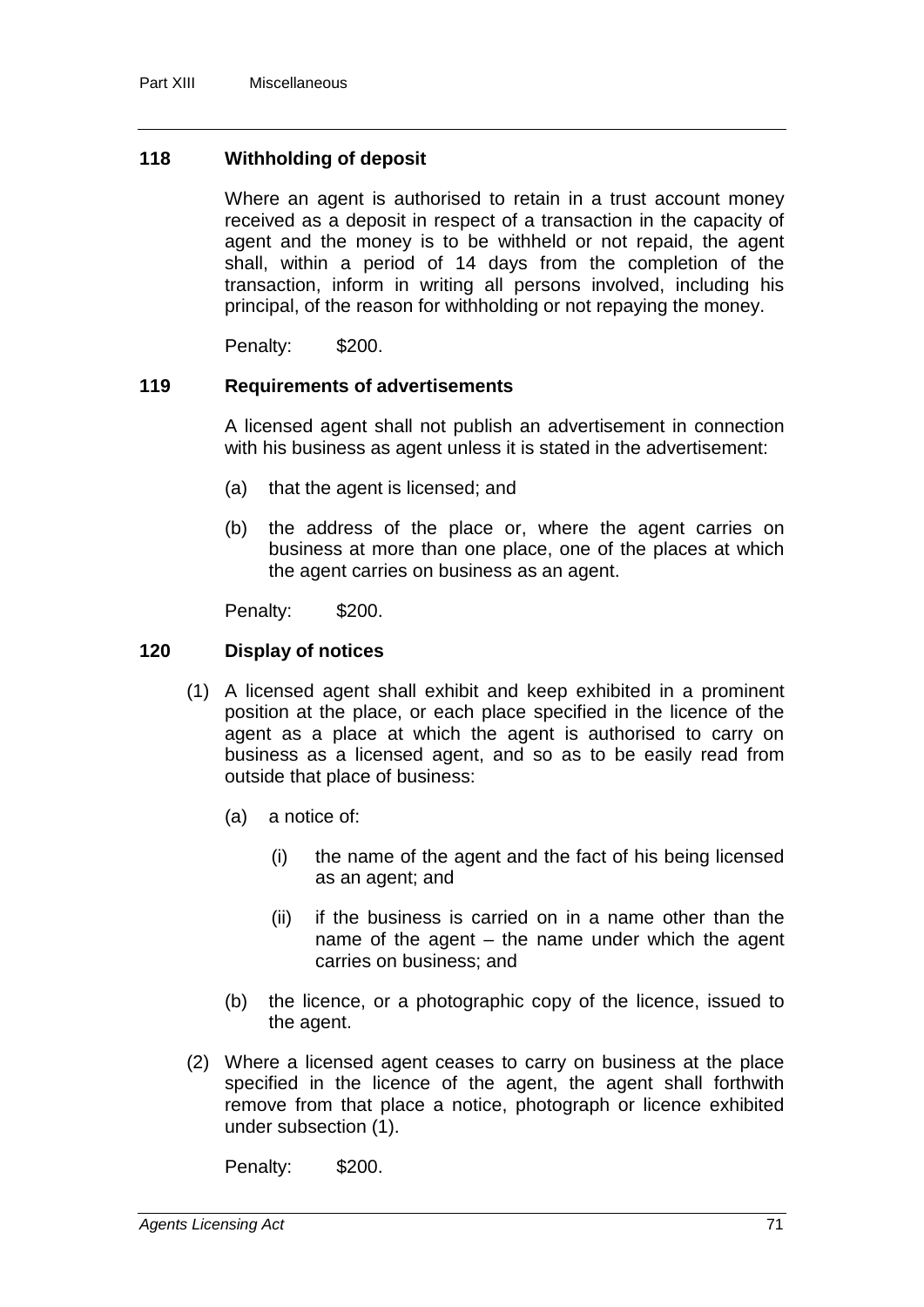### **118 Withholding of deposit**

Where an agent is authorised to retain in a trust account money received as a deposit in respect of a transaction in the capacity of agent and the money is to be withheld or not repaid, the agent shall, within a period of 14 days from the completion of the transaction, inform in writing all persons involved, including his principal, of the reason for withholding or not repaying the money.

Penalty: \$200.

#### **119 Requirements of advertisements**

A licensed agent shall not publish an advertisement in connection with his business as agent unless it is stated in the advertisement:

- (a) that the agent is licensed; and
- (b) the address of the place or, where the agent carries on business at more than one place, one of the places at which the agent carries on business as an agent.

Penalty: \$200.

#### **120 Display of notices**

- (1) A licensed agent shall exhibit and keep exhibited in a prominent position at the place, or each place specified in the licence of the agent as a place at which the agent is authorised to carry on business as a licensed agent, and so as to be easily read from outside that place of business:
	- (a) a notice of:
		- (i) the name of the agent and the fact of his being licensed as an agent; and
		- (ii) if the business is carried on in a name other than the name of the agent – the name under which the agent carries on business; and
	- (b) the licence, or a photographic copy of the licence, issued to the agent.
- (2) Where a licensed agent ceases to carry on business at the place specified in the licence of the agent, the agent shall forthwith remove from that place a notice, photograph or licence exhibited under subsection (1).

Penalty: \$200.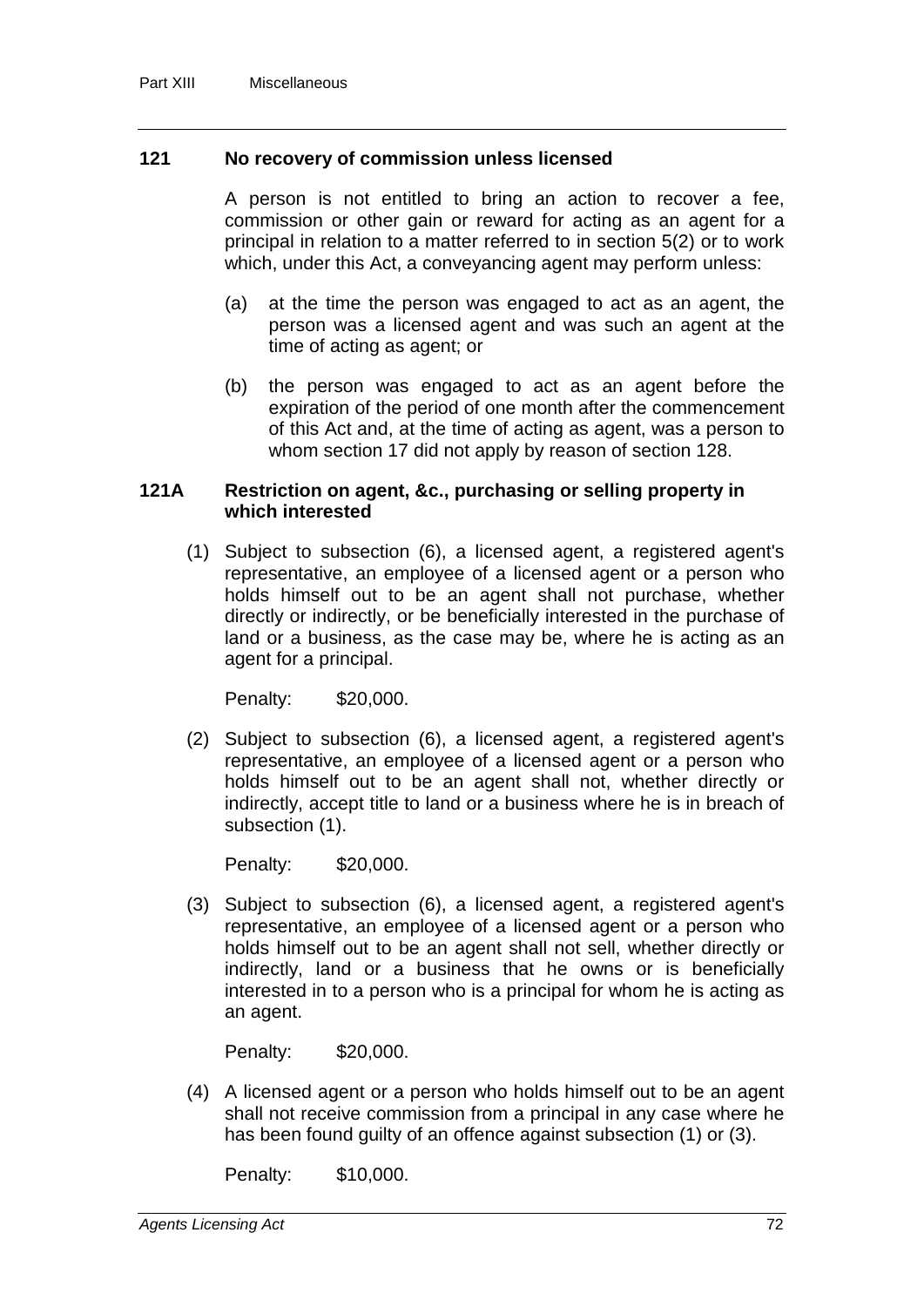#### **121 No recovery of commission unless licensed**

A person is not entitled to bring an action to recover a fee, commission or other gain or reward for acting as an agent for a principal in relation to a matter referred to in section 5(2) or to work which, under this Act, a conveyancing agent may perform unless:

- (a) at the time the person was engaged to act as an agent, the person was a licensed agent and was such an agent at the time of acting as agent; or
- (b) the person was engaged to act as an agent before the expiration of the period of one month after the commencement of this Act and, at the time of acting as agent, was a person to whom section 17 did not apply by reason of section 128.

#### **121A Restriction on agent, &c., purchasing or selling property in which interested**

(1) Subject to subsection (6), a licensed agent, a registered agent's representative, an employee of a licensed agent or a person who holds himself out to be an agent shall not purchase, whether directly or indirectly, or be beneficially interested in the purchase of land or a business, as the case may be, where he is acting as an agent for a principal.

Penalty: \$20,000.

(2) Subject to subsection (6), a licensed agent, a registered agent's representative, an employee of a licensed agent or a person who holds himself out to be an agent shall not, whether directly or indirectly, accept title to land or a business where he is in breach of subsection (1).

Penalty: \$20,000.

(3) Subject to subsection (6), a licensed agent, a registered agent's representative, an employee of a licensed agent or a person who holds himself out to be an agent shall not sell, whether directly or indirectly, land or a business that he owns or is beneficially interested in to a person who is a principal for whom he is acting as an agent.

Penalty: \$20,000.

(4) A licensed agent or a person who holds himself out to be an agent shall not receive commission from a principal in any case where he has been found guilty of an offence against subsection (1) or (3).

Penalty: \$10,000.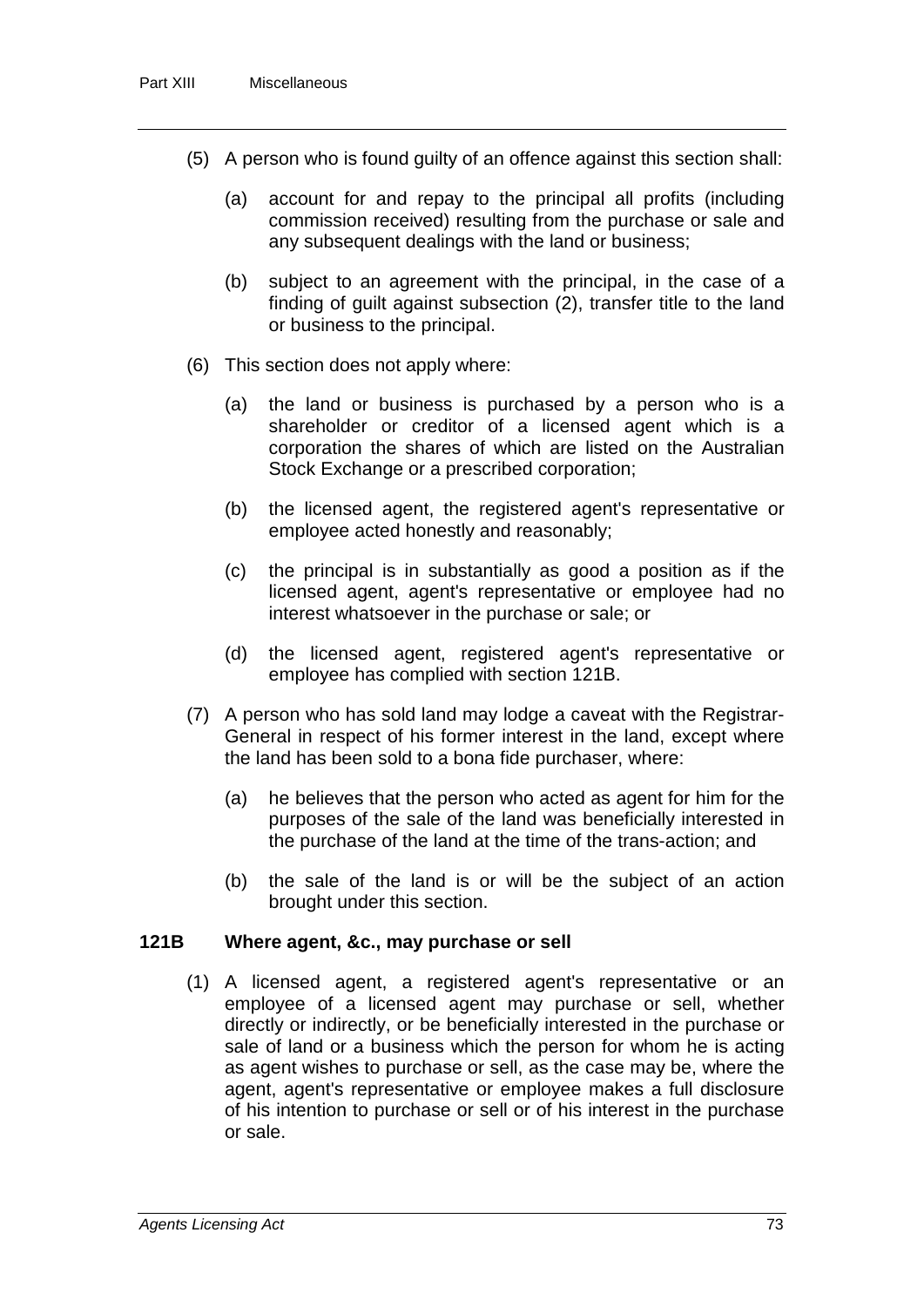- (5) A person who is found guilty of an offence against this section shall:
	- (a) account for and repay to the principal all profits (including commission received) resulting from the purchase or sale and any subsequent dealings with the land or business;
	- (b) subject to an agreement with the principal, in the case of a finding of guilt against subsection (2), transfer title to the land or business to the principal.
- (6) This section does not apply where:
	- (a) the land or business is purchased by a person who is a shareholder or creditor of a licensed agent which is a corporation the shares of which are listed on the Australian Stock Exchange or a prescribed corporation;
	- (b) the licensed agent, the registered agent's representative or employee acted honestly and reasonably;
	- (c) the principal is in substantially as good a position as if the licensed agent, agent's representative or employee had no interest whatsoever in the purchase or sale; or
	- (d) the licensed agent, registered agent's representative or employee has complied with section 121B.
- (7) A person who has sold land may lodge a caveat with the Registrar-General in respect of his former interest in the land, except where the land has been sold to a bona fide purchaser, where:
	- (a) he believes that the person who acted as agent for him for the purposes of the sale of the land was beneficially interested in the purchase of the land at the time of the trans-action; and
	- (b) the sale of the land is or will be the subject of an action brought under this section.

#### **121B Where agent, &c., may purchase or sell**

(1) A licensed agent, a registered agent's representative or an employee of a licensed agent may purchase or sell, whether directly or indirectly, or be beneficially interested in the purchase or sale of land or a business which the person for whom he is acting as agent wishes to purchase or sell, as the case may be, where the agent, agent's representative or employee makes a full disclosure of his intention to purchase or sell or of his interest in the purchase or sale.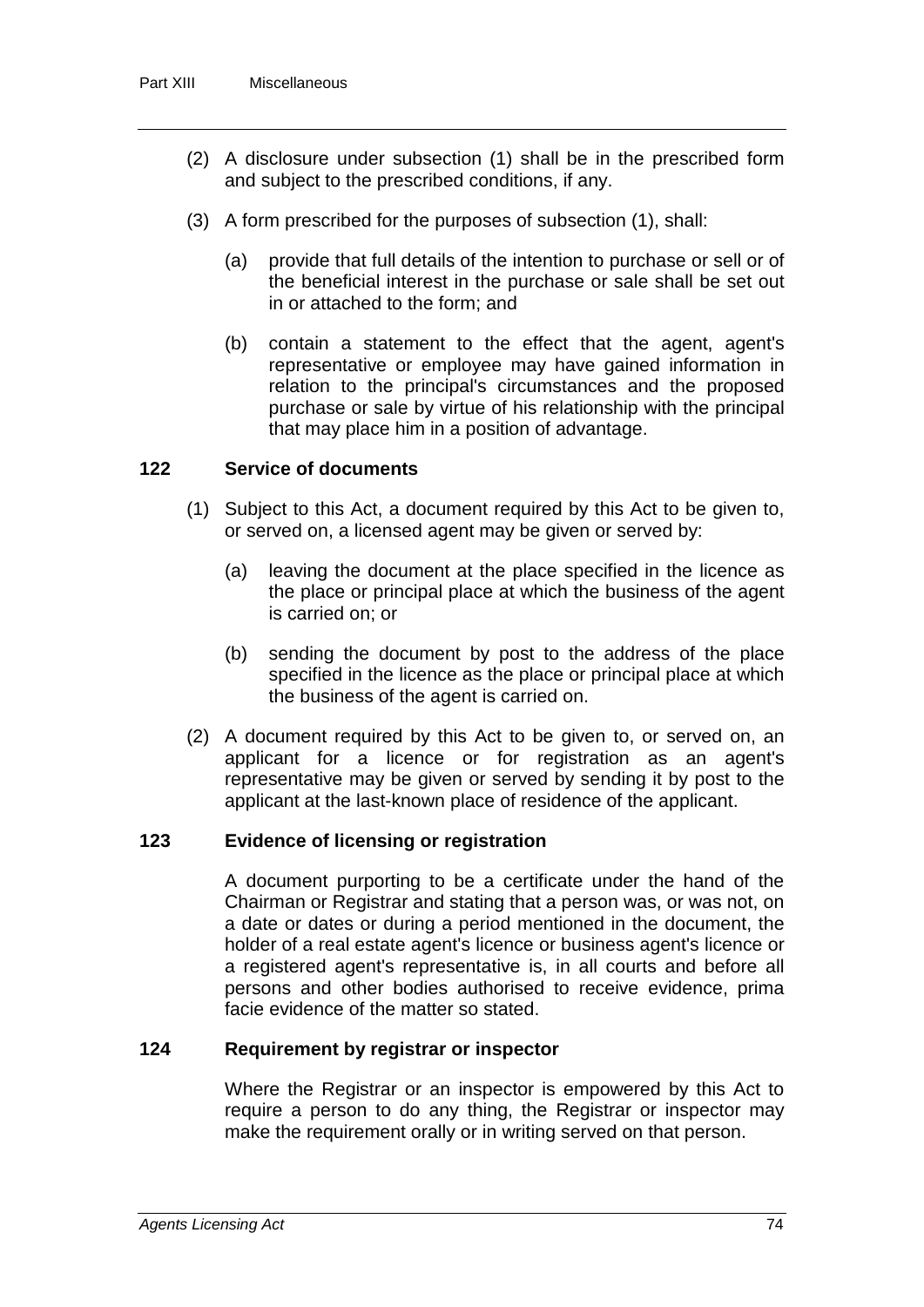- (2) A disclosure under subsection (1) shall be in the prescribed form and subject to the prescribed conditions, if any.
- (3) A form prescribed for the purposes of subsection (1), shall:
	- (a) provide that full details of the intention to purchase or sell or of the beneficial interest in the purchase or sale shall be set out in or attached to the form; and
	- (b) contain a statement to the effect that the agent, agent's representative or employee may have gained information in relation to the principal's circumstances and the proposed purchase or sale by virtue of his relationship with the principal that may place him in a position of advantage.

### **122 Service of documents**

- (1) Subject to this Act, a document required by this Act to be given to, or served on, a licensed agent may be given or served by:
	- (a) leaving the document at the place specified in the licence as the place or principal place at which the business of the agent is carried on; or
	- (b) sending the document by post to the address of the place specified in the licence as the place or principal place at which the business of the agent is carried on.
- (2) A document required by this Act to be given to, or served on, an applicant for a licence or for registration as an agent's representative may be given or served by sending it by post to the applicant at the last-known place of residence of the applicant.

### **123 Evidence of licensing or registration**

A document purporting to be a certificate under the hand of the Chairman or Registrar and stating that a person was, or was not, on a date or dates or during a period mentioned in the document, the holder of a real estate agent's licence or business agent's licence or a registered agent's representative is, in all courts and before all persons and other bodies authorised to receive evidence, prima facie evidence of the matter so stated.

#### **124 Requirement by registrar or inspector**

Where the Registrar or an inspector is empowered by this Act to require a person to do any thing, the Registrar or inspector may make the requirement orally or in writing served on that person.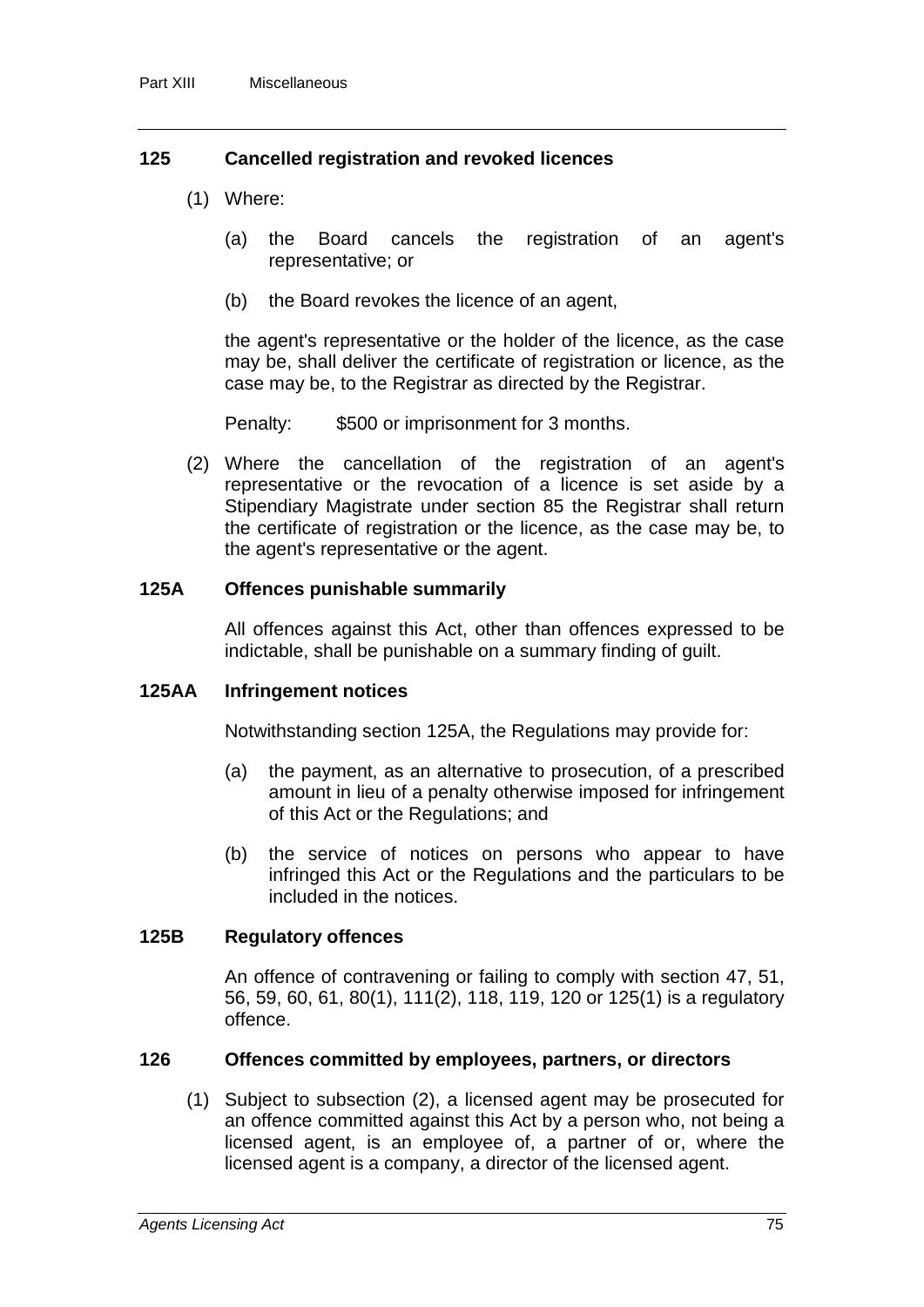### **125 Cancelled registration and revoked licences**

- (1) Where:
	- (a) the Board cancels the registration of an agent's representative; or
	- (b) the Board revokes the licence of an agent,

the agent's representative or the holder of the licence, as the case may be, shall deliver the certificate of registration or licence, as the case may be, to the Registrar as directed by the Registrar.

Penalty: \$500 or imprisonment for 3 months.

(2) Where the cancellation of the registration of an agent's representative or the revocation of a licence is set aside by a Stipendiary Magistrate under section 85 the Registrar shall return the certificate of registration or the licence, as the case may be, to the agent's representative or the agent.

#### **125A Offences punishable summarily**

All offences against this Act, other than offences expressed to be indictable, shall be punishable on a summary finding of guilt.

#### **125AA Infringement notices**

Notwithstanding section 125A, the Regulations may provide for:

- (a) the payment, as an alternative to prosecution, of a prescribed amount in lieu of a penalty otherwise imposed for infringement of this Act or the Regulations; and
- (b) the service of notices on persons who appear to have infringed this Act or the Regulations and the particulars to be included in the notices.

#### **125B Regulatory offences**

An offence of contravening or failing to comply with section 47, 51, 56, 59, 60, 61, 80(1), 111(2), 118, 119, 120 or 125(1) is a regulatory offence.

#### **126 Offences committed by employees, partners, or directors**

(1) Subject to subsection (2), a licensed agent may be prosecuted for an offence committed against this Act by a person who, not being a licensed agent, is an employee of, a partner of or, where the licensed agent is a company, a director of the licensed agent.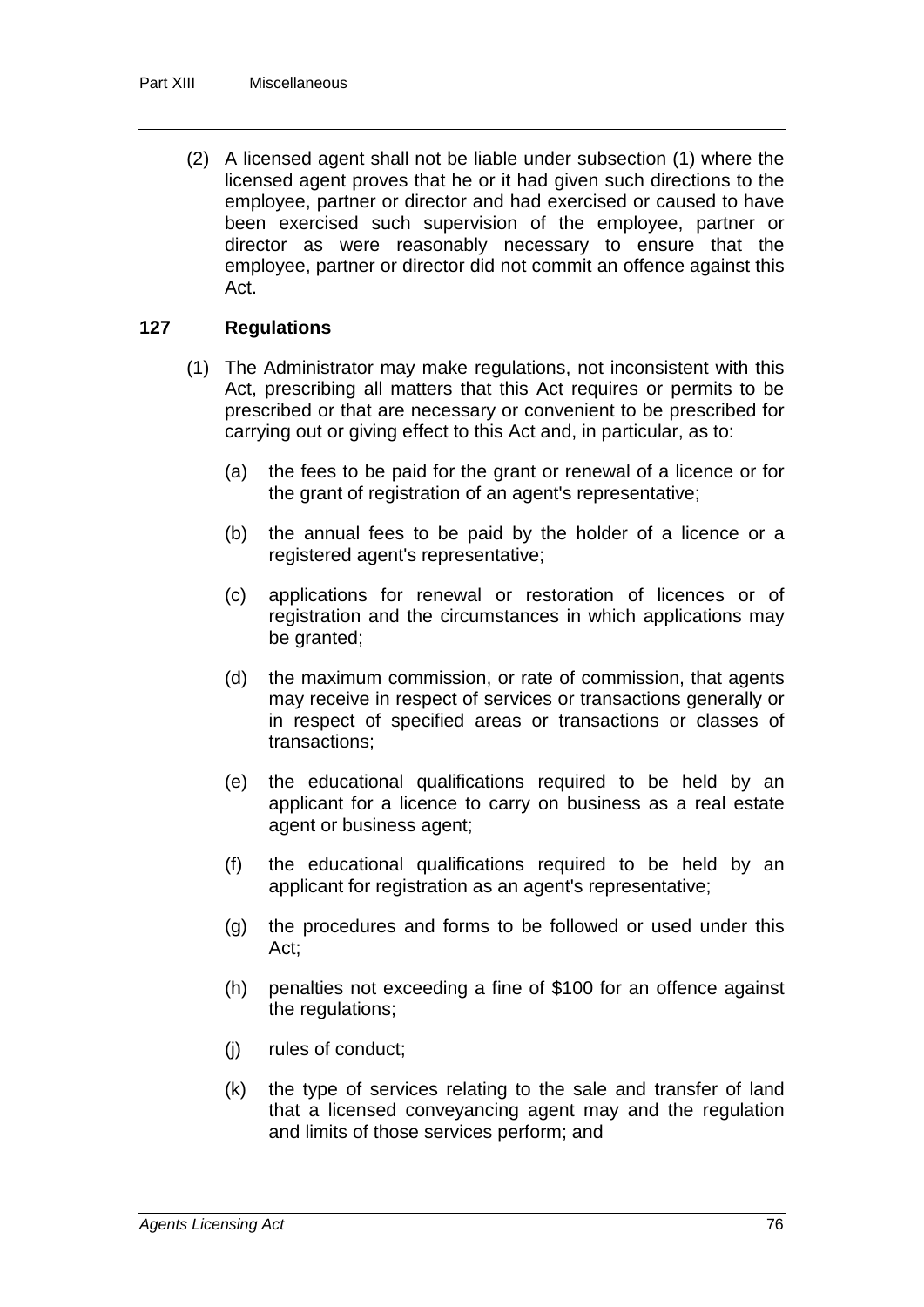(2) A licensed agent shall not be liable under subsection (1) where the licensed agent proves that he or it had given such directions to the employee, partner or director and had exercised or caused to have been exercised such supervision of the employee, partner or director as were reasonably necessary to ensure that the employee, partner or director did not commit an offence against this Act.

### **127 Regulations**

- (1) The Administrator may make regulations, not inconsistent with this Act, prescribing all matters that this Act requires or permits to be prescribed or that are necessary or convenient to be prescribed for carrying out or giving effect to this Act and, in particular, as to:
	- (a) the fees to be paid for the grant or renewal of a licence or for the grant of registration of an agent's representative;
	- (b) the annual fees to be paid by the holder of a licence or a registered agent's representative;
	- (c) applications for renewal or restoration of licences or of registration and the circumstances in which applications may be granted;
	- (d) the maximum commission, or rate of commission, that agents may receive in respect of services or transactions generally or in respect of specified areas or transactions or classes of transactions;
	- (e) the educational qualifications required to be held by an applicant for a licence to carry on business as a real estate agent or business agent;
	- (f) the educational qualifications required to be held by an applicant for registration as an agent's representative;
	- (g) the procedures and forms to be followed or used under this Act;
	- (h) penalties not exceeding a fine of \$100 for an offence against the regulations;
	- (j) rules of conduct;
	- (k) the type of services relating to the sale and transfer of land that a licensed conveyancing agent may and the regulation and limits of those services perform; and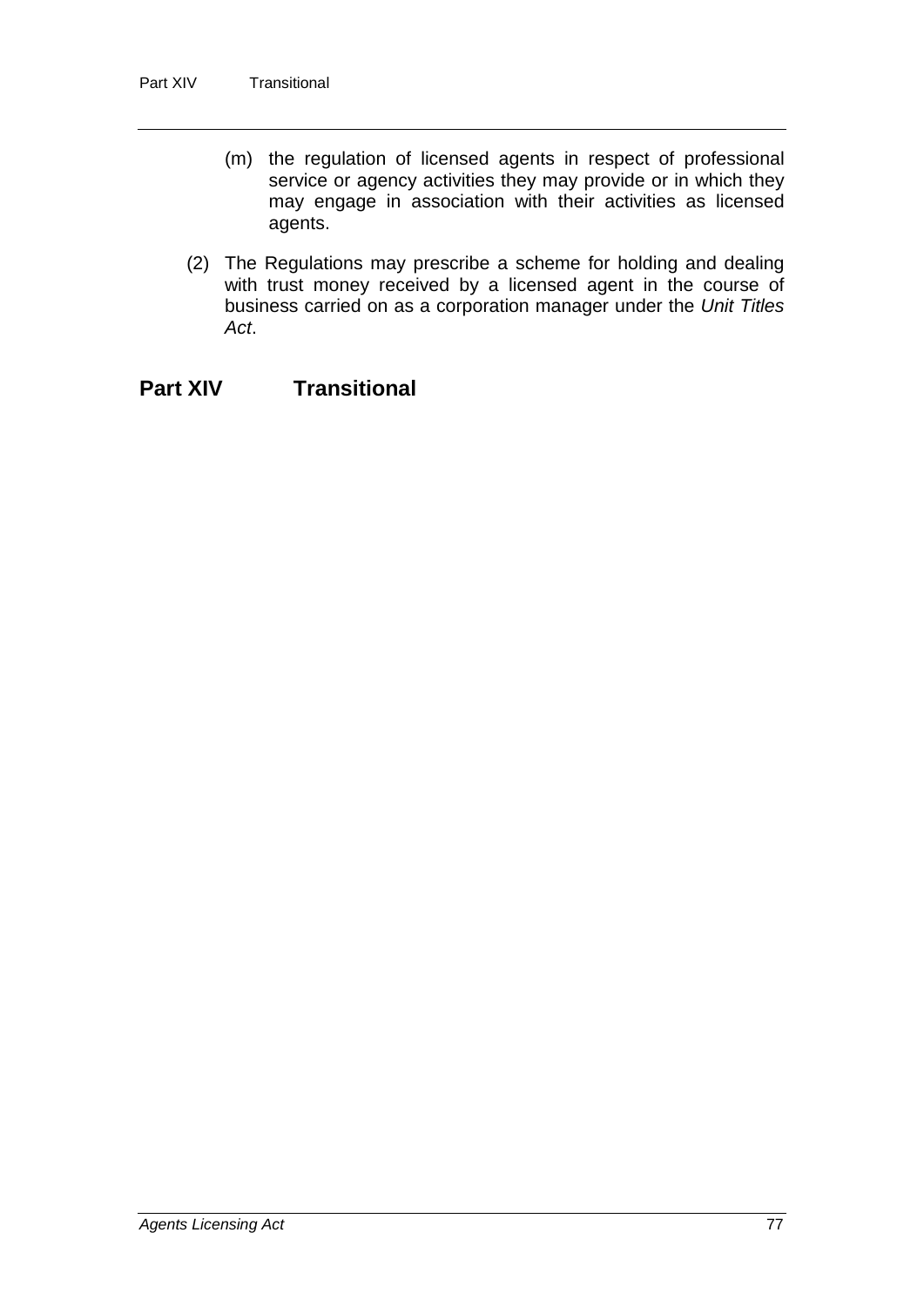- (m) the regulation of licensed agents in respect of professional service or agency activities they may provide or in which they may engage in association with their activities as licensed agents.
- (2) The Regulations may prescribe a scheme for holding and dealing with trust money received by a licensed agent in the course of business carried on as a corporation manager under the *Unit Titles Act*.

# **Part XIV Transitional**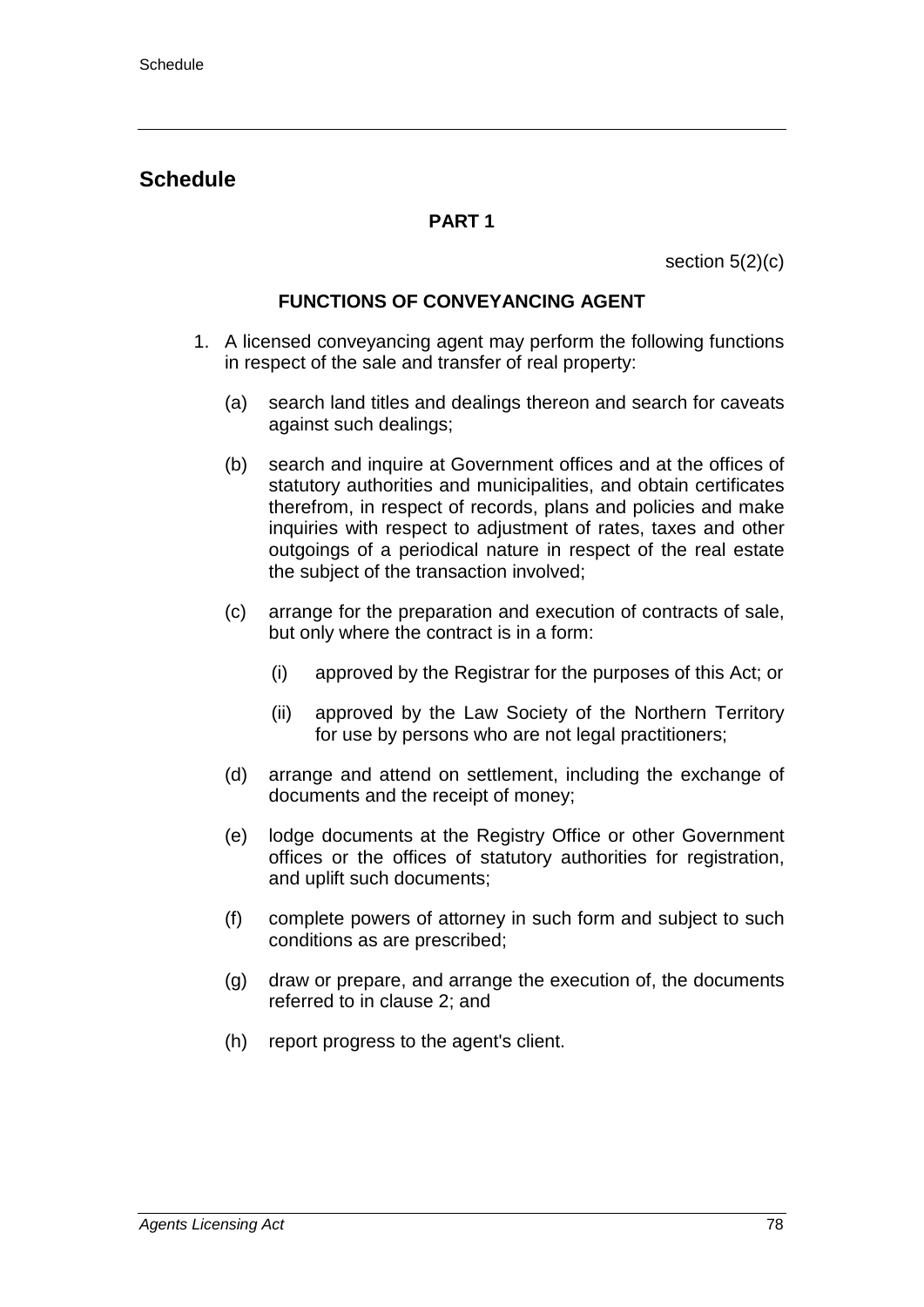# **Schedule**

## **PART 1**

section 5(2)(c)

### **FUNCTIONS OF CONVEYANCING AGENT**

- 1. A licensed conveyancing agent may perform the following functions in respect of the sale and transfer of real property:
	- (a) search land titles and dealings thereon and search for caveats against such dealings;
	- (b) search and inquire at Government offices and at the offices of statutory authorities and municipalities, and obtain certificates therefrom, in respect of records, plans and policies and make inquiries with respect to adjustment of rates, taxes and other outgoings of a periodical nature in respect of the real estate the subject of the transaction involved;
	- (c) arrange for the preparation and execution of contracts of sale, but only where the contract is in a form:
		- (i) approved by the Registrar for the purposes of this Act; or
		- (ii) approved by the Law Society of the Northern Territory for use by persons who are not legal practitioners;
	- (d) arrange and attend on settlement, including the exchange of documents and the receipt of money;
	- (e) lodge documents at the Registry Office or other Government offices or the offices of statutory authorities for registration, and uplift such documents;
	- (f) complete powers of attorney in such form and subject to such conditions as are prescribed;
	- (g) draw or prepare, and arrange the execution of, the documents referred to in clause 2; and
	- (h) report progress to the agent's client.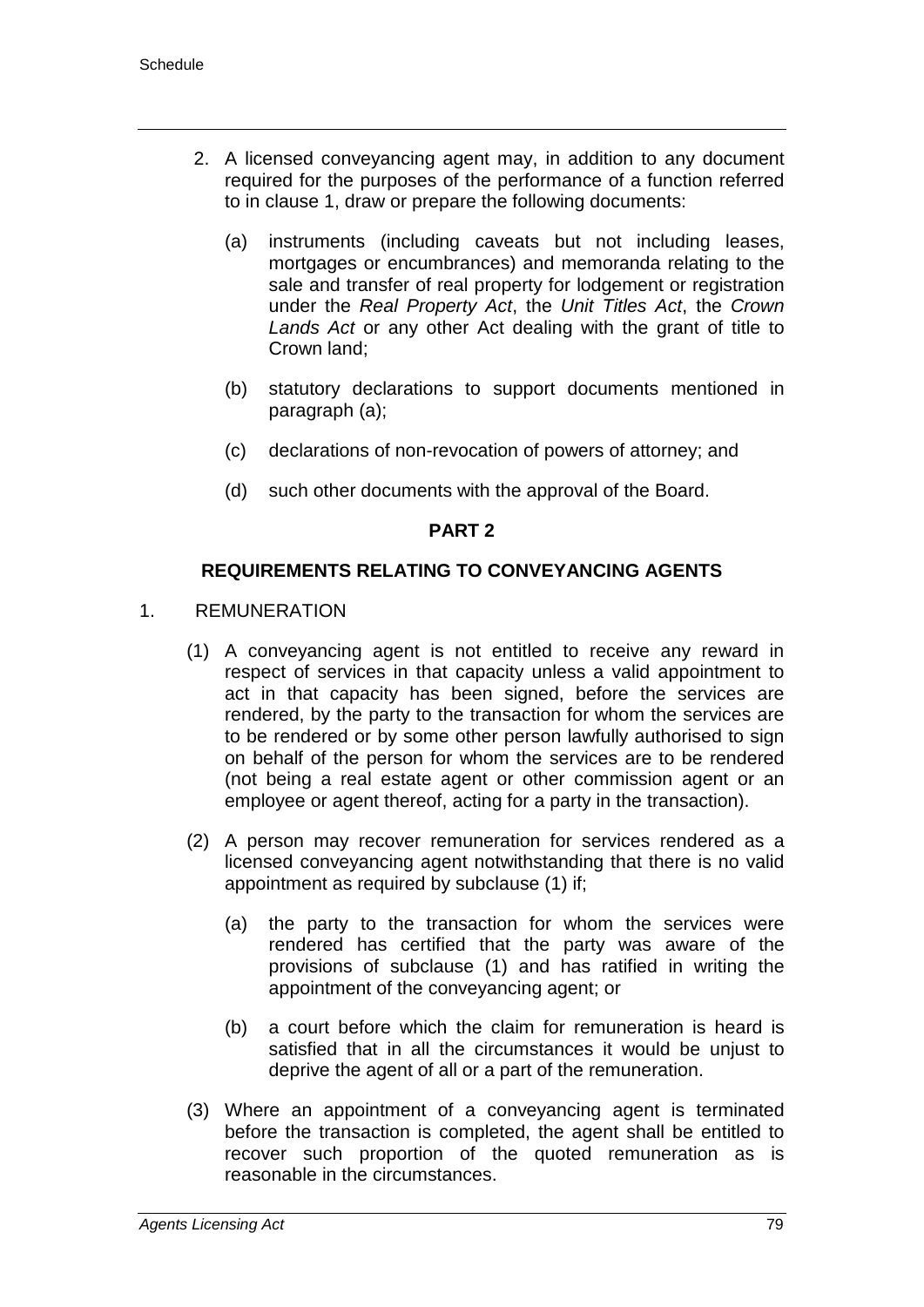- 2. A licensed conveyancing agent may, in addition to any document required for the purposes of the performance of a function referred to in clause 1, draw or prepare the following documents:
	- (a) instruments (including caveats but not including leases, mortgages or encumbrances) and memoranda relating to the sale and transfer of real property for lodgement or registration under the *Real Property Act*, the *Unit Titles Act*, the *Crown Lands Act* or any other Act dealing with the grant of title to Crown land;
	- (b) statutory declarations to support documents mentioned in paragraph (a);
	- (c) declarations of non-revocation of powers of attorney; and
	- (d) such other documents with the approval of the Board.

#### **PART 2**

### **REQUIREMENTS RELATING TO CONVEYANCING AGENTS**

- 1. REMUNERATION
	- (1) A conveyancing agent is not entitled to receive any reward in respect of services in that capacity unless a valid appointment to act in that capacity has been signed, before the services are rendered, by the party to the transaction for whom the services are to be rendered or by some other person lawfully authorised to sign on behalf of the person for whom the services are to be rendered (not being a real estate agent or other commission agent or an employee or agent thereof, acting for a party in the transaction).
	- (2) A person may recover remuneration for services rendered as a licensed conveyancing agent notwithstanding that there is no valid appointment as required by subclause (1) if;
		- (a) the party to the transaction for whom the services were rendered has certified that the party was aware of the provisions of subclause (1) and has ratified in writing the appointment of the conveyancing agent; or
		- (b) a court before which the claim for remuneration is heard is satisfied that in all the circumstances it would be unjust to deprive the agent of all or a part of the remuneration.
	- (3) Where an appointment of a conveyancing agent is terminated before the transaction is completed, the agent shall be entitled to recover such proportion of the quoted remuneration as is reasonable in the circumstances.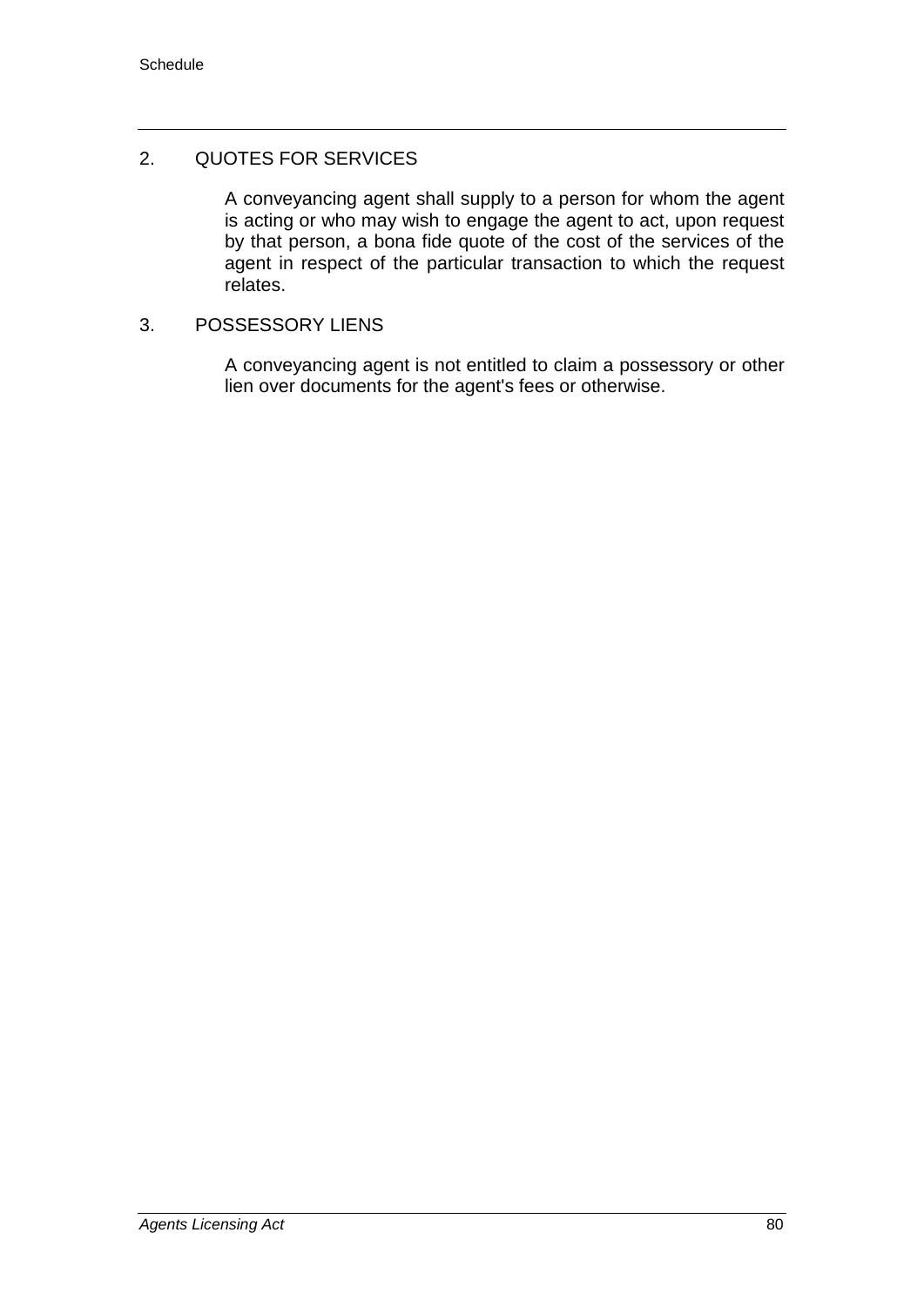### 2. QUOTES FOR SERVICES

A conveyancing agent shall supply to a person for whom the agent is acting or who may wish to engage the agent to act, upon request by that person, a bona fide quote of the cost of the services of the agent in respect of the particular transaction to which the request relates.

#### 3. POSSESSORY LIENS

A conveyancing agent is not entitled to claim a possessory or other lien over documents for the agent's fees or otherwise.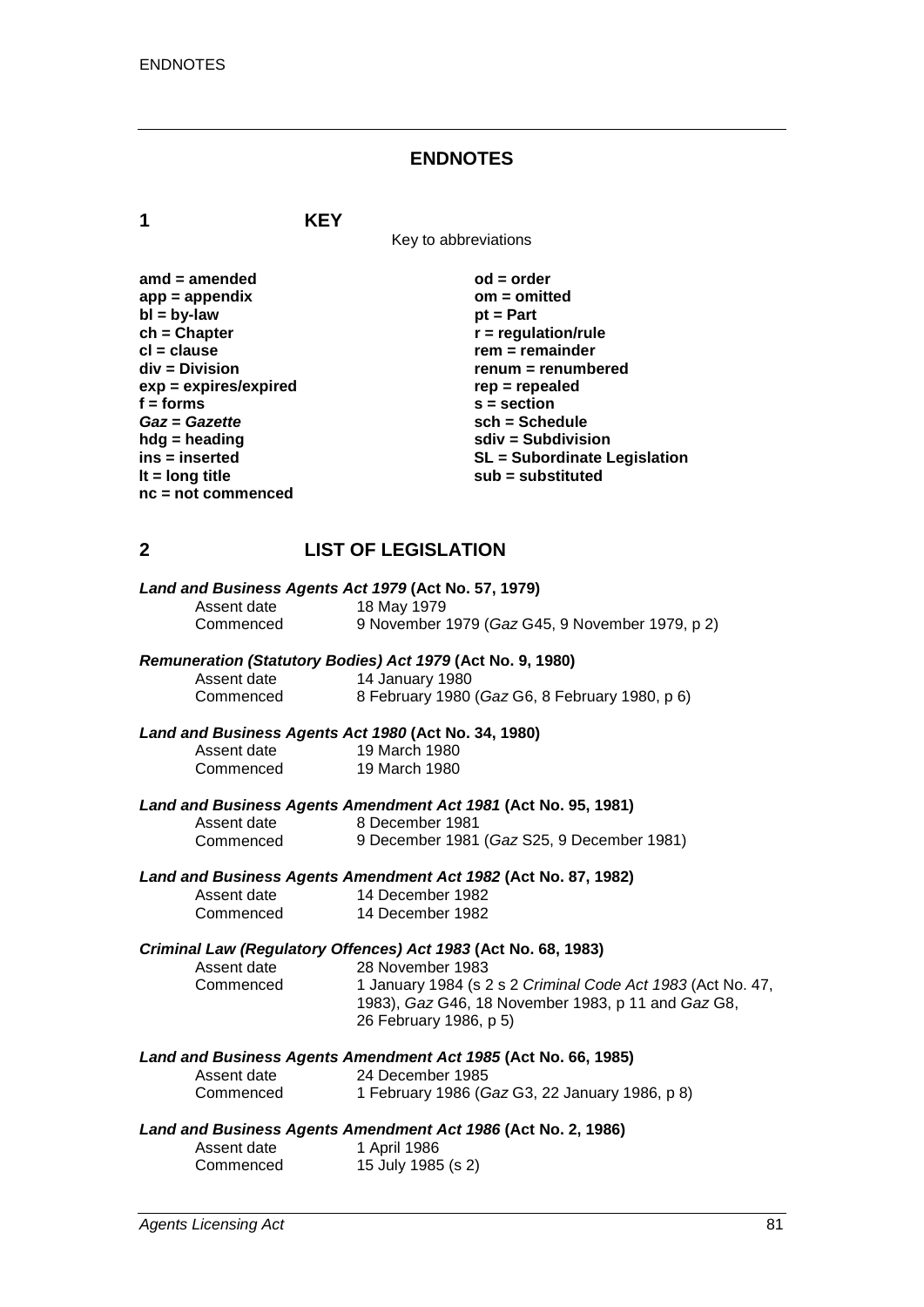#### **ENDNOTES**

**1 KEY**

Key to abbreviations

| $amd = amended$         |
|-------------------------|
| $app = appendix$        |
| $bl = by-law$           |
| $ch = Chapter$          |
| cl = clause             |
| div = Division          |
| $exp = expires/expired$ |
| f = forms               |
| Gaz = Gazette           |
| hdg = heading           |
| ins = inserted          |
| It = $long$ title       |
| nc = not commenced      |
|                         |

 $od = order$ **app = appendix om = omitted** *pt* **= Part ch = Chapter r = regulation/rule cl = clause rem = remainder div = Division renum = renumbered exp = expires/expired rep = repealed f = forms s = section** *Gaz* **=** *Gazette* **sch = Schedule hdg = heading sdiv = Subdivision ins = inserted SL = Subordinate Legislation lt = long title sub = substituted**

# **2 LIST OF LEGISLATION**

|             | Land and Business Agents Act 1979 (Act No. 57, 1979)           |
|-------------|----------------------------------------------------------------|
| Assent date | 18 May 1979                                                    |
| Commenced   | 9 November 1979 (Gaz G45, 9 November 1979, p 2)                |
|             | Remuneration (Statutory Bodies) Act 1979 (Act No. 9, 1980)     |
| Assent date | 14 January 1980                                                |
| Commenced   | 8 February 1980 (Gaz G6, 8 February 1980, p 6)                 |
|             | Land and Business Agents Act 1980 (Act No. 34, 1980)           |
| Assent date | 19 March 1980                                                  |
| Commenced   | 19 March 1980                                                  |
|             | Land and Business Agents Amendment Act 1981 (Act No. 95, 1981) |
| Assent date | 8 December 1981                                                |
| Commenced   | 9 December 1981 (Gaz S25, 9 December 1981)                     |
|             | Land and Business Agents Amendment Act 1982 (Act No. 87, 1982) |
| Assent date | 14 December 1982                                               |
| Commenced   | 14 December 1982                                               |
|             | Criminal Law (Regulatory Offences) Act 1983 (Act No. 68, 1983) |
| Assent date | 28 November 1983                                               |
| Commenced   | 1 January 1984 (s 2 s 2 Criminal Code Act 1983 (Act No. 47,    |
|             | 1983), Gaz G46, 18 November 1983, p 11 and Gaz G8,             |
|             | 26 February 1986, p 5)                                         |
|             | Land and Business Agents Amendment Act 1985 (Act No. 66, 1985) |
| Assent date | 24 December 1985                                               |
| Commenced   | 1 February 1986 (Gaz G3, 22 January 1986, p 8)                 |
|             | Land and Business Agents Amendment Act 1986 (Act No. 2, 1986)  |
| Assent date | 1 April 1986                                                   |
| Commenced   | 15 July 1985 (s 2)                                             |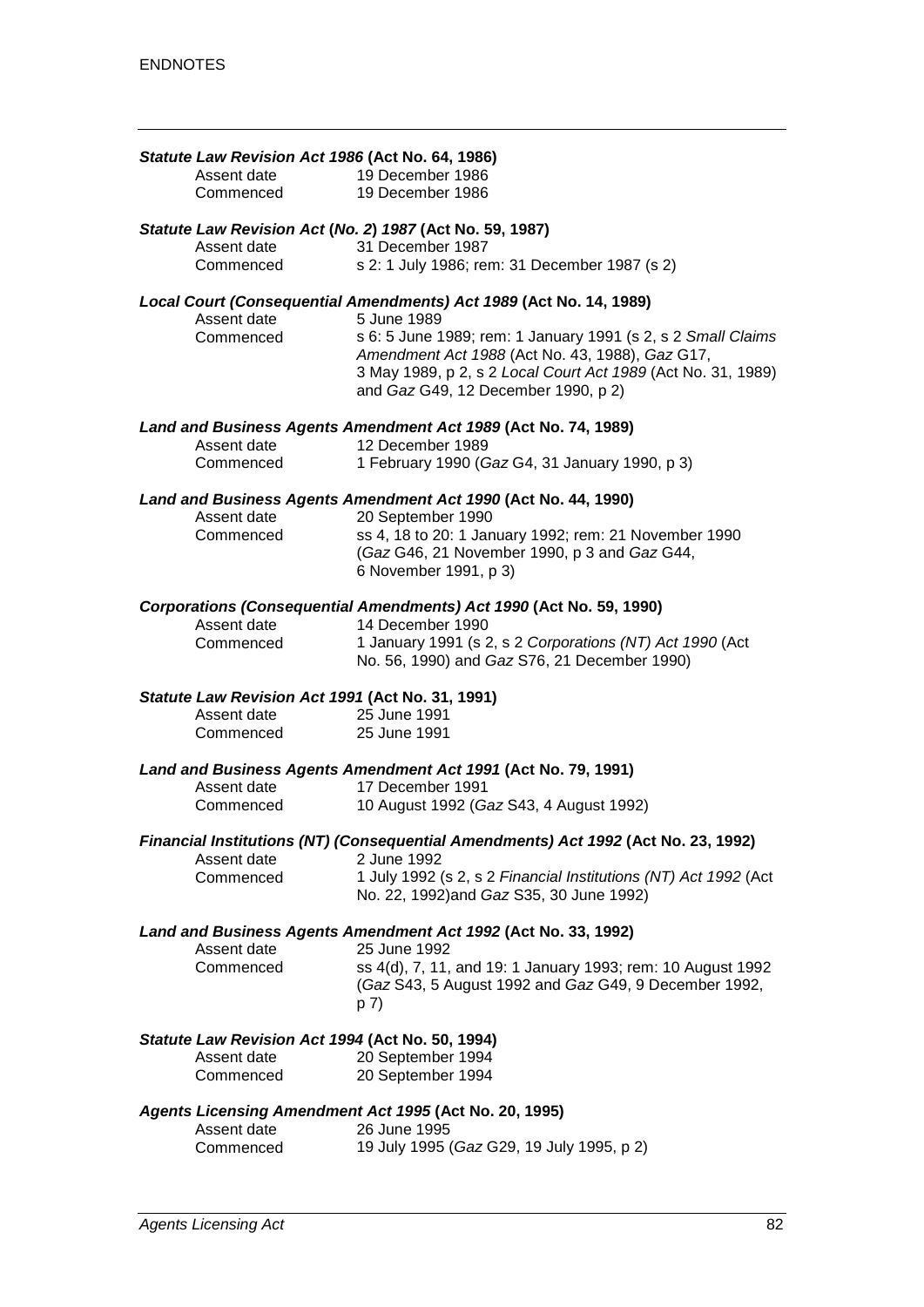| Statute Law Revision Act 1986 (Act No. 64, 1986) |                                                                                                                 |
|--------------------------------------------------|-----------------------------------------------------------------------------------------------------------------|
| Assent date                                      | 19 December 1986                                                                                                |
| Commenced                                        | 19 December 1986                                                                                                |
| Assent date                                      | Statute Law Revision Act (No. 2) 1987 (Act No. 59, 1987)<br>31 December 1987                                    |
| Commenced                                        | s 2: 1 July 1986; rem: 31 December 1987 (s 2)                                                                   |
|                                                  | Local Court (Consequential Amendments) Act 1989 (Act No. 14, 1989)                                              |
| Assent date                                      | 5 June 1989                                                                                                     |
| Commenced                                        | s 6: 5 June 1989; rem: 1 January 1991 (s 2, s 2 Small Claims                                                    |
|                                                  | Amendment Act 1988 (Act No. 43, 1988), Gaz G17,<br>3 May 1989, p 2, s 2 Local Court Act 1989 (Act No. 31, 1989) |
|                                                  | and Gaz G49, 12 December 1990, p 2)                                                                             |
|                                                  | Land and Business Agents Amendment Act 1989 (Act No. 74, 1989)                                                  |
| Assent date                                      | 12 December 1989                                                                                                |
| Commenced                                        | 1 February 1990 (Gaz G4, 31 January 1990, p 3)                                                                  |
|                                                  | Land and Business Agents Amendment Act 1990 (Act No. 44, 1990)                                                  |
| Assent date                                      | 20 September 1990                                                                                               |
| Commenced                                        | ss 4, 18 to 20: 1 January 1992; rem: 21 November 1990<br>(Gaz G46, 21 November 1990, p 3 and Gaz G44,           |
|                                                  | 6 November 1991, p 3)                                                                                           |
|                                                  | Corporations (Consequential Amendments) Act 1990 (Act No. 59, 1990)                                             |
| Assent date                                      | 14 December 1990                                                                                                |
| Commenced                                        | 1 January 1991 (s 2, s 2 Corporations (NT) Act 1990 (Act                                                        |
|                                                  | No. 56, 1990) and Gaz S76, 21 December 1990)                                                                    |
| Statute Law Revision Act 1991 (Act No. 31, 1991) |                                                                                                                 |
| Assent date<br>Commenced                         | 25 June 1991<br>25 June 1991                                                                                    |
|                                                  |                                                                                                                 |
|                                                  | Land and Business Agents Amendment Act 1991 (Act No. 79, 1991)<br>17 December 1991                              |
| Assent date<br>Commenced                         | 10 August 1992 (Gaz S43, 4 August 1992)                                                                         |
|                                                  |                                                                                                                 |
| Assent date                                      | Financial Institutions (NT) (Consequential Amendments) Act 1992 (Act No. 23, 1992)<br>2 June 1992               |
| Commenced                                        | 1 July 1992 (s 2, s 2 Financial Institutions (NT) Act 1992 (Act                                                 |
|                                                  | No. 22, 1992) and Gaz S35, 30 June 1992)                                                                        |
|                                                  | Land and Business Agents Amendment Act 1992 (Act No. 33, 1992)                                                  |
| Assent date                                      | 25 June 1992                                                                                                    |
| Commenced                                        | ss 4(d), 7, 11, and 19: 1 January 1993; rem: 10 August 1992                                                     |
|                                                  | (Gaz S43, 5 August 1992 and Gaz G49, 9 December 1992,<br>p 7)                                                   |
| Statute Law Revision Act 1994 (Act No. 50, 1994) |                                                                                                                 |
| Assent date                                      | 20 September 1994                                                                                               |
| Commenced                                        | 20 September 1994                                                                                               |
|                                                  | Agents Licensing Amendment Act 1995 (Act No. 20, 1995)                                                          |
| Assent date                                      | 26 June 1995                                                                                                    |
| Commenced                                        | 19 July 1995 (Gaz G29, 19 July 1995, p 2)                                                                       |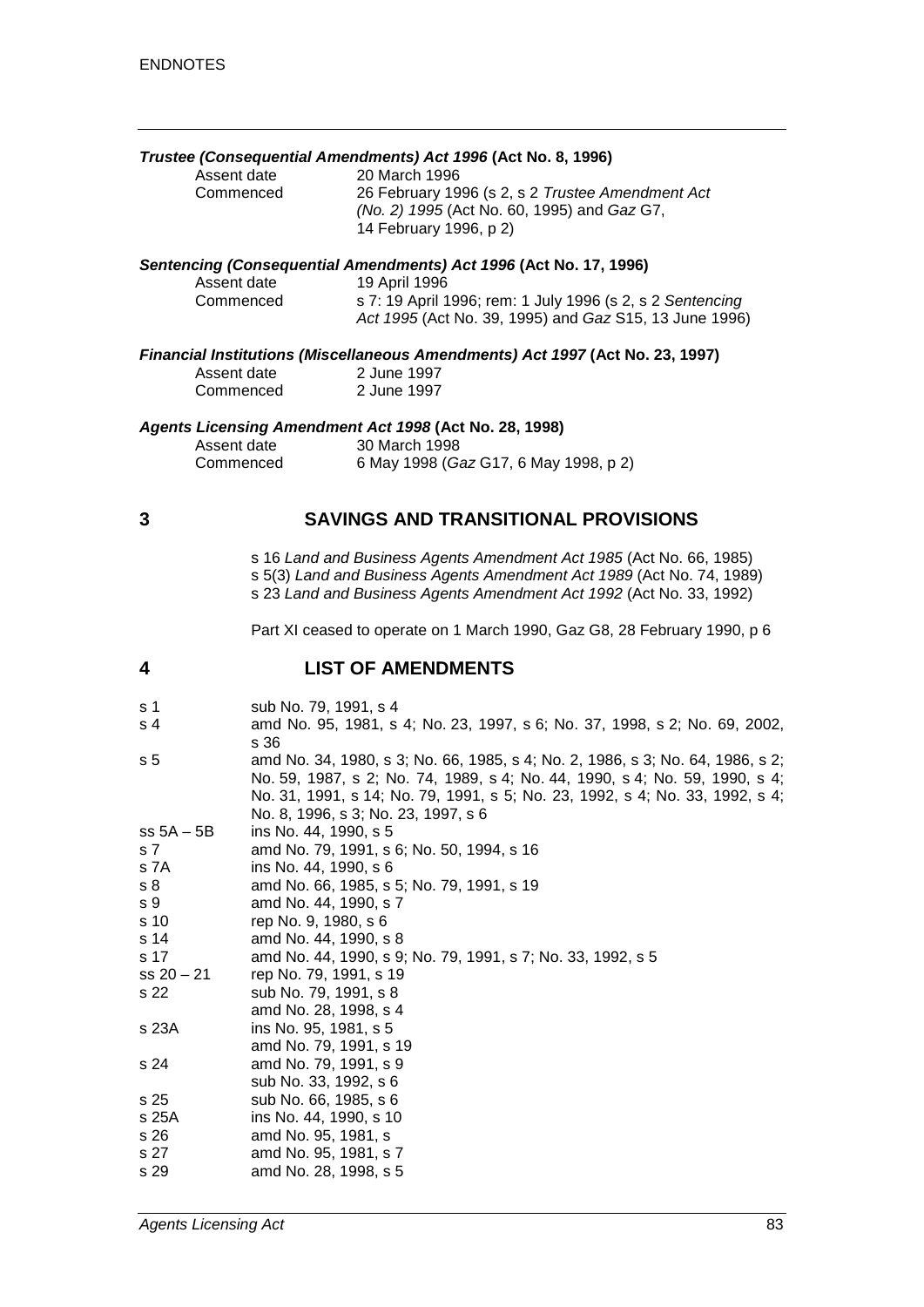# *Trustee (Consequential Amendments) Act 1996* **(Act No. 8, 1996)**

Assent date 20 March 1996<br>Commenced 26 February 19

26 February 1996 (s 2, s 2 *Trustee Amendment Act (No. 2) 1995* (Act No. 60, 1995) and *Gaz* G7, 14 February 1996, p 2)

#### *Sentencing (Consequential Amendments) Act 1996* **(Act No. 17, 1996)**

| Assent date | 19 April 1996                                             |
|-------------|-----------------------------------------------------------|
| Commenced   | s 7: 19 April 1996; rem: 1 July 1996 (s 2, s 2 Sentencing |
|             | Act 1995 (Act No. 39, 1995) and Gaz S15, 13 June 1996)    |

#### *Financial Institutions (Miscellaneous Amendments) Act 1997* **(Act No. 23, 1997)**

| Assent date | 2 June 1997 |
|-------------|-------------|
| Commenced   | 2 June 1997 |

#### *Agents Licensing Amendment Act 1998* **(Act No. 28, 1998)**

| Assent date | 30 March 1998                         |
|-------------|---------------------------------------|
| Commenced   | 6 May 1998 (Gaz G17, 6 May 1998, p 2) |

#### **3 SAVINGS AND TRANSITIONAL PROVISIONS**

s 16 *Land and Business Agents Amendment Act 1985* (Act No. 66, 1985) s 5(3) *Land and Business Agents Amendment Act 1989* (Act No. 74, 1989) s 23 *Land and Business Agents Amendment Act 1992* (Act No. 33, 1992)

Part XI ceased to operate on 1 March 1990, Gaz G8, 28 February 1990, p 6

#### **4 LIST OF AMENDMENTS**

| sub No. 79, 1991, s 4<br>s 1 |  |  |
|------------------------------|--|--|
|------------------------------|--|--|

- s 4 amd No. 95, 1981, s 4; No. 23, 1997, s 6; No. 37, 1998, s 2; No. 69, 2002, s 36
- s 5 amd No. 34, 1980, s 3; No. 66, 1985, s 4; No. 2, 1986, s 3; No. 64, 1986, s 2; No. 59, 1987, s 2; No. 74, 1989, s 4; No. 44, 1990, s 4; No. 59, 1990, s 4; No. 31, 1991, s 14; No. 79, 1991, s 5; No. 23, 1992, s 4; No. 33, 1992, s 4; No. 8, 1996, s 3; No. 23, 1997, s 6
- ss 5A 5B ins No. 44, 1990, s 5
- s 7 amd No. 79, 1991, s 6; No. 50, 1994, s 16 s 7A ins No. 44, 1990, s 6
- 
- s 8 amd No. 66, 1985, s 5; No. 79, 1991, s 19
- s 9 amd No. 44, 1990, s 7<br>s 10 rep No. 9, 1980, s 6 rep No. 9, 1980, s 6
- s 14 amd No. 44, 1990, s 8
- s 17 amd No. 44, 1990, s 9; No. 79, 1991, s 7; No. 33, 1992, s 5 ss 20 – 21 rep No. 79, 1991, s 19
- s 22 sub No. 79, 1991, s 8 amd No. 28, 1998, s 4
- s 23A ins No. 95, 1981, s 5
- amd No. 79, 1991, s 19
- s 24 amd No. 79, 1991, s 9
- sub No. 33, 1992, s 6
- s 25 sub No. 66, 1985, s 6
- s 25A ins No. 44, 1990, s 10 amd No. 95, 1981, s
- s 27 amd No. 95, 1981, s 7
- s 29 amd No. 28, 1998, s 5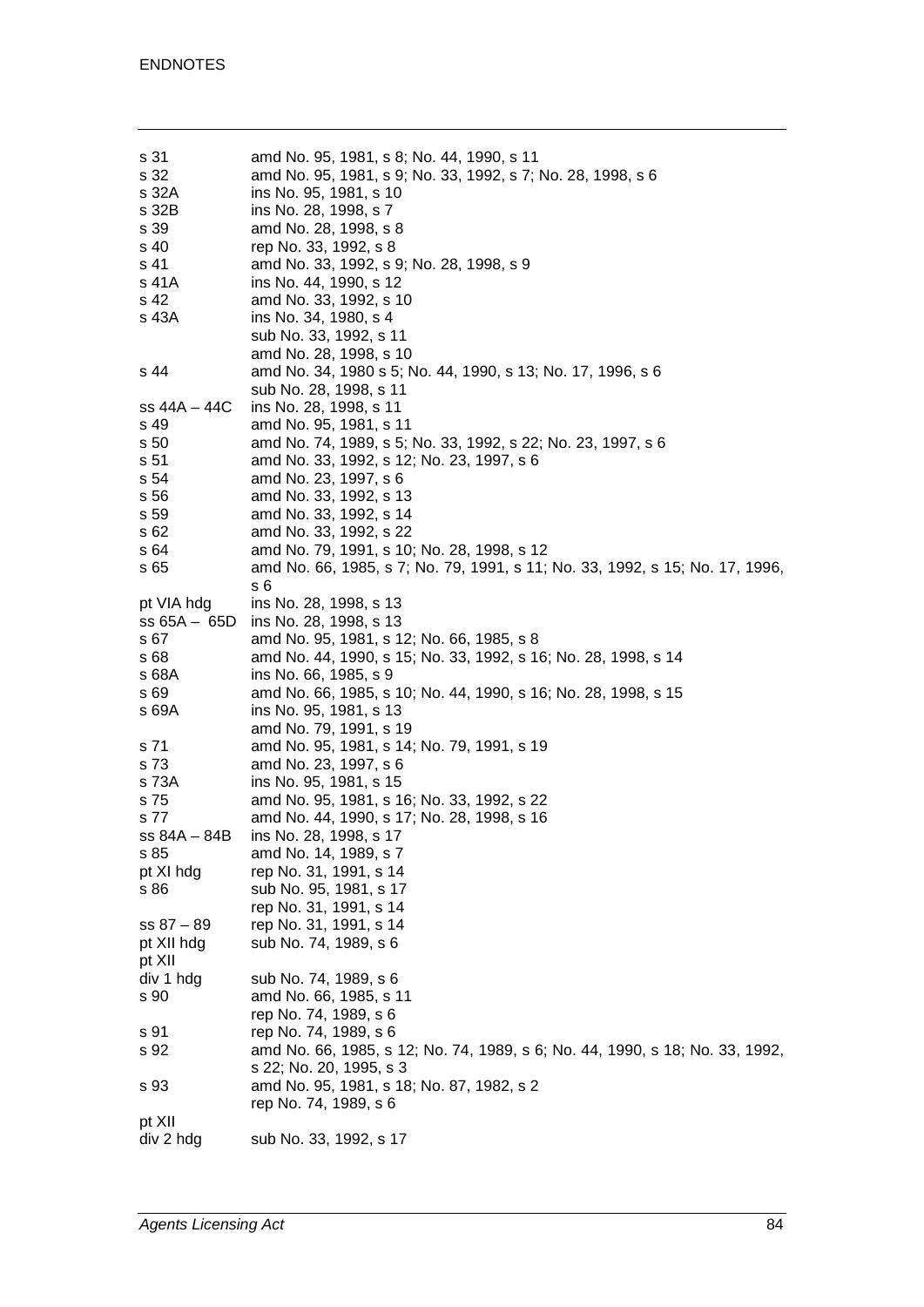s 31 amd No. 95, 1981, s 8; No. 44, 1990, s 11<br>s 32 amd No. 95, 1981, s 9: No. 33, 1992, s 7: s 32 amd No. 95, 1981, s 9; No. 33, 1992, s 7; No. 28, 1998, s 6 s 32A ins No. 95, 1981, s 10<br>s 32B ins No. 28, 1998, s 7 s 32B ins No. 28, 1998, s 7 s 39 amd No. 28, 1998, s 8<br>s 40 rep No. 33, 1992, s 8 rep No. 33, 1992, s 8 s 41 amd No. 33, 1992, s 9; No. 28, 1998, s 9 s 41A ins No. 44, 1990, s 12<br>s 42 amd No. 33, 1992, s 1 amd No. 33, 1992, s 10 s 43A ins No. 34, 1980, s 4 sub No. 33, 1992, s 11 amd No. 28, 1998, s 10 s 44 amd No. 34, 1980 s 5; No. 44, 1990, s 13; No. 17, 1996, s 6 sub No. 28, 1998, s 11 ss 44A – 44C ins No. 28, 1998, s 11 s 49 amd No. 95, 1981, s 11 s 50 amd No. 74, 1989, s 5; No. 33, 1992, s 22; No. 23, 1997, s 6 s 51 amd No. 33, 1992, s 12; No. 23, 1997, s 6 s 54 amd No. 23, 1997, s 6 s 56 amd No. 33, 1992, s 13<br>s 59 amd No. 33, 1992, s 14 amd No. 33, 1992, s 14 s 62 amd No. 33, 1992, s 22 s 64 amd No. 79, 1991, s 10; No. 28, 1998, s 12<br>s 65 amd No. 66, 1985, s 7; No. 79, 1991, s 11; amd No. 66, 1985, s 7; No. 79, 1991, s 11; No. 33, 1992, s 15; No. 17, 1996, s 6 pt VIA hdg ins No. 28, 1998, s 13<br>ss 65A – 65D ins No. 28, 1998, s 13 ins No. 28, 1998, s 13 s 67 amd No. 95, 1981, s 12; No. 66, 1985, s 8 s 68 amd No. 44, 1990, s 15; No. 33, 1992, s 16; No. 28, 1998, s 14 s 68A ins No. 66, 1985, s 9<br>s 69 amd No. 66, 1985, s s 69 amd No. 66, 1985, s 10; No. 44, 1990, s 16; No. 28, 1998, s 15 ins No. 95, 1981, s 13 amd No. 79, 1991, s 19 s 71 amd No. 95, 1981, s 14; No. 79, 1991, s 19 s 73 amd No. 23, 1997, s 6<br>s 73A ins No. 95, 1981, s 15 ins No. 95, 1981, s 15 s 75 amd No. 95, 1981, s 16; No. 33, 1992, s 22 s 77 amd No. 44, 1990, s 17; No. 28, 1998, s 16 ss 84A – 84B ins No. 28, 1998, s 17 s 85 amd No. 14, 1989, s 7<br>pt XI hdg rep No. 31, 1991, s 14 pt XI hdg rep No. 31, 1991, s 14<br>s 86 sub No. 95, 1981, s 17 sub No. 95, 1981, s 17 rep No. 31, 1991, s 14 ss 87 – 89 rep No. 31, 1991, s 14 pt XII hdg sub No. 74, 1989, s 6 pt XII div 1 hdg sub No. 74, 1989, s 6 s 90 amd No. 66, 1985, s 11 rep No. 74, 1989, s 6 s 91 rep No. 74, 1989, s 6 s 92 amd No. 66, 1985, s 12; No. 74, 1989, s 6; No. 44, 1990, s 18; No. 33, 1992, s 22; No. 20, 1995, s 3 s 93 amd No. 95, 1981, s 18; No. 87, 1982, s 2 rep No. 74, 1989, s 6 pt XII div 2 hdg sub No. 33, 1992, s 17